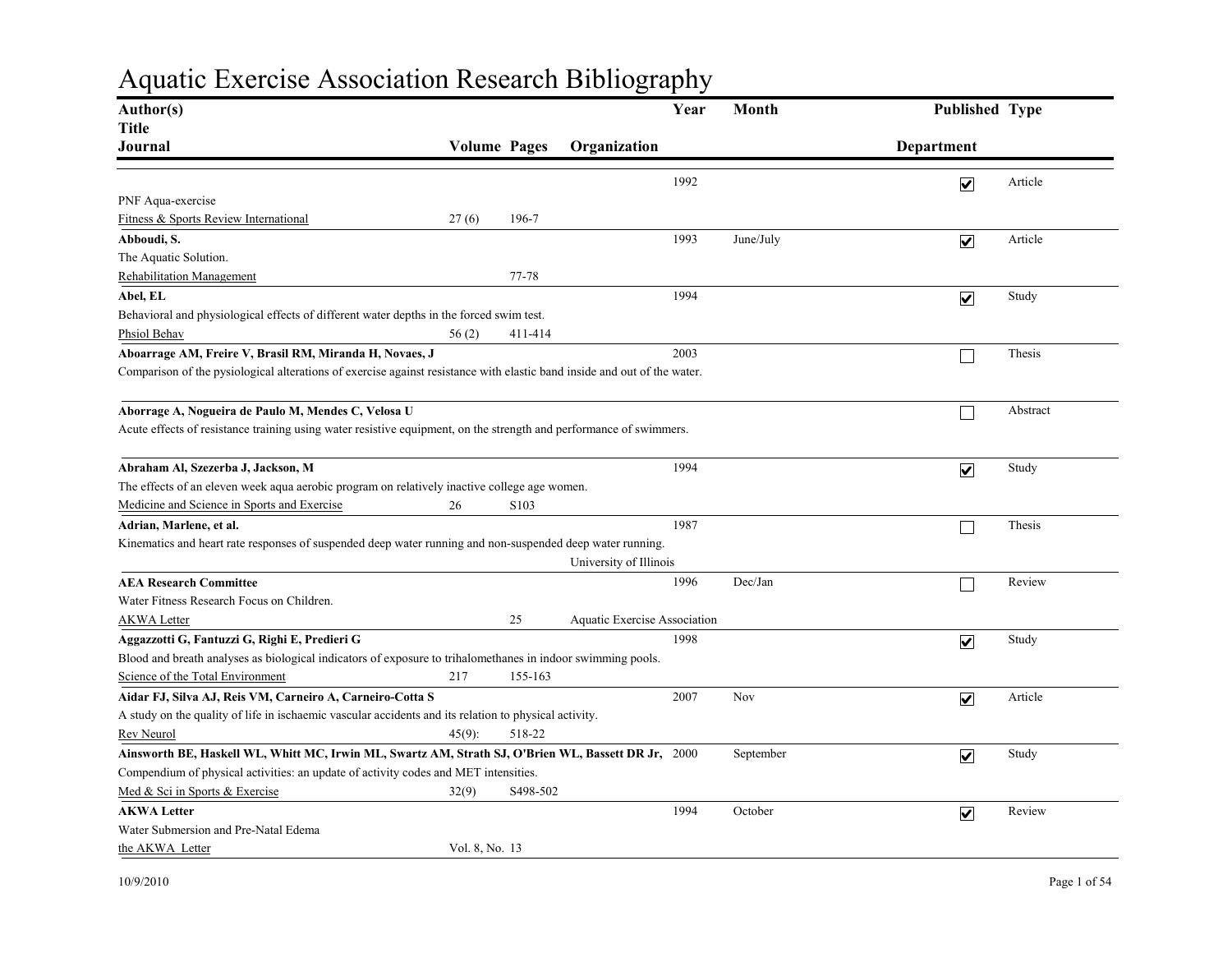## Aquatic Exercise Association Research Bibliography

| Author(s)                                                                                                                |                     |                   |                              | Year | Month     | Published Type          |          |
|--------------------------------------------------------------------------------------------------------------------------|---------------------|-------------------|------------------------------|------|-----------|-------------------------|----------|
| <b>Title</b>                                                                                                             |                     |                   |                              |      |           |                         |          |
| Journal                                                                                                                  | <b>Volume Pages</b> |                   | Organization                 |      |           | Department              |          |
|                                                                                                                          |                     |                   |                              | 1992 |           | $\overline{\mathbf{v}}$ | Article  |
| PNF Aqua-exercise                                                                                                        |                     |                   |                              |      |           |                         |          |
| Fitness & Sports Review International                                                                                    | 27(6)               | 196-7             |                              |      |           |                         |          |
| Abboudi, S.                                                                                                              |                     |                   |                              | 1993 | June/July | $\overline{\mathbf{v}}$ | Article  |
| The Aquatic Solution.                                                                                                    |                     |                   |                              |      |           |                         |          |
| <b>Rehabilitation Management</b>                                                                                         |                     | 77-78             |                              |      |           |                         |          |
| Abel, EL                                                                                                                 |                     |                   |                              | 1994 |           | $\overline{\mathbf{v}}$ | Study    |
| Behavioral and physiological effects of different water depths in the forced swim test.                                  |                     |                   |                              |      |           |                         |          |
| Phsiol Behav                                                                                                             | 56(2)               | 411-414           |                              |      |           |                         |          |
| Aboarrage AM, Freire V, Brasil RM, Miranda H, Novaes, J                                                                  |                     |                   |                              | 2003 |           |                         | Thesis   |
| Comparison of the pysiological alterations of exercise against resistance with elastic band inside and out of the water. |                     |                   |                              |      |           |                         |          |
| Aborrage A, Nogueira de Paulo M, Mendes C, Velosa U                                                                      |                     |                   |                              |      |           | $\Box$                  | Abstract |
| Acute effects of resistance training using water resistive equipment, on the strength and performance of swimmers.       |                     |                   |                              |      |           |                         |          |
| Abraham Al, Szezerba J, Jackson, M                                                                                       |                     |                   |                              | 1994 |           | $\overline{\mathbf{v}}$ | Study    |
| The effects of an eleven week aqua aerobic program on relatively inactive college age women.                             |                     |                   |                              |      |           |                         |          |
| Medicine and Science in Sports and Exercise                                                                              | 26                  | S <sub>10</sub> 3 |                              |      |           |                         |          |
| Adrian, Marlene, et al.                                                                                                  |                     |                   |                              | 1987 |           |                         | Thesis   |
| Kinematics and heart rate responses of suspended deep water running and non-suspended deep water running.                |                     |                   |                              |      |           |                         |          |
|                                                                                                                          |                     |                   | University of Illinois       |      |           |                         |          |
| <b>AEA Research Committee</b>                                                                                            |                     |                   |                              | 1996 | Dec/Jan   |                         | Review   |
| Water Fitness Research Focus on Children.                                                                                |                     |                   |                              |      |           |                         |          |
| <b>AKWA Letter</b>                                                                                                       |                     | 25                | Aquatic Exercise Association |      |           |                         |          |
| Aggazzotti G, Fantuzzi G, Righi E, Predieri G                                                                            |                     |                   |                              | 1998 |           | $\overline{\mathbf{v}}$ | Study    |
| Blood and breath analyses as biological indicators of exposure to trihalomethanes in indoor swimming pools.              |                     |                   |                              |      |           |                         |          |
| Science of the Total Environment                                                                                         | 217                 | 155-163           |                              |      |           |                         |          |
| Aidar FJ, Silva AJ, Reis VM, Carneiro A, Carneiro-Cotta S                                                                |                     |                   |                              | 2007 | Nov       | $\overline{\mathbf{v}}$ | Article  |
| A study on the quality of life in ischaemic vascular accidents and its relation to physical activity.                    |                     |                   |                              |      |           |                         |          |
| Rev Neurol                                                                                                               | $45(9)$ :           | 518-22            |                              |      |           |                         |          |
| Ainsworth BE, Haskell WL, Whitt MC, Irwin ML, Swartz AM, Strath SJ, O'Brien WL, Bassett DR Jr, 2000                      |                     |                   |                              |      | September | $\overline{\mathbf{v}}$ | Study    |
| Compendium of physical activities: an update of activity codes and MET intensities.                                      |                     |                   |                              |      |           |                         |          |
| Med & Sci in Sports & Exercise                                                                                           | 32(9)               | S498-502          |                              |      |           |                         |          |
| <b>AKWA Letter</b>                                                                                                       |                     |                   |                              | 1994 | October   | $\overline{\mathbf{v}}$ | Review   |
| Water Submersion and Pre-Natal Edema                                                                                     |                     |                   |                              |      |           |                         |          |
| the AKWA Letter                                                                                                          | Vol. 8, No. 13      |                   |                              |      |           |                         |          |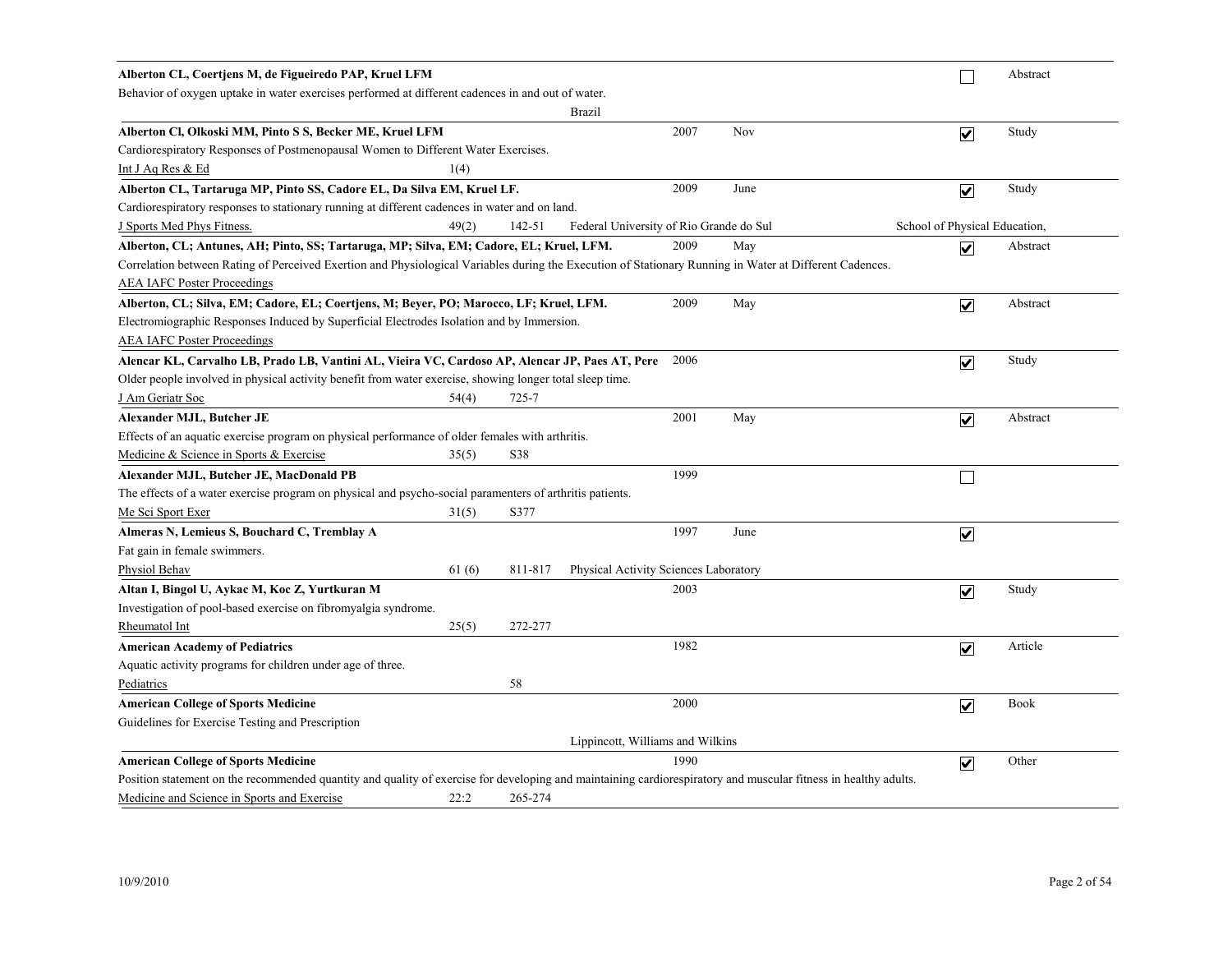| Alberton CL, Coertjens M, de Figueiredo PAP, Kruel LFM                                                                                                          |       |           |                                         |      |      |                               |                         | Abstract    |
|-----------------------------------------------------------------------------------------------------------------------------------------------------------------|-------|-----------|-----------------------------------------|------|------|-------------------------------|-------------------------|-------------|
| Behavior of oxygen uptake in water exercises performed at different cadences in and out of water.                                                               |       |           |                                         |      |      |                               |                         |             |
|                                                                                                                                                                 |       |           | <b>Brazil</b>                           |      |      |                               |                         |             |
| Alberton Cl, Olkoski MM, Pinto S S, Becker ME, Kruel LFM                                                                                                        |       |           |                                         | 2007 | Nov  |                               | $\overline{\mathbf{v}}$ | Study       |
| Cardiorespiratory Responses of Postmenopausal Women to Different Water Exercises.                                                                               |       |           |                                         |      |      |                               |                         |             |
| Int J Aq Res & Ed                                                                                                                                               | 1(4)  |           |                                         |      |      |                               |                         |             |
| Alberton CL, Tartaruga MP, Pinto SS, Cadore EL, Da Silva EM, Kruel LF.                                                                                          |       |           |                                         | 2009 | June |                               | $\overline{\mathbf{v}}$ | Study       |
| Cardiorespiratory responses to stationary running at different cadences in water and on land.                                                                   |       |           |                                         |      |      |                               |                         |             |
| J Sports Med Phys Fitness.                                                                                                                                      | 49(2) | 142-51    | Federal University of Rio Grande do Sul |      |      | School of Physical Education, |                         |             |
| Alberton, CL; Antunes, AH; Pinto, SS; Tartaruga, MP; Silva, EM; Cadore, EL; Kruel, LFM.                                                                         |       |           |                                         | 2009 | May  |                               | $\overline{\mathbf{v}}$ | Abstract    |
| Correlation between Rating of Perceived Exertion and Physiological Variables during the Execution of Stationary Running in Water at Different Cadences.         |       |           |                                         |      |      |                               |                         |             |
| <b>AEA IAFC Poster Proceedings</b>                                                                                                                              |       |           |                                         |      |      |                               |                         |             |
| Alberton, CL; Silva, EM; Cadore, EL; Coertjens, M; Beyer, PO; Marocco, LF; Kruel, LFM.                                                                          |       |           |                                         | 2009 | May  |                               | $\overline{\mathbf{v}}$ | Abstract    |
| Electromiographic Responses Induced by Superficial Electrodes Isolation and by Immersion.                                                                       |       |           |                                         |      |      |                               |                         |             |
| <b>AEA IAFC Poster Proceedings</b>                                                                                                                              |       |           |                                         |      |      |                               |                         |             |
| Alencar KL, Carvalho LB, Prado LB, Vantini AL, Vieira VC, Cardoso AP, Alencar JP, Paes AT, Pere                                                                 |       |           |                                         | 2006 |      |                               | $\blacktriangledown$    | Study       |
| Older people involved in physical activity benefit from water exercise, showing longer total sleep time.                                                        |       |           |                                         |      |      |                               |                         |             |
| J Am Geriatr Soc                                                                                                                                                | 54(4) | $725 - 7$ |                                         |      |      |                               |                         |             |
| Alexander MJL, Butcher JE                                                                                                                                       |       |           |                                         | 2001 | May  |                               | $\overline{\mathbf{v}}$ | Abstract    |
| Effects of an aquatic exercise program on physical performance of older females with arthritis.                                                                 |       |           |                                         |      |      |                               |                         |             |
| Medicine & Science in Sports & Exercise                                                                                                                         | 35(5) | S38       |                                         |      |      |                               |                         |             |
| Alexander MJL, Butcher JE, MacDonald PB                                                                                                                         |       |           |                                         | 1999 |      |                               | $\Box$                  |             |
| The effects of a water exercise program on physical and psycho-social parameters of arthritis patients.                                                         |       |           |                                         |      |      |                               |                         |             |
| Me Sci Sport Exer                                                                                                                                               | 31(5) | S377      |                                         |      |      |                               |                         |             |
| Almeras N, Lemieus S, Bouchard C, Tremblay A                                                                                                                    |       |           |                                         | 1997 | June |                               | $\blacktriangledown$    |             |
| Fat gain in female swimmers.                                                                                                                                    |       |           |                                         |      |      |                               |                         |             |
| Physiol Behav                                                                                                                                                   | 61(6) | 811-817   | Physical Activity Sciences Laboratory   |      |      |                               |                         |             |
| Altan I, Bingol U, Aykac M, Koc Z, Yurtkuran M                                                                                                                  |       |           |                                         | 2003 |      |                               | $\blacktriangledown$    | Study       |
| Investigation of pool-based exercise on fibromyalgia syndrome.                                                                                                  |       |           |                                         |      |      |                               |                         |             |
| Rheumatol Int                                                                                                                                                   | 25(5) | 272-277   |                                         |      |      |                               |                         |             |
| <b>American Academy of Pediatrics</b>                                                                                                                           |       |           |                                         | 1982 |      |                               | $\overline{\mathbf{v}}$ | Article     |
| Aquatic activity programs for children under age of three.                                                                                                      |       |           |                                         |      |      |                               |                         |             |
| Pediatrics                                                                                                                                                      |       | 58        |                                         |      |      |                               |                         |             |
| <b>American College of Sports Medicine</b>                                                                                                                      |       |           |                                         | 2000 |      |                               | $\overline{\mathbf{v}}$ | <b>Book</b> |
| Guidelines for Exercise Testing and Prescription                                                                                                                |       |           |                                         |      |      |                               |                         |             |
|                                                                                                                                                                 |       |           | Lippincott, Williams and Wilkins        |      |      |                               |                         |             |
| <b>American College of Sports Medicine</b>                                                                                                                      |       |           |                                         | 1990 |      |                               | $\overline{\mathbf{v}}$ | Other       |
| Position statement on the recommended quantity and quality of exercise for developing and maintaining cardiorespiratory and muscular fitness in healthy adults. |       |           |                                         |      |      |                               |                         |             |
| Medicine and Science in Sports and Exercise                                                                                                                     | 22:2  | 265-274   |                                         |      |      |                               |                         |             |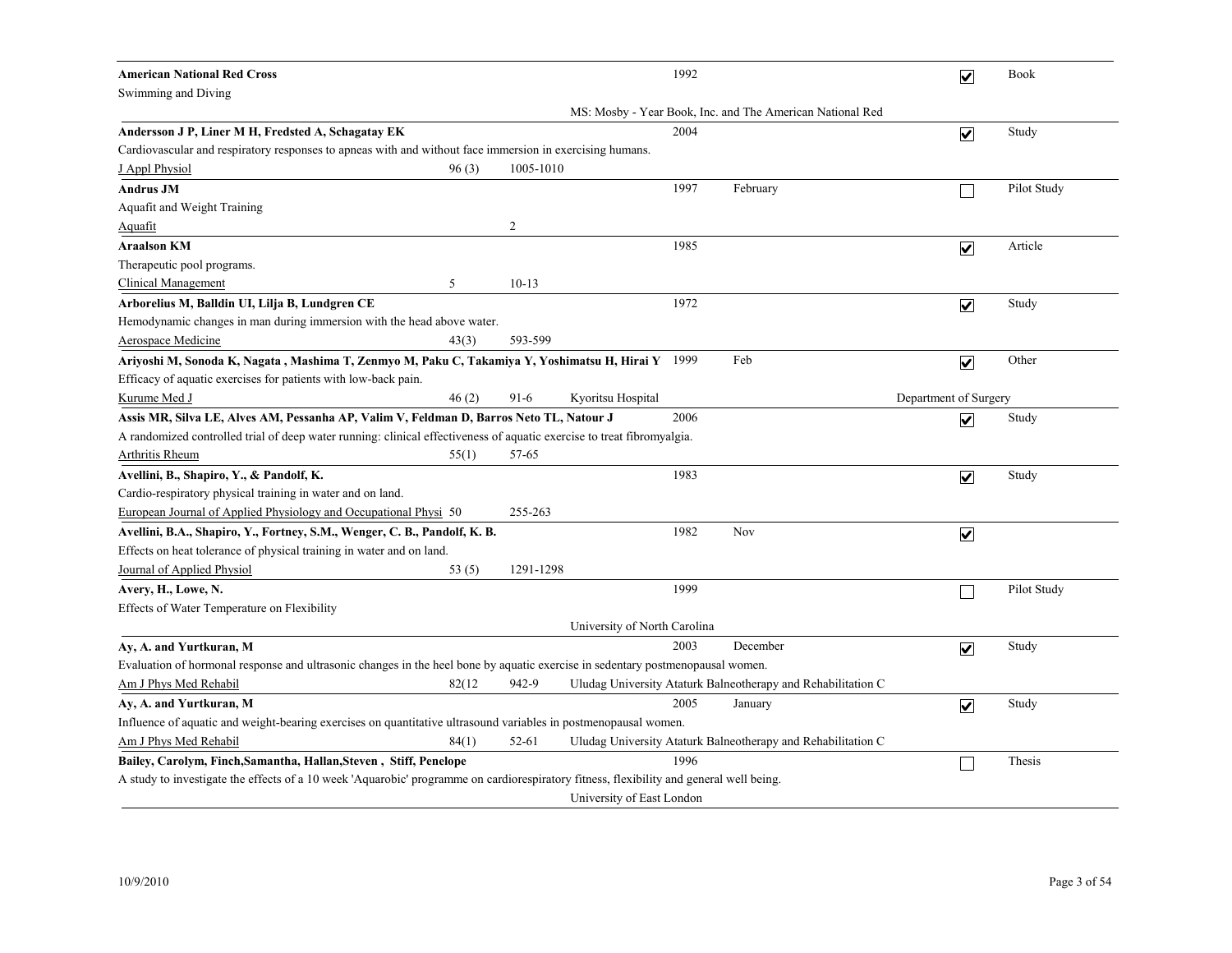| <b>American National Red Cross</b>                                                                                                      |                |           |                              | 1992 |                                                              |                       | $\overline{\mathbf{v}}$ | Book        |
|-----------------------------------------------------------------------------------------------------------------------------------------|----------------|-----------|------------------------------|------|--------------------------------------------------------------|-----------------------|-------------------------|-------------|
| Swimming and Diving                                                                                                                     |                |           |                              |      |                                                              |                       |                         |             |
|                                                                                                                                         |                |           |                              |      | MS: Mosby - Year Book, Inc. and The American National Red    |                       |                         |             |
| Andersson J P, Liner M H, Fredsted A, Schagatay EK                                                                                      |                |           |                              | 2004 |                                                              |                       | $\overline{\mathbf{v}}$ | Study       |
| Cardiovascular and respiratory responses to apneas with and without face immersion in exercising humans.                                |                |           |                              |      |                                                              |                       |                         |             |
| J Appl Physiol<br>96(3)                                                                                                                 |                | 1005-1010 |                              |      |                                                              |                       |                         |             |
| <b>Andrus JM</b>                                                                                                                        |                |           |                              | 1997 | February                                                     |                       |                         | Pilot Study |
| Aquafit and Weight Training                                                                                                             |                |           |                              |      |                                                              |                       |                         |             |
| Aquafit                                                                                                                                 | $\overline{c}$ |           |                              |      |                                                              |                       |                         |             |
| <b>Araalson KM</b>                                                                                                                      |                |           |                              | 1985 |                                                              |                       | $\overline{\mathbf{v}}$ | Article     |
| Therapeutic pool programs.                                                                                                              |                |           |                              |      |                                                              |                       |                         |             |
| <b>Clinical Management</b><br>5                                                                                                         |                | $10-13$   |                              |      |                                                              |                       |                         |             |
| Arborelius M, Balldin UI, Lilja B, Lundgren CE                                                                                          |                |           |                              | 1972 |                                                              |                       | $\overline{\mathbf{v}}$ | Study       |
| Hemodynamic changes in man during immersion with the head above water.                                                                  |                |           |                              |      |                                                              |                       |                         |             |
| <b>Aerospace Medicine</b><br>43(3)                                                                                                      |                | 593-599   |                              |      |                                                              |                       |                         |             |
| Ariyoshi M, Sonoda K, Nagata , Mashima T, Zenmyo M, Paku C, Takamiya Y, Yoshimatsu H, Hirai Y 1999                                      |                |           |                              |      | Feb                                                          |                       | $\overline{\mathbf{v}}$ | Other       |
| Efficacy of aquatic exercises for patients with low-back pain.                                                                          |                |           |                              |      |                                                              |                       |                         |             |
| 46(2)<br>Kurume Med J                                                                                                                   |                | $91-6$    | Kyoritsu Hospital            |      |                                                              | Department of Surgery |                         |             |
| Assis MR, Silva LE, Alves AM, Pessanha AP, Valim V, Feldman D, Barros Neto TL, Natour J                                                 |                |           |                              | 2006 |                                                              |                       | $\overline{\mathbf{v}}$ | Study       |
| A randomized controlled trial of deep water running: clinical effectiveness of aquatic exercise to treat fibromyalgia.                  |                |           |                              |      |                                                              |                       |                         |             |
| Arthritis Rheum<br>55(1)                                                                                                                |                | 57-65     |                              |      |                                                              |                       |                         |             |
| Avellini, B., Shapiro, Y., & Pandolf, K.                                                                                                |                |           |                              | 1983 |                                                              |                       | $\overline{\mathbf{v}}$ | Study       |
| Cardio-respiratory physical training in water and on land.                                                                              |                |           |                              |      |                                                              |                       |                         |             |
| European Journal of Applied Physiology and Occupational Physi 50                                                                        |                | 255-263   |                              |      |                                                              |                       |                         |             |
| Avellini, B.A., Shapiro, Y., Fortney, S.M., Wenger, C. B., Pandolf, K. B.                                                               |                |           |                              | 1982 | Nov                                                          |                       | $\overline{\mathbf{v}}$ |             |
| Effects on heat tolerance of physical training in water and on land.                                                                    |                |           |                              |      |                                                              |                       |                         |             |
| Journal of Applied Physiol<br>53(5)                                                                                                     |                | 1291-1298 |                              |      |                                                              |                       |                         |             |
| Avery, H., Lowe, N.                                                                                                                     |                |           |                              | 1999 |                                                              |                       |                         | Pilot Study |
| Effects of Water Temperature on Flexibility                                                                                             |                |           |                              |      |                                                              |                       |                         |             |
|                                                                                                                                         |                |           | University of North Carolina |      |                                                              |                       |                         |             |
| Ay, A. and Yurtkuran, M                                                                                                                 |                |           |                              | 2003 | December                                                     |                       | $\overline{\mathbf{v}}$ | Study       |
| Evaluation of hormonal response and ultrasonic changes in the heel bone by aquatic exercise in sedentary postmenopausal women.          |                |           |                              |      |                                                              |                       |                         |             |
| Am J Phys Med Rehabil<br>82(12)                                                                                                         |                | 942-9     |                              |      | Uludag University Ataturk Balneotherapy and Rehabilitation C |                       |                         |             |
| Ay, A. and Yurtkuran, M                                                                                                                 |                |           |                              | 2005 | January                                                      |                       | $\overline{\mathbf{v}}$ | Study       |
| Influence of aquatic and weight-bearing exercises on quantitative ultrasound variables in postmenopausal women.                         |                |           |                              |      |                                                              |                       |                         |             |
| Am J Phys Med Rehabil<br>84(1)                                                                                                          |                | 52-61     |                              |      | Uludag University Ataturk Balneotherapy and Rehabilitation C |                       |                         |             |
| Bailey, Carolym, Finch, Samantha, Hallan, Steven, Stiff, Penelope                                                                       |                |           |                              | 1996 |                                                              |                       |                         | Thesis      |
| A study to investigate the effects of a 10 week 'Aquarobic' programme on cardiorespiratory fitness, flexibility and general well being. |                |           |                              |      |                                                              |                       |                         |             |
|                                                                                                                                         |                |           | University of East London    |      |                                                              |                       |                         |             |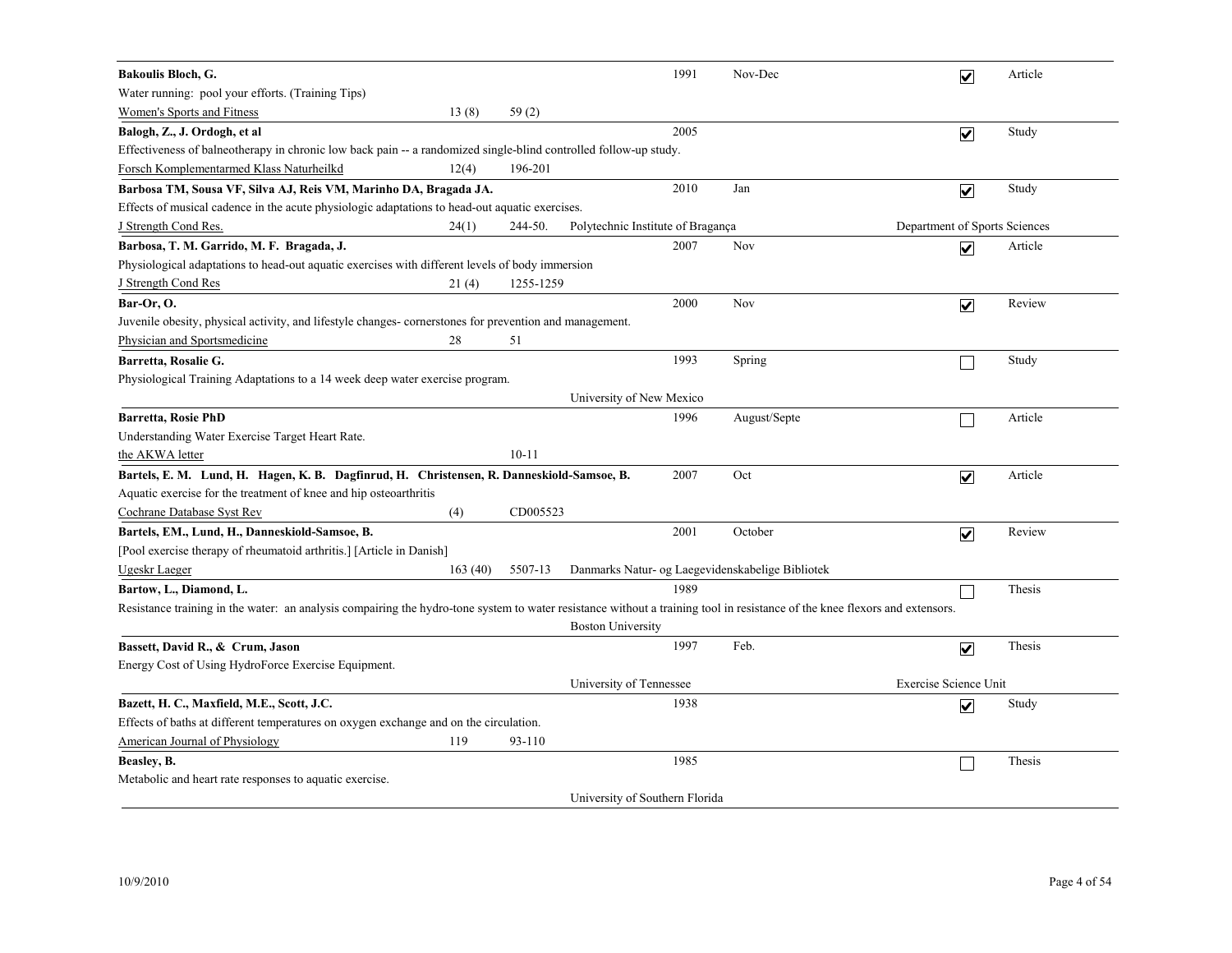| <b>Bakoulis Bloch, G.</b>                                                                                                                                                   |         |           |                                   | 1991 | Nov-Dec                                          | $\overline{\mathbf{v}}$ | Article                       |
|-----------------------------------------------------------------------------------------------------------------------------------------------------------------------------|---------|-----------|-----------------------------------|------|--------------------------------------------------|-------------------------|-------------------------------|
| Water running: pool your efforts. (Training Tips)                                                                                                                           |         |           |                                   |      |                                                  |                         |                               |
| <b>Women's Sports and Fitness</b>                                                                                                                                           | 13(8)   | 59(2)     |                                   |      |                                                  |                         |                               |
| Balogh, Z., J. Ordogh, et al                                                                                                                                                |         |           |                                   | 2005 |                                                  | $\overline{\mathbf{v}}$ | Study                         |
| Effectiveness of balneotherapy in chronic low back pain -- a randomized single-blind controlled follow-up study.                                                            |         |           |                                   |      |                                                  |                         |                               |
| Forsch Komplementarmed Klass Naturheilkd                                                                                                                                    | 12(4)   | 196-201   |                                   |      |                                                  |                         |                               |
| Barbosa TM, Sousa VF, Silva AJ, Reis VM, Marinho DA, Bragada JA.                                                                                                            |         |           |                                   | 2010 | Jan                                              | $\overline{\mathbf{v}}$ | Study                         |
| Effects of musical cadence in the acute physiologic adaptations to head-out aquatic exercises.                                                                              |         |           |                                   |      |                                                  |                         |                               |
| <b>J</b> Strength Cond Res.                                                                                                                                                 | 24(1)   | 244-50.   | Polytechnic Institute of Bragança |      |                                                  |                         | Department of Sports Sciences |
| Barbosa, T. M. Garrido, M. F. Bragada, J.                                                                                                                                   |         |           |                                   | 2007 | Nov                                              | $\overline{\mathbf{v}}$ | Article                       |
| Physiological adaptations to head-out aquatic exercises with different levels of body immersion                                                                             |         |           |                                   |      |                                                  |                         |                               |
| <b>J</b> Strength Cond Res                                                                                                                                                  | 21(4)   | 1255-1259 |                                   |      |                                                  |                         |                               |
| Bar-Or, O.                                                                                                                                                                  |         |           |                                   | 2000 | Nov                                              | $\overline{\mathbf{v}}$ | Review                        |
| Juvenile obesity, physical activity, and lifestyle changes- cornerstones for prevention and management.                                                                     |         |           |                                   |      |                                                  |                         |                               |
| Physician and Sportsmedicine                                                                                                                                                | 28      | 51        |                                   |      |                                                  |                         |                               |
| Barretta, Rosalie G.                                                                                                                                                        |         |           |                                   | 1993 | Spring                                           |                         | Study                         |
| Physiological Training Adaptations to a 14 week deep water exercise program.                                                                                                |         |           |                                   |      |                                                  |                         |                               |
|                                                                                                                                                                             |         |           | University of New Mexico          |      |                                                  |                         |                               |
| <b>Barretta, Rosie PhD</b>                                                                                                                                                  |         |           |                                   | 1996 | August/Septe                                     | □                       | Article                       |
| Understanding Water Exercise Target Heart Rate.                                                                                                                             |         |           |                                   |      |                                                  |                         |                               |
| the AKWA letter                                                                                                                                                             |         | $10 - 11$ |                                   |      |                                                  |                         |                               |
| Bartels, E. M. Lund, H. Hagen, K. B. Dagfinrud, H. Christensen, R. Danneskiold-Samsoe, B.                                                                                   |         |           |                                   | 2007 | Oct                                              | $\overline{\mathbf{v}}$ | Article                       |
| Aquatic exercise for the treatment of knee and hip osteoarthritis                                                                                                           |         |           |                                   |      |                                                  |                         |                               |
| Cochrane Database Syst Rev                                                                                                                                                  | (4)     | CD005523  |                                   |      |                                                  |                         |                               |
| Bartels, EM., Lund, H., Danneskiold-Samsoe, B.                                                                                                                              |         |           |                                   | 2001 | October                                          | $\overline{\mathbf{v}}$ | Review                        |
| [Pool exercise therapy of rheumatoid arthritis.] [Article in Danish]                                                                                                        |         |           |                                   |      |                                                  |                         |                               |
| Ugeskr Laeger                                                                                                                                                               | 163(40) | 5507-13   |                                   |      | Danmarks Natur- og Laegevidenskabelige Bibliotek |                         |                               |
| Bartow, L., Diamond, L.                                                                                                                                                     |         |           |                                   | 1989 |                                                  | П                       | Thesis                        |
| Resistance training in the water: an analysis compairing the hydro-tone system to water resistance without a training tool in resistance of the knee flexors and extensors. |         |           |                                   |      |                                                  |                         |                               |
|                                                                                                                                                                             |         |           | <b>Boston University</b>          |      |                                                  |                         |                               |
| Bassett, David R., & Crum, Jason                                                                                                                                            |         |           |                                   | 1997 | Feb.                                             | $\overline{\mathbf{v}}$ | Thesis                        |
| Energy Cost of Using HydroForce Exercise Equipment.                                                                                                                         |         |           |                                   |      |                                                  |                         |                               |
|                                                                                                                                                                             |         |           | University of Tennessee           |      |                                                  | Exercise Science Unit   |                               |
| Bazett, H. C., Maxfield, M.E., Scott, J.C.                                                                                                                                  |         |           |                                   | 1938 |                                                  | ☑                       | Study                         |
| Effects of baths at different temperatures on oxygen exchange and on the circulation.                                                                                       |         |           |                                   |      |                                                  |                         |                               |
| American Journal of Physiology                                                                                                                                              | 119     | 93-110    |                                   |      |                                                  |                         |                               |
| Beasley, B.                                                                                                                                                                 |         |           |                                   | 1985 |                                                  |                         | Thesis                        |
| Metabolic and heart rate responses to aquatic exercise.                                                                                                                     |         |           |                                   |      |                                                  |                         |                               |
|                                                                                                                                                                             |         |           | University of Southern Florida    |      |                                                  |                         |                               |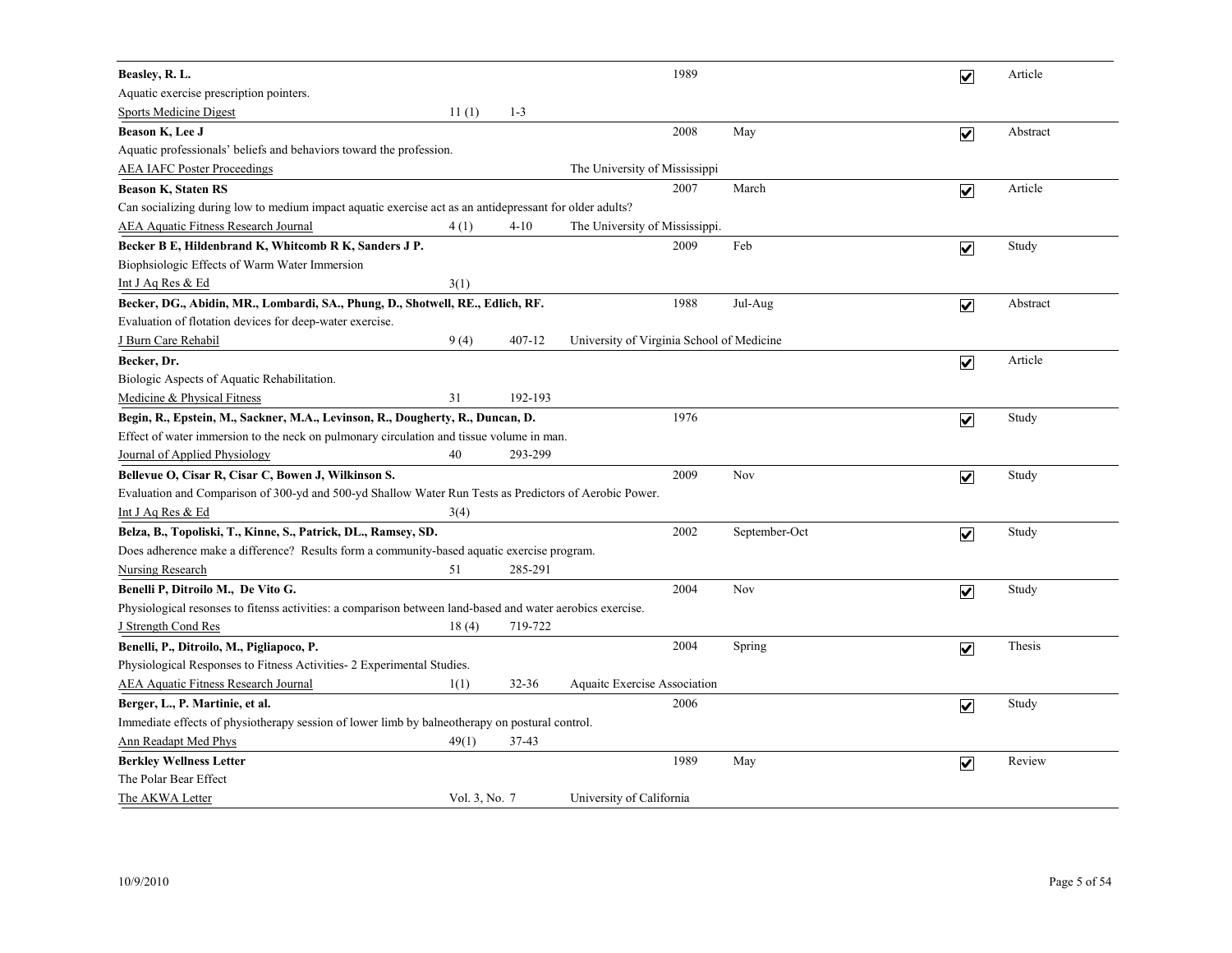| Beasley, R. L.                                                                                             |               |           |                                           | 1989 |               | $\overline{\mathbf{v}}$ | Article  |
|------------------------------------------------------------------------------------------------------------|---------------|-----------|-------------------------------------------|------|---------------|-------------------------|----------|
| Aquatic exercise prescription pointers.                                                                    |               |           |                                           |      |               |                         |          |
| <b>Sports Medicine Digest</b>                                                                              | 11(1)         | $1 - 3$   |                                           |      |               |                         |          |
| Beason K, Lee J                                                                                            |               |           |                                           | 2008 | May           | $\overline{\mathbf{v}}$ | Abstract |
| Aquatic professionals' beliefs and behaviors toward the profession.                                        |               |           |                                           |      |               |                         |          |
| <b>AEA IAFC Poster Proceedings</b>                                                                         |               |           | The University of Mississippi             |      |               |                         |          |
| <b>Beason K, Staten RS</b>                                                                                 |               |           |                                           | 2007 | March         | $\overline{\mathbf{v}}$ | Article  |
| Can socializing during low to medium impact aquatic exercise act as an antidepressant for older adults?    |               |           |                                           |      |               |                         |          |
| <b>AEA Aquatic Fitness Research Journal</b>                                                                | 4(1)          | $4 - 10$  | The University of Mississippi.            |      |               |                         |          |
| Becker B E, Hildenbrand K, Whitcomb R K, Sanders J P.                                                      |               |           |                                           | 2009 | Feb           | $\overline{\mathbf{v}}$ | Study    |
| Biophsiologic Effects of Warm Water Immersion                                                              |               |           |                                           |      |               |                         |          |
| Int J Aq Res & Ed                                                                                          | 3(1)          |           |                                           |      |               |                         |          |
| Becker, DG., Abidin, MR., Lombardi, SA., Phung, D., Shotwell, RE., Edlich, RF.                             |               |           |                                           | 1988 | Jul-Aug       | $\overline{\mathbf{v}}$ | Abstract |
| Evaluation of flotation devices for deep-water exercise.                                                   |               |           |                                           |      |               |                         |          |
| J Burn Care Rehabil                                                                                        | 9(4)          | 407-12    | University of Virginia School of Medicine |      |               |                         |          |
| Becker, Dr.                                                                                                |               |           |                                           |      |               | $\overline{\mathbf{v}}$ | Article  |
| Biologic Aspects of Aquatic Rehabilitation.                                                                |               |           |                                           |      |               |                         |          |
| Medicine & Physical Fitness                                                                                | 31            | 192-193   |                                           |      |               |                         |          |
| Begin, R., Epstein, M., Sackner, M.A., Levinson, R., Dougherty, R., Duncan, D.                             |               |           |                                           | 1976 |               | $\overline{\mathbf{v}}$ | Study    |
| Effect of water immersion to the neck on pulmonary circulation and tissue volume in man.                   |               |           |                                           |      |               |                         |          |
| Journal of Applied Physiology                                                                              | 40            | 293-299   |                                           |      |               |                         |          |
| Bellevue O, Cisar R, Cisar C, Bowen J, Wilkinson S.                                                        |               |           |                                           | 2009 | Nov           | $\overline{\mathbf{v}}$ | Study    |
| Evaluation and Comparison of 300-yd and 500-yd Shallow Water Run Tests as Predictors of Aerobic Power.     |               |           |                                           |      |               |                         |          |
| <u>Int J Aq Res &amp; Ed</u>                                                                               | 3(4)          |           |                                           |      |               |                         |          |
| Belza, B., Topoliski, T., Kinne, S., Patrick, DL., Ramsey, SD.                                             |               |           |                                           | 2002 | September-Oct | $\overline{\mathbf{v}}$ | Study    |
| Does adherence make a difference? Results form a community-based aquatic exercise program.                 |               |           |                                           |      |               |                         |          |
| <b>Nursing Research</b>                                                                                    | 51            | 285-291   |                                           |      |               |                         |          |
| Benelli P, Ditroilo M., De Vito G.                                                                         |               |           |                                           | 2004 | Nov           | $\overline{\mathsf{v}}$ | Study    |
| Physiological resonses to fitenss activities: a comparison between land-based and water aerobics exercise. |               |           |                                           |      |               |                         |          |
| J Strength Cond Res                                                                                        | 18(4)         | 719-722   |                                           |      |               |                         |          |
| Benelli, P., Ditroilo, M., Pigliapoco, P.                                                                  |               |           |                                           | 2004 | Spring        | $\overline{\mathbf{v}}$ | Thesis   |
| Physiological Responses to Fitness Activities- 2 Experimental Studies.                                     |               |           |                                           |      |               |                         |          |
| <b>AEA Aquatic Fitness Research Journal</b>                                                                | 1(1)          | $32 - 36$ | <b>Aquaite Exercise Association</b>       |      |               |                         |          |
| Berger, L., P. Martinie, et al.                                                                            |               |           |                                           | 2006 |               | $\overline{\mathbf{v}}$ | Study    |
| Immediate effects of physiotherapy session of lower limb by balneotherapy on postural control.             |               |           |                                           |      |               |                         |          |
| <b>Ann Readapt Med Phys</b>                                                                                | 49(1)         | 37-43     |                                           |      |               |                         |          |
| <b>Berkley Wellness Letter</b>                                                                             |               |           |                                           | 1989 | May           | $\overline{\mathbf{v}}$ | Review   |
| The Polar Bear Effect                                                                                      |               |           |                                           |      |               |                         |          |
| The AKWA Letter                                                                                            | Vol. 3, No. 7 |           | University of California                  |      |               |                         |          |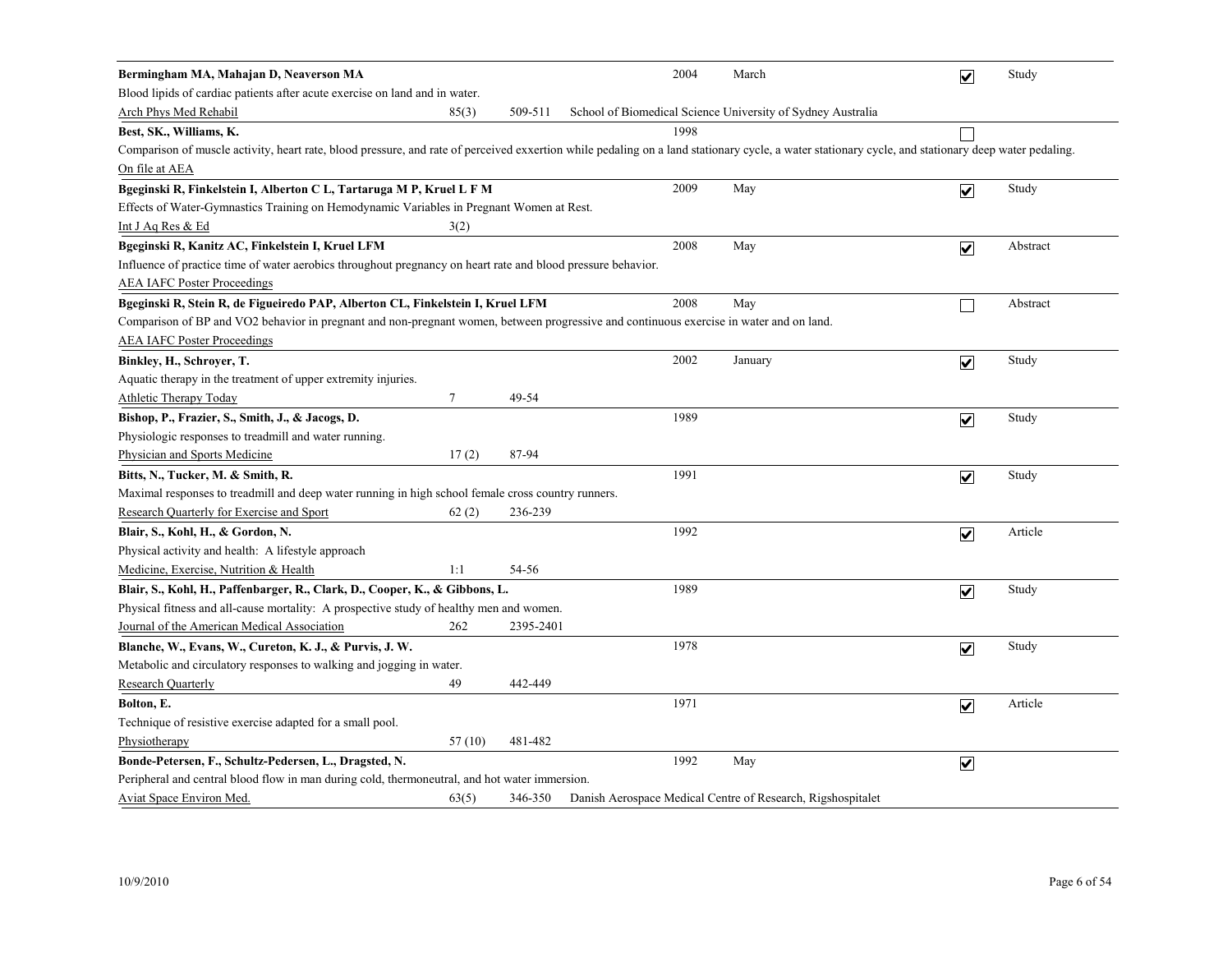| Bermingham MA, Mahajan D, Neaverson MA                                                                                                                                                              |        |           | 2004 | March                                                       | $\overline{\mathbf{v}}$ | Study    |
|-----------------------------------------------------------------------------------------------------------------------------------------------------------------------------------------------------|--------|-----------|------|-------------------------------------------------------------|-------------------------|----------|
| Blood lipids of cardiac patients after acute exercise on land and in water.                                                                                                                         |        |           |      |                                                             |                         |          |
| Arch Phys Med Rehabil                                                                                                                                                                               | 85(3)  | 509-511   |      | School of Biomedical Science University of Sydney Australia |                         |          |
| Best, SK., Williams, K.                                                                                                                                                                             |        |           | 1998 |                                                             |                         |          |
| Comparison of muscle activity, heart rate, blood pressure, and rate of perceived exxertion while pedaling on a land stationary cycle, a water stationary cycle, and stationary deep water pedaling. |        |           |      |                                                             |                         |          |
| On file at AEA                                                                                                                                                                                      |        |           |      |                                                             |                         |          |
| Bgeginski R, Finkelstein I, Alberton C L, Tartaruga M P, Kruel L F M                                                                                                                                |        |           | 2009 | May                                                         | $\overline{\mathbf{v}}$ | Study    |
| Effects of Water-Gymnastics Training on Hemodynamic Variables in Pregnant Women at Rest.                                                                                                            |        |           |      |                                                             |                         |          |
| Int J Aq Res & Ed                                                                                                                                                                                   | 3(2)   |           |      |                                                             |                         |          |
| Bgeginski R, Kanitz AC, Finkelstein I, Kruel LFM                                                                                                                                                    |        |           | 2008 | May                                                         | $\overline{\mathbf{v}}$ | Abstract |
| Influence of practice time of water aerobics throughout pregnancy on heart rate and blood pressure behavior.                                                                                        |        |           |      |                                                             |                         |          |
| <b>AEA IAFC Poster Proceedings</b>                                                                                                                                                                  |        |           |      |                                                             |                         |          |
| Bgeginski R, Stein R, de Figueiredo PAP, Alberton CL, Finkelstein I, Kruel LFM                                                                                                                      |        |           | 2008 | May                                                         | П                       | Abstract |
| Comparison of BP and VO2 behavior in pregnant and non-pregnant women, between progressive and continuous exercise in water and on land.                                                             |        |           |      |                                                             |                         |          |
| <b>AEA IAFC Poster Proceedings</b>                                                                                                                                                                  |        |           |      |                                                             |                         |          |
| Binkley, H., Schroyer, T.                                                                                                                                                                           |        |           | 2002 | January                                                     | $\overline{\mathbf{v}}$ | Study    |
| Aquatic therapy in the treatment of upper extremity injuries.                                                                                                                                       |        |           |      |                                                             |                         |          |
| Athletic Therapy Today                                                                                                                                                                              | $\tau$ | 49-54     |      |                                                             |                         |          |
| Bishop, P., Frazier, S., Smith, J., & Jacogs, D.                                                                                                                                                    |        |           | 1989 |                                                             | $\overline{\mathbf{v}}$ | Study    |
| Physiologic responses to treadmill and water running.                                                                                                                                               |        |           |      |                                                             |                         |          |
| Physician and Sports Medicine                                                                                                                                                                       | 17(2)  | 87-94     |      |                                                             |                         |          |
| Bitts, N., Tucker, M. & Smith, R.                                                                                                                                                                   |        |           | 1991 |                                                             | $\overline{\mathbf{v}}$ | Study    |
| Maximal responses to treadmill and deep water running in high school female cross country runners.                                                                                                  |        |           |      |                                                             |                         |          |
| Research Quarterly for Exercise and Sport                                                                                                                                                           | 62(2)  | 236-239   |      |                                                             |                         |          |
| Blair, S., Kohl, H., & Gordon, N.                                                                                                                                                                   |        |           | 1992 |                                                             | $\overline{\mathbf{v}}$ | Article  |
| Physical activity and health: A lifestyle approach                                                                                                                                                  |        |           |      |                                                             |                         |          |
| Medicine, Exercise, Nutrition & Health                                                                                                                                                              | 1:1    | 54-56     |      |                                                             |                         |          |
| Blair, S., Kohl, H., Paffenbarger, R., Clark, D., Cooper, K., & Gibbons, L.                                                                                                                         |        |           | 1989 |                                                             | $\blacktriangledown$    | Study    |
| Physical fitness and all-cause mortality: A prospective study of healthy men and women.                                                                                                             |        |           |      |                                                             |                         |          |
| Journal of the American Medical Association                                                                                                                                                         | 262    | 2395-2401 |      |                                                             |                         |          |
| Blanche, W., Evans, W., Cureton, K. J., & Purvis, J. W.                                                                                                                                             |        |           | 1978 |                                                             | $\overline{\mathbf{v}}$ | Study    |
| Metabolic and circulatory responses to walking and jogging in water.                                                                                                                                |        |           |      |                                                             |                         |          |
| <b>Research Quarterly</b>                                                                                                                                                                           | 49     | 442-449   |      |                                                             |                         |          |
| Bolton, E.                                                                                                                                                                                          |        |           | 1971 |                                                             | $\overline{\mathbf{v}}$ | Article  |
| Technique of resistive exercise adapted for a small pool.                                                                                                                                           |        |           |      |                                                             |                         |          |
| Physiotherapy                                                                                                                                                                                       | 57(10) | 481-482   |      |                                                             |                         |          |
| Bonde-Petersen, F., Schultz-Pedersen, L., Dragsted, N.                                                                                                                                              |        |           | 1992 | May                                                         | $\overline{\mathbf{v}}$ |          |
| Peripheral and central blood flow in man during cold, thermoneutral, and hot water immersion.                                                                                                       |        |           |      |                                                             |                         |          |
| Aviat Space Environ Med.                                                                                                                                                                            | 63(5)  | 346-350   |      | Danish Aerospace Medical Centre of Research, Rigshospitalet |                         |          |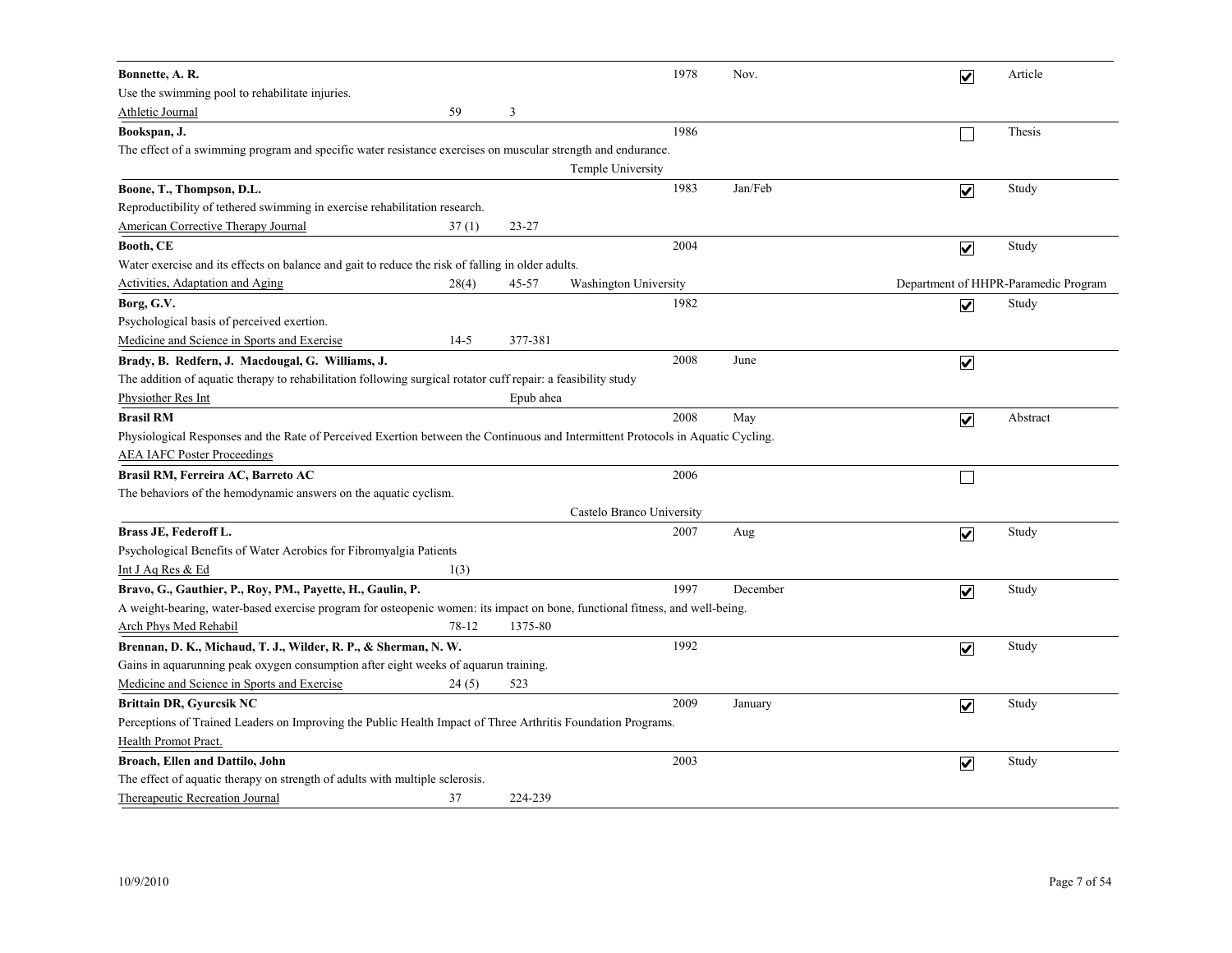| Bonnette, A. R.                                                                                                                  |        |           |                           | 1978 | Nov.     | $\overline{\mathbf{v}}$ | Article                              |
|----------------------------------------------------------------------------------------------------------------------------------|--------|-----------|---------------------------|------|----------|-------------------------|--------------------------------------|
| Use the swimming pool to rehabilitate injuries.                                                                                  |        |           |                           |      |          |                         |                                      |
| Athletic Journal                                                                                                                 | 59     | 3         |                           |      |          |                         |                                      |
| Bookspan, J.                                                                                                                     |        |           |                           | 1986 |          |                         | Thesis                               |
| The effect of a swimming program and specific water resistance exercises on muscular strength and endurance.                     |        |           |                           |      |          |                         |                                      |
|                                                                                                                                  |        |           | Temple University         |      |          |                         |                                      |
| Boone, T., Thompson, D.L.                                                                                                        |        |           |                           | 1983 | Jan/Feb  | $\overline{\mathbf{v}}$ | Study                                |
| Reproductibility of tethered swimming in exercise rehabilitation research.                                                       |        |           |                           |      |          |                         |                                      |
| <b>American Corrective Therapy Journal</b>                                                                                       | 37(1)  | $23 - 27$ |                           |      |          |                         |                                      |
| Booth, CE                                                                                                                        |        |           |                           | 2004 |          | $\overline{\mathbf{v}}$ | Study                                |
| Water exercise and its effects on balance and gait to reduce the risk of falling in older adults.                                |        |           |                           |      |          |                         |                                      |
| Activities, Adaptation and Aging                                                                                                 | 28(4)  | 45-57     | Washington University     |      |          |                         | Department of HHPR-Paramedic Program |
| Borg, G.V.                                                                                                                       |        |           |                           | 1982 |          | $\overline{\mathbf{v}}$ | Study                                |
| Psychological basis of perceived exertion.                                                                                       |        |           |                           |      |          |                         |                                      |
| Medicine and Science in Sports and Exercise                                                                                      | $14-5$ | 377-381   |                           |      |          |                         |                                      |
| Brady, B. Redfern, J. Macdougal, G. Williams, J.                                                                                 |        |           |                           | 2008 | June     | $\blacktriangledown$    |                                      |
| The addition of aquatic therapy to rehabilitation following surgical rotator cuff repair: a feasibility study                    |        |           |                           |      |          |                         |                                      |
| Physiother Res Int                                                                                                               |        | Epub ahea |                           |      |          |                         |                                      |
| <b>Brasil RM</b>                                                                                                                 |        |           |                           | 2008 | May      | $\overline{\mathbf{v}}$ | Abstract                             |
| Physiological Responses and the Rate of Perceived Exertion between the Continuous and Intermittent Protocols in Aquatic Cycling. |        |           |                           |      |          |                         |                                      |
| <b>AEA IAFC Poster Proceedings</b>                                                                                               |        |           |                           |      |          |                         |                                      |
| Brasil RM, Ferreira AC, Barreto AC                                                                                               |        |           |                           | 2006 |          |                         |                                      |
| The behaviors of the hemodynamic answers on the aquatic cyclism.                                                                 |        |           |                           |      |          |                         |                                      |
|                                                                                                                                  |        |           | Castelo Branco University |      |          |                         |                                      |
| Brass JE, Federoff L.                                                                                                            |        |           |                           | 2007 | Aug      | $\overline{\mathbf{v}}$ | Study                                |
| Psychological Benefits of Water Aerobics for Fibromyalgia Patients                                                               |        |           |                           |      |          |                         |                                      |
| Int J Aq Res & Ed                                                                                                                | 1(3)   |           |                           |      |          |                         |                                      |
| Bravo, G., Gauthier, P., Roy, PM., Payette, H., Gaulin, P.                                                                       |        |           |                           | 1997 | December | $\overline{\mathbf{v}}$ | Study                                |
| A weight-bearing, water-based exercise program for osteopenic women: its impact on bone, functional fitness, and well-being,     |        |           |                           |      |          |                         |                                      |
| Arch Phys Med Rehabil                                                                                                            | 78-12  | 1375-80   |                           |      |          |                         |                                      |
| Brennan, D. K., Michaud, T. J., Wilder, R. P., & Sherman, N. W.                                                                  |        |           |                           | 1992 |          | $\overline{\mathbf{v}}$ | Study                                |
| Gains in aquarunning peak oxygen consumption after eight weeks of aquarun training.                                              |        |           |                           |      |          |                         |                                      |
| Medicine and Science in Sports and Exercise                                                                                      | 24(5)  | 523       |                           |      |          |                         |                                      |
| <b>Brittain DR, Gyurcsik NC</b>                                                                                                  |        |           |                           | 2009 | January  | $\overline{\mathbf{v}}$ | Study                                |
| Perceptions of Trained Leaders on Improving the Public Health Impact of Three Arthritis Foundation Programs.                     |        |           |                           |      |          |                         |                                      |
| Health Promot Pract.                                                                                                             |        |           |                           |      |          |                         |                                      |
| Broach, Ellen and Dattilo, John                                                                                                  |        |           |                           | 2003 |          | $\blacktriangledown$    | Study                                |
| The effect of aquatic therapy on strength of adults with multiple sclerosis.                                                     |        |           |                           |      |          |                         |                                      |
| Thereapeutic Recreation Journal                                                                                                  | 37     | 224-239   |                           |      |          |                         |                                      |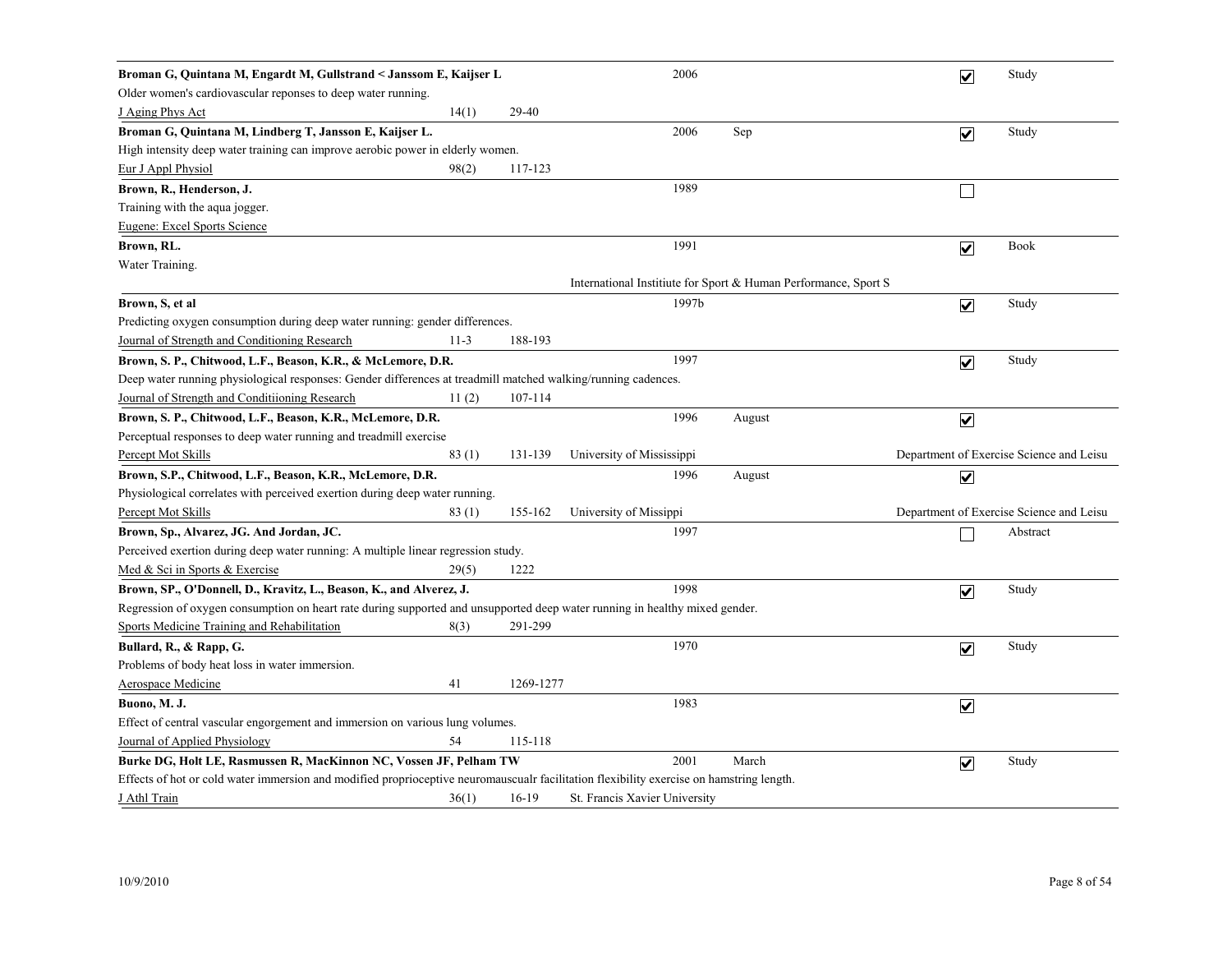| Broman G, Quintana M, Engardt M, Gullstrand < Janssom E, Kaijser L                                                                       |        |           | 2006                          |        |                                                                | $\overline{\mathbf{v}}$ | Study                                    |
|------------------------------------------------------------------------------------------------------------------------------------------|--------|-----------|-------------------------------|--------|----------------------------------------------------------------|-------------------------|------------------------------------------|
| Older women's cardiovascular reponses to deep water running.                                                                             |        |           |                               |        |                                                                |                         |                                          |
| J Aging Phys Act                                                                                                                         | 14(1)  | 29-40     |                               |        |                                                                |                         |                                          |
| Broman G, Quintana M, Lindberg T, Jansson E, Kaijser L.                                                                                  |        |           | 2006                          | Sep    |                                                                | $\overline{\mathbf{v}}$ | Study                                    |
| High intensity deep water training can improve aerobic power in elderly women.                                                           |        |           |                               |        |                                                                |                         |                                          |
| Eur J Appl Physiol                                                                                                                       | 98(2)  | 117-123   |                               |        |                                                                |                         |                                          |
| Brown, R., Henderson, J.                                                                                                                 |        |           | 1989                          |        |                                                                |                         |                                          |
| Training with the aqua jogger.                                                                                                           |        |           |                               |        |                                                                |                         |                                          |
| Eugene: Excel Sports Science                                                                                                             |        |           |                               |        |                                                                |                         |                                          |
| Brown, RL.                                                                                                                               |        |           | 1991                          |        |                                                                | $\blacktriangledown$    | <b>Book</b>                              |
| Water Training.                                                                                                                          |        |           |                               |        |                                                                |                         |                                          |
|                                                                                                                                          |        |           |                               |        | International Institute for Sport & Human Performance, Sport S |                         |                                          |
| Brown, S, et al                                                                                                                          |        |           | 1997b                         |        |                                                                | $\overline{\mathbf{v}}$ | Study                                    |
| Predicting oxygen consumption during deep water running: gender differences.                                                             |        |           |                               |        |                                                                |                         |                                          |
| Journal of Strength and Conditioning Research                                                                                            | $11-3$ | 188-193   |                               |        |                                                                |                         |                                          |
| Brown, S. P., Chitwood, L.F., Beason, K.R., & McLemore, D.R.                                                                             |        |           | 1997                          |        |                                                                | $\overline{\mathbf{v}}$ | Study                                    |
| Deep water running physiological responses: Gender differences at treadmill matched walking/running cadences.                            |        |           |                               |        |                                                                |                         |                                          |
| Journal of Strength and Conditiioning Research                                                                                           | 11(2)  | 107-114   |                               |        |                                                                |                         |                                          |
| Brown, S. P., Chitwood, L.F., Beason, K.R., McLemore, D.R.                                                                               |        |           | 1996                          | August |                                                                | $\overline{\mathbf{v}}$ |                                          |
| Perceptual responses to deep water running and treadmill exercise                                                                        |        |           |                               |        |                                                                |                         |                                          |
| Percept Mot Skills                                                                                                                       | 83(1)  | 131-139   | University of Mississippi     |        |                                                                |                         | Department of Exercise Science and Leisu |
| Brown, S.P., Chitwood, L.F., Beason, K.R., McLemore, D.R.                                                                                |        |           | 1996                          | August |                                                                | $\overline{\mathbf{v}}$ |                                          |
| Physiological correlates with perceived exertion during deep water running.                                                              |        |           |                               |        |                                                                |                         |                                          |
| Percept Mot Skills                                                                                                                       | 83(1)  | 155-162   | University of Missippi        |        |                                                                |                         | Department of Exercise Science and Leisu |
| Brown, Sp., Alvarez, JG. And Jordan, JC.                                                                                                 |        |           | 1997                          |        |                                                                |                         | Abstract                                 |
| Perceived exertion during deep water running: A multiple linear regression study.                                                        |        |           |                               |        |                                                                |                         |                                          |
| Med & Sci in Sports & Exercise                                                                                                           | 29(5)  | 1222      |                               |        |                                                                |                         |                                          |
| Brown, SP., O'Donnell, D., Kravitz, L., Beason, K., and Alverez, J.                                                                      |        |           | 1998                          |        |                                                                | $\overline{\mathbf{v}}$ | Study                                    |
| Regression of oxygen consumption on heart rate during supported and unsupported deep water running in healthy mixed gender.              |        |           |                               |        |                                                                |                         |                                          |
| Sports Medicine Training and Rehabilitation                                                                                              | 8(3)   | 291-299   |                               |        |                                                                |                         |                                          |
| Bullard, R., & Rapp, G.                                                                                                                  |        |           | 1970                          |        |                                                                | $\overline{\mathbf{v}}$ | Study                                    |
| Problems of body heat loss in water immersion.                                                                                           |        |           |                               |        |                                                                |                         |                                          |
| <b>Aerospace Medicine</b>                                                                                                                | 41     | 1269-1277 |                               |        |                                                                |                         |                                          |
| Buono, M. J.                                                                                                                             |        |           | 1983                          |        |                                                                | $\overline{\mathbf{v}}$ |                                          |
| Effect of central vascular engorgement and immersion on various lung volumes.                                                            |        |           |                               |        |                                                                |                         |                                          |
| Journal of Applied Physiology                                                                                                            | 54     | 115-118   |                               |        |                                                                |                         |                                          |
| Burke DG, Holt LE, Rasmussen R, MacKinnon NC, Vossen JF, Pelham TW                                                                       |        |           | 2001                          | March  |                                                                | $\overline{\mathbf{v}}$ | Study                                    |
| Effects of hot or cold water immersion and modified proprioceptive neuromauscualr facilitation flexibility exercise on hamstring length. |        |           |                               |        |                                                                |                         |                                          |
| J Athl Train                                                                                                                             | 36(1)  | $16-19$   | St. Francis Xavier University |        |                                                                |                         |                                          |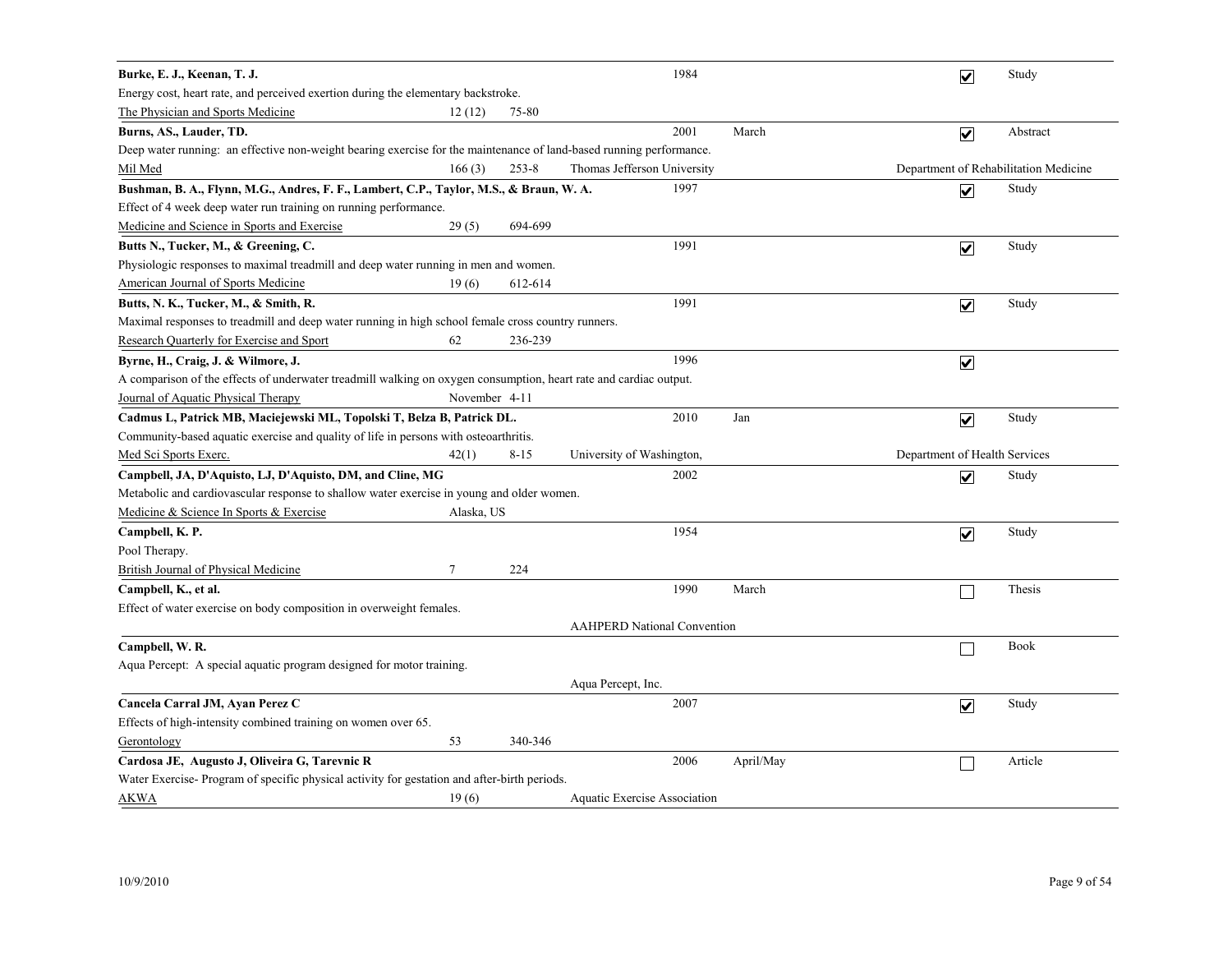| Burke, E. J., Keenan, T. J.                                                                                         |               |           |                                    | 1984 |           | $\overline{\mathbf{v}}$               | Study    |
|---------------------------------------------------------------------------------------------------------------------|---------------|-----------|------------------------------------|------|-----------|---------------------------------------|----------|
| Energy cost, heart rate, and perceived exertion during the elementary backstroke.                                   |               |           |                                    |      |           |                                       |          |
| The Physician and Sports Medicine                                                                                   | 12(12)        | 75-80     |                                    |      |           |                                       |          |
| Burns, AS., Lauder, TD.                                                                                             |               |           |                                    | 2001 | March     | $\overline{\mathbf{v}}$               | Abstract |
| Deep water running: an effective non-weight bearing exercise for the maintenance of land-based running performance. |               |           |                                    |      |           |                                       |          |
| Mil Med                                                                                                             | 166(3)        | $253 - 8$ | Thomas Jefferson University        |      |           | Department of Rehabilitation Medicine |          |
| Bushman, B. A., Flynn, M.G., Andres, F. F., Lambert, C.P., Taylor, M.S., & Braun, W. A.                             |               |           |                                    | 1997 |           | $\overline{\mathbf{v}}$               | Study    |
| Effect of 4 week deep water run training on running performance.                                                    |               |           |                                    |      |           |                                       |          |
| Medicine and Science in Sports and Exercise                                                                         | 29(5)         | 694-699   |                                    |      |           |                                       |          |
| Butts N., Tucker, M., & Greening, C.                                                                                |               |           |                                    | 1991 |           | $\blacktriangledown$                  | Study    |
| Physiologic responses to maximal treadmill and deep water running in men and women.                                 |               |           |                                    |      |           |                                       |          |
| American Journal of Sports Medicine                                                                                 | 19(6)         | 612-614   |                                    |      |           |                                       |          |
| Butts, N. K., Tucker, M., & Smith, R.                                                                               |               |           |                                    | 1991 |           | $\overline{\mathbf{v}}$               | Study    |
| Maximal responses to treadmill and deep water running in high school female cross country runners.                  |               |           |                                    |      |           |                                       |          |
| <b>Research Quarterly for Exercise and Sport</b>                                                                    | 62            | 236-239   |                                    |      |           |                                       |          |
| Byrne, H., Craig, J. & Wilmore, J.                                                                                  |               |           |                                    | 1996 |           | $\blacktriangledown$                  |          |
| A comparison of the effects of underwater treadmill walking on oxygen consumption, heart rate and cardiac output.   |               |           |                                    |      |           |                                       |          |
| Journal of Aquatic Physical Therapy                                                                                 | November 4-11 |           |                                    |      |           |                                       |          |
| Cadmus L, Patrick MB, Maciejewski ML, Topolski T, Belza B, Patrick DL.                                              |               |           |                                    | 2010 | Jan       | $\overline{\mathbf{v}}$               | Study    |
| Community-based aquatic exercise and quality of life in persons with osteoarthritis.                                |               |           |                                    |      |           |                                       |          |
| Med Sci Sports Exerc.                                                                                               | 42(1)         | $8 - 15$  | University of Washington,          |      |           | Department of Health Services         |          |
| Campbell, JA, D'Aquisto, LJ, D'Aquisto, DM, and Cline, MG                                                           |               |           |                                    | 2002 |           | $\overline{\mathbf{v}}$               | Study    |
| Metabolic and cardiovascular response to shallow water exercise in young and older women.                           |               |           |                                    |      |           |                                       |          |
| Medicine & Science In Sports & Exercise                                                                             | Alaska, US    |           |                                    |      |           |                                       |          |
| Campbell, K. P.                                                                                                     |               |           |                                    | 1954 |           | $\overline{\mathsf{v}}$               | Study    |
| Pool Therapy.                                                                                                       |               |           |                                    |      |           |                                       |          |
| British Journal of Physical Medicine                                                                                | $\tau$        | 224       |                                    |      |           |                                       |          |
| Campbell, K., et al.                                                                                                |               |           |                                    | 1990 | March     |                                       | Thesis   |
| Effect of water exercise on body composition in overweight females.                                                 |               |           |                                    |      |           |                                       |          |
|                                                                                                                     |               |           | <b>AAHPERD National Convention</b> |      |           |                                       |          |
| Campbell, W. R.                                                                                                     |               |           |                                    |      |           |                                       | Book     |
| Aqua Percept: A special aquatic program designed for motor training.                                                |               |           |                                    |      |           |                                       |          |
|                                                                                                                     |               |           | Aqua Percept, Inc.                 |      |           |                                       |          |
| Cancela Carral JM, Ayan Perez C                                                                                     |               |           |                                    | 2007 |           | $\blacktriangledown$                  | Study    |
| Effects of high-intensity combined training on women over 65.                                                       |               |           |                                    |      |           |                                       |          |
| Gerontology                                                                                                         | 53            | 340-346   |                                    |      |           |                                       |          |
| Cardosa JE, Augusto J, Oliveira G, Tarevnic R                                                                       |               |           |                                    | 2006 | April/May |                                       | Article  |
| Water Exercise-Program of specific physical activity for gestation and after-birth periods.                         |               |           |                                    |      |           |                                       |          |
| AKWA                                                                                                                | 19(6)         |           | Aquatic Exercise Association       |      |           |                                       |          |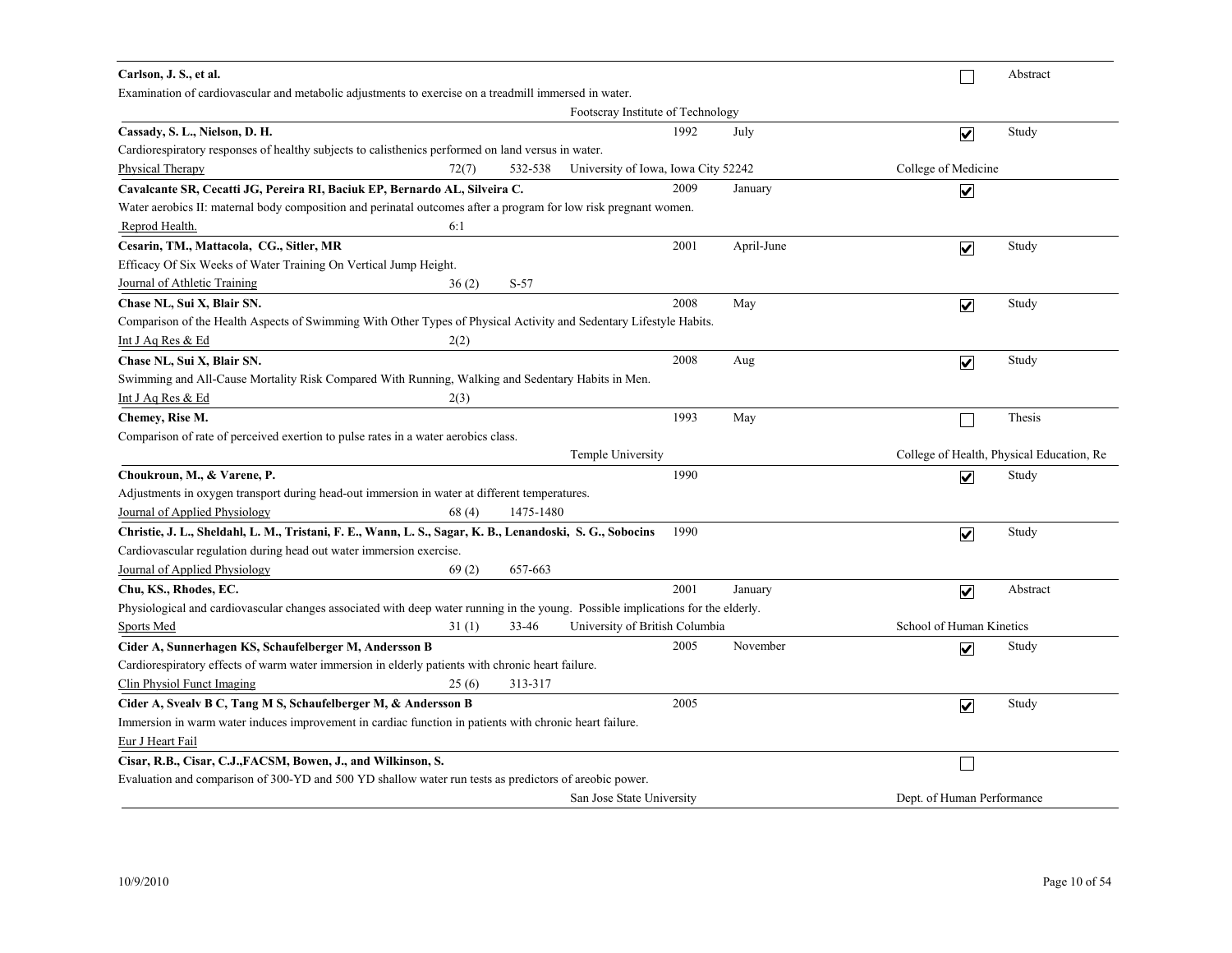| Carlson, J. S., et al.                                                                                                           |           |                                     |      |            |                            |                         | Abstract                                  |
|----------------------------------------------------------------------------------------------------------------------------------|-----------|-------------------------------------|------|------------|----------------------------|-------------------------|-------------------------------------------|
| Examination of cardiovascular and metabolic adjustments to exercise on a treadmill immersed in water.                            |           |                                     |      |            |                            |                         |                                           |
|                                                                                                                                  |           | Footscray Institute of Technology   |      |            |                            |                         |                                           |
| Cassady, S. L., Nielson, D. H.                                                                                                   |           |                                     | 1992 | July       |                            | $\overline{\mathbf{v}}$ | Study                                     |
| Cardiorespiratory responses of healthy subjects to calisthenics performed on land versus in water.                               |           |                                     |      |            |                            |                         |                                           |
| Physical Therapy<br>72(7)                                                                                                        | 532-538   | University of Iowa, Iowa City 52242 |      |            | College of Medicine        |                         |                                           |
| Cavalcante SR, Cecatti JG, Pereira RI, Baciuk EP, Bernardo AL, Silveira C.                                                       |           |                                     | 2009 | January    |                            | ☑                       |                                           |
| Water aerobics II: maternal body composition and perinatal outcomes after a program for low risk pregnant women.                 |           |                                     |      |            |                            |                         |                                           |
| Reprod Health.<br>6:1                                                                                                            |           |                                     |      |            |                            |                         |                                           |
| Cesarin, TM., Mattacola, CG., Sitler, MR                                                                                         |           |                                     | 2001 | April-June |                            | $\overline{\mathbf{v}}$ | Study                                     |
| Efficacy Of Six Weeks of Water Training On Vertical Jump Height.                                                                 |           |                                     |      |            |                            |                         |                                           |
| Journal of Athletic Training<br>36(2)                                                                                            | $S-57$    |                                     |      |            |                            |                         |                                           |
| Chase NL, Sui X, Blair SN.                                                                                                       |           |                                     | 2008 | May        |                            | $\overline{\mathbf{v}}$ | Study                                     |
| Comparison of the Health Aspects of Swimming With Other Types of Physical Activity and Sedentary Lifestyle Habits.               |           |                                     |      |            |                            |                         |                                           |
| Int J Aq Res & Ed<br>2(2)                                                                                                        |           |                                     |      |            |                            |                         |                                           |
| Chase NL, Sui X, Blair SN.                                                                                                       |           |                                     | 2008 | Aug        |                            | $\overline{\mathbf{v}}$ | Study                                     |
| Swimming and All-Cause Mortality Risk Compared With Running, Walking and Sedentary Habits in Men.                                |           |                                     |      |            |                            |                         |                                           |
| 2(3)<br>Int J Aq Res & Ed                                                                                                        |           |                                     |      |            |                            |                         |                                           |
| Chemey, Rise M.                                                                                                                  |           |                                     | 1993 | May        |                            |                         | Thesis                                    |
| Comparison of rate of perceived exertion to pulse rates in a water aerobics class.                                               |           |                                     |      |            |                            |                         |                                           |
|                                                                                                                                  |           | Temple University                   |      |            |                            |                         | College of Health, Physical Education, Re |
| Choukroun, M., & Varene, P.                                                                                                      |           |                                     | 1990 |            |                            | $\overline{\mathbf{v}}$ | Study                                     |
| Adjustments in oxygen transport during head-out immersion in water at different temperatures.                                    |           |                                     |      |            |                            |                         |                                           |
| Journal of Applied Physiology<br>68(4)                                                                                           | 1475-1480 |                                     |      |            |                            |                         |                                           |
| Christie, J. L., Sheldahl, L. M., Tristani, F. E., Wann, L. S., Sagar, K. B., Lenandoski, S. G., Sobocins                        |           |                                     | 1990 |            |                            | $\overline{\mathbf{v}}$ | Study                                     |
| Cardiovascular regulation during head out water immersion exercise.                                                              |           |                                     |      |            |                            |                         |                                           |
| Journal of Applied Physiology<br>69(2)                                                                                           | 657-663   |                                     |      |            |                            |                         |                                           |
| Chu, KS., Rhodes, EC.                                                                                                            |           |                                     | 2001 | January    |                            | $\blacktriangledown$    | Abstract                                  |
| Physiological and cardiovascular changes associated with deep water running in the young. Possible implications for the elderly. |           |                                     |      |            |                            |                         |                                           |
| Sports Med<br>31(1)                                                                                                              | 33-46     | University of British Columbia      |      |            | School of Human Kinetics   |                         |                                           |
| Cider A, Sunnerhagen KS, Schaufelberger M, Andersson B                                                                           |           |                                     | 2005 | November   |                            | ☑                       | Study                                     |
| Cardiorespiratory effects of warm water immersion in elderly patients with chronic heart failure.                                |           |                                     |      |            |                            |                         |                                           |
| Clin Physiol Funct Imaging<br>25(6)                                                                                              | 313-317   |                                     |      |            |                            |                         |                                           |
| Cider A, Svealv B C, Tang M S, Schaufelberger M, & Andersson B                                                                   |           |                                     | 2005 |            |                            | $\overline{\mathsf{v}}$ | Study                                     |
| Immersion in warm water induces improvement in cardiac function in patients with chronic heart failure.                          |           |                                     |      |            |                            |                         |                                           |
| Eur J Heart Fail                                                                                                                 |           |                                     |      |            |                            |                         |                                           |
| Cisar, R.B., Cisar, C.J., FACSM, Bowen, J., and Wilkinson, S.                                                                    |           |                                     |      |            |                            | $\Box$                  |                                           |
| Evaluation and comparison of 300-YD and 500 YD shallow water run tests as predictors of areobic power.                           |           |                                     |      |            |                            |                         |                                           |
|                                                                                                                                  |           | San Jose State University           |      |            | Dept. of Human Performance |                         |                                           |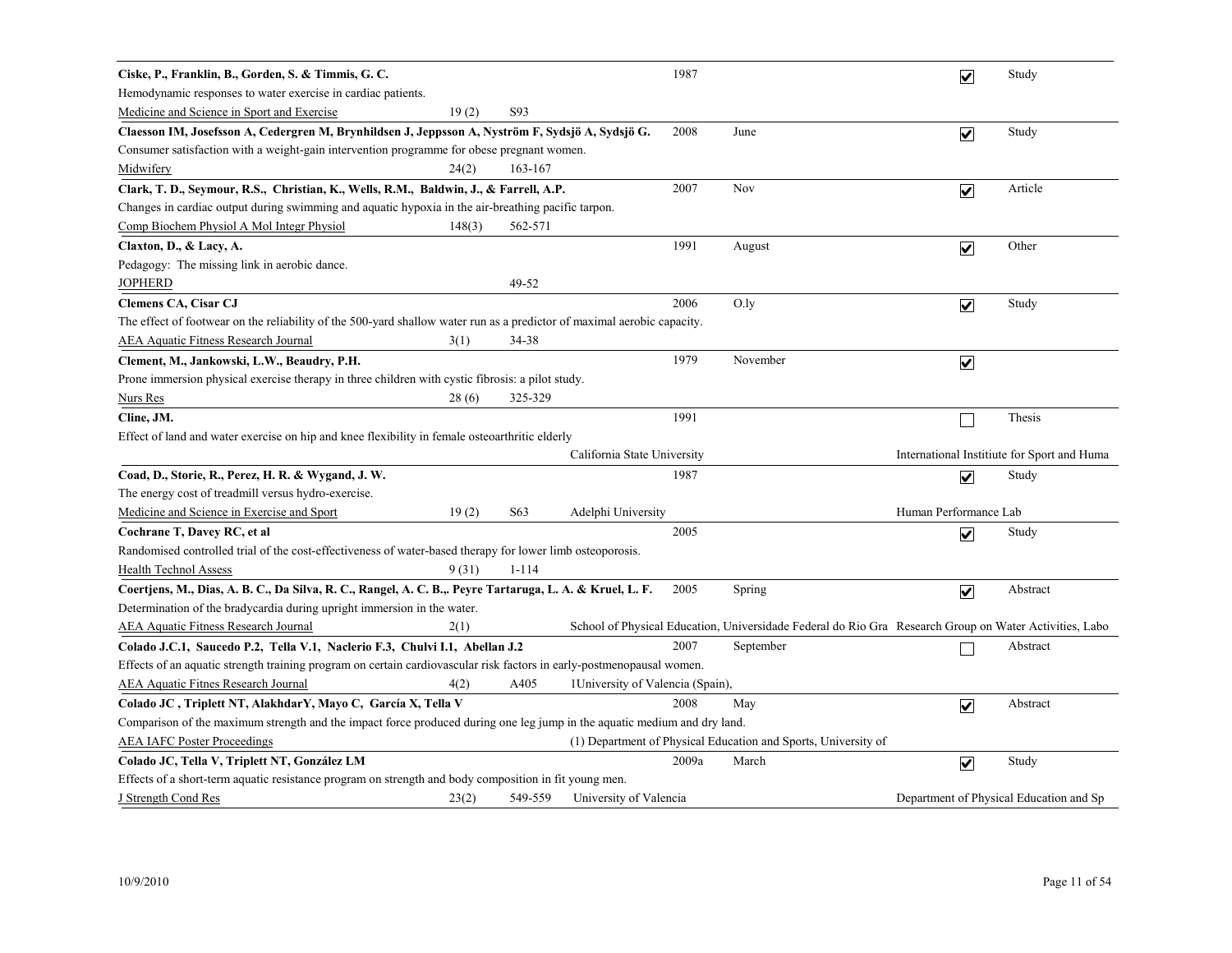| Ciske, P., Franklin, B., Gorden, S. & Timmis, G. C.                                                                      |        |           |                                   | 1987  |                                                                                                        | $\overline{\mathbf{v}}$ | Study                                      |
|--------------------------------------------------------------------------------------------------------------------------|--------|-----------|-----------------------------------|-------|--------------------------------------------------------------------------------------------------------|-------------------------|--------------------------------------------|
| Hemodynamic responses to water exercise in cardiac patients.                                                             |        |           |                                   |       |                                                                                                        |                         |                                            |
| Medicine and Science in Sport and Exercise                                                                               | 19(2)  | S93       |                                   |       |                                                                                                        |                         |                                            |
| Claesson IM, Josefsson A, Cedergren M, Brynhildsen J, Jeppsson A, Nyström F, Sydsjö A, Sydsjö G.                         |        |           |                                   | 2008  | June                                                                                                   | $\overline{\mathbf{v}}$ | Study                                      |
| Consumer satisfaction with a weight-gain intervention programme for obese pregnant women.                                |        |           |                                   |       |                                                                                                        |                         |                                            |
| Midwifery                                                                                                                | 24(2)  | 163-167   |                                   |       |                                                                                                        |                         |                                            |
| Clark, T. D., Seymour, R.S., Christian, K., Wells, R.M., Baldwin, J., & Farrell, A.P.                                    |        |           |                                   | 2007  | Nov                                                                                                    | $\overline{\mathbf{v}}$ | Article                                    |
| Changes in cardiac output during swimming and aquatic hypoxia in the air-breathing pacific tarpon.                       |        |           |                                   |       |                                                                                                        |                         |                                            |
| Comp Biochem Physiol A Mol Integr Physiol                                                                                | 148(3) | 562-571   |                                   |       |                                                                                                        |                         |                                            |
| Claxton, D., & Lacy, A.                                                                                                  |        |           |                                   | 1991  | August                                                                                                 | $\overline{\mathbf{v}}$ | Other                                      |
| Pedagogy: The missing link in aerobic dance.                                                                             |        |           |                                   |       |                                                                                                        |                         |                                            |
| <b>JOPHERD</b>                                                                                                           |        | 49-52     |                                   |       |                                                                                                        |                         |                                            |
| <b>Clemens CA, Cisar CJ</b>                                                                                              |        |           |                                   | 2006  | $O$ .ly                                                                                                | $\overline{\mathbf{v}}$ | Study                                      |
| The effect of footwear on the reliability of the 500-yard shallow water run as a predictor of maximal aerobic capacity.  |        |           |                                   |       |                                                                                                        |                         |                                            |
| <b>AEA Aquatic Fitness Research Journal</b>                                                                              | 3(1)   | 34-38     |                                   |       |                                                                                                        |                         |                                            |
| Clement, M., Jankowski, L.W., Beaudry, P.H.                                                                              |        |           |                                   | 1979  | November                                                                                               | $\blacktriangledown$    |                                            |
| Prone immersion physical exercise therapy in three children with cystic fibrosis: a pilot study.                         |        |           |                                   |       |                                                                                                        |                         |                                            |
| Nurs Res                                                                                                                 | 28(6)  | 325-329   |                                   |       |                                                                                                        |                         |                                            |
| Cline, JM.                                                                                                               |        |           |                                   | 1991  |                                                                                                        |                         | Thesis                                     |
| Effect of land and water exercise on hip and knee flexibility in female osteoarthritic elderly                           |        |           |                                   |       |                                                                                                        |                         |                                            |
|                                                                                                                          |        |           | California State University       |       |                                                                                                        |                         | International Institute for Sport and Huma |
| Coad, D., Storie, R., Perez, H. R. & Wygand, J. W.                                                                       |        |           |                                   | 1987  |                                                                                                        | $\overline{\mathbf{v}}$ | Study                                      |
| The energy cost of treadmill versus hydro-exercise.                                                                      |        |           |                                   |       |                                                                                                        |                         |                                            |
| Medicine and Science in Exercise and Sport                                                                               | 19(2)  | S63       | Adelphi University                |       |                                                                                                        | Human Performance Lab   |                                            |
| Cochrane T, Davey RC, et al                                                                                              |        |           |                                   | 2005  |                                                                                                        | $\overline{\mathbf{v}}$ | Study                                      |
| Randomised controlled trial of the cost-effectiveness of water-based therapy for lower limb osteoporosis.                |        |           |                                   |       |                                                                                                        |                         |                                            |
| <b>Health Technol Assess</b>                                                                                             | 9(31)  | $1 - 114$ |                                   |       |                                                                                                        |                         |                                            |
| Coertjens, M., Dias, A. B. C., Da Silva, R. C., Rangel, A. C. B.,. Peyre Tartaruga, L. A. & Kruel, L. F.                 |        |           |                                   | 2005  | Spring                                                                                                 | $\blacktriangledown$    | Abstract                                   |
| Determination of the bradycardia during upright immersion in the water.                                                  |        |           |                                   |       |                                                                                                        |                         |                                            |
| <b>AEA Aquatic Fitness Research Journal</b>                                                                              | 2(1)   |           |                                   |       | School of Physical Education, Universidade Federal do Rio Gra Research Group on Water Activities, Labo |                         |                                            |
| Colado J.C.1, Saucedo P.2, Tella V.1, Naclerio F.3, Chulvi I.1, Abellan J.2                                              |        |           |                                   | 2007  | September                                                                                              |                         | Abstract                                   |
| Effects of an aquatic strength training program on certain cardiovascular risk factors in early-postmenopausal women.    |        |           |                                   |       |                                                                                                        |                         |                                            |
| <b>AEA Aquatic Fitnes Research Journal</b>                                                                               | 4(2)   | A405      | 1 University of Valencia (Spain), |       |                                                                                                        |                         |                                            |
| Colado JC, Triplett NT, AlakhdarY, Mayo C, García X, Tella V                                                             |        |           |                                   | 2008  | May                                                                                                    | $\overline{\mathbf{v}}$ | Abstract                                   |
| Comparison of the maximum strength and the impact force produced during one leg jump in the aquatic medium and dry land. |        |           |                                   |       |                                                                                                        |                         |                                            |
| <b>AEA IAFC Poster Proceedings</b>                                                                                       |        |           |                                   |       | (1) Department of Physical Education and Sports, University of                                         |                         |                                            |
| Colado JC, Tella V, Triplett NT, González LM                                                                             |        |           |                                   | 2009a | March                                                                                                  | $\overline{\mathbf{v}}$ | Study                                      |
| Effects of a short-term aquatic resistance program on strength and body composition in fit young men.                    |        |           |                                   |       |                                                                                                        |                         |                                            |
| J Strength Cond Res                                                                                                      | 23(2)  | 549-559   | University of Valencia            |       |                                                                                                        |                         | Department of Physical Education and Sp    |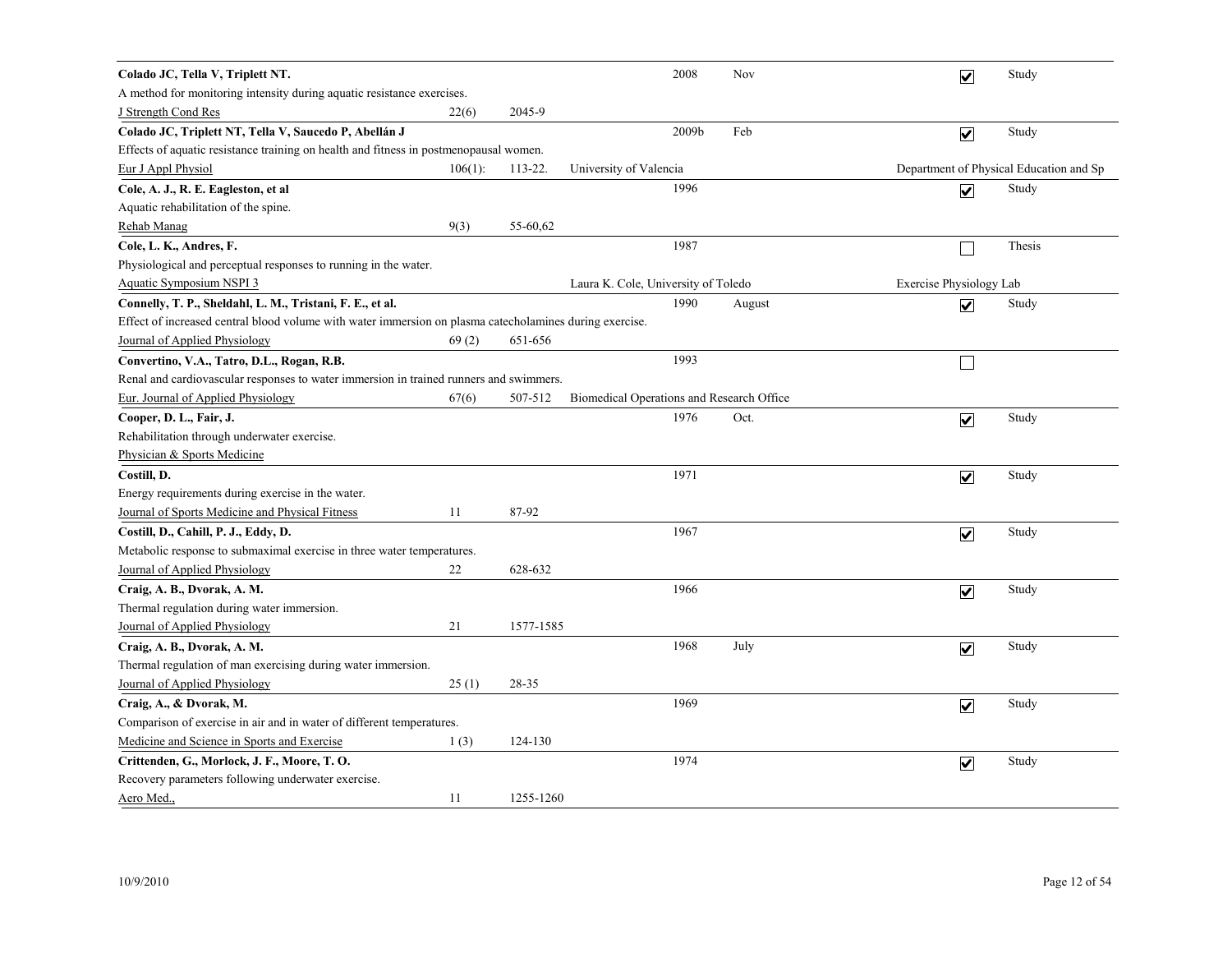| Colado JC, Tella V, Triplett NT.                                                                        |            |           |                                           | 2008  | Nov    |                         | $\overline{\mathbf{v}}$ | Study                                   |
|---------------------------------------------------------------------------------------------------------|------------|-----------|-------------------------------------------|-------|--------|-------------------------|-------------------------|-----------------------------------------|
| A method for monitoring intensity during aquatic resistance exercises.                                  |            |           |                                           |       |        |                         |                         |                                         |
| J Strength Cond Res                                                                                     | 22(6)      | 2045-9    |                                           |       |        |                         |                         |                                         |
| Colado JC, Triplett NT, Tella V, Saucedo P, Abellán J                                                   |            |           |                                           | 2009b | Feb    |                         | $\overline{\mathbf{v}}$ | Study                                   |
| Effects of aquatic resistance training on health and fitness in postmenopausal women.                   |            |           |                                           |       |        |                         |                         |                                         |
| Eur J Appl Physiol                                                                                      | $106(1)$ : | 113-22.   | University of Valencia                    |       |        |                         |                         | Department of Physical Education and Sp |
| Cole, A. J., R. E. Eagleston, et al                                                                     |            |           |                                           | 1996  |        |                         | $\overline{\mathbf{v}}$ | Study                                   |
| Aquatic rehabilitation of the spine.                                                                    |            |           |                                           |       |        |                         |                         |                                         |
| Rehab Manag                                                                                             | 9(3)       | 55-60,62  |                                           |       |        |                         |                         |                                         |
| Cole, L. K., Andres, F.                                                                                 |            |           |                                           | 1987  |        |                         | $\Box$                  | Thesis                                  |
| Physiological and perceptual responses to running in the water.                                         |            |           |                                           |       |        |                         |                         |                                         |
| Aquatic Symposium NSPI 3                                                                                |            |           | Laura K. Cole, University of Toledo       |       |        | Exercise Physiology Lab |                         |                                         |
| Connelly, T. P., Sheldahl, L. M., Tristani, F. E., et al.                                               |            |           |                                           | 1990  | August |                         | $\overline{\mathbf{v}}$ | Study                                   |
| Effect of increased central blood volume with water immersion on plasma catecholamines during exercise. |            |           |                                           |       |        |                         |                         |                                         |
| Journal of Applied Physiology                                                                           | 69(2)      | 651-656   |                                           |       |        |                         |                         |                                         |
| Convertino, V.A., Tatro, D.L., Rogan, R.B.                                                              |            |           |                                           | 1993  |        |                         | $\mathbf{I}$            |                                         |
| Renal and cardiovascular responses to water immersion in trained runners and swimmers.                  |            |           |                                           |       |        |                         |                         |                                         |
| Eur. Journal of Applied Physiology                                                                      | 67(6)      | 507-512   | Biomedical Operations and Research Office |       |        |                         |                         |                                         |
| Cooper, D. L., Fair, J.                                                                                 |            |           |                                           | 1976  | Oct.   |                         | $\overline{\mathbf{v}}$ | Study                                   |
| Rehabilitation through underwater exercise.                                                             |            |           |                                           |       |        |                         |                         |                                         |
| Physician & Sports Medicine                                                                             |            |           |                                           |       |        |                         |                         |                                         |
| Costill, D.                                                                                             |            |           |                                           | 1971  |        |                         | $\overline{\mathbf{v}}$ | Study                                   |
| Energy requirements during exercise in the water.                                                       |            |           |                                           |       |        |                         |                         |                                         |
| Journal of Sports Medicine and Physical Fitness                                                         | 11         | 87-92     |                                           |       |        |                         |                         |                                         |
| Costill, D., Cahill, P. J., Eddy, D.                                                                    |            |           |                                           | 1967  |        |                         | $\overline{\mathbf{v}}$ | Study                                   |
| Metabolic response to submaximal exercise in three water temperatures.                                  |            |           |                                           |       |        |                         |                         |                                         |
| Journal of Applied Physiology                                                                           | 22         | 628-632   |                                           |       |        |                         |                         |                                         |
| Craig, A. B., Dvorak, A. M.                                                                             |            |           |                                           | 1966  |        |                         | $\overline{\mathbf{v}}$ | Study                                   |
| Thermal regulation during water immersion.                                                              |            |           |                                           |       |        |                         |                         |                                         |
| Journal of Applied Physiology                                                                           | 21         | 1577-1585 |                                           |       |        |                         |                         |                                         |
| Craig, A. B., Dvorak, A. M.                                                                             |            |           |                                           | 1968  | July   |                         | $\overline{\mathbf{v}}$ | Study                                   |
| Thermal regulation of man exercising during water immersion.                                            |            |           |                                           |       |        |                         |                         |                                         |
| Journal of Applied Physiology                                                                           | 25(1)      | 28-35     |                                           |       |        |                         |                         |                                         |
| Craig, A., & Dvorak, M.                                                                                 |            |           |                                           | 1969  |        |                         | $\overline{\mathbf{v}}$ | Study                                   |
| Comparison of exercise in air and in water of different temperatures.                                   |            |           |                                           |       |        |                         |                         |                                         |
| Medicine and Science in Sports and Exercise                                                             | 1(3)       | 124-130   |                                           |       |        |                         |                         |                                         |
| Crittenden, G., Morlock, J. F., Moore, T.O.                                                             |            |           |                                           | 1974  |        |                         | $\blacktriangledown$    | Study                                   |
| Recovery parameters following underwater exercise.                                                      |            |           |                                           |       |        |                         |                         |                                         |
| Aero Med.,                                                                                              | 11         | 1255-1260 |                                           |       |        |                         |                         |                                         |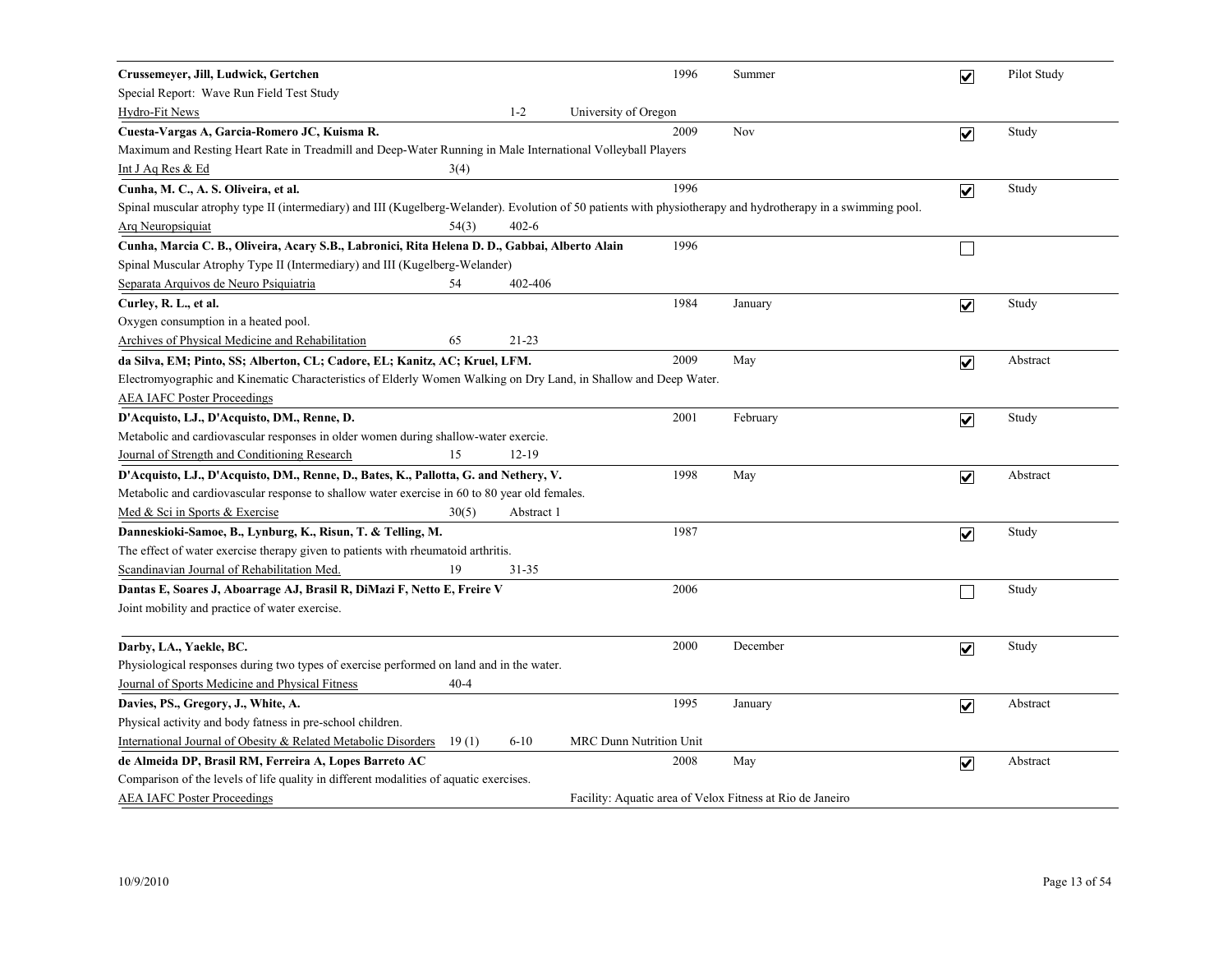| Crussemeyer, Jill, Ludwick, Gertchen                                                                                                                          |            | 1996                                                      | Summer   | $\overline{\mathbf{v}}$ | Pilot Study |
|---------------------------------------------------------------------------------------------------------------------------------------------------------------|------------|-----------------------------------------------------------|----------|-------------------------|-------------|
| Special Report: Wave Run Field Test Study                                                                                                                     |            |                                                           |          |                         |             |
| Hydro-Fit News                                                                                                                                                | $1 - 2$    | University of Oregon                                      |          |                         |             |
| Cuesta-Vargas A, Garcia-Romero JC, Kuisma R.                                                                                                                  |            | 2009                                                      | Nov      | $\overline{\mathbf{v}}$ | Study       |
| Maximum and Resting Heart Rate in Treadmill and Deep-Water Running in Male International Volleyball Players                                                   |            |                                                           |          |                         |             |
| Int J Aq Res & Ed<br>3(4)                                                                                                                                     |            |                                                           |          |                         |             |
| Cunha, M. C., A. S. Oliveira, et al.                                                                                                                          |            | 1996                                                      |          | $\overline{\mathbf{v}}$ | Study       |
| Spinal muscular atrophy type II (intermediary) and III (Kugelberg-Welander). Evolution of 50 patients with physiotherapy and hydrotherapy in a swimming pool. |            |                                                           |          |                         |             |
| <b>Arq Neuropsiquiat</b><br>54(3)                                                                                                                             | $402 - 6$  |                                                           |          |                         |             |
| Cunha, Marcia C. B., Oliveira, Acary S.B., Labronici, Rita Helena D. D., Gabbai, Alberto Alain                                                                |            | 1996                                                      |          | $\mathbf{I}$            |             |
| Spinal Muscular Atrophy Type II (Intermediary) and III (Kugelberg-Welander)                                                                                   |            |                                                           |          |                         |             |
| Separata Arquivos de Neuro Psiquiatria<br>54                                                                                                                  | 402-406    |                                                           |          |                         |             |
| Curley, R. L., et al.                                                                                                                                         |            | 1984                                                      | January  | $\overline{\mathbf{v}}$ | Study       |
| Oxygen consumption in a heated pool.                                                                                                                          |            |                                                           |          |                         |             |
| Archives of Physical Medicine and Rehabilitation<br>65                                                                                                        | $21 - 23$  |                                                           |          |                         |             |
| da Silva, EM; Pinto, SS; Alberton, CL; Cadore, EL; Kanitz, AC; Kruel, LFM.                                                                                    |            | 2009                                                      | May      | $\overline{\mathbf{v}}$ | Abstract    |
| Electromyographic and Kinematic Characteristics of Elderly Women Walking on Dry Land, in Shallow and Deep Water.                                              |            |                                                           |          |                         |             |
| <b>AEA IAFC Poster Proceedings</b>                                                                                                                            |            |                                                           |          |                         |             |
| D'Acquisto, LJ., D'Acquisto, DM., Renne, D.                                                                                                                   |            | 2001                                                      | February | $\overline{\mathbf{v}}$ | Study       |
| Metabolic and cardiovascular responses in older women during shallow-water exercie.                                                                           |            |                                                           |          |                         |             |
| Journal of Strength and Conditioning Research<br>15                                                                                                           | $12 - 19$  |                                                           |          |                         |             |
| D'Acquisto, LJ., D'Acquisto, DM., Renne, D., Bates, K., Pallotta, G. and Nethery, V.                                                                          |            | 1998                                                      | May      | $\overline{\mathbf{v}}$ | Abstract    |
| Metabolic and cardiovascular response to shallow water exercise in 60 to 80 year old females.                                                                 |            |                                                           |          |                         |             |
| Med & Sci in Sports & Exercise<br>30(5)                                                                                                                       | Abstract 1 |                                                           |          |                         |             |
| Danneskioki-Samoe, B., Lynburg, K., Risun, T. & Telling, M.                                                                                                   |            | 1987                                                      |          | $\overline{\mathbf{v}}$ | Study       |
| The effect of water exercise therapy given to patients with rheumatoid arthritis.                                                                             |            |                                                           |          |                         |             |
| Scandinavian Journal of Rehabilitation Med.<br>19                                                                                                             | 31-35      |                                                           |          |                         |             |
| Dantas E, Soares J, Aboarrage AJ, Brasil R, DiMazi F, Netto E, Freire V                                                                                       |            | 2006                                                      |          |                         | Study       |
| Joint mobility and practice of water exercise.                                                                                                                |            |                                                           |          |                         |             |
| Darby, LA., Yaekle, BC.                                                                                                                                       |            | 2000                                                      | December | $\overline{\mathbf{v}}$ | Study       |
| Physiological responses during two types of exercise performed on land and in the water.                                                                      |            |                                                           |          |                         |             |
| Journal of Sports Medicine and Physical Fitness<br>$40 - 4$                                                                                                   |            |                                                           |          |                         |             |
| Davies, PS., Gregory, J., White, A.                                                                                                                           |            | 1995                                                      | January  | $\overline{\mathbf{v}}$ | Abstract    |
| Physical activity and body fatness in pre-school children.                                                                                                    |            |                                                           |          |                         |             |
| International Journal of Obesity & Related Metabolic Disorders<br>19(1)                                                                                       | $6 - 10$   | <b>MRC Dunn Nutrition Unit</b>                            |          |                         |             |
| de Almeida DP, Brasil RM, Ferreira A, Lopes Barreto AC                                                                                                        |            | 2008                                                      | May      | $\overline{\mathbf{v}}$ | Abstract    |
| Comparison of the levels of life quality in different modalities of aquatic exercises.                                                                        |            |                                                           |          |                         |             |
| <b>AEA IAFC Poster Proceedings</b>                                                                                                                            |            | Facility: Aquatic area of Velox Fitness at Rio de Janeiro |          |                         |             |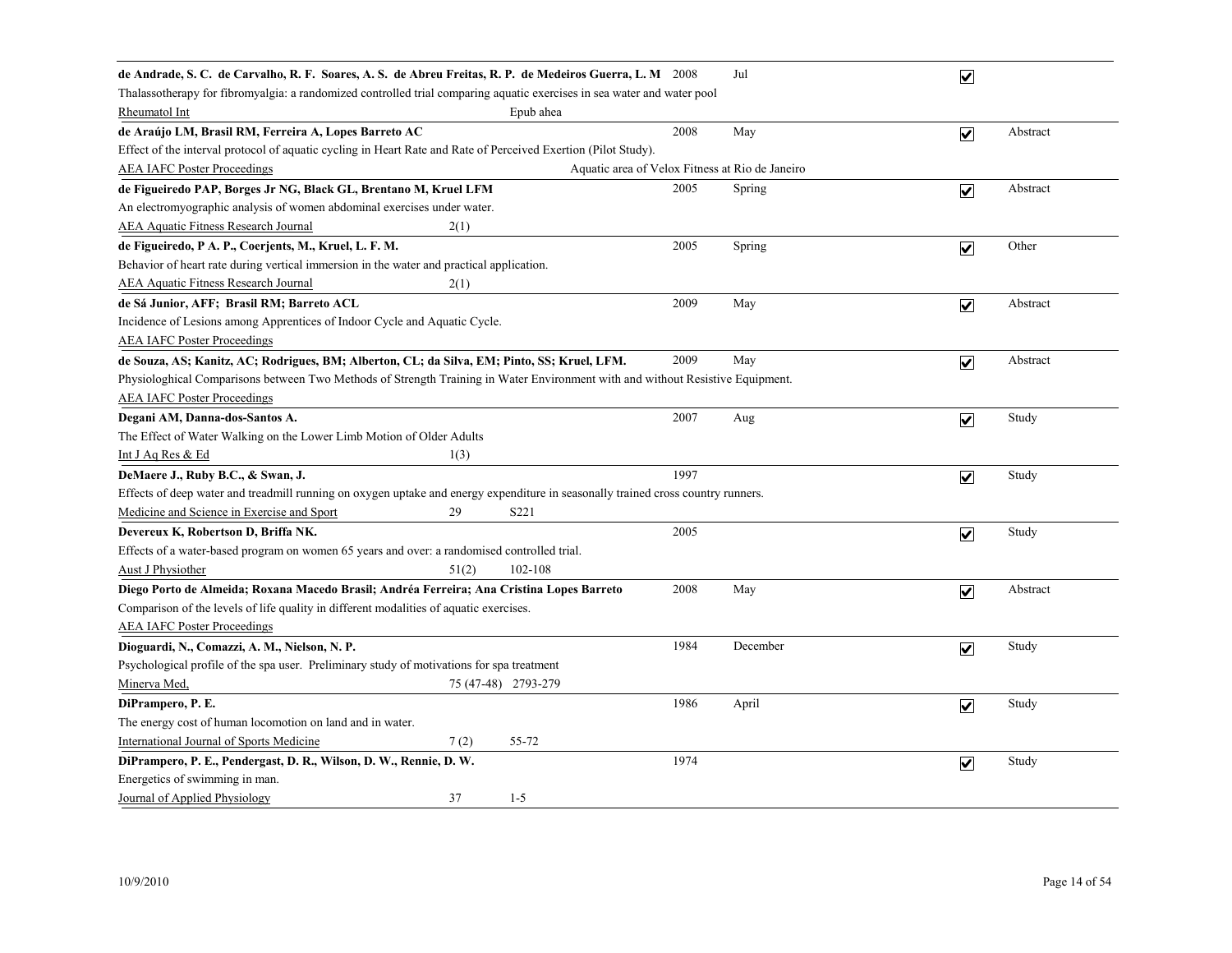| de Andrade, S. C. de Carvalho, R. F. Soares, A. S. de Abreu Freitas, R. P. de Medeiros Guerra, L. M 2008                         |      | Jul      | $\overline{\mathbf{v}}$ |          |  |  |  |  |  |
|----------------------------------------------------------------------------------------------------------------------------------|------|----------|-------------------------|----------|--|--|--|--|--|
| Thalassotherapy for fibromyalgia: a randomized controlled trial comparing aquatic exercises in sea water and water pool          |      |          |                         |          |  |  |  |  |  |
| Rheumatol Int<br>Epub ahea                                                                                                       |      |          |                         |          |  |  |  |  |  |
| de Araújo LM, Brasil RM, Ferreira A, Lopes Barreto AC                                                                            | 2008 | May      | $\overline{\mathbf{v}}$ | Abstract |  |  |  |  |  |
| Effect of the interval protocol of aquatic cycling in Heart Rate and Rate of Perceived Exertion (Pilot Study).                   |      |          |                         |          |  |  |  |  |  |
| <b>AEA IAFC Poster Proceedings</b><br>Aquatic area of Velox Fitness at Rio de Janeiro                                            |      |          |                         |          |  |  |  |  |  |
| de Figueiredo PAP, Borges Jr NG, Black GL, Brentano M, Kruel LFM                                                                 | 2005 | Spring   | $\overline{\mathbf{v}}$ | Abstract |  |  |  |  |  |
| An electromyographic analysis of women abdominal exercises under water.                                                          |      |          |                         |          |  |  |  |  |  |
| <b>AEA Aquatic Fitness Research Journal</b><br>2(1)                                                                              |      |          |                         |          |  |  |  |  |  |
| de Figueiredo, P A. P., Coerjents, M., Kruel, L. F. M.                                                                           | 2005 | Spring   | $\overline{\mathbf{v}}$ | Other    |  |  |  |  |  |
| Behavior of heart rate during vertical immersion in the water and practical application.                                         |      |          |                         |          |  |  |  |  |  |
| <b>AEA Aquatic Fitness Research Journal</b><br>2(1)                                                                              |      |          |                         |          |  |  |  |  |  |
| de Sá Junior, AFF; Brasil RM; Barreto ACL                                                                                        | 2009 | May      | $\overline{\mathbf{v}}$ | Abstract |  |  |  |  |  |
| Incidence of Lesions among Apprentices of Indoor Cycle and Aquatic Cycle.                                                        |      |          |                         |          |  |  |  |  |  |
| <b>AEA IAFC Poster Proceedings</b>                                                                                               |      |          |                         |          |  |  |  |  |  |
| de Souza, AS; Kanitz, AC; Rodrigues, BM; Alberton, CL; da Silva, EM; Pinto, SS; Kruel, LFM.                                      | 2009 | May      | $\overline{\mathbf{v}}$ | Abstract |  |  |  |  |  |
| Physiologhical Comparisons between Two Methods of Strength Training in Water Environment with and without Resistive Equipment.   |      |          |                         |          |  |  |  |  |  |
| <b>AEA IAFC Poster Proceedings</b>                                                                                               |      |          |                         |          |  |  |  |  |  |
| Degani AM, Danna-dos-Santos A.                                                                                                   | 2007 | Aug      | $\overline{\mathbf{v}}$ | Study    |  |  |  |  |  |
| The Effect of Water Walking on the Lower Limb Motion of Older Adults                                                             |      |          |                         |          |  |  |  |  |  |
| Int J Aq Res & Ed<br>1(3)                                                                                                        |      |          |                         |          |  |  |  |  |  |
| DeMaere J., Ruby B.C., & Swan, J.                                                                                                | 1997 |          | $\overline{\mathbf{v}}$ | Study    |  |  |  |  |  |
| Effects of deep water and treadmill running on oxygen uptake and energy expenditure in seasonally trained cross country runners. |      |          |                         |          |  |  |  |  |  |
| Medicine and Science in Exercise and Sport<br>S221<br>29                                                                         |      |          |                         |          |  |  |  |  |  |
| Devereux K, Robertson D, Briffa NK.                                                                                              | 2005 |          | $\blacktriangledown$    | Study    |  |  |  |  |  |
| Effects of a water-based program on women 65 years and over: a randomised controlled trial.                                      |      |          |                         |          |  |  |  |  |  |
| Aust J Physiother<br>51(2)<br>102-108                                                                                            |      |          |                         |          |  |  |  |  |  |
| Diego Porto de Almeida; Roxana Macedo Brasil; Andréa Ferreira; Ana Cristina Lopes Barreto                                        | 2008 | May      | $\overline{\mathbf{v}}$ | Abstract |  |  |  |  |  |
| Comparison of the levels of life quality in different modalities of aquatic exercises.                                           |      |          |                         |          |  |  |  |  |  |
| <b>AEA IAFC Poster Proceedings</b>                                                                                               |      |          |                         |          |  |  |  |  |  |
| Dioguardi, N., Comazzi, A. M., Nielson, N. P.                                                                                    | 1984 | December | $\overline{\mathbf{v}}$ | Study    |  |  |  |  |  |
| Psychological profile of the spa user. Preliminary study of motivations for spa treatment                                        |      |          |                         |          |  |  |  |  |  |
| Minerva Med,<br>75 (47-48) 2793-279                                                                                              |      |          |                         |          |  |  |  |  |  |
| DiPrampero, P. E.                                                                                                                | 1986 | April    | $\overline{\mathbf{v}}$ | Study    |  |  |  |  |  |
| The energy cost of human locomotion on land and in water.                                                                        |      |          |                         |          |  |  |  |  |  |
| 7(2)<br>55-72<br><b>International Journal of Sports Medicine</b>                                                                 |      |          |                         |          |  |  |  |  |  |
| DiPrampero, P. E., Pendergast, D. R., Wilson, D. W., Rennie, D. W.                                                               | 1974 |          | $\overline{\mathbf{v}}$ | Study    |  |  |  |  |  |
| Energetics of swimming in man.                                                                                                   |      |          |                         |          |  |  |  |  |  |
| 37<br>$1 - 5$<br>Journal of Applied Physiology                                                                                   |      |          |                         |          |  |  |  |  |  |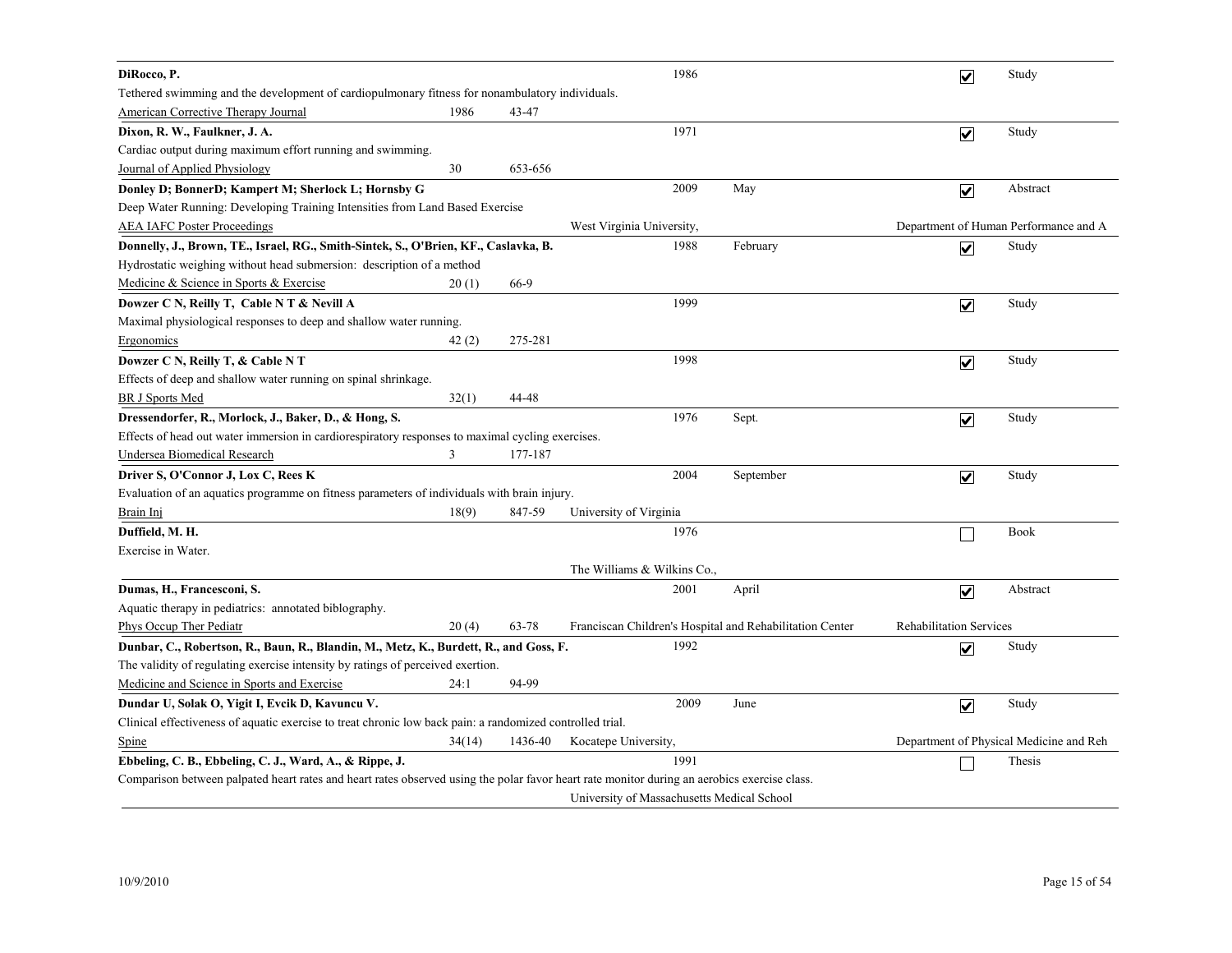| DiRocco, P.                                                                                                                                  |        |         |                                            | 1986 |                                                          |                                | $\overline{\mathbf{v}}$ | Study                                   |
|----------------------------------------------------------------------------------------------------------------------------------------------|--------|---------|--------------------------------------------|------|----------------------------------------------------------|--------------------------------|-------------------------|-----------------------------------------|
| Tethered swimming and the development of cardiopulmonary fitness for nonambulatory individuals.                                              |        |         |                                            |      |                                                          |                                |                         |                                         |
| <b>American Corrective Therapy Journal</b>                                                                                                   | 1986   | 43-47   |                                            |      |                                                          |                                |                         |                                         |
| Dixon, R. W., Faulkner, J. A.                                                                                                                |        |         |                                            | 1971 |                                                          |                                | $\overline{\mathbf{v}}$ | Study                                   |
| Cardiac output during maximum effort running and swimming.                                                                                   |        |         |                                            |      |                                                          |                                |                         |                                         |
| Journal of Applied Physiology                                                                                                                | 30     | 653-656 |                                            |      |                                                          |                                |                         |                                         |
| Donley D; BonnerD; Kampert M; Sherlock L; Hornsby G                                                                                          |        |         |                                            | 2009 | May                                                      |                                | $\overline{\mathbf{v}}$ | Abstract                                |
| Deep Water Running: Developing Training Intensities from Land Based Exercise                                                                 |        |         |                                            |      |                                                          |                                |                         |                                         |
| <b>AEA IAFC Poster Proceedings</b>                                                                                                           |        |         | West Virginia University,                  |      |                                                          |                                |                         | Department of Human Performance and A   |
| Donnelly, J., Brown, TE., Israel, RG., Smith-Sintek, S., O'Brien, KF., Caslavka, B.                                                          |        |         |                                            | 1988 | February                                                 |                                | $\overline{\mathbf{v}}$ | Study                                   |
| Hydrostatic weighing without head submersion: description of a method                                                                        |        |         |                                            |      |                                                          |                                |                         |                                         |
| Medicine & Science in Sports & Exercise                                                                                                      | 20(1)  | 66-9    |                                            |      |                                                          |                                |                         |                                         |
| Dowzer C N, Reilly T, Cable N T & Nevill A                                                                                                   |        |         |                                            | 1999 |                                                          |                                | $\overline{\mathbf{v}}$ | Study                                   |
| Maximal physiological responses to deep and shallow water running.                                                                           |        |         |                                            |      |                                                          |                                |                         |                                         |
| Ergonomics                                                                                                                                   | 42(2)  | 275-281 |                                            |      |                                                          |                                |                         |                                         |
| Dowzer C N, Reilly T, & Cable N T                                                                                                            |        |         |                                            | 1998 |                                                          |                                | $\overline{\mathbf{v}}$ | Study                                   |
| Effects of deep and shallow water running on spinal shrinkage.                                                                               |        |         |                                            |      |                                                          |                                |                         |                                         |
| <b>BR J Sports Med</b>                                                                                                                       | 32(1)  | 44-48   |                                            |      |                                                          |                                |                         |                                         |
| Dressendorfer, R., Morlock, J., Baker, D., & Hong, S.                                                                                        |        |         |                                            | 1976 | Sept.                                                    |                                | $\overline{\mathbf{v}}$ | Study                                   |
| Effects of head out water immersion in cardiorespiratory responses to maximal cycling exercises.                                             |        |         |                                            |      |                                                          |                                |                         |                                         |
| Undersea Biomedical Research                                                                                                                 | 3      | 177-187 |                                            |      |                                                          |                                |                         |                                         |
| Driver S, O'Connor J, Lox C, Rees K                                                                                                          |        |         |                                            | 2004 | September                                                |                                | $\overline{\mathbf{v}}$ | Study                                   |
| Evaluation of an aquatics programme on fitness parameters of individuals with brain injury.                                                  |        |         |                                            |      |                                                          |                                |                         |                                         |
| Brain Inj                                                                                                                                    | 18(9)  | 847-59  | University of Virginia                     |      |                                                          |                                |                         |                                         |
| Duffield, M. H.                                                                                                                              |        |         |                                            | 1976 |                                                          |                                |                         | <b>Book</b>                             |
| Exercise in Water.                                                                                                                           |        |         |                                            |      |                                                          |                                |                         |                                         |
|                                                                                                                                              |        |         | The Williams & Wilkins Co.,                |      |                                                          |                                |                         |                                         |
| Dumas, H., Francesconi, S.                                                                                                                   |        |         |                                            | 2001 | April                                                    |                                | $\overline{\mathbf{v}}$ | Abstract                                |
| Aquatic therapy in pediatrics: annotated biblography.                                                                                        |        |         |                                            |      |                                                          |                                |                         |                                         |
| Phys Occup Ther Pediatr                                                                                                                      | 20(4)  | 63-78   |                                            |      | Franciscan Children's Hospital and Rehabilitation Center | <b>Rehabilitation Services</b> |                         |                                         |
| Dunbar, C., Robertson, R., Baun, R., Blandin, M., Metz, K., Burdett, R., and Goss, F.                                                        |        |         |                                            | 1992 |                                                          |                                | $\overline{\mathbf{v}}$ | Study                                   |
| The validity of regulating exercise intensity by ratings of perceived exertion.                                                              |        |         |                                            |      |                                                          |                                |                         |                                         |
| Medicine and Science in Sports and Exercise                                                                                                  | 24:1   | 94-99   |                                            |      |                                                          |                                |                         |                                         |
| Dundar U, Solak O, Yigit I, Evcik D, Kavuncu V.                                                                                              |        |         |                                            | 2009 | June                                                     |                                | $\overline{\mathbf{v}}$ | Study                                   |
| Clinical effectiveness of aquatic exercise to treat chronic low back pain: a randomized controlled trial.                                    |        |         |                                            |      |                                                          |                                |                         |                                         |
| <b>Spine</b>                                                                                                                                 | 34(14) | 1436-40 | Kocatepe University,                       |      |                                                          |                                |                         | Department of Physical Medicine and Reh |
| Ebbeling, C. B., Ebbeling, C. J., Ward, A., & Rippe, J.                                                                                      |        |         |                                            | 1991 |                                                          |                                |                         | Thesis                                  |
| Comparison between palpated heart rates and heart rates observed using the polar favor heart rate monitor during an aerobics exercise class. |        |         |                                            |      |                                                          |                                |                         |                                         |
|                                                                                                                                              |        |         | University of Massachusetts Medical School |      |                                                          |                                |                         |                                         |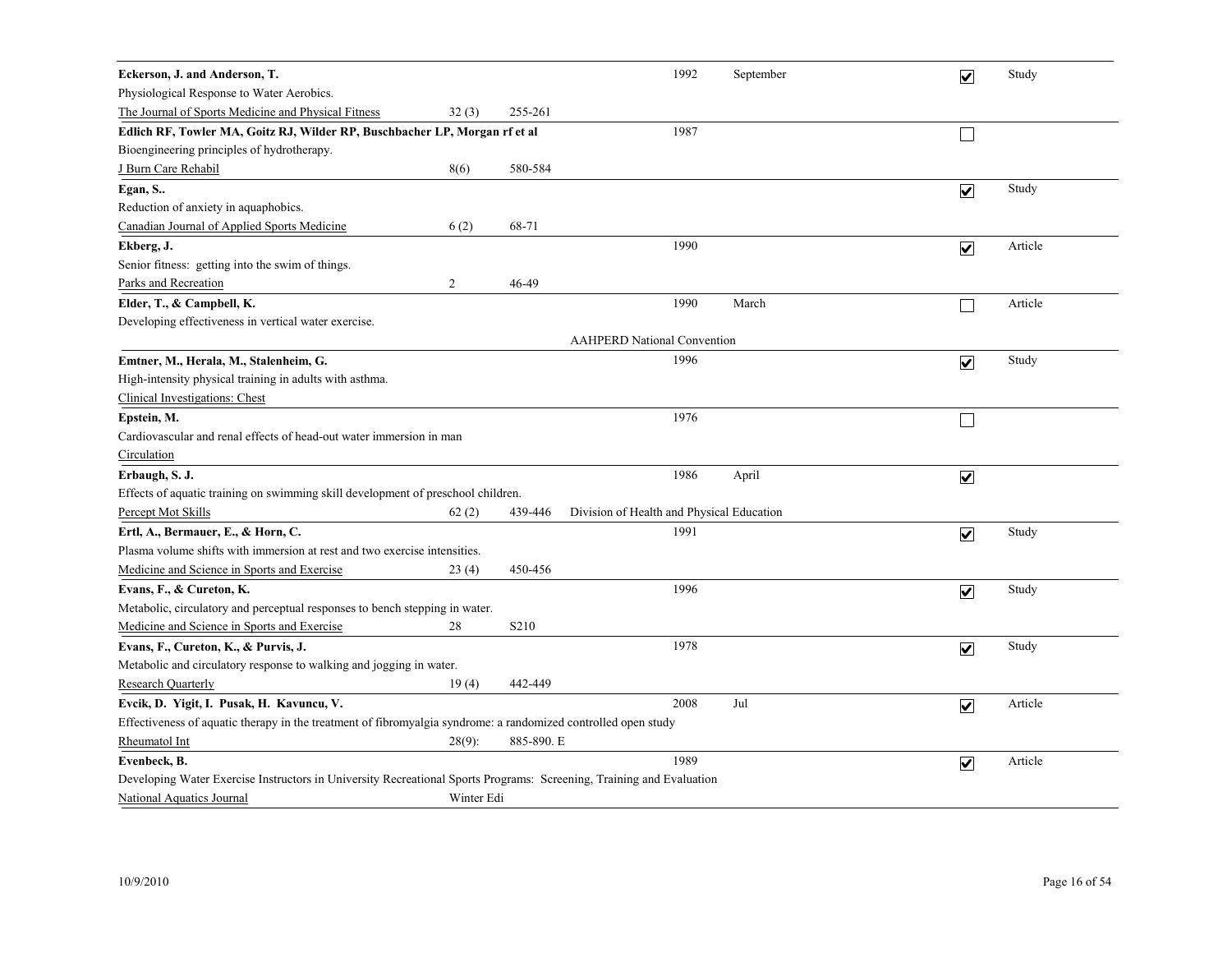| Eckerson, J. and Anderson, T.                                                                                        |            |                   | 1992                                      | September | $\overline{\mathbf{v}}$ | Study   |  |  |  |
|----------------------------------------------------------------------------------------------------------------------|------------|-------------------|-------------------------------------------|-----------|-------------------------|---------|--|--|--|
| Physiological Response to Water Aerobics.                                                                            |            |                   |                                           |           |                         |         |  |  |  |
| The Journal of Sports Medicine and Physical Fitness                                                                  | 32(3)      | 255-261           |                                           |           |                         |         |  |  |  |
| Edlich RF, Towler MA, Goitz RJ, Wilder RP, Buschbacher LP, Morgan rf et al                                           |            |                   | 1987                                      |           |                         |         |  |  |  |
| Bioengineering principles of hydrotherapy.                                                                           |            |                   |                                           |           |                         |         |  |  |  |
| J Burn Care Rehabil                                                                                                  | 8(6)       | 580-584           |                                           |           |                         |         |  |  |  |
| Egan, S                                                                                                              |            |                   |                                           |           | $\overline{\mathbf{v}}$ | Study   |  |  |  |
| Reduction of anxiety in aquaphobics.                                                                                 |            |                   |                                           |           |                         |         |  |  |  |
| Canadian Journal of Applied Sports Medicine                                                                          | 6(2)       | 68-71             |                                           |           |                         |         |  |  |  |
| Ekberg, J.                                                                                                           |            |                   | 1990                                      |           | $\overline{\mathbf{v}}$ | Article |  |  |  |
| Senior fitness: getting into the swim of things.                                                                     |            |                   |                                           |           |                         |         |  |  |  |
| Parks and Recreation                                                                                                 | 2          | 46-49             |                                           |           |                         |         |  |  |  |
| Elder, T., & Campbell, K.                                                                                            |            |                   | 1990                                      | March     |                         | Article |  |  |  |
| Developing effectiveness in vertical water exercise.                                                                 |            |                   |                                           |           |                         |         |  |  |  |
| <b>AAHPERD National Convention</b>                                                                                   |            |                   |                                           |           |                         |         |  |  |  |
| Emtner, M., Herala, M., Stalenheim, G.                                                                               |            |                   | 1996                                      |           | $\blacktriangledown$    | Study   |  |  |  |
| High-intensity physical training in adults with asthma.                                                              |            |                   |                                           |           |                         |         |  |  |  |
| Clinical Investigations: Chest                                                                                       |            |                   |                                           |           |                         |         |  |  |  |
| Epstein, M.                                                                                                          |            |                   | 1976                                      |           |                         |         |  |  |  |
| Cardiovascular and renal effects of head-out water immersion in man                                                  |            |                   |                                           |           |                         |         |  |  |  |
| Circulation                                                                                                          |            |                   |                                           |           |                         |         |  |  |  |
| Erbaugh, S. J.                                                                                                       |            |                   | 1986                                      | April     | $\blacktriangledown$    |         |  |  |  |
| Effects of aquatic training on swimming skill development of preschool children.                                     |            |                   |                                           |           |                         |         |  |  |  |
| Percept Mot Skills                                                                                                   | 62(2)      | 439-446           | Division of Health and Physical Education |           |                         |         |  |  |  |
| Ertl, A., Bermauer, E., & Horn, C.                                                                                   |            |                   | 1991                                      |           | $\blacktriangledown$    | Study   |  |  |  |
| Plasma volume shifts with immersion at rest and two exercise intensities.                                            |            |                   |                                           |           |                         |         |  |  |  |
| Medicine and Science in Sports and Exercise                                                                          | 23(4)      | 450-456           |                                           |           |                         |         |  |  |  |
| Evans, F., & Cureton, K.                                                                                             |            |                   | 1996                                      |           | $\blacktriangledown$    | Study   |  |  |  |
| Metabolic, circulatory and perceptual responses to bench stepping in water.                                          |            |                   |                                           |           |                         |         |  |  |  |
| Medicine and Science in Sports and Exercise                                                                          | 28         | S <sub>2</sub> 10 |                                           |           |                         |         |  |  |  |
| Evans, F., Cureton, K., & Purvis, J.                                                                                 |            |                   | 1978                                      |           | $\overline{\mathbf{v}}$ | Study   |  |  |  |
| Metabolic and circulatory response to walking and jogging in water.                                                  |            |                   |                                           |           |                         |         |  |  |  |
| <b>Research Quarterly</b>                                                                                            | 19(4)      | 442-449           |                                           |           |                         |         |  |  |  |
| Evcik, D. Yigit, I. Pusak, H. Kavuncu, V.                                                                            |            |                   | 2008                                      | Jul       | $\overline{\mathbf{v}}$ | Article |  |  |  |
| Effectiveness of aquatic therapy in the treatment of fibromyalgia syndrome: a randomized controlled open study       |            |                   |                                           |           |                         |         |  |  |  |
| Rheumatol Int                                                                                                        | $28(9)$ :  | 885-890. E        |                                           |           |                         |         |  |  |  |
| Evenbeck, B.                                                                                                         |            |                   | 1989                                      |           | $\overline{\mathbf{v}}$ | Article |  |  |  |
| Developing Water Exercise Instructors in University Recreational Sports Programs: Screening, Training and Evaluation |            |                   |                                           |           |                         |         |  |  |  |
| National Aquatics Journal                                                                                            | Winter Edi |                   |                                           |           |                         |         |  |  |  |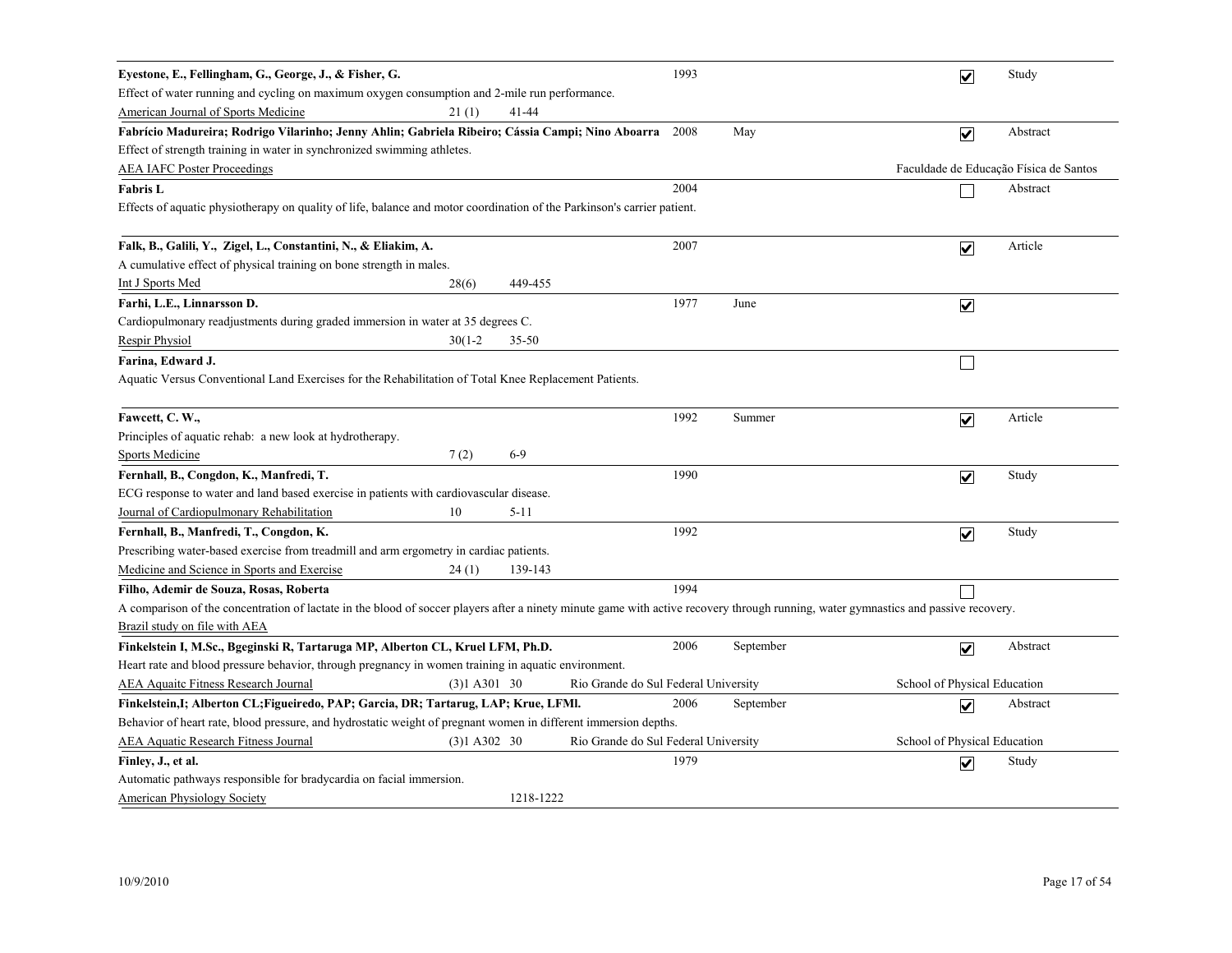| Eyestone, E., Fellingham, G., George, J., & Fisher, G.                                                                                                                              |                |           |                                      | 1993 |           | $\overline{\mathbf{v}}$      | Study                                  |
|-------------------------------------------------------------------------------------------------------------------------------------------------------------------------------------|----------------|-----------|--------------------------------------|------|-----------|------------------------------|----------------------------------------|
| Effect of water running and cycling on maximum oxygen consumption and 2-mile run performance.                                                                                       |                |           |                                      |      |           |                              |                                        |
| American Journal of Sports Medicine                                                                                                                                                 | 21(1)          | 41-44     |                                      |      |           |                              |                                        |
| Fabrício Madureira; Rodrigo Vilarinho; Jenny Ahlin; Gabriela Ribeiro; Cássia Campi; Nino Aboarra                                                                                    |                |           |                                      | 2008 | May       | $\overline{\mathbf{v}}$      | Abstract                               |
| Effect of strength training in water in synchronized swimming athletes.                                                                                                             |                |           |                                      |      |           |                              |                                        |
| <b>AEA IAFC Poster Proceedings</b>                                                                                                                                                  |                |           |                                      |      |           |                              | Faculdade de Educação Física de Santos |
| <b>Fabris L</b>                                                                                                                                                                     |                |           |                                      | 2004 |           |                              | Abstract                               |
| Effects of aquatic physiotherapy on quality of life, balance and motor coordination of the Parkinson's carrier patient.                                                             |                |           |                                      |      |           |                              |                                        |
|                                                                                                                                                                                     |                |           |                                      |      |           |                              |                                        |
| Falk, B., Galili, Y., Zigel, L., Constantini, N., & Eliakim, A.                                                                                                                     |                |           |                                      | 2007 |           | $\overline{\mathbf{v}}$      | Article                                |
| A cumulative effect of physical training on bone strength in males.                                                                                                                 |                |           |                                      |      |           |                              |                                        |
| Int J Sports Med                                                                                                                                                                    | 28(6)          | 449-455   |                                      |      |           |                              |                                        |
| Farhi, L.E., Linnarsson D.                                                                                                                                                          |                |           |                                      | 1977 | June      | $\overline{\mathbf{v}}$      |                                        |
| Cardiopulmonary readjustments during graded immersion in water at 35 degrees C.                                                                                                     |                |           |                                      |      |           |                              |                                        |
| <b>Respir Physiol</b>                                                                                                                                                               | $30(1-2)$      | 35-50     |                                      |      |           |                              |                                        |
| Farina, Edward J.                                                                                                                                                                   |                |           |                                      |      |           |                              |                                        |
| Aquatic Versus Conventional Land Exercises for the Rehabilitation of Total Knee Replacement Patients.                                                                               |                |           |                                      |      |           |                              |                                        |
| Fawcett, C. W.,                                                                                                                                                                     |                |           |                                      | 1992 | Summer    | $\overline{\mathbf{v}}$      | Article                                |
| Principles of aquatic rehab: a new look at hydrotherapy.                                                                                                                            |                |           |                                      |      |           |                              |                                        |
| <b>Sports Medicine</b>                                                                                                                                                              | 7(2)           | $6-9$     |                                      |      |           |                              |                                        |
| Fernhall, B., Congdon, K., Manfredi, T.                                                                                                                                             |                |           |                                      | 1990 |           | $\blacktriangledown$         | Study                                  |
| ECG response to water and land based exercise in patients with cardiovascular disease.                                                                                              |                |           |                                      |      |           |                              |                                        |
| Journal of Cardiopulmonary Rehabilitation                                                                                                                                           | 10             | $5 - 11$  |                                      |      |           |                              |                                        |
| Fernhall, B., Manfredi, T., Congdon, K.                                                                                                                                             |                |           |                                      | 1992 |           | $\overline{\mathsf{v}}$      | Study                                  |
| Prescribing water-based exercise from treadmill and arm ergometry in cardiac patients.                                                                                              |                |           |                                      |      |           |                              |                                        |
| Medicine and Science in Sports and Exercise                                                                                                                                         | 24(1)          | 139-143   |                                      |      |           |                              |                                        |
| Filho, Ademir de Souza, Rosas, Roberta                                                                                                                                              |                |           |                                      | 1994 |           |                              |                                        |
| A comparison of the concentration of lactate in the blood of soccer players after a ninety minute game with active recovery through running, water gymnastics and passive recovery. |                |           |                                      |      |           |                              |                                        |
| Brazil study on file with AEA                                                                                                                                                       |                |           |                                      |      |           |                              |                                        |
| Finkelstein I, M.Sc., Bgeginski R, Tartaruga MP, Alberton CL, Kruel LFM, Ph.D.                                                                                                      |                |           |                                      | 2006 | September | $\blacktriangledown$         | Abstract                               |
| Heart rate and blood pressure behavior, through pregnancy in women training in aquatic environment.                                                                                 |                |           |                                      |      |           |                              |                                        |
| <b>AEA Aquaitc Fitness Research Journal</b>                                                                                                                                         | $(3)1$ A301 30 |           | Rio Grande do Sul Federal University |      |           | School of Physical Education |                                        |
| Finkelstein,I; Alberton CL;Figueiredo, PAP; Garcia, DR; Tartarug, LAP; Krue, LFMl.                                                                                                  |                |           |                                      | 2006 | September | $\blacktriangledown$         | Abstract                               |
| Behavior of heart rate, blood pressure, and hydrostatic weight of pregnant women in different immersion depths.                                                                     |                |           |                                      |      |           |                              |                                        |
| <b>AEA Aquatic Research Fitness Journal</b>                                                                                                                                         | $(3)1$ A302 30 |           | Rio Grande do Sul Federal University |      |           | School of Physical Education |                                        |
| Finley, J., et al.                                                                                                                                                                  |                |           |                                      | 1979 |           | $\overline{\mathbf{v}}$      | Study                                  |
| Automatic pathways responsible for bradycardia on facial immersion.                                                                                                                 |                |           |                                      |      |           |                              |                                        |
| <b>American Physiology Society</b>                                                                                                                                                  |                | 1218-1222 |                                      |      |           |                              |                                        |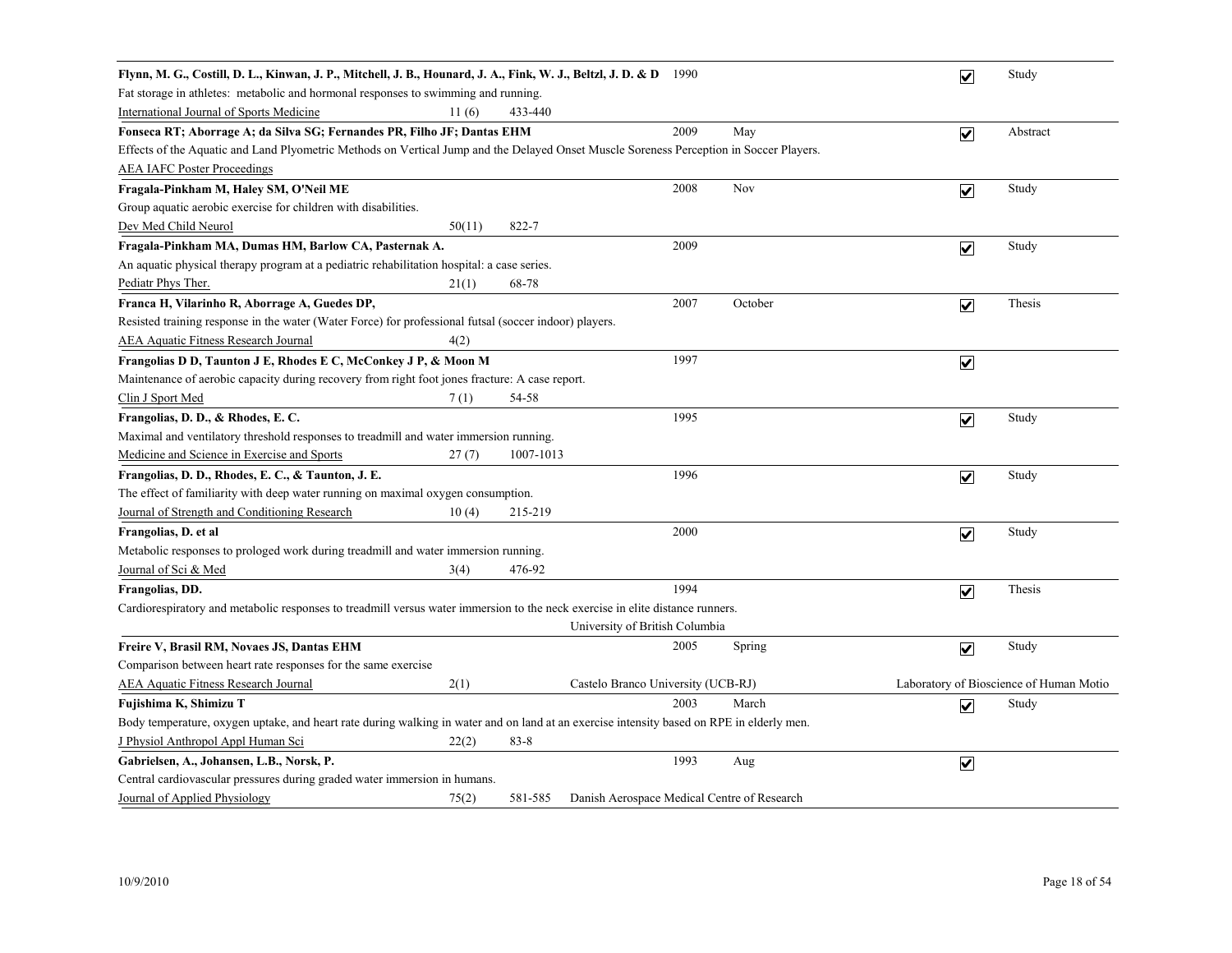| Flynn, M. G., Costill, D. L., Kinwan, J. P., Mitchell, J. B., Hounard, J. A., Fink, W. J., Beltzl, J. D. & D 1990                         |        |           |                                             |         | $\overline{\mathbf{v}}$      | Study                                   |
|-------------------------------------------------------------------------------------------------------------------------------------------|--------|-----------|---------------------------------------------|---------|------------------------------|-----------------------------------------|
| Fat storage in athletes: metabolic and hormonal responses to swimming and running.                                                        |        |           |                                             |         |                              |                                         |
| International Journal of Sports Medicine                                                                                                  | 11(6)  | 433-440   |                                             |         |                              |                                         |
| Fonseca RT; Aborrage A; da Silva SG; Fernandes PR, Filho JF; Dantas EHM                                                                   |        |           | 2009                                        | May     | $\overline{\mathbf{v}}$      | Abstract                                |
| Effects of the Aquatic and Land Plyometric Methods on Vertical Jump and the Delayed Onset Muscle Soreness Perception in Soccer Players.   |        |           |                                             |         |                              |                                         |
| <b>AEA IAFC Poster Proceedings</b>                                                                                                        |        |           |                                             |         |                              |                                         |
| Fragala-Pinkham M, Haley SM, O'Neil ME                                                                                                    |        |           | 2008                                        | Nov     | $\overline{\mathbf{v}}$      | Study                                   |
| Group aquatic aerobic exercise for children with disabilities.                                                                            |        |           |                                             |         |                              |                                         |
| Dev Med Child Neurol                                                                                                                      | 50(11) | 822-7     |                                             |         |                              |                                         |
| Fragala-Pinkham MA, Dumas HM, Barlow CA, Pasternak A.                                                                                     |        |           | 2009                                        |         | $\boxed{\blacktriangledown}$ | Study                                   |
| An aquatic physical therapy program at a pediatric rehabilitation hospital: a case series.                                                |        |           |                                             |         |                              |                                         |
| Pediatr Phys Ther.                                                                                                                        | 21(1)  | 68-78     |                                             |         |                              |                                         |
| Franca H, Vilarinho R, Aborrage A, Guedes DP,                                                                                             |        |           | 2007                                        | October | $\overline{\mathbf{v}}$      | Thesis                                  |
| Resisted training response in the water (Water Force) for professional futsal (soccer indoor) players.                                    |        |           |                                             |         |                              |                                         |
| <b>AEA Aquatic Fitness Research Journal</b>                                                                                               | 4(2)   |           |                                             |         |                              |                                         |
| Frangolias D D, Taunton J E, Rhodes E C, McConkey J P, & Moon M                                                                           |        |           | 1997                                        |         | $\overline{\mathbf{v}}$      |                                         |
| Maintenance of aerobic capacity during recovery from right foot jones fracture: A case report.                                            |        |           |                                             |         |                              |                                         |
| Clin J Sport Med                                                                                                                          | 7(1)   | 54-58     |                                             |         |                              |                                         |
| Frangolias, D. D., & Rhodes, E. C.                                                                                                        |        |           | 1995                                        |         | $\overline{\mathbf{v}}$      | Study                                   |
| Maximal and ventilatory threshold responses to treadmill and water immersion running.                                                     |        |           |                                             |         |                              |                                         |
| Medicine and Science in Exercise and Sports                                                                                               | 27(7)  | 1007-1013 |                                             |         |                              |                                         |
| Frangolias, D. D., Rhodes, E. C., & Taunton, J. E.                                                                                        |        |           | 1996                                        |         | $\overline{\mathbf{v}}$      | Study                                   |
| The effect of familiarity with deep water running on maximal oxygen consumption.                                                          |        |           |                                             |         |                              |                                         |
| Journal of Strength and Conditioning Research                                                                                             | 10(4)  | 215-219   |                                             |         |                              |                                         |
| Frangolias, D. et al                                                                                                                      |        |           | 2000                                        |         | $\blacktriangledown$         | Study                                   |
| Metabolic responses to prologed work during treadmill and water immersion running.                                                        |        |           |                                             |         |                              |                                         |
| Journal of Sci & Med                                                                                                                      | 3(4)   | 476-92    |                                             |         |                              |                                         |
| Frangolias, DD.                                                                                                                           |        |           | 1994                                        |         | $\blacktriangledown$         | Thesis                                  |
| Cardiorespiratory and metabolic responses to treadmill versus water immersion to the neck exercise in elite distance runners.             |        |           |                                             |         |                              |                                         |
|                                                                                                                                           |        |           | University of British Columbia              |         |                              |                                         |
| Freire V, Brasil RM, Novaes JS, Dantas EHM                                                                                                |        |           | 2005                                        | Spring  | $\overline{\mathbf{v}}$      | Study                                   |
| Comparison between heart rate responses for the same exercise                                                                             |        |           |                                             |         |                              |                                         |
| <b>AEA Aquatic Fitness Research Journal</b>                                                                                               | 2(1)   |           | Castelo Branco University (UCB-RJ)          |         |                              | Laboratory of Bioscience of Human Motio |
| Fujishima K, Shimizu T                                                                                                                    |        |           | 2003                                        | March   | $\overline{\mathbf{v}}$      | Study                                   |
| Body temperature, oxygen uptake, and heart rate during walking in water and on land at an exercise intensity based on RPE in elderly men. |        |           |                                             |         |                              |                                         |
| J Physiol Anthropol Appl Human Sci                                                                                                        | 22(2)  | $83 - 8$  |                                             |         |                              |                                         |
| Gabrielsen, A., Johansen, L.B., Norsk, P.                                                                                                 |        |           | 1993                                        | Aug     | $\overline{\mathbf{v}}$      |                                         |
| Central cardiovascular pressures during graded water immersion in humans.                                                                 |        |           |                                             |         |                              |                                         |
| Journal of Applied Physiology                                                                                                             | 75(2)  | 581-585   | Danish Aerospace Medical Centre of Research |         |                              |                                         |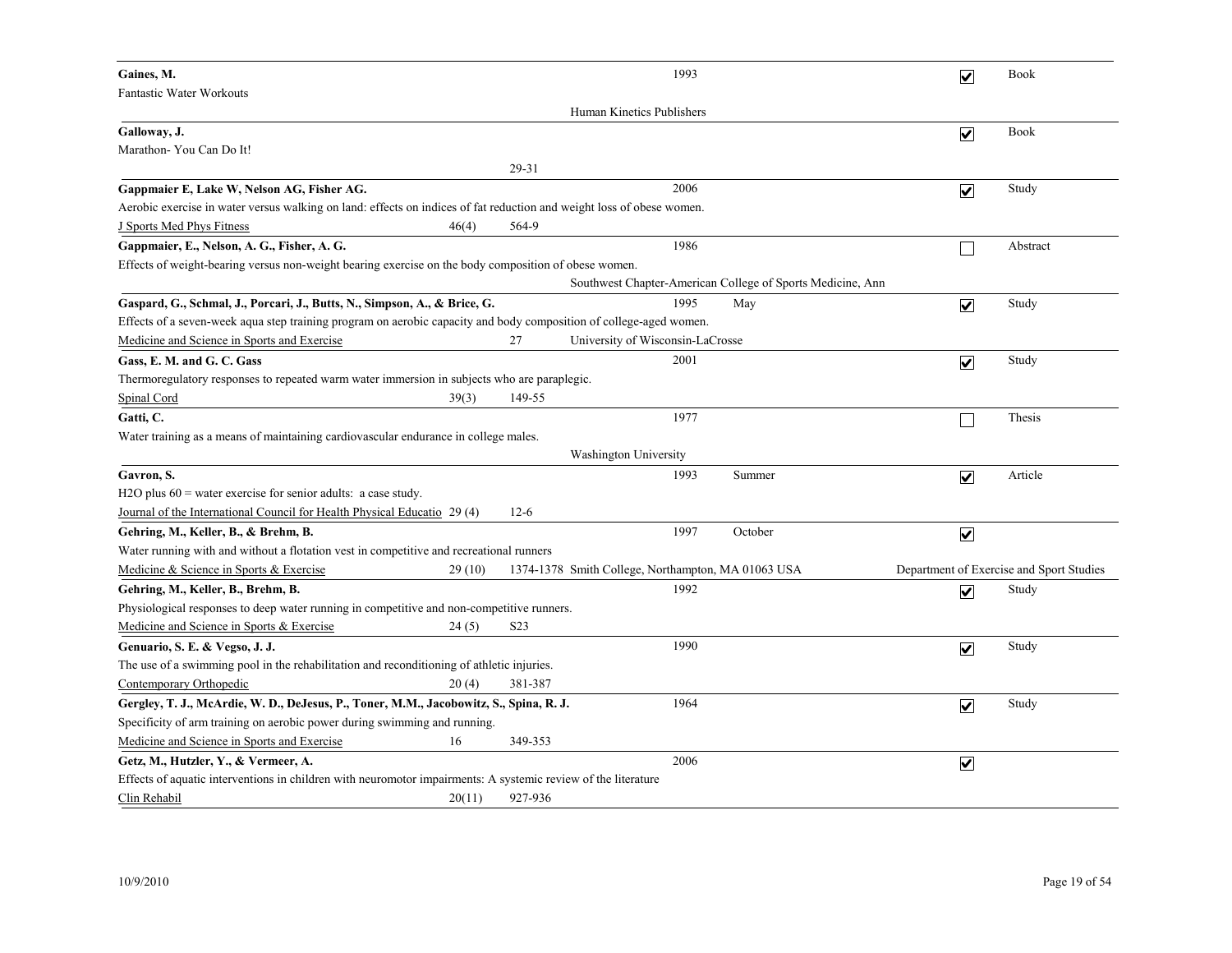| Gaines, M.                                                                                                            |                  | 1993                                                       |         | $\overline{\mathbf{v}}$ | Book                                     |
|-----------------------------------------------------------------------------------------------------------------------|------------------|------------------------------------------------------------|---------|-------------------------|------------------------------------------|
| <b>Fantastic Water Workouts</b>                                                                                       |                  |                                                            |         |                         |                                          |
|                                                                                                                       |                  | Human Kinetics Publishers                                  |         |                         |                                          |
| Galloway, J.                                                                                                          |                  |                                                            |         | $\overline{\mathbf{v}}$ | <b>Book</b>                              |
| Marathon- You Can Do It!                                                                                              |                  |                                                            |         |                         |                                          |
|                                                                                                                       | 29-31            |                                                            |         |                         |                                          |
| Gappmaier E, Lake W, Nelson AG, Fisher AG.                                                                            |                  | 2006                                                       |         | $\overline{\mathbf{v}}$ | Study                                    |
| Aerobic exercise in water versus walking on land: effects on indices of fat reduction and weight loss of obese women. |                  |                                                            |         |                         |                                          |
| J Sports Med Phys Fitness<br>46(4)                                                                                    | 564-9            |                                                            |         |                         |                                          |
| Gappmaier, E., Nelson, A. G., Fisher, A. G.                                                                           |                  | 1986                                                       |         | $\mathsf{L}$            | Abstract                                 |
| Effects of weight-bearing versus non-weight bearing exercise on the body composition of obese women.                  |                  |                                                            |         |                         |                                          |
|                                                                                                                       |                  | Southwest Chapter-American College of Sports Medicine, Ann |         |                         |                                          |
| Gaspard, G., Schmal, J., Porcari, J., Butts, N., Simpson, A., & Brice, G.                                             |                  | 1995                                                       | May     | $\overline{\mathbf{v}}$ | Study                                    |
| Effects of a seven-week aqua step training program on aerobic capacity and body composition of college-aged women.    |                  |                                                            |         |                         |                                          |
| Medicine and Science in Sports and Exercise                                                                           | 27               | University of Wisconsin-LaCrosse                           |         |                         |                                          |
| Gass, E. M. and G. C. Gass                                                                                            |                  | 2001                                                       |         | $\overline{\mathbf{v}}$ | Study                                    |
| Thermoregulatory responses to repeated warm water immersion in subjects who are paraplegic.                           |                  |                                                            |         |                         |                                          |
| Spinal Cord<br>39(3)                                                                                                  | 149-55           |                                                            |         |                         |                                          |
| Gatti, C.                                                                                                             |                  | 1977                                                       |         |                         | Thesis                                   |
| Water training as a means of maintaining cardiovascular endurance in college males.                                   |                  |                                                            |         |                         |                                          |
|                                                                                                                       |                  | Washington University                                      |         |                         |                                          |
| Gavron, S.                                                                                                            |                  | 1993                                                       | Summer  | $\overline{\mathbf{v}}$ | Article                                  |
| H2O plus $60$ = water exercise for senior adults: a case study.                                                       |                  |                                                            |         |                         |                                          |
| Journal of the International Council for Health Physical Educatio 29 (4)                                              | $12-6$           |                                                            |         |                         |                                          |
| Gehring, M., Keller, B., & Brehm, B.                                                                                  |                  | 1997                                                       | October | $\overline{\mathbf{v}}$ |                                          |
| Water running with and without a flotation vest in competitive and recreational runners                               |                  |                                                            |         |                         |                                          |
| Medicine & Science in Sports & Exercise<br>29 (10)                                                                    |                  | 1374-1378 Smith College, Northampton, MA 01063 USA         |         |                         | Department of Exercise and Sport Studies |
| Gehring, M., Keller, B., Brehm, B.                                                                                    |                  | 1992                                                       |         | $\overline{\mathbf{v}}$ | Study                                    |
| Physiological responses to deep water running in competitive and non-competitive runners.                             |                  |                                                            |         |                         |                                          |
| Medicine and Science in Sports & Exercise<br>24(5)                                                                    | S <sub>2</sub> 3 |                                                            |         |                         |                                          |
| Genuario, S. E. & Vegso, J. J.                                                                                        |                  | 1990                                                       |         | $\overline{\mathbf{v}}$ | Study                                    |
| The use of a swimming pool in the rehabilitation and reconditioning of athletic injuries.                             |                  |                                                            |         |                         |                                          |
| Contemporary Orthopedic<br>20(4)                                                                                      | 381-387          |                                                            |         |                         |                                          |
| Gergley, T. J., McArdie, W. D., DeJesus, P., Toner, M.M., Jacobowitz, S., Spina, R. J.                                |                  | 1964                                                       |         | $\overline{\mathbf{v}}$ | Study                                    |
| Specificity of arm training on aerobic power during swimming and running.                                             |                  |                                                            |         |                         |                                          |
| Medicine and Science in Sports and Exercise<br>16                                                                     | 349-353          |                                                            |         |                         |                                          |
| Getz, M., Hutzler, Y., & Vermeer, A.                                                                                  |                  | 2006                                                       |         | $\overline{\mathbf{v}}$ |                                          |
| Effects of aquatic interventions in children with neuromotor impairments: A systemic review of the literature         |                  |                                                            |         |                         |                                          |
| Clin Rehabil<br>20(11)                                                                                                | 927-936          |                                                            |         |                         |                                          |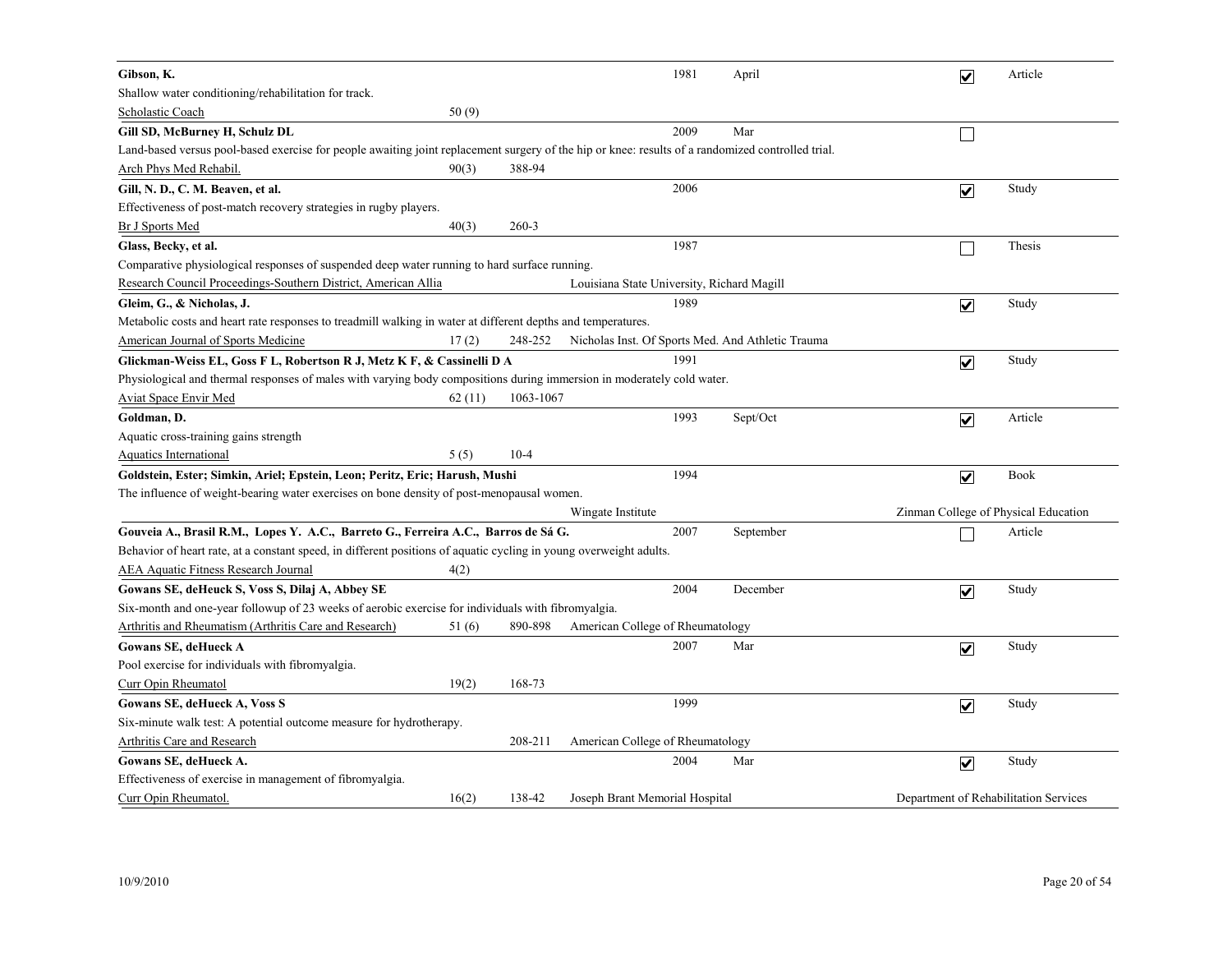| Gibson, K.                                                                                                                                        |        |           |                                            | 1981 | April                                             | $\overline{\mathbf{v}}$               | Article |
|---------------------------------------------------------------------------------------------------------------------------------------------------|--------|-----------|--------------------------------------------|------|---------------------------------------------------|---------------------------------------|---------|
| Shallow water conditioning/rehabilitation for track.                                                                                              |        |           |                                            |      |                                                   |                                       |         |
| Scholastic Coach                                                                                                                                  | 50(9)  |           |                                            |      |                                                   |                                       |         |
| Gill SD, McBurney H, Schulz DL                                                                                                                    |        |           |                                            | 2009 | Mar                                               |                                       |         |
| Land-based versus pool-based exercise for people awaiting joint replacement surgery of the hip or knee: results of a randomized controlled trial. |        |           |                                            |      |                                                   |                                       |         |
| Arch Phys Med Rehabil.                                                                                                                            | 90(3)  | 388-94    |                                            |      |                                                   |                                       |         |
| Gill, N. D., C. M. Beaven, et al.                                                                                                                 |        |           |                                            | 2006 |                                                   | $\overline{\mathbf{v}}$               | Study   |
| Effectiveness of post-match recovery strategies in rugby players.                                                                                 |        |           |                                            |      |                                                   |                                       |         |
| <b>Br J Sports Med</b>                                                                                                                            | 40(3)  | $260 - 3$ |                                            |      |                                                   |                                       |         |
| Glass, Becky, et al.                                                                                                                              |        |           |                                            | 1987 |                                                   |                                       | Thesis  |
| Comparative physiological responses of suspended deep water running to hard surface running.                                                      |        |           |                                            |      |                                                   |                                       |         |
| Research Council Proceedings-Southern District, American Allia                                                                                    |        |           | Louisiana State University, Richard Magill |      |                                                   |                                       |         |
| Gleim, G., & Nicholas, J.                                                                                                                         |        |           |                                            | 1989 |                                                   | $\overline{\mathbf{v}}$               | Study   |
| Metabolic costs and heart rate responses to treadmill walking in water at different depths and temperatures.                                      |        |           |                                            |      |                                                   |                                       |         |
| <b>American Journal of Sports Medicine</b>                                                                                                        | 17(2)  | 248-252   |                                            |      | Nicholas Inst. Of Sports Med. And Athletic Trauma |                                       |         |
| Glickman-Weiss EL, Goss F L, Robertson R J, Metz K F, & Cassinelli D A                                                                            |        |           |                                            | 1991 |                                                   | $\overline{\mathbf{v}}$               | Study   |
| Physiological and thermal responses of males with varying body compositions during immersion in moderately cold water.                            |        |           |                                            |      |                                                   |                                       |         |
| <b>Aviat Space Envir Med</b>                                                                                                                      | 62(11) | 1063-1067 |                                            |      |                                                   |                                       |         |
| Goldman, D.                                                                                                                                       |        |           |                                            | 1993 | Sept/Oct                                          | $\overline{\mathbf{v}}$               | Article |
| Aquatic cross-training gains strength                                                                                                             |        |           |                                            |      |                                                   |                                       |         |
| <b>Aquatics International</b>                                                                                                                     | 5(5)   | $10-4$    |                                            |      |                                                   |                                       |         |
| Goldstein, Ester; Simkin, Ariel; Epstein, Leon; Peritz, Eric; Harush, Mushi                                                                       |        |           |                                            | 1994 |                                                   | $\overline{\mathbf{v}}$               | Book    |
| The influence of weight-bearing water exercises on bone density of post-menopausal women.                                                         |        |           |                                            |      |                                                   |                                       |         |
|                                                                                                                                                   |        |           | Wingate Institute                          |      |                                                   | Zinman College of Physical Education  |         |
| Gouveia A., Brasil R.M., Lopes Y. A.C., Barreto G., Ferreira A.C., Barros de Sá G.                                                                |        |           |                                            | 2007 | September                                         |                                       | Article |
| Behavior of heart rate, at a constant speed, in different positions of aquatic cycling in young overweight adults.                                |        |           |                                            |      |                                                   |                                       |         |
| <b>AEA Aquatic Fitness Research Journal</b>                                                                                                       | 4(2)   |           |                                            |      |                                                   |                                       |         |
| Gowans SE, deHeuck S, Voss S, Dilaj A, Abbey SE                                                                                                   |        |           |                                            | 2004 | December                                          | $\overline{\mathbf{v}}$               | Study   |
| Six-month and one-year followup of 23 weeks of aerobic exercise for individuals with fibromyalgia.                                                |        |           |                                            |      |                                                   |                                       |         |
| Arthritis and Rheumatism (Arthritis Care and Research)                                                                                            | 51 (6) | 890-898   | American College of Rheumatology           |      |                                                   |                                       |         |
| <b>Gowans SE, deHueck A</b>                                                                                                                       |        |           |                                            | 2007 | Mar                                               | $\overline{\mathbf{v}}$               | Study   |
| Pool exercise for individuals with fibromyalgia.                                                                                                  |        |           |                                            |      |                                                   |                                       |         |
| Curr Opin Rheumatol                                                                                                                               | 19(2)  | 168-73    |                                            |      |                                                   |                                       |         |
| Gowans SE, deHueck A, Voss S                                                                                                                      |        |           |                                            | 1999 |                                                   | $\blacktriangledown$                  | Study   |
| Six-minute walk test: A potential outcome measure for hydrotherapy.                                                                               |        |           |                                            |      |                                                   |                                       |         |
| <b>Arthritis Care and Research</b>                                                                                                                |        | 208-211   | American College of Rheumatology           |      |                                                   |                                       |         |
| Gowans SE, deHueck A.                                                                                                                             |        |           |                                            | 2004 | Mar                                               | $\blacktriangledown$                  | Study   |
| Effectiveness of exercise in management of fibromyalgia.                                                                                          |        |           |                                            |      |                                                   |                                       |         |
| Curr Opin Rheumatol.                                                                                                                              | 16(2)  | 138-42    | Joseph Brant Memorial Hospital             |      |                                                   | Department of Rehabilitation Services |         |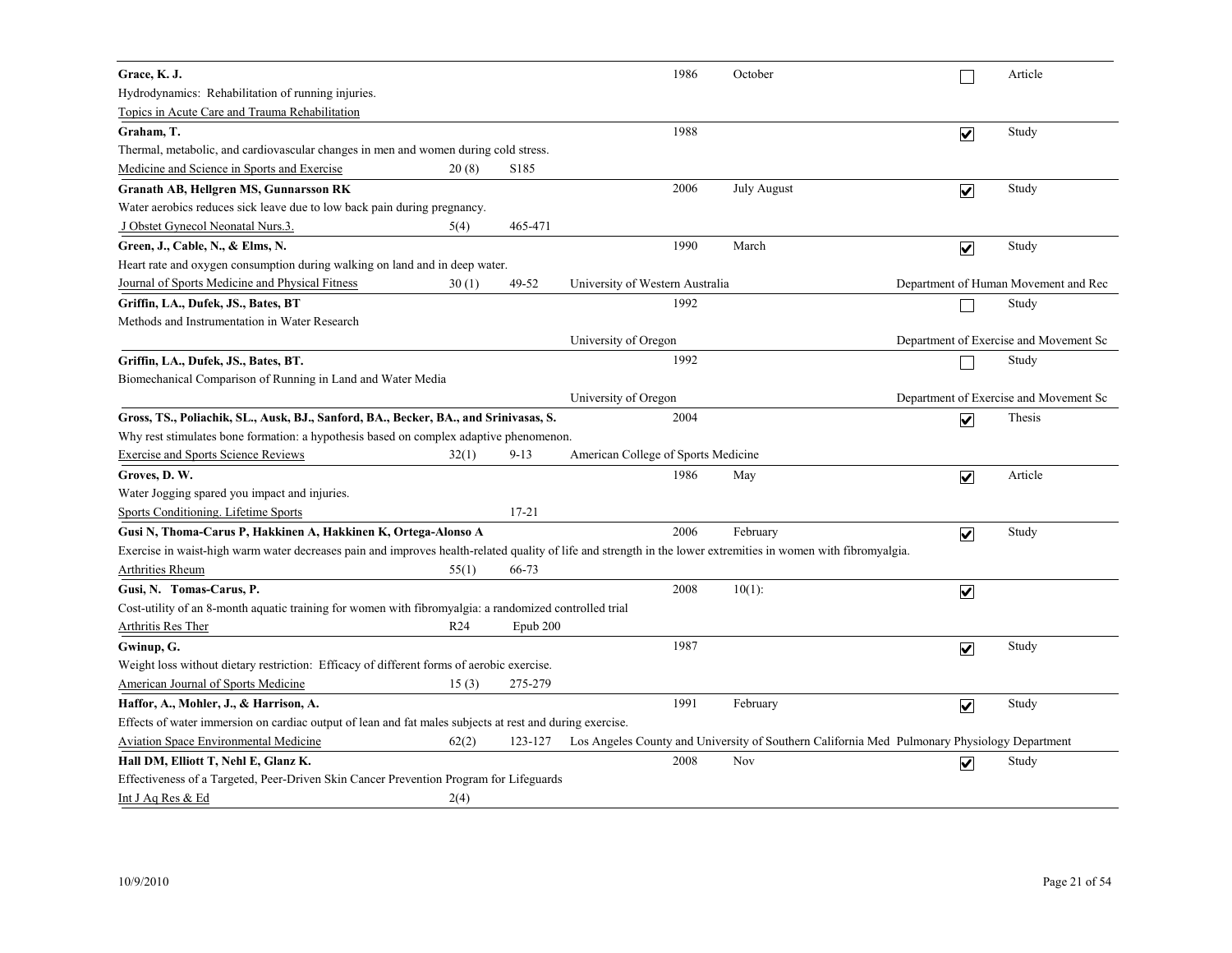| Grace, K. J.                                                                                                                                                   |                 |           | 1986                                | October                                                                                      |                         | Article                                |
|----------------------------------------------------------------------------------------------------------------------------------------------------------------|-----------------|-----------|-------------------------------------|----------------------------------------------------------------------------------------------|-------------------------|----------------------------------------|
| Hydrodynamics: Rehabilitation of running injuries.                                                                                                             |                 |           |                                     |                                                                                              |                         |                                        |
| Topics in Acute Care and Trauma Rehabilitation                                                                                                                 |                 |           |                                     |                                                                                              |                         |                                        |
| Graham, T.                                                                                                                                                     |                 |           | 1988                                |                                                                                              | $\overline{\mathbf{v}}$ | Study                                  |
| Thermal, metabolic, and cardiovascular changes in men and women during cold stress.                                                                            |                 |           |                                     |                                                                                              |                         |                                        |
| Medicine and Science in Sports and Exercise                                                                                                                    | 20(8)           | S185      |                                     |                                                                                              |                         |                                        |
| <b>Granath AB, Hellgren MS, Gunnarsson RK</b>                                                                                                                  |                 |           | 2006                                | <b>July August</b>                                                                           | $\overline{\mathbf{v}}$ | Study                                  |
| Water aerobics reduces sick leave due to low back pain during pregnancy.                                                                                       |                 |           |                                     |                                                                                              |                         |                                        |
| J Obstet Gynecol Neonatal Nurs.3.                                                                                                                              | 5(4)            | 465-471   |                                     |                                                                                              |                         |                                        |
| Green, J., Cable, N., & Elms, N.                                                                                                                               |                 |           | 1990                                | March                                                                                        | $\overline{\mathbf{v}}$ | Study                                  |
| Heart rate and oxygen consumption during walking on land and in deep water.                                                                                    |                 |           |                                     |                                                                                              |                         |                                        |
| Journal of Sports Medicine and Physical Fitness                                                                                                                | 30(1)           | 49-52     | University of Western Australia     |                                                                                              |                         | Department of Human Movement and Rec   |
| Griffin, LA., Dufek, JS., Bates, BT                                                                                                                            |                 |           | 1992                                |                                                                                              |                         | Study                                  |
| Methods and Instrumentation in Water Research                                                                                                                  |                 |           |                                     |                                                                                              |                         |                                        |
|                                                                                                                                                                |                 |           | University of Oregon                |                                                                                              |                         | Department of Exercise and Movement Sc |
| Griffin, LA., Dufek, JS., Bates, BT.                                                                                                                           |                 |           | 1992                                |                                                                                              |                         | Study                                  |
| Biomechanical Comparison of Running in Land and Water Media                                                                                                    |                 |           |                                     |                                                                                              |                         |                                        |
|                                                                                                                                                                |                 |           | University of Oregon                |                                                                                              |                         | Department of Exercise and Movement Sc |
| Gross, TS., Poliachik, SL., Ausk, BJ., Sanford, BA., Becker, BA., and Srinivasas, S.                                                                           |                 |           | 2004                                |                                                                                              | $\overline{\mathbf{v}}$ | Thesis                                 |
| Why rest stimulates bone formation: a hypothesis based on complex adaptive phenomenon.                                                                         |                 |           |                                     |                                                                                              |                         |                                        |
| <b>Exercise and Sports Science Reviews</b>                                                                                                                     | 32(1)           | $9 - 13$  | American College of Sports Medicine |                                                                                              |                         |                                        |
| Groves, D.W.                                                                                                                                                   |                 |           | 1986                                | May                                                                                          | $\overline{\mathbf{v}}$ | Article                                |
| Water Jogging spared you impact and injuries.                                                                                                                  |                 |           |                                     |                                                                                              |                         |                                        |
| Sports Conditioning. Lifetime Sports                                                                                                                           |                 | $17 - 21$ |                                     |                                                                                              |                         |                                        |
| Gusi N, Thoma-Carus P, Hakkinen A, Hakkinen K, Ortega-Alonso A                                                                                                 |                 |           | 2006                                | February                                                                                     | $\blacktriangledown$    | Study                                  |
| Exercise in waist-high warm water decreases pain and improves health-related quality of life and strength in the lower extremities in women with fibromyalgia. |                 |           |                                     |                                                                                              |                         |                                        |
| <b>Arthrities Rheum</b>                                                                                                                                        | 55(1)           | 66-73     |                                     |                                                                                              |                         |                                        |
| Gusi, N. Tomas-Carus, P.                                                                                                                                       |                 |           | 2008                                | $10(1)$ :                                                                                    | $\blacktriangledown$    |                                        |
| Cost-utility of an 8-month aquatic training for women with fibromyalgia: a randomized controlled trial                                                         |                 |           |                                     |                                                                                              |                         |                                        |
| <b>Arthritis Res Ther</b>                                                                                                                                      | R <sub>24</sub> | Epub 200  |                                     |                                                                                              |                         |                                        |
| Gwinup, G.                                                                                                                                                     |                 |           | 1987                                |                                                                                              | $\overline{\mathbf{v}}$ | Study                                  |
| Weight loss without dietary restriction. Efficacy of different forms of aerobic exercise.                                                                      |                 |           |                                     |                                                                                              |                         |                                        |
| American Journal of Sports Medicine                                                                                                                            | 15(3)           | 275-279   |                                     |                                                                                              |                         |                                        |
| Haffor, A., Mohler, J., & Harrison, A.                                                                                                                         |                 |           | 1991                                | February                                                                                     | $\overline{\mathbf{v}}$ | Study                                  |
| Effects of water immersion on cardiac output of lean and fat males subjects at rest and during exercise.                                                       |                 |           |                                     |                                                                                              |                         |                                        |
| <b>Aviation Space Environmental Medicine</b>                                                                                                                   | 62(2)           | 123-127   |                                     | Los Angeles County and University of Southern California Med Pulmonary Physiology Department |                         |                                        |
| Hall DM, Elliott T, Nehl E, Glanz K.                                                                                                                           |                 |           | 2008                                | Nov                                                                                          | $\overline{\mathsf{v}}$ | Study                                  |
| Effectiveness of a Targeted, Peer-Driven Skin Cancer Prevention Program for Lifeguards                                                                         |                 |           |                                     |                                                                                              |                         |                                        |
| Int J Aq Res & Ed                                                                                                                                              | 2(4)            |           |                                     |                                                                                              |                         |                                        |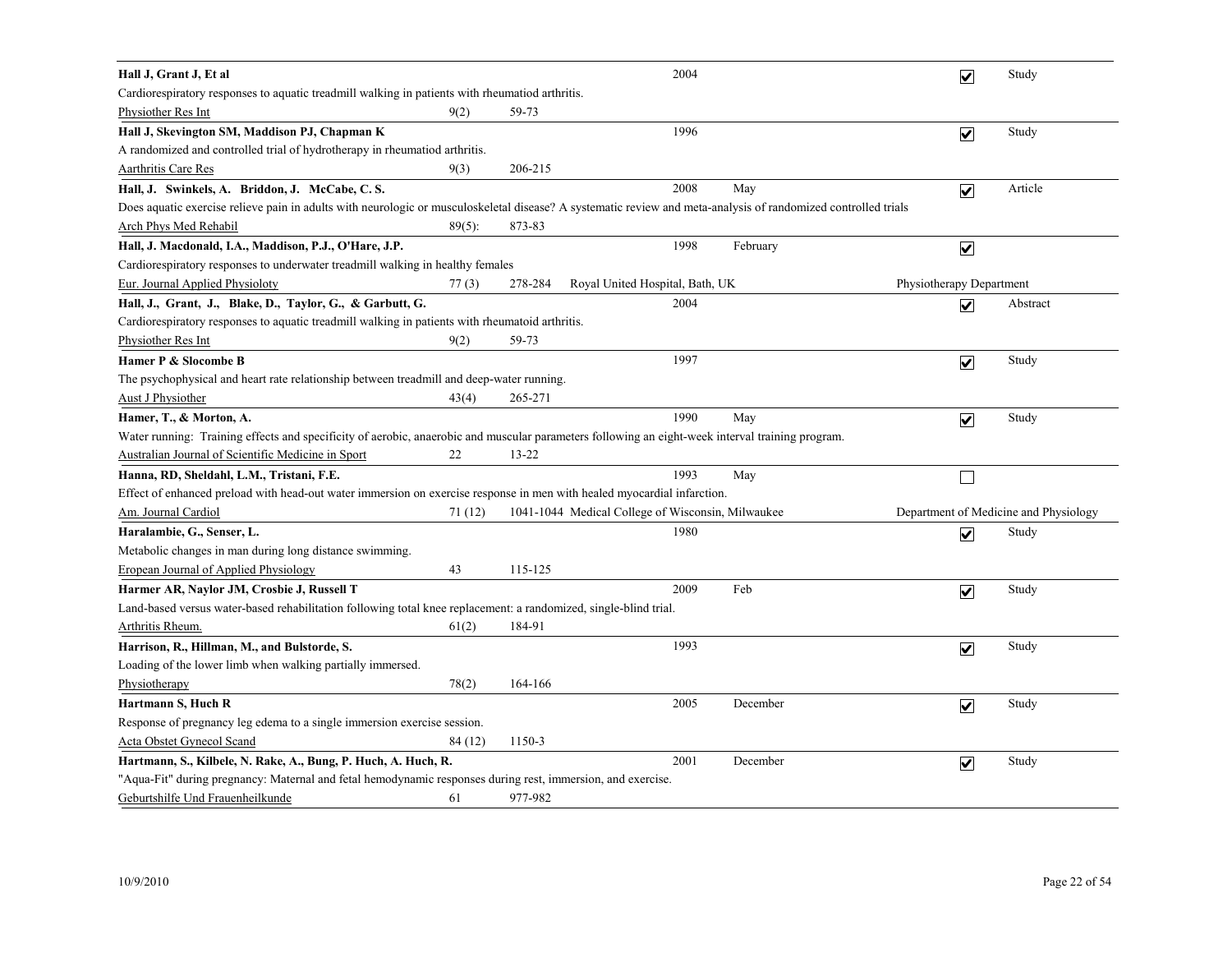| Hall J, Grant J, Et al                                                                                                                                         |           |         | 2004                                              |          | $\overline{\mathbf{v}}$  | Study                                 |  |  |  |
|----------------------------------------------------------------------------------------------------------------------------------------------------------------|-----------|---------|---------------------------------------------------|----------|--------------------------|---------------------------------------|--|--|--|
| Cardiorespiratory responses to aquatic treadmill walking in patients with rheumatiod arthritis.                                                                |           |         |                                                   |          |                          |                                       |  |  |  |
| Physiother Res Int                                                                                                                                             | 9(2)      | 59-73   |                                                   |          |                          |                                       |  |  |  |
| Hall J, Skevington SM, Maddison PJ, Chapman K                                                                                                                  |           |         | 1996                                              |          | $\overline{\mathbf{v}}$  | Study                                 |  |  |  |
| A randomized and controlled trial of hydrotherapy in rheumatiod arthritis.                                                                                     |           |         |                                                   |          |                          |                                       |  |  |  |
| Aarthritis Care Res                                                                                                                                            | 9(3)      | 206-215 |                                                   |          |                          |                                       |  |  |  |
| Hall, J. Swinkels, A. Briddon, J. McCabe, C.S.                                                                                                                 |           |         | 2008                                              | May      | $\overline{\mathbf{v}}$  | Article                               |  |  |  |
| Does aquatic exercise relieve pain in adults with neurologic or musculoskeletal disease? A systematic review and meta-analysis of randomized controlled trials |           |         |                                                   |          |                          |                                       |  |  |  |
| Arch Phys Med Rehabil                                                                                                                                          | $89(5)$ : | 873-83  |                                                   |          |                          |                                       |  |  |  |
| Hall, J. Macdonald, I.A., Maddison, P.J., O'Hare, J.P.                                                                                                         |           |         | 1998                                              | February | $\overline{\mathbf{v}}$  |                                       |  |  |  |
| Cardiorespiratory responses to underwater treadmill walking in healthy females                                                                                 |           |         |                                                   |          |                          |                                       |  |  |  |
| Eur. Journal Applied Physioloty                                                                                                                                | 77(3)     | 278-284 | Royal United Hospital, Bath, UK                   |          | Physiotherapy Department |                                       |  |  |  |
| Hall, J., Grant, J., Blake, D., Taylor, G., & Garbutt, G.                                                                                                      |           |         | 2004                                              |          | $\overline{\mathbf{v}}$  | Abstract                              |  |  |  |
| Cardiorespiratory responses to aquatic treadmill walking in patients with rheumatoid arthritis.                                                                |           |         |                                                   |          |                          |                                       |  |  |  |
| <b>Physiother Res Int</b>                                                                                                                                      | 9(2)      | 59-73   |                                                   |          |                          |                                       |  |  |  |
| Hamer P & Slocombe B                                                                                                                                           |           |         | 1997                                              |          | $\overline{\mathbf{v}}$  | Study                                 |  |  |  |
| The psychophysical and heart rate relationship between treadmill and deep-water running.                                                                       |           |         |                                                   |          |                          |                                       |  |  |  |
| <b>Aust J Physiother</b>                                                                                                                                       | 43(4)     | 265-271 |                                                   |          |                          |                                       |  |  |  |
| Hamer, T., & Morton, A.                                                                                                                                        |           |         | 1990                                              | May      | $\overline{\mathbf{v}}$  | Study                                 |  |  |  |
| Water running: Training effects and specificity of aerobic, anaerobic and muscular parameters following an eight-week interval training program.               |           |         |                                                   |          |                          |                                       |  |  |  |
| Australian Journal of Scientific Medicine in Sport                                                                                                             | 22        | 13-22   |                                                   |          |                          |                                       |  |  |  |
| Hanna, RD, Sheldahl, L.M., Tristani, F.E.                                                                                                                      |           |         | 1993                                              | May      | $\Box$                   |                                       |  |  |  |
| Effect of enhanced preload with head-out water immersion on exercise response in men with healed myocardial infarction.                                        |           |         |                                                   |          |                          |                                       |  |  |  |
| Am. Journal Cardiol                                                                                                                                            | 71(12)    |         | 1041-1044 Medical College of Wisconsin, Milwaukee |          |                          | Department of Medicine and Physiology |  |  |  |
| Haralambie, G., Senser, L.                                                                                                                                     |           |         | 1980                                              |          | $\overline{\mathbf{v}}$  | Study                                 |  |  |  |
| Metabolic changes in man during long distance swimming.                                                                                                        |           |         |                                                   |          |                          |                                       |  |  |  |
| <b>Eropean Journal of Applied Physiology</b>                                                                                                                   | 43        | 115-125 |                                                   |          |                          |                                       |  |  |  |
| Harmer AR, Naylor JM, Crosbie J, Russell T                                                                                                                     |           |         | 2009                                              | Feb      | $\overline{\mathbf{v}}$  | Study                                 |  |  |  |
| Land-based versus water-based rehabilitation following total knee replacement: a randomized, single-blind trial.                                               |           |         |                                                   |          |                          |                                       |  |  |  |
| Arthritis Rheum.                                                                                                                                               | 61(2)     | 184-91  |                                                   |          |                          |                                       |  |  |  |
| Harrison, R., Hillman, M., and Bulstorde, S.                                                                                                                   |           |         | 1993                                              |          | $\blacktriangledown$     | Study                                 |  |  |  |
| Loading of the lower limb when walking partially immersed.                                                                                                     |           |         |                                                   |          |                          |                                       |  |  |  |
| Physiotherapy                                                                                                                                                  | 78(2)     | 164-166 |                                                   |          |                          |                                       |  |  |  |
| Hartmann S, Huch R                                                                                                                                             |           |         | 2005                                              | December | $\overline{\mathbf{v}}$  | Study                                 |  |  |  |
| Response of pregnancy leg edema to a single immersion exercise session.                                                                                        |           |         |                                                   |          |                          |                                       |  |  |  |
| <b>Acta Obstet Gynecol Scand</b>                                                                                                                               | 84 (12)   | 1150-3  |                                                   |          |                          |                                       |  |  |  |
| Hartmann, S., Kilbele, N. Rake, A., Bung, P. Huch, A. Huch, R.                                                                                                 |           |         | 2001                                              | December | $\blacktriangledown$     | Study                                 |  |  |  |
| "Aqua-Fit" during pregnancy: Maternal and fetal hemodynamic responses during rest, immersion, and exercise.                                                    |           |         |                                                   |          |                          |                                       |  |  |  |
| Geburtshilfe Und Frauenheilkunde                                                                                                                               | 61        | 977-982 |                                                   |          |                          |                                       |  |  |  |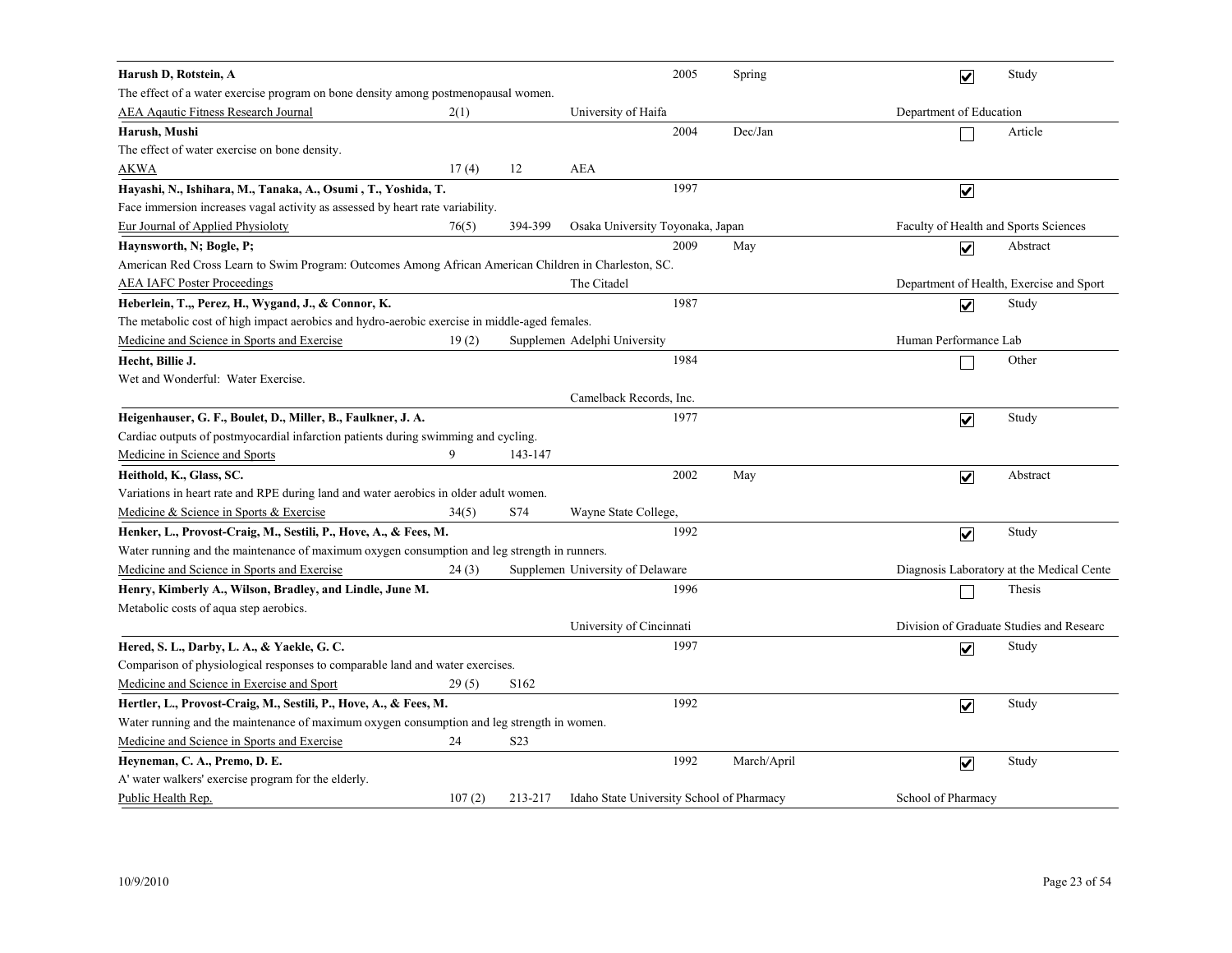| Harush D, Rotstein, A                                                                                 |        |                  |                                           | 2005 | Spring      | $\overline{\mathbf{v}}$ | Study                                     |
|-------------------------------------------------------------------------------------------------------|--------|------------------|-------------------------------------------|------|-------------|-------------------------|-------------------------------------------|
| The effect of a water exercise program on bone density among postmenopausal women.                    |        |                  |                                           |      |             |                         |                                           |
| <b>AEA Aqautic Fitness Research Journal</b>                                                           | 2(1)   |                  | University of Haifa                       |      |             | Department of Education |                                           |
| Harush, Mushi                                                                                         |        |                  |                                           | 2004 | Dec/Jan     |                         | Article                                   |
| The effect of water exercise on bone density.                                                         |        |                  |                                           |      |             |                         |                                           |
| <b>AKWA</b>                                                                                           | 17(4)  | 12               | <b>AEA</b>                                |      |             |                         |                                           |
| Hayashi, N., Ishihara, M., Tanaka, A., Osumi, T., Yoshida, T.                                         |        |                  |                                           | 1997 |             | $\overline{\mathbf{v}}$ |                                           |
| Face immersion increases vagal activity as assessed by heart rate variability.                        |        |                  |                                           |      |             |                         |                                           |
| <b>Eur Journal of Applied Physioloty</b>                                                              | 76(5)  | 394-399          | Osaka University Toyonaka, Japan          |      |             |                         | Faculty of Health and Sports Sciences     |
| Haynsworth, N; Bogle, P;                                                                              |        |                  |                                           | 2009 | May         | $\overline{\mathbf{v}}$ | Abstract                                  |
| American Red Cross Learn to Swim Program: Outcomes Among African American Children in Charleston, SC. |        |                  |                                           |      |             |                         |                                           |
| <b>AEA IAFC Poster Proceedings</b>                                                                    |        |                  | The Citadel                               |      |             |                         | Department of Health, Exercise and Sport  |
| Heberlein, T.,, Perez, H., Wygand, J., & Connor, K.                                                   |        |                  |                                           | 1987 |             | $\overline{\mathbf{v}}$ | Study                                     |
| The metabolic cost of high impact aerobics and hydro-aerobic exercise in middle-aged females.         |        |                  |                                           |      |             |                         |                                           |
| Medicine and Science in Sports and Exercise                                                           | 19(2)  |                  | Supplemen Adelphi University              |      |             | Human Performance Lab   |                                           |
| Hecht, Billie J.                                                                                      |        |                  |                                           | 1984 |             |                         | Other                                     |
| Wet and Wonderful: Water Exercise.                                                                    |        |                  |                                           |      |             |                         |                                           |
|                                                                                                       |        |                  | Camelback Records, Inc.                   |      |             |                         |                                           |
| Heigenhauser, G. F., Boulet, D., Miller, B., Faulkner, J. A.                                          |        |                  |                                           | 1977 |             | $\overline{\mathbf{v}}$ | Study                                     |
| Cardiac outputs of postmy ocardial infarction patients during swimming and cycling.                   |        |                  |                                           |      |             |                         |                                           |
| Medicine in Science and Sports                                                                        | 9      | 143-147          |                                           |      |             |                         |                                           |
| Heithold, K., Glass, SC.                                                                              |        |                  |                                           | 2002 | May         | $\overline{\mathbf{v}}$ | Abstract                                  |
| Variations in heart rate and RPE during land and water aerobics in older adult women.                 |        |                  |                                           |      |             |                         |                                           |
| Medicine & Science in Sports & Exercise                                                               | 34(5)  | S74              | Wayne State College,                      |      |             |                         |                                           |
| Henker, L., Provost-Craig, M., Sestili, P., Hove, A., & Fees, M.                                      |        |                  |                                           | 1992 |             | $\overline{\mathbf{v}}$ | Study                                     |
| Water running and the maintenance of maximum oxygen consumption and leg strength in runners.          |        |                  |                                           |      |             |                         |                                           |
| Medicine and Science in Sports and Exercise                                                           | 24(3)  |                  | Supplemen University of Delaware          |      |             |                         | Diagnosis Laboratory at the Medical Cente |
| Henry, Kimberly A., Wilson, Bradley, and Lindle, June M.                                              |        |                  |                                           | 1996 |             |                         | Thesis                                    |
| Metabolic costs of aqua step aerobics.                                                                |        |                  |                                           |      |             |                         |                                           |
|                                                                                                       |        |                  | University of Cincinnati                  |      |             |                         | Division of Graduate Studies and Researc  |
| Hered, S. L., Darby, L. A., & Yaekle, G. C.                                                           |        |                  |                                           | 1997 |             | $\overline{\mathsf{v}}$ | Study                                     |
| Comparison of physiological responses to comparable land and water exercises.                         |        |                  |                                           |      |             |                         |                                           |
| Medicine and Science in Exercise and Sport                                                            | 29(5)  | S <sub>162</sub> |                                           |      |             |                         |                                           |
| Hertler, L., Provost-Craig, M., Sestili, P., Hove, A., & Fees, M.                                     |        |                  |                                           | 1992 |             | $\overline{\mathbf{v}}$ | Study                                     |
| Water running and the maintenance of maximum oxygen consumption and leg strength in women.            |        |                  |                                           |      |             |                         |                                           |
| Medicine and Science in Sports and Exercise                                                           | 24     | S <sub>2</sub> 3 |                                           |      |             |                         |                                           |
| Heyneman, C. A., Premo, D. E.                                                                         |        |                  |                                           | 1992 | March/April | $\overline{\mathbf{v}}$ | Study                                     |
| A' water walkers' exercise program for the elderly.                                                   |        |                  |                                           |      |             |                         |                                           |
| Public Health Rep.                                                                                    | 107(2) | 213-217          | Idaho State University School of Pharmacy |      |             | School of Pharmacy      |                                           |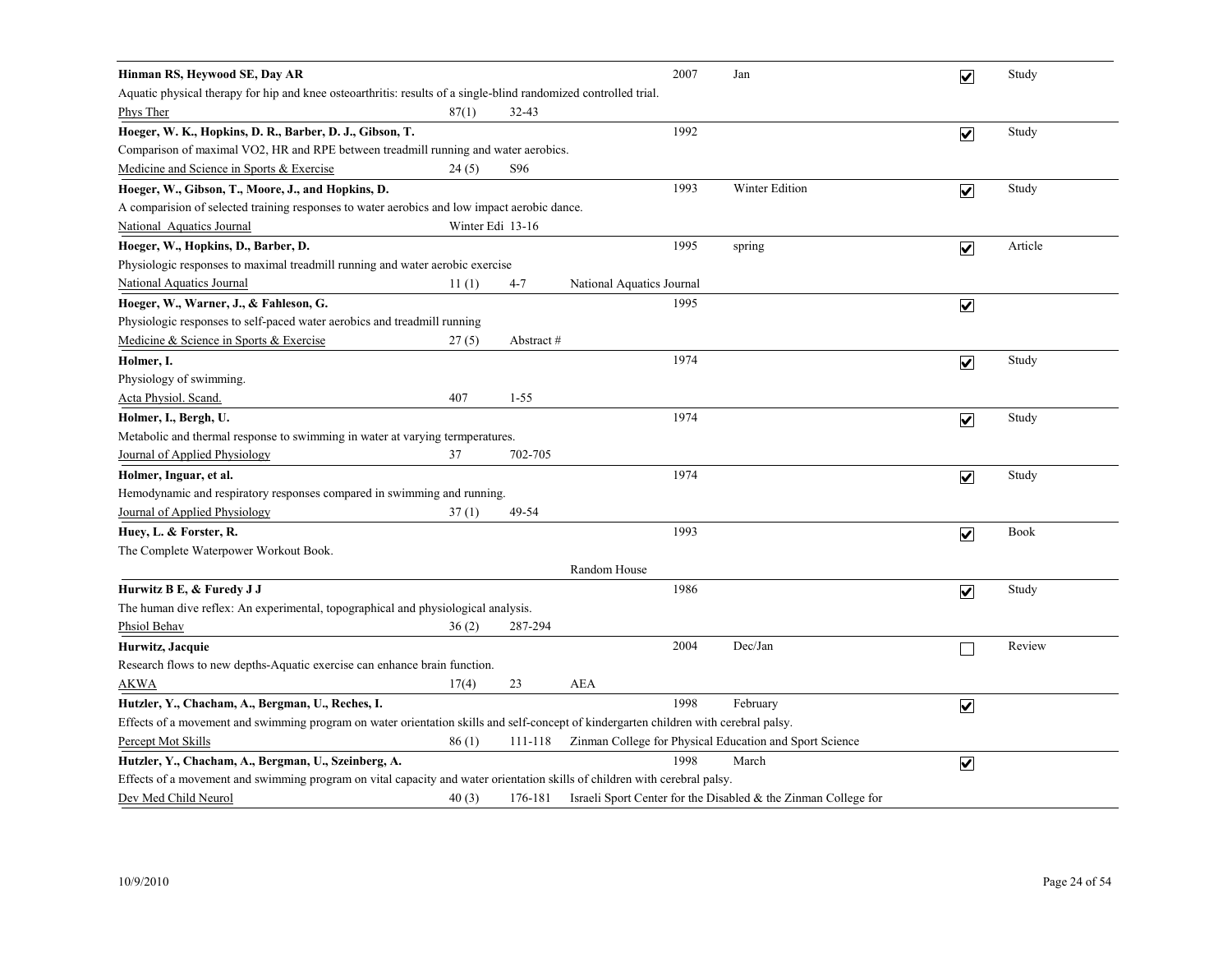| Hinman RS, Heywood SE, Day AR                                                                                                         |                  |           |                           | 2007 | Jan                                                               | $\overline{\mathbf{v}}$ | Study       |  |  |
|---------------------------------------------------------------------------------------------------------------------------------------|------------------|-----------|---------------------------|------|-------------------------------------------------------------------|-------------------------|-------------|--|--|
| Aquatic physical therapy for hip and knee osteoarthritis: results of a single-blind randomized controlled trial.                      |                  |           |                           |      |                                                                   |                         |             |  |  |
| Phys Ther                                                                                                                             | 87(1)            | $32 - 43$ |                           |      |                                                                   |                         |             |  |  |
| Hoeger, W. K., Hopkins, D. R., Barber, D. J., Gibson, T.                                                                              |                  |           |                           | 1992 |                                                                   | $\overline{\mathbf{v}}$ | Study       |  |  |
| Comparison of maximal VO2, HR and RPE between treadmill running and water aerobics.                                                   |                  |           |                           |      |                                                                   |                         |             |  |  |
| Medicine and Science in Sports & Exercise                                                                                             | 24(5)            | S96       |                           |      |                                                                   |                         |             |  |  |
| Hoeger, W., Gibson, T., Moore, J., and Hopkins, D.                                                                                    |                  |           |                           | 1993 | Winter Edition                                                    | $\overline{\mathbf{v}}$ | Study       |  |  |
| A comparision of selected training responses to water aerobics and low impact aerobic dance.                                          |                  |           |                           |      |                                                                   |                         |             |  |  |
| National Aquatics Journal                                                                                                             | Winter Edi 13-16 |           |                           |      |                                                                   |                         |             |  |  |
| Hoeger, W., Hopkins, D., Barber, D.                                                                                                   |                  |           |                           | 1995 | spring                                                            | $\overline{\mathbf{v}}$ | Article     |  |  |
| Physiologic responses to maximal treadmill running and water aerobic exercise                                                         |                  |           |                           |      |                                                                   |                         |             |  |  |
| <b>National Aquatics Journal</b>                                                                                                      | 11(1)            | 4-7       | National Aquatics Journal |      |                                                                   |                         |             |  |  |
| Hoeger, W., Warner, J., & Fahleson, G.                                                                                                |                  |           |                           | 1995 |                                                                   | $\overline{\mathbf{v}}$ |             |  |  |
| Physiologic responses to self-paced water aerobics and treadmill running                                                              |                  |           |                           |      |                                                                   |                         |             |  |  |
| Medicine & Science in Sports & Exercise                                                                                               | 27(5)            | Abstract# |                           |      |                                                                   |                         |             |  |  |
| Holmer, I.                                                                                                                            |                  |           |                           | 1974 |                                                                   | $\overline{\mathbf{v}}$ | Study       |  |  |
| Physiology of swimming.                                                                                                               |                  |           |                           |      |                                                                   |                         |             |  |  |
| Acta Physiol. Scand.                                                                                                                  | 407              | $1 - 55$  |                           |      |                                                                   |                         |             |  |  |
| Holmer, I., Bergh, U.                                                                                                                 |                  |           |                           | 1974 |                                                                   | $\overline{\mathbf{v}}$ | Study       |  |  |
| Metabolic and thermal response to swimming in water at varying termperatures.                                                         |                  |           |                           |      |                                                                   |                         |             |  |  |
| Journal of Applied Physiology                                                                                                         | 37               | 702-705   |                           |      |                                                                   |                         |             |  |  |
| Holmer, Inguar, et al.                                                                                                                |                  |           |                           | 1974 |                                                                   | $\blacktriangledown$    | Study       |  |  |
| Hemodynamic and respiratory responses compared in swimming and running.                                                               |                  |           |                           |      |                                                                   |                         |             |  |  |
| Journal of Applied Physiology                                                                                                         | 37(1)            | 49-54     |                           |      |                                                                   |                         |             |  |  |
| Huey, L. & Forster, R.                                                                                                                |                  |           |                           | 1993 |                                                                   | $\overline{\mathbf{v}}$ | <b>Book</b> |  |  |
| The Complete Waterpower Workout Book.                                                                                                 |                  |           |                           |      |                                                                   |                         |             |  |  |
|                                                                                                                                       |                  |           | Random House              |      |                                                                   |                         |             |  |  |
| Hurwitz B E, & Furedy J J                                                                                                             |                  |           |                           | 1986 |                                                                   | $\overline{\mathbf{v}}$ | Study       |  |  |
| The human dive reflex: An experimental, topographical and physiological analysis.                                                     |                  |           |                           |      |                                                                   |                         |             |  |  |
| Phsiol Behav                                                                                                                          | 36(2)            | 287-294   |                           |      |                                                                   |                         |             |  |  |
| Hurwitz, Jacquie                                                                                                                      |                  |           |                           | 2004 | Dec/Jan                                                           |                         | Review      |  |  |
| Research flows to new depths-Aquatic exercise can enhance brain function.                                                             |                  |           |                           |      |                                                                   |                         |             |  |  |
| <b>AKWA</b>                                                                                                                           | 17(4)            | 23        | <b>AEA</b>                |      |                                                                   |                         |             |  |  |
| Hutzler, Y., Chacham, A., Bergman, U., Reches, I.                                                                                     |                  |           |                           | 1998 | February                                                          | $\overline{\mathbf{v}}$ |             |  |  |
| Effects of a movement and swimming program on water orientation skills and self-concept of kindergarten children with cerebral palsy. |                  |           |                           |      |                                                                   |                         |             |  |  |
| Percept Mot Skills                                                                                                                    | 86(1)            | 111-118   |                           |      | Zinman College for Physical Education and Sport Science           |                         |             |  |  |
| Hutzler, Y., Chacham, A., Bergman, U., Szeinberg, A.                                                                                  |                  |           |                           | 1998 | March                                                             | $\overline{\mathbf{v}}$ |             |  |  |
| Effects of a movement and swimming program on vital capacity and water orientation skills of children with cerebral palsy.            |                  |           |                           |      |                                                                   |                         |             |  |  |
| Dev Med Child Neurol                                                                                                                  | 40(3)            | 176-181   |                           |      | Israeli Sport Center for the Disabled $\&$ the Zinman College for |                         |             |  |  |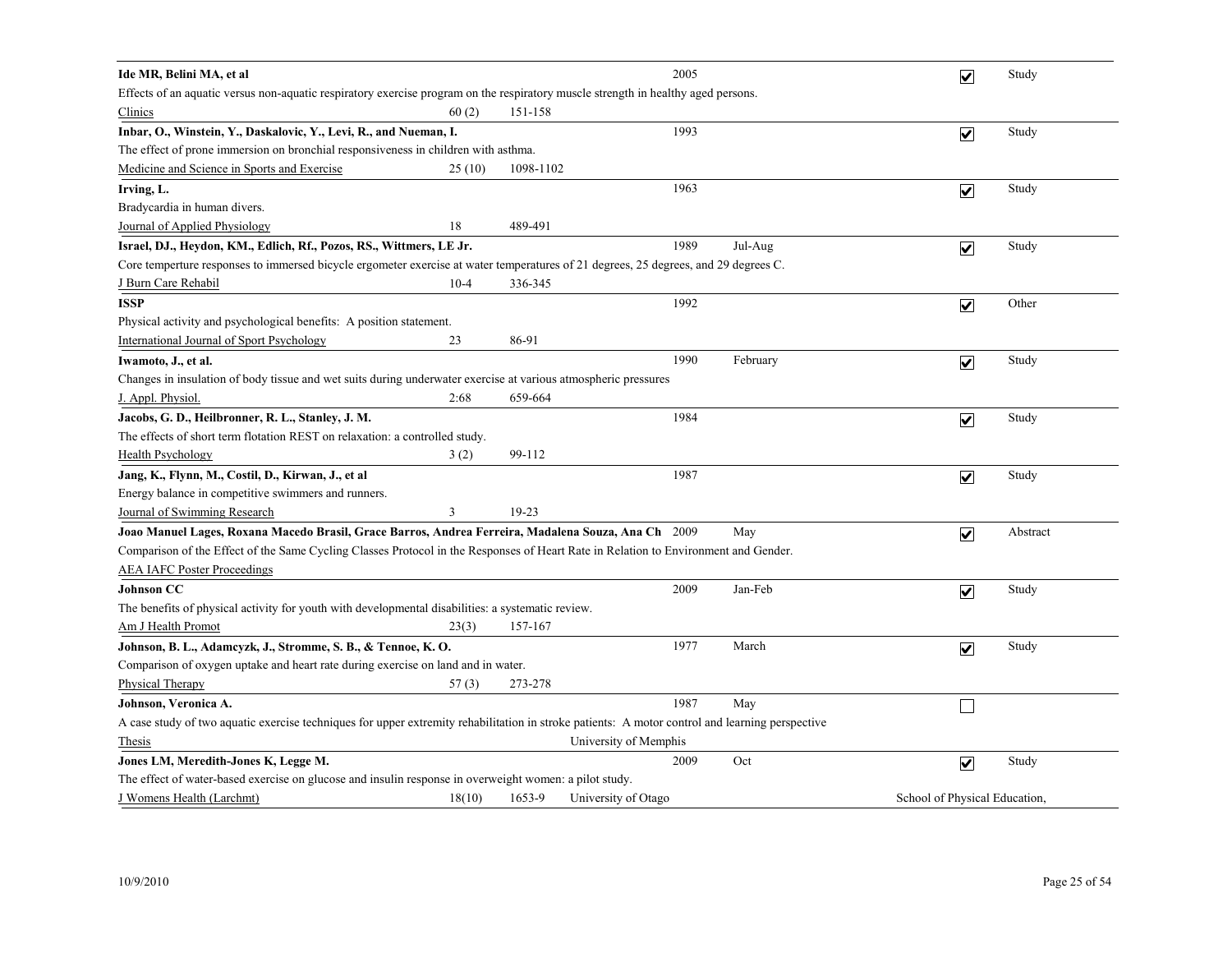| Ide MR, Belini MA, et al                                                                                                                        |           | 2005                  |          | $\overline{\mathbf{v}}$       | Study    |
|-------------------------------------------------------------------------------------------------------------------------------------------------|-----------|-----------------------|----------|-------------------------------|----------|
| Effects of an aquatic versus non-aquatic respiratory exercise program on the respiratory muscle strength in healthy aged persons.               |           |                       |          |                               |          |
| Clinics<br>60(2)                                                                                                                                | 151-158   |                       |          |                               |          |
| Inbar, O., Winstein, Y., Daskalovic, Y., Levi, R., and Nueman, I.                                                                               |           | 1993                  |          | $\overline{\mathbf{v}}$       | Study    |
| The effect of prone immersion on bronchial responsiveness in children with asthma.                                                              |           |                       |          |                               |          |
| Medicine and Science in Sports and Exercise<br>25(10)                                                                                           | 1098-1102 |                       |          |                               |          |
| Irving, L.                                                                                                                                      |           | 1963                  |          | $\overline{\mathbf{v}}$       | Study    |
| Bradycardia in human divers.                                                                                                                    |           |                       |          |                               |          |
| Journal of Applied Physiology<br>18                                                                                                             | 489-491   |                       |          |                               |          |
| Israel, DJ., Heydon, KM., Edlich, Rf., Pozos, RS., Wittmers, LE Jr.                                                                             |           | 1989                  | Jul-Aug  | $\overline{\mathbf{v}}$       | Study    |
| Core temperture responses to immersed bicycle ergometer exercise at water temperatures of 21 degrees, 25 degrees, and 29 degrees C.             |           |                       |          |                               |          |
| J Burn Care Rehabil<br>$10-4$                                                                                                                   | 336-345   |                       |          |                               |          |
| <b>ISSP</b>                                                                                                                                     |           | 1992                  |          | $\overline{\mathbf{v}}$       | Other    |
| Physical activity and psychological benefits: A position statement.                                                                             |           |                       |          |                               |          |
| International Journal of Sport Psychology<br>23                                                                                                 | 86-91     |                       |          |                               |          |
| Iwamoto, J., et al.                                                                                                                             |           | 1990                  | February | $\blacktriangledown$          | Study    |
| Changes in insulation of body tissue and wet suits during underwater exercise at various atmospheric pressures                                  |           |                       |          |                               |          |
| 2:68<br>J. Appl. Physiol.                                                                                                                       | 659-664   |                       |          |                               |          |
| Jacobs, G. D., Heilbronner, R. L., Stanley, J. M.                                                                                               |           | 1984                  |          | $\overline{\mathbf{v}}$       | Study    |
| The effects of short term flotation REST on relaxation: a controlled study.                                                                     |           |                       |          |                               |          |
| 3(2)<br><b>Health Psychology</b>                                                                                                                | 99-112    |                       |          |                               |          |
| Jang, K., Flynn, M., Costil, D., Kirwan, J., et al                                                                                              |           | 1987                  |          | $\overline{\mathbf{v}}$       | Study    |
| Energy balance in competitive swimmers and runners.                                                                                             |           |                       |          |                               |          |
| Journal of Swimming Research<br>3                                                                                                               | 19-23     |                       |          |                               |          |
| Joao Manuel Lages, Roxana Macedo Brasil, Grace Barros, Andrea Ferreira, Madalena Souza, Ana Ch 2009                                             |           |                       | May      | $\blacktriangledown$          | Abstract |
| Comparison of the Effect of the Same Cycling Classes Protocol in the Responses of Heart Rate in Relation to Environment and Gender.             |           |                       |          |                               |          |
| <b>AEA IAFC Poster Proceedings</b>                                                                                                              |           |                       |          |                               |          |
| <b>Johnson CC</b>                                                                                                                               |           | 2009                  | Jan-Feb  | $\overline{\mathbf{v}}$       | Study    |
| The benefits of physical activity for youth with developmental disabilities: a systematic review.                                               |           |                       |          |                               |          |
| Am J Health Promot<br>23(3)                                                                                                                     | 157-167   |                       |          |                               |          |
| Johnson, B. L., Adamcyzk, J., Stromme, S. B., & Tennoe, K. O.                                                                                   |           | 1977                  | March    | $\overline{\mathbf{v}}$       | Study    |
| Comparison of oxygen uptake and heart rate during exercise on land and in water.                                                                |           |                       |          |                               |          |
| <b>Physical Therapy</b><br>57(3)                                                                                                                | 273-278   |                       |          |                               |          |
| Johnson, Veronica A.                                                                                                                            |           | 1987                  | May      |                               |          |
| A case study of two aquatic exercise techniques for upper extremity rehabilitation in stroke patients: A motor control and learning perspective |           |                       |          |                               |          |
| Thesis                                                                                                                                          |           | University of Memphis |          |                               |          |
| Jones LM, Meredith-Jones K, Legge M.                                                                                                            |           | 2009                  | Oct      | $\overline{\mathbf{v}}$       | Study    |
| The effect of water-based exercise on glucose and insulin response in overweight women: a pilot study.                                          |           |                       |          |                               |          |
| J Womens Health (Larchmt)<br>18(10)                                                                                                             | 1653-9    | University of Otago   |          | School of Physical Education, |          |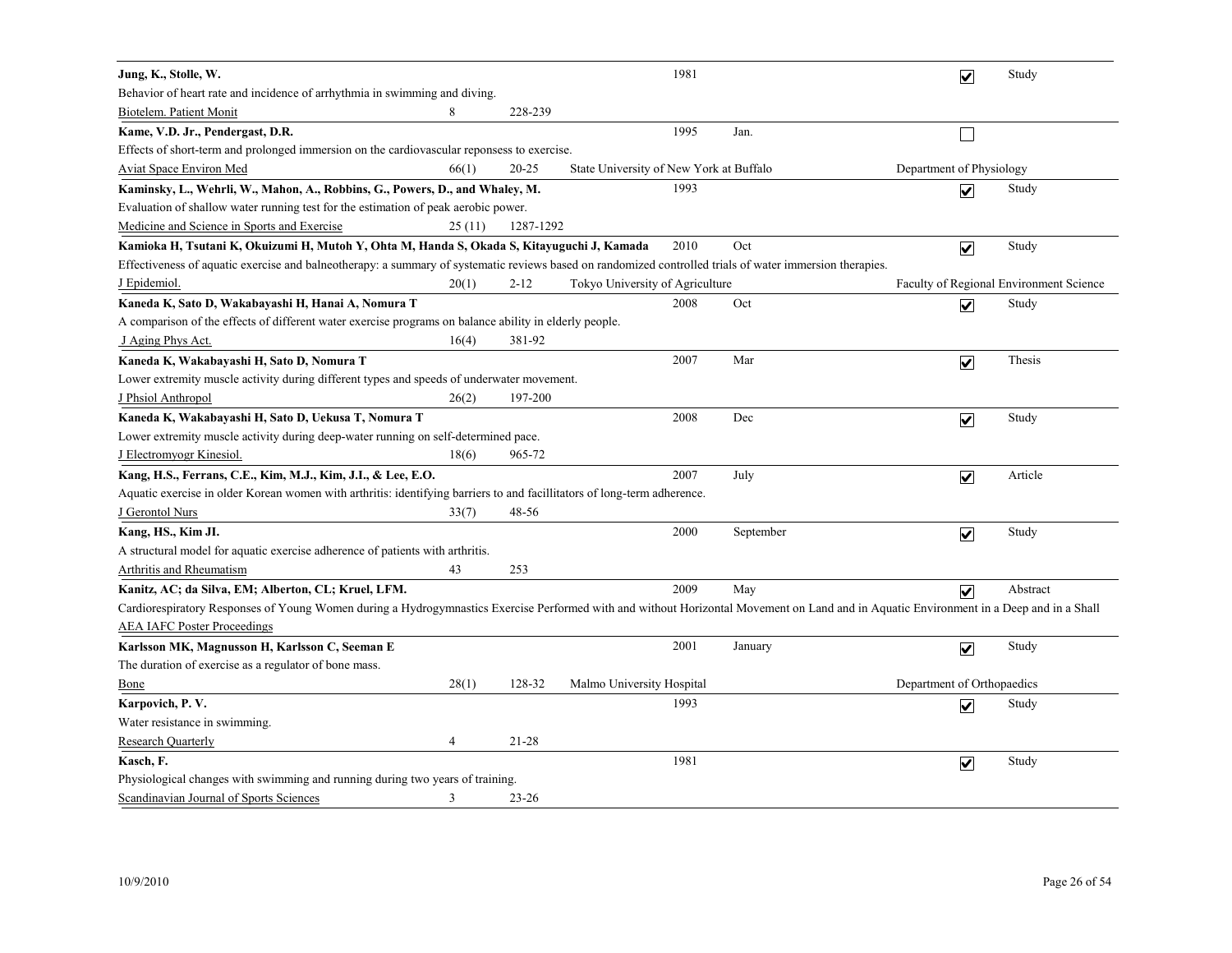| Jung, K., Stolle, W.                                                                                                                                                                    |        |           |                                         | 1981 |           | $\overline{\mathbf{v}}$    | Study                                   |
|-----------------------------------------------------------------------------------------------------------------------------------------------------------------------------------------|--------|-----------|-----------------------------------------|------|-----------|----------------------------|-----------------------------------------|
| Behavior of heart rate and incidence of arrhythmia in swimming and diving.                                                                                                              |        |           |                                         |      |           |                            |                                         |
| Biotelem. Patient Monit                                                                                                                                                                 | 8      | 228-239   |                                         |      |           |                            |                                         |
| Kame, V.D. Jr., Pendergast, D.R.                                                                                                                                                        |        |           |                                         | 1995 | Jan.      |                            |                                         |
| Effects of short-term and prolonged immersion on the cardiovascular reponsess to exercise.                                                                                              |        |           |                                         |      |           |                            |                                         |
| Aviat Space Environ Med                                                                                                                                                                 | 66(1)  | 20-25     | State University of New York at Buffalo |      |           | Department of Physiology   |                                         |
| Kaminsky, L., Wehrli, W., Mahon, A., Robbins, G., Powers, D., and Whaley, M.                                                                                                            |        |           |                                         | 1993 |           | $\overline{\mathbf{v}}$    | Study                                   |
| Evaluation of shallow water running test for the estimation of peak aerobic power.                                                                                                      |        |           |                                         |      |           |                            |                                         |
| Medicine and Science in Sports and Exercise                                                                                                                                             | 25(11) | 1287-1292 |                                         |      |           |                            |                                         |
| Kamioka H, Tsutani K, Okuizumi H, Mutoh Y, Ohta M, Handa S, Okada S, Kitayuguchi J, Kamada                                                                                              |        |           |                                         | 2010 | Oct       | $\overline{\mathbf{v}}$    | Study                                   |
| Effectiveness of aquatic exercise and balneotherapy: a summary of systematic reviews based on randomized controlled trials of water immersion therapies.                                |        |           |                                         |      |           |                            |                                         |
| J Epidemiol.                                                                                                                                                                            | 20(1)  | $2 - 12$  | Tokyo University of Agriculture         |      |           |                            | Faculty of Regional Environment Science |
| Kaneda K, Sato D, Wakabayashi H, Hanai A, Nomura T                                                                                                                                      |        |           |                                         | 2008 | Oct       | $\overline{\mathbf{v}}$    | Study                                   |
| A comparison of the effects of different water exercise programs on balance ability in elderly people.                                                                                  |        |           |                                         |      |           |                            |                                         |
| J Aging Phys Act.                                                                                                                                                                       | 16(4)  | 381-92    |                                         |      |           |                            |                                         |
| Kaneda K, Wakabayashi H, Sato D, Nomura T                                                                                                                                               |        |           |                                         | 2007 | Mar       | $\overline{\mathbf{v}}$    | Thesis                                  |
| Lower extremity muscle activity during different types and speeds of underwater movement.                                                                                               |        |           |                                         |      |           |                            |                                         |
| J Phsiol Anthropol                                                                                                                                                                      | 26(2)  | 197-200   |                                         |      |           |                            |                                         |
| Kaneda K, Wakabayashi H, Sato D, Uekusa T, Nomura T                                                                                                                                     |        |           |                                         | 2008 | Dec       | $\overline{\mathbf{v}}$    | Study                                   |
| Lower extremity muscle activity during deep-water running on self-determined pace.                                                                                                      |        |           |                                         |      |           |                            |                                         |
| <b>J</b> Electromyogr Kinesiol.                                                                                                                                                         | 18(6)  | 965-72    |                                         |      |           |                            |                                         |
| Kang, H.S., Ferrans, C.E., Kim, M.J., Kim, J.I., & Lee, E.O.                                                                                                                            |        |           |                                         | 2007 | July      | $\blacktriangledown$       | Article                                 |
| Aquatic exercise in older Korean women with arthritis: identifying barriers to and facillitators of long-term adherence.                                                                |        |           |                                         |      |           |                            |                                         |
| J Gerontol Nurs                                                                                                                                                                         | 33(7)  | 48-56     |                                         |      |           |                            |                                         |
| Kang, HS., Kim JI.                                                                                                                                                                      |        |           |                                         | 2000 | September | $\overline{\mathbf{v}}$    | Study                                   |
| A structural model for aquatic exercise adherence of patients with arthritis.                                                                                                           |        |           |                                         |      |           |                            |                                         |
| Arthritis and Rheumatism                                                                                                                                                                | 43     | 253       |                                         |      |           |                            |                                         |
| Kanitz, AC; da Silva, EM; Alberton, CL; Kruel, LFM.                                                                                                                                     |        |           |                                         | 2009 | May       | $\overline{\mathbf{v}}$    | Abstract                                |
| Cardiorespiratory Responses of Young Women during a Hydrogymnastics Exercise Performed with and without Horizontal Movement on Land and in Aquatic Environment in a Deep and in a Shall |        |           |                                         |      |           |                            |                                         |
| <b>AEA IAFC Poster Proceedings</b>                                                                                                                                                      |        |           |                                         |      |           |                            |                                         |
| Karlsson MK, Magnusson H, Karlsson C, Seeman E                                                                                                                                          |        |           |                                         | 2001 | January   | $\overline{\mathbf{v}}$    | Study                                   |
| The duration of exercise as a regulator of bone mass.                                                                                                                                   |        |           |                                         |      |           |                            |                                         |
| Bone                                                                                                                                                                                    | 28(1)  | 128-32    | Malmo University Hospital               |      |           | Department of Orthopaedics |                                         |
| Karpovich, P.V.                                                                                                                                                                         |        |           |                                         | 1993 |           | $\overline{\mathsf{v}}$    | Study                                   |
| Water resistance in swimming.                                                                                                                                                           |        |           |                                         |      |           |                            |                                         |
| <b>Research Quarterly</b>                                                                                                                                                               | 4      | 21-28     |                                         |      |           |                            |                                         |
| Kasch, F.                                                                                                                                                                               |        |           |                                         | 1981 |           | $\blacktriangledown$       | Study                                   |
| Physiological changes with swimming and running during two years of training.                                                                                                           |        |           |                                         |      |           |                            |                                         |
| Scandinavian Journal of Sports Sciences                                                                                                                                                 | 3      | $23 - 26$ |                                         |      |           |                            |                                         |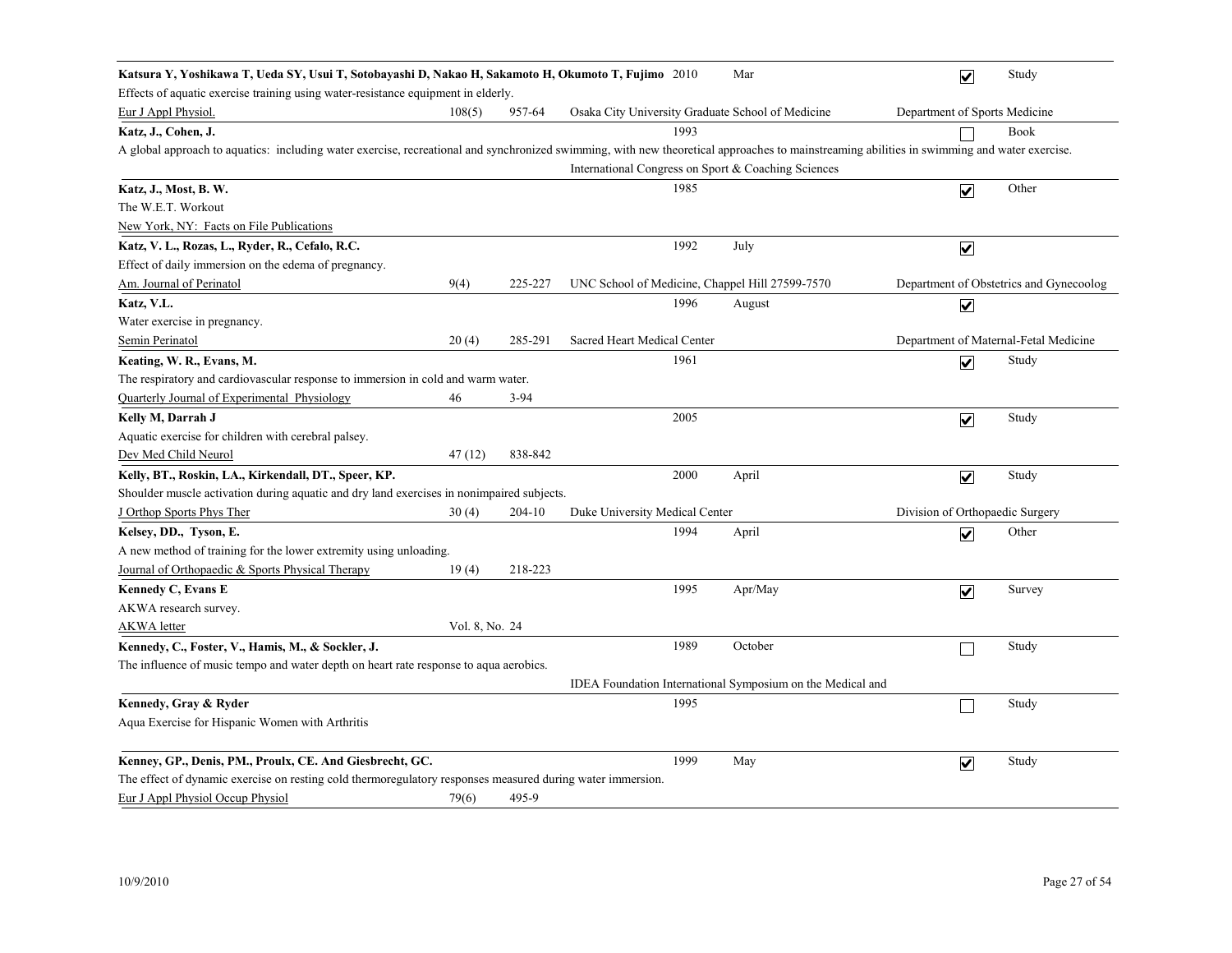| Katsura Y, Yoshikawa T, Ueda SY, Usui T, Sotobayashi D, Nakao H, Sakamoto H, Okumoto T, Fujimo 2010                                                                                         |                |          |                                                     | Mar                                                        | $\overline{\mathbf{v}}$         | Study                                   |
|---------------------------------------------------------------------------------------------------------------------------------------------------------------------------------------------|----------------|----------|-----------------------------------------------------|------------------------------------------------------------|---------------------------------|-----------------------------------------|
| Effects of aquatic exercise training using water-resistance equipment in elderly.                                                                                                           |                |          |                                                     |                                                            |                                 |                                         |
| Eur J Appl Physiol.                                                                                                                                                                         | 108(5)         | 957-64   | Osaka City University Graduate School of Medicine   |                                                            | Department of Sports Medicine   |                                         |
| Katz, J., Cohen, J.                                                                                                                                                                         |                |          | 1993                                                |                                                            |                                 | <b>Book</b>                             |
| A global approach to aquatics: including water exercise, recreational and synchronized swimming, with new theoretical approaches to mainstreaming abilities in swimming and water exercise. |                |          |                                                     |                                                            |                                 |                                         |
|                                                                                                                                                                                             |                |          | International Congress on Sport & Coaching Sciences |                                                            |                                 |                                         |
| Katz, J., Most, B. W.                                                                                                                                                                       |                |          | 1985                                                |                                                            | $\overline{\mathbf{v}}$         | Other                                   |
| The W.E.T. Workout                                                                                                                                                                          |                |          |                                                     |                                                            |                                 |                                         |
| New York, NY: Facts on File Publications                                                                                                                                                    |                |          |                                                     |                                                            |                                 |                                         |
| Katz, V. L., Rozas, L., Ryder, R., Cefalo, R.C.                                                                                                                                             |                |          | 1992                                                | July                                                       | $\blacktriangledown$            |                                         |
| Effect of daily immersion on the edema of pregnancy.                                                                                                                                        |                |          |                                                     |                                                            |                                 |                                         |
| Am. Journal of Perinatol                                                                                                                                                                    | 9(4)           | 225-227  | UNC School of Medicine, Chappel Hill 27599-7570     |                                                            |                                 | Department of Obstetrics and Gynecoolog |
| Katz, V.L.                                                                                                                                                                                  |                |          | 1996                                                | August                                                     | $\overline{\mathbf{v}}$         |                                         |
| Water exercise in pregnancy.                                                                                                                                                                |                |          |                                                     |                                                            |                                 |                                         |
| Semin Perinatol                                                                                                                                                                             | 20(4)          | 285-291  | Sacred Heart Medical Center                         |                                                            |                                 | Department of Maternal-Fetal Medicine   |
| Keating, W. R., Evans, M.                                                                                                                                                                   |                |          | 1961                                                |                                                            | $\overline{\mathbf{v}}$         | Study                                   |
| The respiratory and cardiovascular response to immersion in cold and warm water.                                                                                                            |                |          |                                                     |                                                            |                                 |                                         |
| Quarterly Journal of Experimental Physiology                                                                                                                                                | 46             | $3 - 94$ |                                                     |                                                            |                                 |                                         |
| Kelly M, Darrah J                                                                                                                                                                           |                |          | 2005                                                |                                                            | $\overline{\mathbf{v}}$         | Study                                   |
| Aquatic exercise for children with cerebral palsey.                                                                                                                                         |                |          |                                                     |                                                            |                                 |                                         |
| Dev Med Child Neurol                                                                                                                                                                        | 47 (12)        | 838-842  |                                                     |                                                            |                                 |                                         |
| Kelly, BT., Roskin, LA., Kirkendall, DT., Speer, KP.                                                                                                                                        |                |          | 2000                                                | April                                                      | $\blacktriangledown$            | Study                                   |
| Shoulder muscle activation during aquatic and dry land exercises in nonimpaired subjects.                                                                                                   |                |          |                                                     |                                                            |                                 |                                         |
| J Orthop Sports Phys Ther                                                                                                                                                                   | 30(4)          | 204-10   | Duke University Medical Center                      |                                                            | Division of Orthopaedic Surgery |                                         |
| Kelsey, DD., Tyson, E.                                                                                                                                                                      |                |          | 1994                                                | April                                                      | $\overline{\mathbf{v}}$         | Other                                   |
| A new method of training for the lower extremity using unloading.                                                                                                                           |                |          |                                                     |                                                            |                                 |                                         |
| Journal of Orthopaedic & Sports Physical Therapy                                                                                                                                            | 19(4)          | 218-223  |                                                     |                                                            |                                 |                                         |
| Kennedy C, Evans E                                                                                                                                                                          |                |          | 1995                                                | Apr/May                                                    | $\overline{\mathbf{v}}$         | Survey                                  |
| AKWA research survey.                                                                                                                                                                       |                |          |                                                     |                                                            |                                 |                                         |
| AKWA letter                                                                                                                                                                                 | Vol. 8, No. 24 |          |                                                     |                                                            |                                 |                                         |
| Kennedy, C., Foster, V., Hamis, M., & Sockler, J.                                                                                                                                           |                |          | 1989                                                | October                                                    |                                 | Study                                   |
| The influence of music tempo and water depth on heart rate response to aqua aerobics.                                                                                                       |                |          |                                                     |                                                            |                                 |                                         |
|                                                                                                                                                                                             |                |          |                                                     | IDEA Foundation International Symposium on the Medical and |                                 |                                         |
| Kennedy, Gray & Ryder                                                                                                                                                                       |                |          | 1995                                                |                                                            | П                               | Study                                   |
| Aqua Exercise for Hispanic Women with Arthritis                                                                                                                                             |                |          |                                                     |                                                            |                                 |                                         |
| Kenney, GP., Denis, PM., Proulx, CE. And Giesbrecht, GC.                                                                                                                                    |                |          | 1999                                                | May                                                        | $\blacktriangledown$            | Study                                   |
| The effect of dynamic exercise on resting cold thermoregulatory responses measured during water immersion.                                                                                  |                |          |                                                     |                                                            |                                 |                                         |
| Eur J Appl Physiol Occup Physiol                                                                                                                                                            | 79(6)          | 495-9    |                                                     |                                                            |                                 |                                         |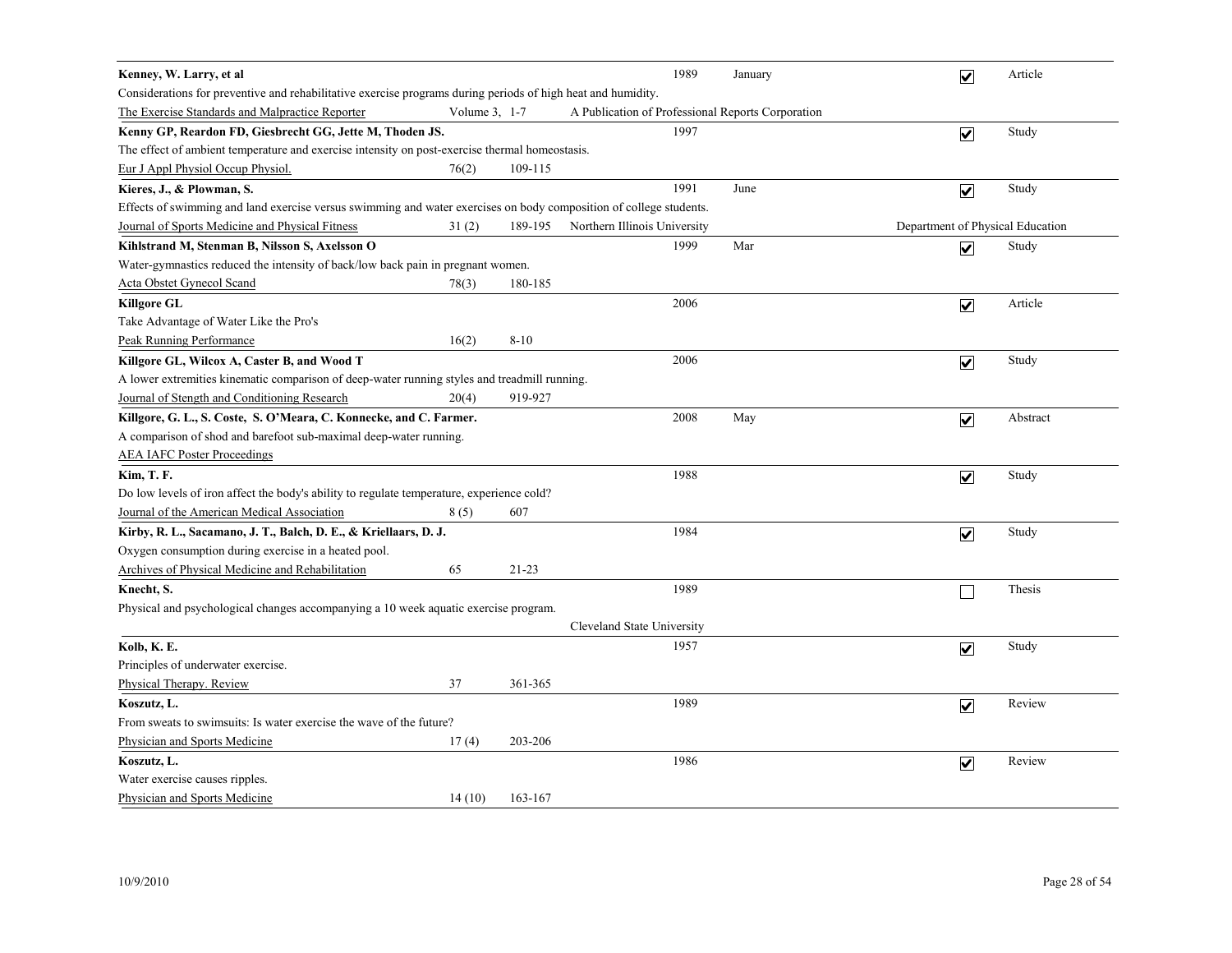| Kenney, W. Larry, et al                                                                                            |               |           | 1989                                              | January | $\overline{\mathbf{v}}$          | Article  |
|--------------------------------------------------------------------------------------------------------------------|---------------|-----------|---------------------------------------------------|---------|----------------------------------|----------|
| Considerations for preventive and rehabilitative exercise programs during periods of high heat and humidity.       |               |           |                                                   |         |                                  |          |
| The Exercise Standards and Malpractice Reporter                                                                    | Volume 3, 1-7 |           | A Publication of Professional Reports Corporation |         |                                  |          |
| Kenny GP, Reardon FD, Giesbrecht GG, Jette M, Thoden JS.                                                           |               |           | 1997                                              |         | $\overline{\mathbf{v}}$          | Study    |
| The effect of ambient temperature and exercise intensity on post-exercise thermal homeostasis.                     |               |           |                                                   |         |                                  |          |
| Eur J Appl Physiol Occup Physiol.                                                                                  | 76(2)         | 109-115   |                                                   |         |                                  |          |
| Kieres, J., & Plowman, S.                                                                                          |               |           | 1991                                              | June    | $\overline{\mathbf{v}}$          | Study    |
| Effects of swimming and land exercise versus swimming and water exercises on body composition of college students. |               |           |                                                   |         |                                  |          |
| Journal of Sports Medicine and Physical Fitness                                                                    | 31(2)         | 189-195   | Northern Illinois University                      |         | Department of Physical Education |          |
| Kihlstrand M, Stenman B, Nilsson S, Axelsson O                                                                     |               |           | 1999                                              | Mar     | $\blacktriangledown$             | Study    |
| Water-gymnastics reduced the intensity of back/low back pain in pregnant women.                                    |               |           |                                                   |         |                                  |          |
| Acta Obstet Gynecol Scand                                                                                          | 78(3)         | 180-185   |                                                   |         |                                  |          |
| <b>Killgore GL</b>                                                                                                 |               |           | 2006                                              |         | $\overline{\mathbf{v}}$          | Article  |
| Take Advantage of Water Like the Pro's                                                                             |               |           |                                                   |         |                                  |          |
| Peak Running Performance                                                                                           | 16(2)         | $8 - 10$  |                                                   |         |                                  |          |
| Killgore GL, Wilcox A, Caster B, and Wood T                                                                        |               |           | 2006                                              |         | $\blacktriangledown$             | Study    |
| A lower extremities kinematic comparison of deep-water running styles and treadmill running.                       |               |           |                                                   |         |                                  |          |
| Journal of Stength and Conditioning Research                                                                       | 20(4)         | 919-927   |                                                   |         |                                  |          |
| Killgore, G. L., S. Coste, S. O'Meara, C. Konnecke, and C. Farmer.                                                 |               |           | 2008                                              | May     | $\overline{\mathbf{v}}$          | Abstract |
| A comparison of shod and barefoot sub-maximal deep-water running.                                                  |               |           |                                                   |         |                                  |          |
| <b>AEA IAFC Poster Proceedings</b>                                                                                 |               |           |                                                   |         |                                  |          |
| <b>Kim, T. F.</b>                                                                                                  |               |           | 1988                                              |         | $\overline{\mathbf{v}}$          | Study    |
| Do low levels of iron affect the body's ability to regulate temperature, experience cold?                          |               |           |                                                   |         |                                  |          |
| Journal of the American Medical Association                                                                        | 8(5)          | 607       |                                                   |         |                                  |          |
| Kirby, R. L., Sacamano, J. T., Balch, D. E., & Kriellaars, D. J.                                                   |               |           | 1984                                              |         | $\overline{\mathsf{v}}$          | Study    |
| Oxygen consumption during exercise in a heated pool.                                                               |               |           |                                                   |         |                                  |          |
| Archives of Physical Medicine and Rehabilitation                                                                   | 65            | $21 - 23$ |                                                   |         |                                  |          |
| Knecht, S.                                                                                                         |               |           | 1989                                              |         |                                  | Thesis   |
| Physical and psychological changes accompanying a 10 week aquatic exercise program.                                |               |           |                                                   |         |                                  |          |
|                                                                                                                    |               |           | Cleveland State University                        |         |                                  |          |
| Kolb, K. E.                                                                                                        |               |           | 1957                                              |         | $\overline{\mathbf{v}}$          | Study    |
| Principles of underwater exercise.                                                                                 |               |           |                                                   |         |                                  |          |
| Physical Therapy. Review                                                                                           | 37            | 361-365   |                                                   |         |                                  |          |
| Koszutz, L.                                                                                                        |               |           | 1989                                              |         | $\blacktriangledown$             | Review   |
| From sweats to swimsuits: Is water exercise the wave of the future?                                                |               |           |                                                   |         |                                  |          |
| Physician and Sports Medicine                                                                                      | 17(4)         | 203-206   |                                                   |         |                                  |          |
| Koszutz, L.                                                                                                        |               |           | 1986                                              |         | $\blacktriangledown$             | Review   |
| Water exercise causes ripples.                                                                                     |               |           |                                                   |         |                                  |          |
| Physician and Sports Medicine                                                                                      | 14(10)        | 163-167   |                                                   |         |                                  |          |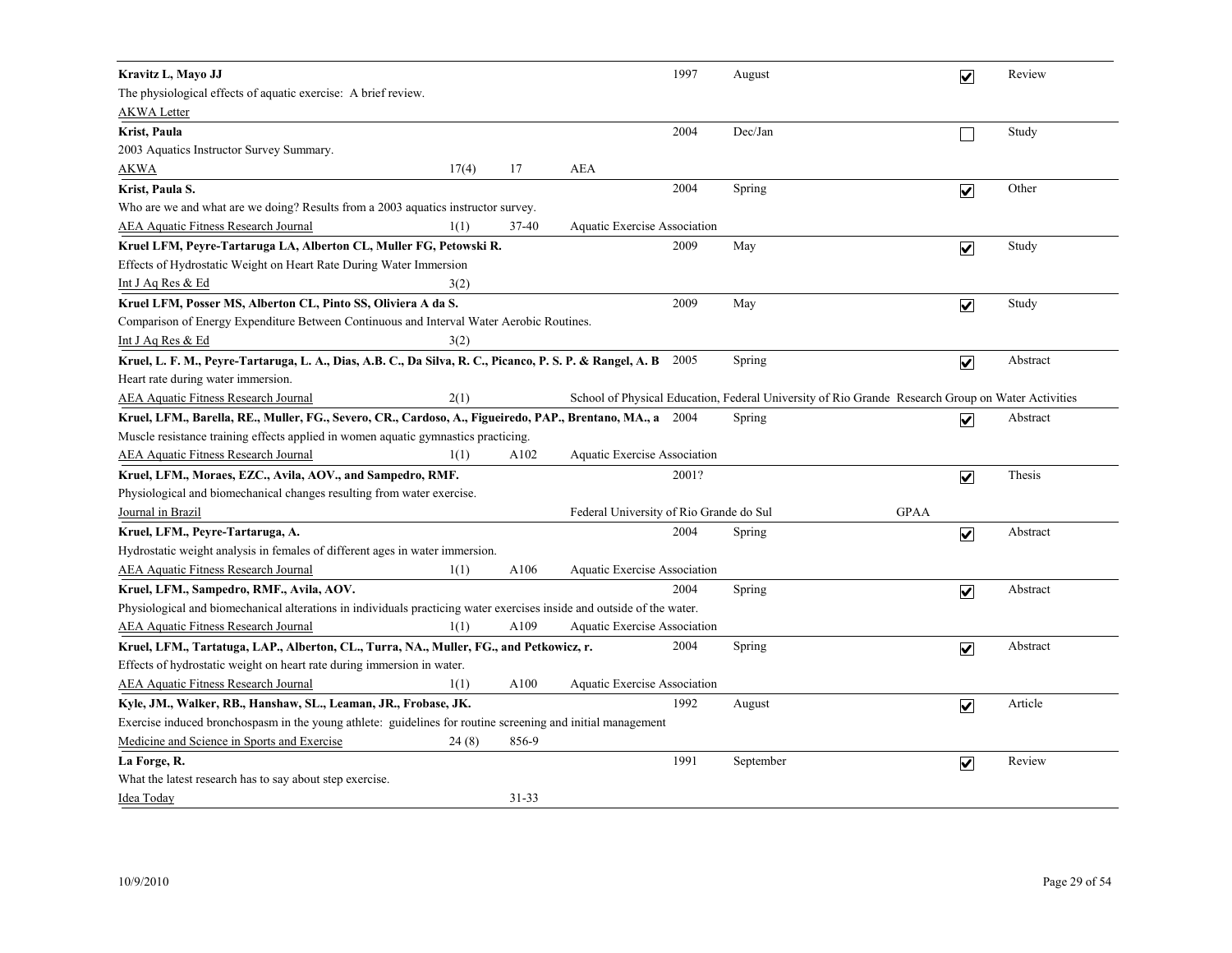| Kravitz L, Mavo JJ                                                                                                     |       |           |                                         | 1997  | August                                                                                            |             | $\overline{\mathbf{v}}$ | Review   |
|------------------------------------------------------------------------------------------------------------------------|-------|-----------|-----------------------------------------|-------|---------------------------------------------------------------------------------------------------|-------------|-------------------------|----------|
| The physiological effects of aquatic exercise: A brief review.                                                         |       |           |                                         |       |                                                                                                   |             |                         |          |
| <b>AKWA Letter</b>                                                                                                     |       |           |                                         |       |                                                                                                   |             |                         |          |
| Krist, Paula                                                                                                           |       |           |                                         | 2004  | Dec/Jan                                                                                           |             |                         | Study    |
| 2003 Aquatics Instructor Survey Summary.                                                                               |       |           |                                         |       |                                                                                                   |             |                         |          |
| <b>AKWA</b>                                                                                                            | 17(4) | 17        | AEA                                     |       |                                                                                                   |             |                         |          |
| Krist, Paula S.                                                                                                        |       |           |                                         | 2004  | Spring                                                                                            |             | $\overline{\mathbf{v}}$ | Other    |
| Who are we and what are we doing? Results from a 2003 aquatics instructor survey.                                      |       |           |                                         |       |                                                                                                   |             |                         |          |
| <b>AEA Aquatic Fitness Research Journal</b>                                                                            | 1(1)  | 37-40     | <b>Aquatic Exercise Association</b>     |       |                                                                                                   |             |                         |          |
| Kruel LFM, Peyre-Tartaruga LA, Alberton CL, Muller FG, Petowski R.                                                     |       |           |                                         | 2009  | May                                                                                               |             | $\overline{\mathbf{v}}$ | Study    |
| Effects of Hydrostatic Weight on Heart Rate During Water Immersion                                                     |       |           |                                         |       |                                                                                                   |             |                         |          |
| Int J Aq Res & Ed                                                                                                      | 3(2)  |           |                                         |       |                                                                                                   |             |                         |          |
| Kruel LFM, Posser MS, Alberton CL, Pinto SS, Oliviera A da S.                                                          |       |           |                                         | 2009  | May                                                                                               |             | $\overline{\mathbf{v}}$ | Study    |
| Comparison of Energy Expenditure Between Continuous and Interval Water Aerobic Routines.                               |       |           |                                         |       |                                                                                                   |             |                         |          |
| Int J Aq Res & Ed                                                                                                      | 3(2)  |           |                                         |       |                                                                                                   |             |                         |          |
| Kruel, L. F. M., Peyre-Tartaruga, L. A., Dias, A.B. C., Da Silva, R. C., Picanco, P. S. P. & Rangel, A. B 2005         |       |           |                                         |       | Spring                                                                                            |             | $\overline{\mathbf{v}}$ | Abstract |
| Heart rate during water immersion.                                                                                     |       |           |                                         |       |                                                                                                   |             |                         |          |
| <b>AEA Aquatic Fitness Research Journal</b>                                                                            | 2(1)  |           |                                         |       | School of Physical Education, Federal University of Rio Grande Research Group on Water Activities |             |                         |          |
| Kruel, LFM., Barella, RE., Muller, FG., Severo, CR., Cardoso, A., Figueiredo, PAP., Brentano, MA., a 2004              |       |           |                                         |       | Spring                                                                                            |             | $\overline{\mathbf{v}}$ | Abstract |
| Muscle resistance training effects applied in women aquatic gymnastics practicing.                                     |       |           |                                         |       |                                                                                                   |             |                         |          |
| <b>AEA Aquatic Fitness Research Journal</b>                                                                            | 1(1)  | A102      | Aquatic Exercise Association            |       |                                                                                                   |             |                         |          |
| Kruel, LFM., Moraes, EZC., Avila, AOV., and Sampedro, RMF.                                                             |       |           |                                         | 2001? |                                                                                                   |             | $\blacktriangledown$    | Thesis   |
| Physiological and biomechanical changes resulting from water exercise.                                                 |       |           |                                         |       |                                                                                                   |             |                         |          |
| Journal in Brazil                                                                                                      |       |           | Federal University of Rio Grande do Sul |       |                                                                                                   | <b>GPAA</b> |                         |          |
| Kruel, LFM., Peyre-Tartaruga, A.                                                                                       |       |           |                                         | 2004  | Spring                                                                                            |             | $\overline{\mathbf{v}}$ | Abstract |
| Hydrostatic weight analysis in females of different ages in water immersion.                                           |       |           |                                         |       |                                                                                                   |             |                         |          |
| <b>AEA Aquatic Fitness Research Journal</b>                                                                            | 1(1)  | A106      | Aquatic Exercise Association            |       |                                                                                                   |             |                         |          |
| Kruel, LFM., Sampedro, RMF., Avila, AOV.                                                                               |       |           |                                         | 2004  | Spring                                                                                            |             | $\overline{\mathbf{v}}$ | Abstract |
| Physiological and biomechanical alterations in individuals practicing water exercises inside and outside of the water. |       |           |                                         |       |                                                                                                   |             |                         |          |
| <b>AEA Aquatic Fitness Research Journal</b>                                                                            | 1(1)  | A109      | <b>Aquatic Exercise Association</b>     |       |                                                                                                   |             |                         |          |
| Kruel, LFM., Tartatuga, LAP., Alberton, CL., Turra, NA., Muller, FG., and Petkowicz, r.                                |       |           |                                         | 2004  | Spring                                                                                            |             | $\overline{\mathbf{v}}$ | Abstract |
| Effects of hydrostatic weight on heart rate during immersion in water.                                                 |       |           |                                         |       |                                                                                                   |             |                         |          |
| <b>AEA Aquatic Fitness Research Journal</b>                                                                            | 1(1)  | A100      | Aquatic Exercise Association            |       |                                                                                                   |             |                         |          |
| Kyle, JM., Walker, RB., Hanshaw, SL., Leaman, JR., Frobase, JK.                                                        |       |           |                                         | 1992  | August                                                                                            |             | $\overline{\mathbf{v}}$ | Article  |
| Exercise induced bronchospasm in the young athlete: guidelines for routine screening and initial management            |       |           |                                         |       |                                                                                                   |             |                         |          |
| Medicine and Science in Sports and Exercise                                                                            | 24(8) | 856-9     |                                         |       |                                                                                                   |             |                         |          |
| La Forge, R.                                                                                                           |       |           |                                         | 1991  | September                                                                                         |             | $\blacktriangledown$    | Review   |
| What the latest research has to say about step exercise.                                                               |       |           |                                         |       |                                                                                                   |             |                         |          |
| Idea Today                                                                                                             |       | $31 - 33$ |                                         |       |                                                                                                   |             |                         |          |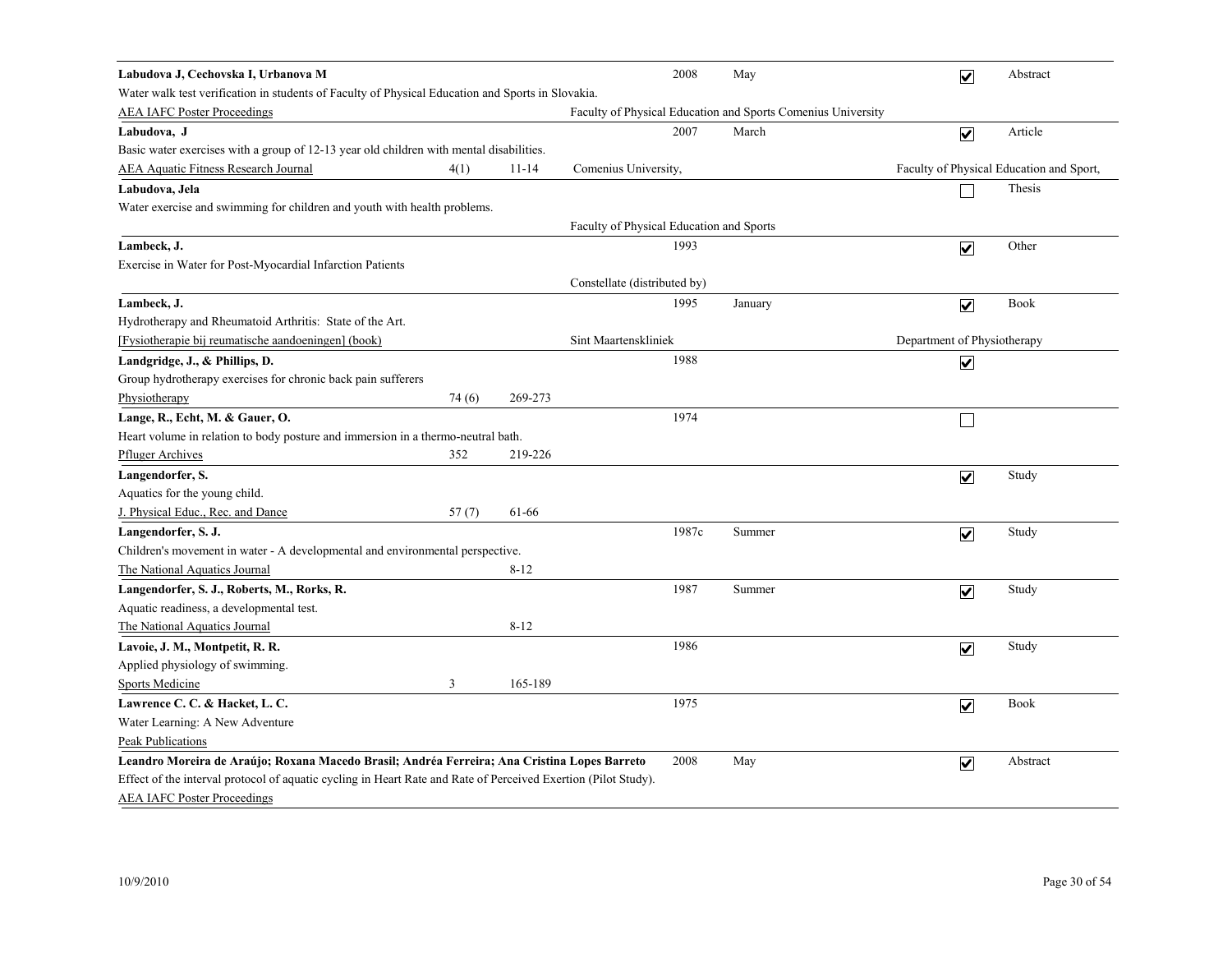| Labudova J, Cechovska I, Urbanova M                                                                            |        |           | 2008                                                         | May     | $\overline{\mathbf{v}}$      | Abstract                                 |
|----------------------------------------------------------------------------------------------------------------|--------|-----------|--------------------------------------------------------------|---------|------------------------------|------------------------------------------|
| Water walk test verification in students of Faculty of Physical Education and Sports in Slovakia.              |        |           |                                                              |         |                              |                                          |
| <b>AEA IAFC Poster Proceedings</b>                                                                             |        |           | Faculty of Physical Education and Sports Comenius University |         |                              |                                          |
| Labudova, J                                                                                                    |        |           | 2007                                                         | March   | $\boxed{\blacktriangledown}$ | Article                                  |
| Basic water exercises with a group of 12-13 year old children with mental disabilities.                        |        |           |                                                              |         |                              |                                          |
| <b>AEA Aquatic Fitness Research Journal</b>                                                                    | 4(1)   | $11 - 14$ | Comenius University,                                         |         |                              | Faculty of Physical Education and Sport, |
| Labudova, Jela                                                                                                 |        |           |                                                              |         |                              | Thesis                                   |
| Water exercise and swimming for children and youth with health problems.                                       |        |           |                                                              |         |                              |                                          |
|                                                                                                                |        |           | Faculty of Physical Education and Sports                     |         |                              |                                          |
| Lambeck, J.                                                                                                    |        |           | 1993                                                         |         | $\overline{\mathbf{v}}$      | Other                                    |
| Exercise in Water for Post-Myocardial Infarction Patients                                                      |        |           |                                                              |         |                              |                                          |
|                                                                                                                |        |           | Constellate (distributed by)                                 |         |                              |                                          |
| Lambeck, J.                                                                                                    |        |           | 1995                                                         | January | $\overline{\mathbf{v}}$      | Book                                     |
| Hydrotherapy and Rheumatoid Arthritis: State of the Art.                                                       |        |           |                                                              |         |                              |                                          |
| [Fysiotherapie bij reumatische aandoeningen] (book)                                                            |        |           | Sint Maartenskliniek                                         |         | Department of Physiotherapy  |                                          |
| Landgridge, J., & Phillips, D.                                                                                 |        |           | 1988                                                         |         | $\overline{\mathbf{v}}$      |                                          |
| Group hydrotherapy exercises for chronic back pain sufferers                                                   |        |           |                                                              |         |                              |                                          |
| Physiotherapy                                                                                                  | 74 (6) | 269-273   |                                                              |         |                              |                                          |
| Lange, R., Echt, M. & Gauer, O.                                                                                |        |           | 1974                                                         |         | $\Box$                       |                                          |
| Heart volume in relation to body posture and immersion in a thermo-neutral bath.                               |        |           |                                                              |         |                              |                                          |
| <b>Pfluger Archives</b>                                                                                        | 352    | 219-226   |                                                              |         |                              |                                          |
| Langendorfer, S.                                                                                               |        |           |                                                              |         | $\overline{\mathbf{v}}$      | Study                                    |
| Aquatics for the young child.                                                                                  |        |           |                                                              |         |                              |                                          |
| J. Physical Educ., Rec. and Dance                                                                              | 57(7)  | 61-66     |                                                              |         |                              |                                          |
| Langendorfer, S. J.                                                                                            |        |           | 1987c                                                        | Summer  | $\overline{\mathbf{v}}$      | Study                                    |
| Children's movement in water - A developmental and environmental perspective.                                  |        |           |                                                              |         |                              |                                          |
| The National Aquatics Journal                                                                                  |        | $8 - 12$  |                                                              |         |                              |                                          |
| Langendorfer, S. J., Roberts, M., Rorks, R.                                                                    |        |           | 1987                                                         | Summer  | $\overline{\mathbf{v}}$      | Study                                    |
| Aquatic readiness, a developmental test.                                                                       |        |           |                                                              |         |                              |                                          |
| The National Aquatics Journal                                                                                  |        | $8 - 12$  |                                                              |         |                              |                                          |
| Lavoie, J. M., Montpetit, R. R.                                                                                |        |           | 1986                                                         |         | $\overline{\mathbf{v}}$      | Study                                    |
| Applied physiology of swimming.                                                                                |        |           |                                                              |         |                              |                                          |
| <b>Sports Medicine</b>                                                                                         | 3      | 165-189   |                                                              |         |                              |                                          |
| Lawrence C. C. & Hacket, L. C.                                                                                 |        |           | 1975                                                         |         | $\overline{\mathbf{v}}$      | Book                                     |
| Water Learning: A New Adventure                                                                                |        |           |                                                              |         |                              |                                          |
| Peak Publications                                                                                              |        |           |                                                              |         |                              |                                          |
| Leandro Moreira de Araújo; Roxana Macedo Brasil; Andréa Ferreira; Ana Cristina Lopes Barreto                   |        |           | 2008                                                         | May     | $\overline{\mathbf{v}}$      | Abstract                                 |
| Effect of the interval protocol of aquatic cycling in Heart Rate and Rate of Perceived Exertion (Pilot Study). |        |           |                                                              |         |                              |                                          |
| <b>AEA IAFC Poster Proceedings</b>                                                                             |        |           |                                                              |         |                              |                                          |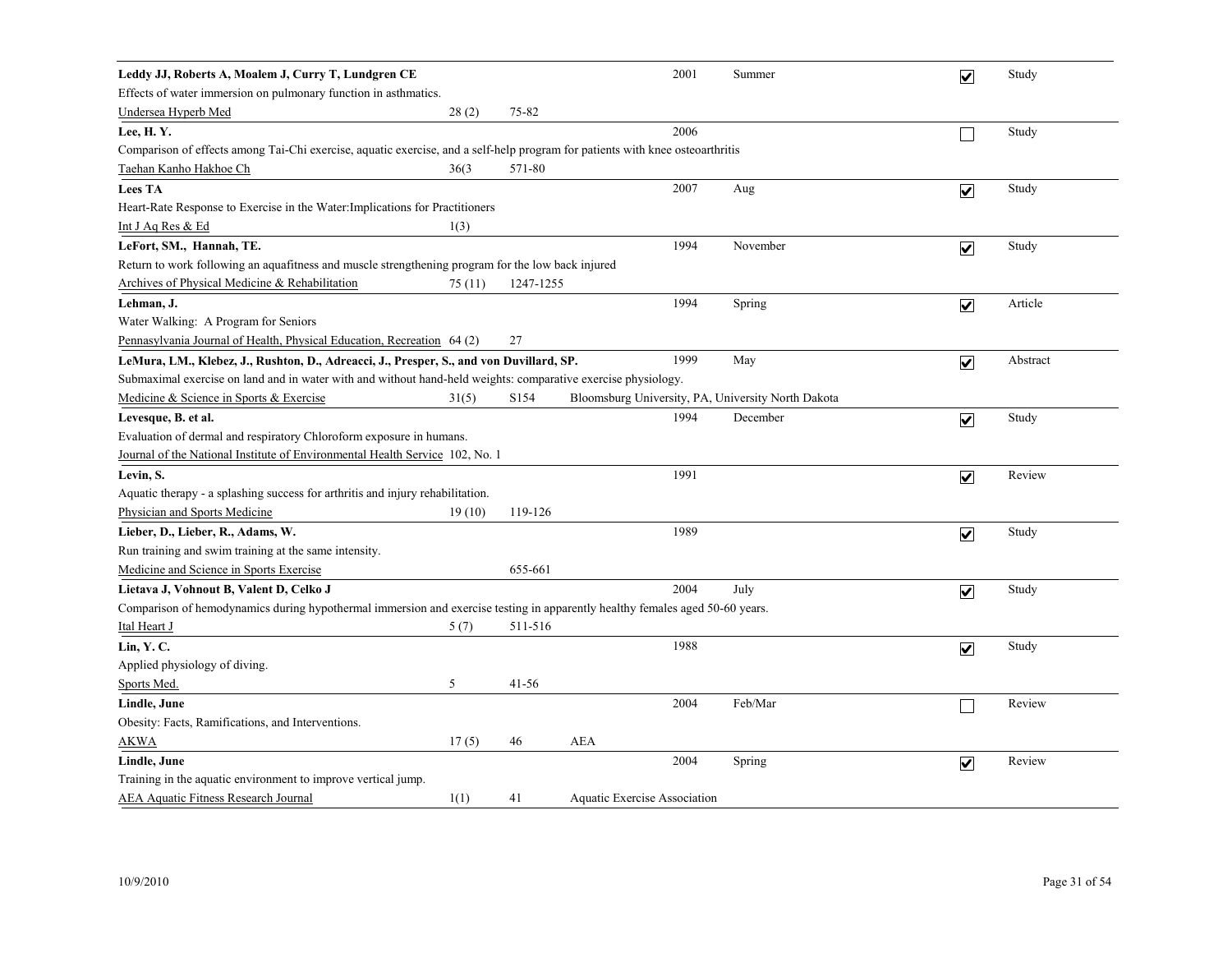| Leddy JJ, Roberts A, Moalem J, Curry T, Lundgren CE                                                                           |         |           |                                     | 2001 | Summer                                             | $\overline{\mathbf{v}}$ | Study    |
|-------------------------------------------------------------------------------------------------------------------------------|---------|-----------|-------------------------------------|------|----------------------------------------------------|-------------------------|----------|
| Effects of water immersion on pulmonary function in asthmatics.                                                               |         |           |                                     |      |                                                    |                         |          |
| <b>Undersea Hyperb Med</b>                                                                                                    | 28(2)   | 75-82     |                                     |      |                                                    |                         |          |
| Lee, H.Y.                                                                                                                     |         |           |                                     | 2006 |                                                    |                         | Study    |
| Comparison of effects among Tai-Chi exercise, aquatic exercise, and a self-help program for patients with knee osteoarthritis |         |           |                                     |      |                                                    |                         |          |
| Taehan Kanho Hakhoe Ch                                                                                                        | 36(3)   | 571-80    |                                     |      |                                                    |                         |          |
| <b>Lees TA</b>                                                                                                                |         |           |                                     | 2007 | Aug                                                | $\overline{\mathbf{v}}$ | Study    |
| Heart-Rate Response to Exercise in the Water: Implications for Practitioners                                                  |         |           |                                     |      |                                                    |                         |          |
| Int J Aq Res & Ed                                                                                                             | 1(3)    |           |                                     |      |                                                    |                         |          |
| LeFort, SM., Hannah, TE.                                                                                                      |         |           |                                     | 1994 | November                                           | $\overline{\mathbf{v}}$ | Study    |
| Return to work following an aquafitness and muscle strengthening program for the low back injured                             |         |           |                                     |      |                                                    |                         |          |
| Archives of Physical Medicine & Rehabilitation                                                                                | 75 (11) | 1247-1255 |                                     |      |                                                    |                         |          |
| Lehman, J.                                                                                                                    |         |           |                                     | 1994 | Spring                                             | $\overline{\mathbf{v}}$ | Article  |
| Water Walking: A Program for Seniors                                                                                          |         |           |                                     |      |                                                    |                         |          |
| Pennasylvania Journal of Health, Physical Education, Recreation 64 (2)                                                        |         | 27        |                                     |      |                                                    |                         |          |
| LeMura, LM., Klebez, J., Rushton, D., Adreacci, J., Presper, S., and von Duvillard, SP.                                       |         |           |                                     | 1999 | May                                                | $\overline{\mathbf{v}}$ | Abstract |
| Submaximal exercise on land and in water with and without hand-held weights: comparative exercise physiology.                 |         |           |                                     |      |                                                    |                         |          |
| Medicine & Science in Sports & Exercise                                                                                       | 31(5)   | S154      |                                     |      | Bloomsburg University, PA, University North Dakota |                         |          |
| Levesque, B. et al.                                                                                                           |         |           |                                     | 1994 | December                                           | $\overline{\mathbf{v}}$ | Study    |
| Evaluation of dermal and respiratory Chloroform exposure in humans.                                                           |         |           |                                     |      |                                                    |                         |          |
| Journal of the National Institute of Environmental Health Service 102, No. 1                                                  |         |           |                                     |      |                                                    |                         |          |
| Levin, S.                                                                                                                     |         |           |                                     | 1991 |                                                    | $\overline{\mathbf{v}}$ | Review   |
| Aquatic therapy - a splashing success for arthritis and injury rehabilitation.                                                |         |           |                                     |      |                                                    |                         |          |
| Physician and Sports Medicine                                                                                                 | 19(10)  | 119-126   |                                     |      |                                                    |                         |          |
| Lieber, D., Lieber, R., Adams, W.                                                                                             |         |           |                                     | 1989 |                                                    | $\overline{\mathbf{v}}$ | Study    |
| Run training and swim training at the same intensity.                                                                         |         |           |                                     |      |                                                    |                         |          |
| Medicine and Science in Sports Exercise                                                                                       |         | 655-661   |                                     |      |                                                    |                         |          |
| Lietava J, Vohnout B, Valent D, Celko J                                                                                       |         |           |                                     | 2004 | July                                               | $\overline{\mathbf{v}}$ | Study    |
| Comparison of hemodynamics during hypothermal immersion and exercise testing in apparently healthy females aged 50-60 years.  |         |           |                                     |      |                                                    |                         |          |
| Ital Heart J                                                                                                                  | 5(7)    | 511-516   |                                     |      |                                                    |                         |          |
| Lin, Y.C.                                                                                                                     |         |           |                                     | 1988 |                                                    | $\overline{\mathbf{v}}$ | Study    |
| Applied physiology of diving.                                                                                                 |         |           |                                     |      |                                                    |                         |          |
| Sports Med.                                                                                                                   | 5       | $41 - 56$ |                                     |      |                                                    |                         |          |
| Lindle, June                                                                                                                  |         |           |                                     | 2004 | Feb/Mar                                            |                         | Review   |
| Obesity: Facts, Ramifications, and Interventions.                                                                             |         |           |                                     |      |                                                    |                         |          |
| <b>AKWA</b>                                                                                                                   | 17(5)   | 46        | <b>AEA</b>                          |      |                                                    |                         |          |
| Lindle, June                                                                                                                  |         |           |                                     | 2004 | Spring                                             | $\overline{\mathbf{v}}$ | Review   |
| Training in the aquatic environment to improve vertical jump.                                                                 |         |           |                                     |      |                                                    |                         |          |
| <b>AEA Aquatic Fitness Research Journal</b>                                                                                   | 1(1)    | 41        | <b>Aquatic Exercise Association</b> |      |                                                    |                         |          |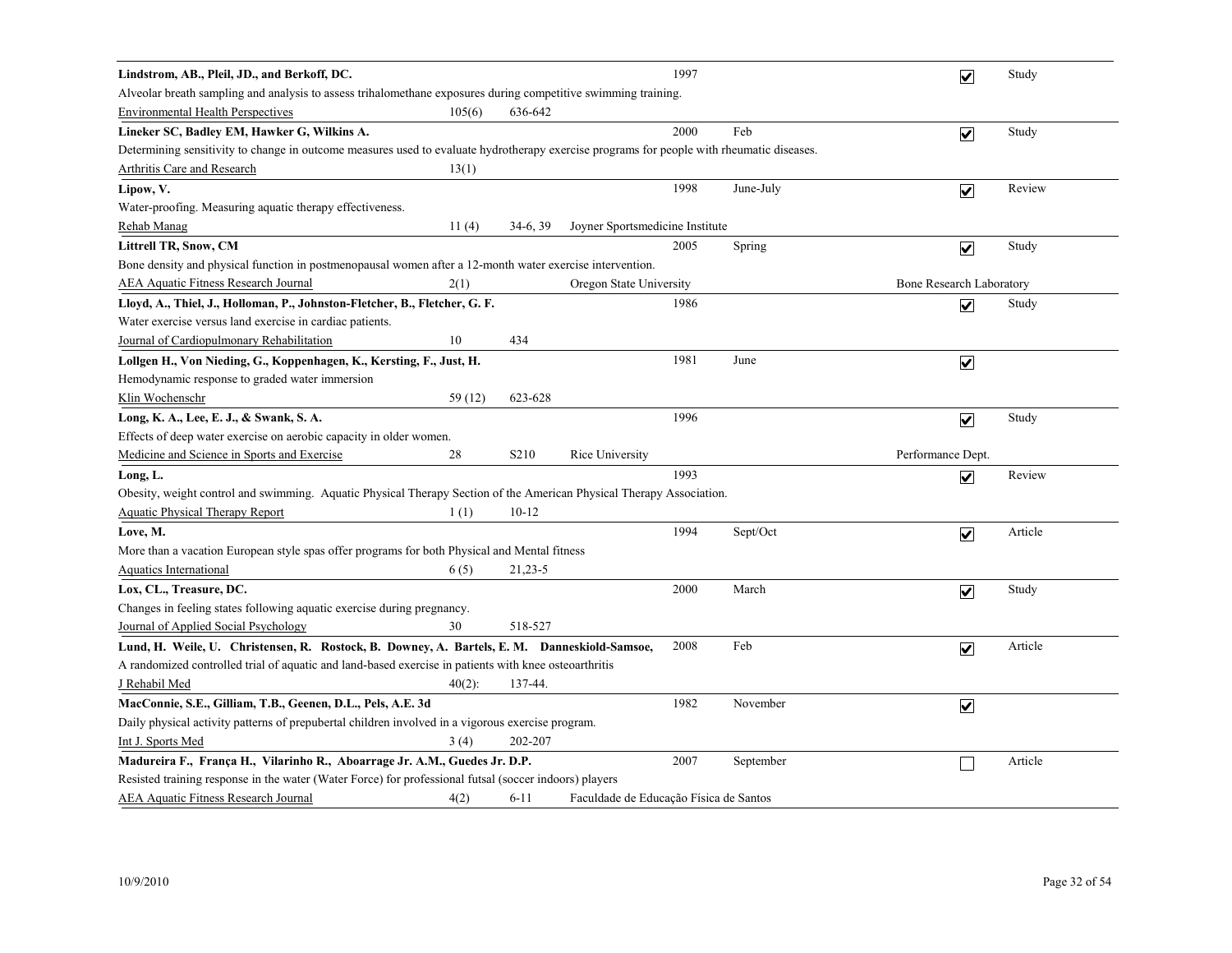| Lindstrom, AB., Pleil, JD., and Berkoff, DC.                                                                                              |           |                   |                                        | 1997 |           | $\overline{\mathbf{v}}$  | Study   |
|-------------------------------------------------------------------------------------------------------------------------------------------|-----------|-------------------|----------------------------------------|------|-----------|--------------------------|---------|
| Alveolar breath sampling and analysis to assess trihalomethane exposures during competitive swimming training.                            |           |                   |                                        |      |           |                          |         |
| <b>Environmental Health Perspectives</b>                                                                                                  | 105(6)    | 636-642           |                                        |      |           |                          |         |
| Lineker SC, Badley EM, Hawker G, Wilkins A.                                                                                               |           |                   |                                        | 2000 | Feb       | $\overline{\mathbf{v}}$  | Study   |
| Determining sensitivity to change in outcome measures used to evaluate hydrotherapy exercise programs for people with rheumatic diseases. |           |                   |                                        |      |           |                          |         |
| Arthritis Care and Research                                                                                                               | 13(1)     |                   |                                        |      |           |                          |         |
| Lipow, V.                                                                                                                                 |           |                   |                                        | 1998 | June-July | $\overline{\mathbf{v}}$  | Review  |
| Water-proofing. Measuring aquatic therapy effectiveness.                                                                                  |           |                   |                                        |      |           |                          |         |
| Rehab Manag                                                                                                                               | 11(4)     | $34-6, 39$        | Joyner Sportsmedicine Institute        |      |           |                          |         |
| <b>Littrell TR, Snow, CM</b>                                                                                                              |           |                   |                                        | 2005 | Spring    | $\blacktriangledown$     | Study   |
| Bone density and physical function in postmenopausal women after a 12-month water exercise intervention.                                  |           |                   |                                        |      |           |                          |         |
| <b>AEA Aquatic Fitness Research Journal</b>                                                                                               | 2(1)      |                   | Oregon State University                |      |           | Bone Research Laboratory |         |
| Lloyd, A., Thiel, J., Holloman, P., Johnston-Fletcher, B., Fletcher, G. F.                                                                |           |                   |                                        | 1986 |           | $\overline{\mathbf{v}}$  | Study   |
| Water exercise versus land exercise in cardiac patients.                                                                                  |           |                   |                                        |      |           |                          |         |
| Journal of Cardiopulmonary Rehabilitation                                                                                                 | 10        | 434               |                                        |      |           |                          |         |
| Lollgen H., Von Nieding, G., Koppenhagen, K., Kersting, F., Just, H.                                                                      |           |                   |                                        | 1981 | June      | $\overline{\mathbf{v}}$  |         |
| Hemodynamic response to graded water immersion                                                                                            |           |                   |                                        |      |           |                          |         |
| Klin Wochenschr                                                                                                                           | 59 (12)   | 623-628           |                                        |      |           |                          |         |
| Long, K. A., Lee, E. J., & Swank, S. A.                                                                                                   |           |                   |                                        | 1996 |           | $\overline{\mathbf{v}}$  | Study   |
| Effects of deep water exercise on aerobic capacity in older women.                                                                        |           |                   |                                        |      |           |                          |         |
| Medicine and Science in Sports and Exercise                                                                                               | 28        | S <sub>2</sub> 10 | Rice University                        |      |           | Performance Dept.        |         |
| Long, L.                                                                                                                                  |           |                   |                                        | 1993 |           | $\overline{\mathbf{v}}$  | Review  |
| Obesity, weight control and swimming. Aquatic Physical Therapy Section of the American Physical Therapy Association.                      |           |                   |                                        |      |           |                          |         |
| <b>Aquatic Physical Therapy Report</b>                                                                                                    | 1(1)      | $10 - 12$         |                                        |      |           |                          |         |
| Love, M.                                                                                                                                  |           |                   |                                        | 1994 | Sept/Oct  | $\overline{\mathbf{v}}$  | Article |
| More than a vacation European style spas offer programs for both Physical and Mental fitness                                              |           |                   |                                        |      |           |                          |         |
| <b>Aquatics International</b>                                                                                                             | 6(5)      | $21,23-5$         |                                        |      |           |                          |         |
| Lox, CL., Treasure, DC.                                                                                                                   |           |                   |                                        | 2000 | March     | $\overline{\mathbf{v}}$  | Study   |
| Changes in feeling states following aquatic exercise during pregnancy.                                                                    |           |                   |                                        |      |           |                          |         |
| Journal of Applied Social Psychology                                                                                                      | 30        | 518-527           |                                        |      |           |                          |         |
| Lund, H. Weile, U. Christensen, R. Rostock, B. Downey, A. Bartels, E. M. Danneskiold-Samsoe,                                              |           |                   |                                        | 2008 | Feb       | $\overline{\mathbf{v}}$  | Article |
| A randomized controlled trial of aquatic and land-based exercise in patients with knee osteoarthritis                                     |           |                   |                                        |      |           |                          |         |
| J Rehabil Med                                                                                                                             | $40(2)$ : | 137-44.           |                                        |      |           |                          |         |
| MacConnie, S.E., Gilliam, T.B., Geenen, D.L., Pels, A.E. 3d                                                                               |           |                   |                                        | 1982 | November  | $\overline{\mathbf{v}}$  |         |
| Daily physical activity patterns of prepubertal children involved in a vigorous exercise program.                                         |           |                   |                                        |      |           |                          |         |
| Int J. Sports Med                                                                                                                         | 3(4)      | 202-207           |                                        |      |           |                          |         |
| Madureira F., França H., Vilarinho R., Aboarrage Jr. A.M., Guedes Jr. D.P.                                                                |           |                   |                                        | 2007 | September |                          | Article |
| Resisted training response in the water (Water Force) for professional futsal (soccer indoors) players                                    |           |                   |                                        |      |           |                          |         |
| <b>AEA Aquatic Fitness Research Journal</b>                                                                                               | 4(2)      | $6 - 11$          | Faculdade de Educação Física de Santos |      |           |                          |         |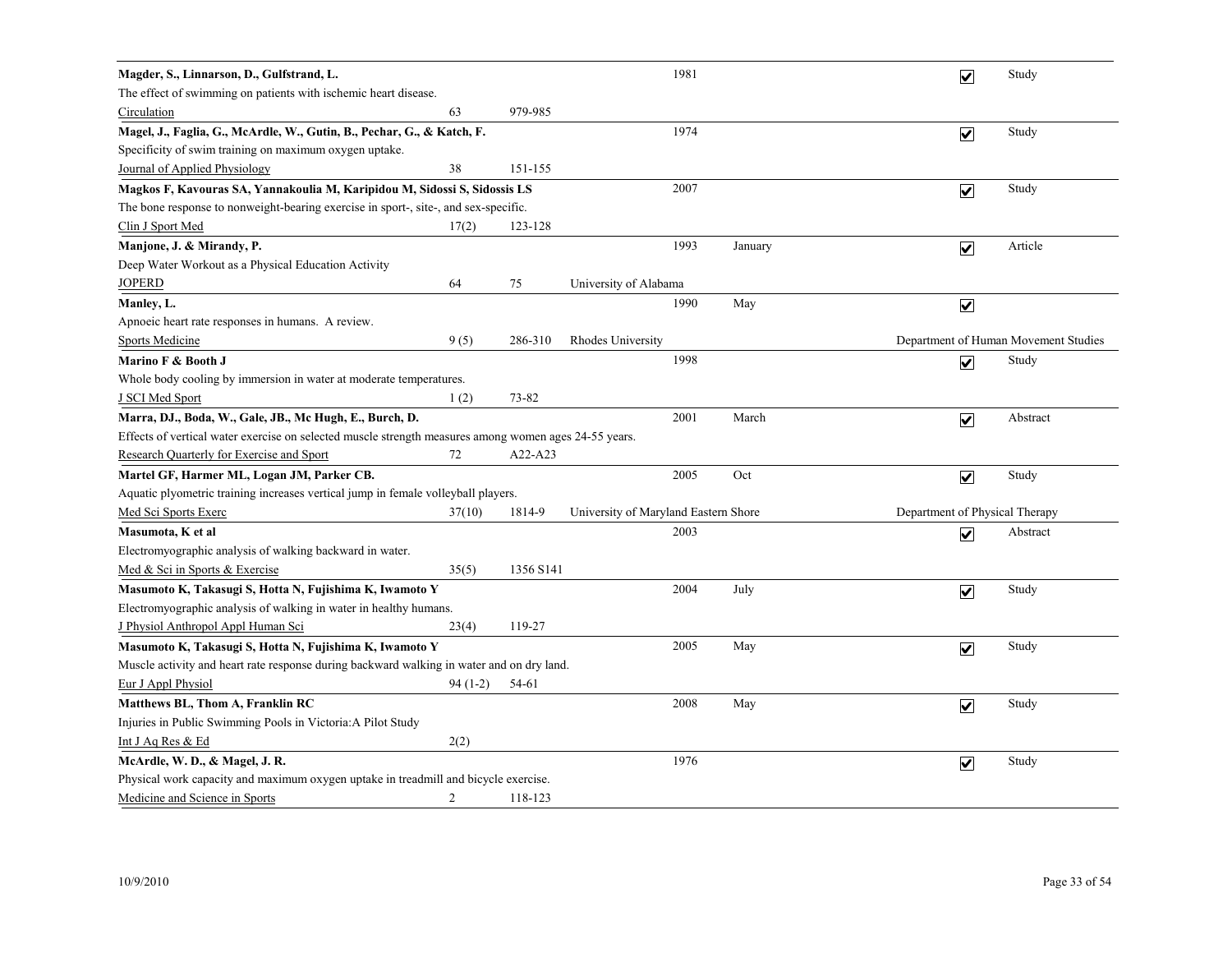| Magder, S., Linnarson, D., Gulfstrand, L.                                                             |           |           |                                      | 1981 |         |                                | $\overline{\mathbf{v}}$ | Study                                |
|-------------------------------------------------------------------------------------------------------|-----------|-----------|--------------------------------------|------|---------|--------------------------------|-------------------------|--------------------------------------|
| The effect of swimming on patients with ischemic heart disease.                                       |           |           |                                      |      |         |                                |                         |                                      |
| Circulation                                                                                           | 63        | 979-985   |                                      |      |         |                                |                         |                                      |
| Magel, J., Faglia, G., McArdle, W., Gutin, B., Pechar, G., & Katch, F.                                |           |           |                                      | 1974 |         |                                | $\overline{\mathbf{v}}$ | Study                                |
| Specificity of swim training on maximum oxygen uptake.                                                |           |           |                                      |      |         |                                |                         |                                      |
| Journal of Applied Physiology                                                                         | 38        | 151-155   |                                      |      |         |                                |                         |                                      |
| Magkos F, Kavouras SA, Yannakoulia M, Karipidou M, Sidossi S, Sidossis LS                             |           |           |                                      | 2007 |         |                                | $\overline{\mathbf{v}}$ | Study                                |
| The bone response to nonweight-bearing exercise in sport-, site-, and sex-specific.                   |           |           |                                      |      |         |                                |                         |                                      |
| Clin J Sport Med                                                                                      | 17(2)     | 123-128   |                                      |      |         |                                |                         |                                      |
| Manjone, J. & Mirandy, P.                                                                             |           |           |                                      | 1993 | January |                                | $\overline{\mathbf{v}}$ | Article                              |
| Deep Water Workout as a Physical Education Activity                                                   |           |           |                                      |      |         |                                |                         |                                      |
| <b>JOPERD</b>                                                                                         | 64        | 75        | University of Alabama                |      |         |                                |                         |                                      |
| Manley, L.                                                                                            |           |           |                                      | 1990 | May     |                                | $\overline{\mathbf{v}}$ |                                      |
| Apnoeic heart rate responses in humans. A review.                                                     |           |           |                                      |      |         |                                |                         |                                      |
| <b>Sports Medicine</b>                                                                                | 9(5)      | 286-310   | Rhodes University                    |      |         |                                |                         | Department of Human Movement Studies |
| Marino F & Booth J                                                                                    |           |           |                                      | 1998 |         |                                | $\overline{\mathbf{v}}$ | Study                                |
| Whole body cooling by immersion in water at moderate temperatures.                                    |           |           |                                      |      |         |                                |                         |                                      |
| <b>J SCI Med Sport</b>                                                                                | 1(2)      | 73-82     |                                      |      |         |                                |                         |                                      |
| Marra, DJ., Boda, W., Gale, JB., Mc Hugh, E., Burch, D.                                               |           |           |                                      | 2001 | March   |                                | $\overline{\mathbf{v}}$ | Abstract                             |
| Effects of vertical water exercise on selected muscle strength measures among women ages 24-55 years. |           |           |                                      |      |         |                                |                         |                                      |
| Research Quarterly for Exercise and Sport                                                             | 72        | A22-A23   |                                      |      |         |                                |                         |                                      |
| Martel GF, Harmer ML, Logan JM, Parker CB.                                                            |           |           |                                      | 2005 | Oct     |                                | $\overline{\mathbf{v}}$ | Study                                |
| Aquatic plyometric training increases vertical jump in female volleyball players.                     |           |           |                                      |      |         |                                |                         |                                      |
| Med Sci Sports Exerc                                                                                  | 37(10)    | 1814-9    | University of Maryland Eastern Shore |      |         | Department of Physical Therapy |                         |                                      |
| Masumota, K et al                                                                                     |           |           |                                      | 2003 |         |                                | $\overline{\mathbf{v}}$ | Abstract                             |
| Electromyographic analysis of walking backward in water.                                              |           |           |                                      |      |         |                                |                         |                                      |
| Med & Sci in Sports & Exercise                                                                        | 35(5)     | 1356 S141 |                                      |      |         |                                |                         |                                      |
| Masumoto K, Takasugi S, Hotta N, Fujishima K, Iwamoto Y                                               |           |           |                                      | 2004 | July    |                                | $\overline{\mathbf{v}}$ | Study                                |
| Electromyographic analysis of walking in water in healthy humans.                                     |           |           |                                      |      |         |                                |                         |                                      |
| J Physiol Anthropol Appl Human Sci                                                                    | 23(4)     | 119-27    |                                      |      |         |                                |                         |                                      |
| Masumoto K, Takasugi S, Hotta N, Fujishima K, Iwamoto Y                                               |           |           |                                      | 2005 | May     |                                | $\overline{\mathbf{v}}$ | Study                                |
| Muscle activity and heart rate response during backward walking in water and on dry land.             |           |           |                                      |      |         |                                |                         |                                      |
| Eur J Appl Physiol                                                                                    | $94(1-2)$ | 54-61     |                                      |      |         |                                |                         |                                      |
| Matthews BL, Thom A, Franklin RC                                                                      |           |           |                                      | 2008 | May     |                                | $\overline{\mathbf{v}}$ | Study                                |
| Injuries in Public Swimming Pools in Victoria: A Pilot Study                                          |           |           |                                      |      |         |                                |                         |                                      |
| Int J Aq Res & Ed                                                                                     | 2(2)      |           |                                      |      |         |                                |                         |                                      |
| McArdle, W. D., & Magel, J. R.                                                                        |           |           |                                      | 1976 |         |                                | $\overline{\mathbf{v}}$ | Study                                |
| Physical work capacity and maximum oxygen uptake in treadmill and bicycle exercise.                   |           |           |                                      |      |         |                                |                         |                                      |
| Medicine and Science in Sports                                                                        | 2         | 118-123   |                                      |      |         |                                |                         |                                      |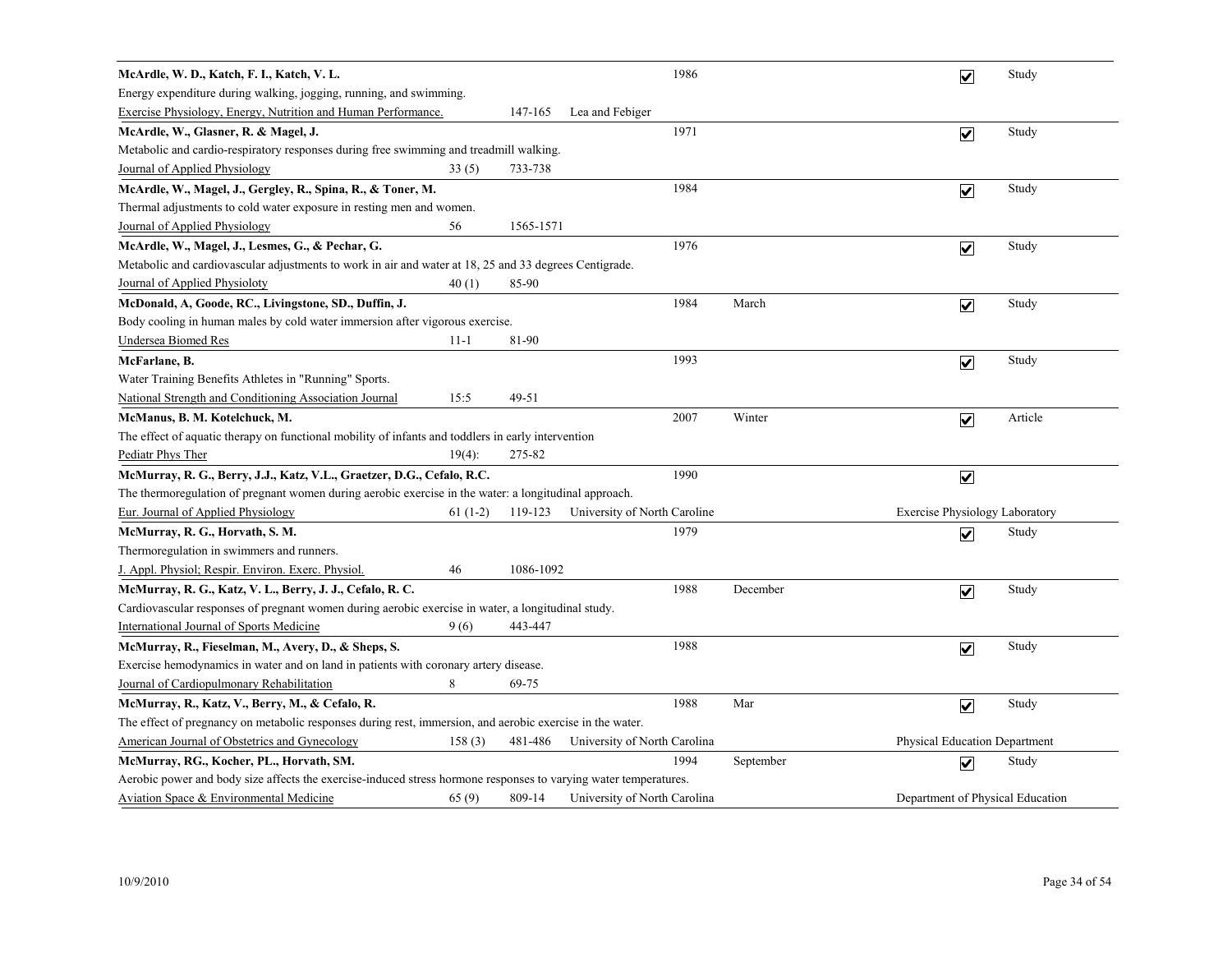| McArdle, W. D., Katch, F. I., Katch, V. L.                                                                       |           |           |                              | 1986 |           | $\overline{\mathbf{v}}$          | Study   |
|------------------------------------------------------------------------------------------------------------------|-----------|-----------|------------------------------|------|-----------|----------------------------------|---------|
| Energy expenditure during walking, jogging, running, and swimming.                                               |           |           |                              |      |           |                                  |         |
| Exercise Physiology, Energy, Nutrition and Human Performance.                                                    |           | 147-165   | Lea and Febiger              |      |           |                                  |         |
| McArdle, W., Glasner, R. & Magel, J.                                                                             |           |           |                              | 1971 |           | $\overline{\mathbf{v}}$          | Study   |
| Metabolic and cardio-respiratory responses during free swimming and treadmill walking.                           |           |           |                              |      |           |                                  |         |
| Journal of Applied Physiology                                                                                    | 33(5)     | 733-738   |                              |      |           |                                  |         |
| McArdle, W., Magel, J., Gergley, R., Spina, R., & Toner, M.                                                      |           |           |                              | 1984 |           | $\overline{\mathbf{v}}$          | Study   |
| Thermal adjustments to cold water exposure in resting men and women.                                             |           |           |                              |      |           |                                  |         |
| Journal of Applied Physiology                                                                                    | 56        | 1565-1571 |                              |      |           |                                  |         |
| McArdle, W., Magel, J., Lesmes, G., & Pechar, G.                                                                 |           |           |                              | 1976 |           | $\overline{\mathbf{v}}$          | Study   |
| Metabolic and cardiovascular adjustments to work in air and water at 18, 25 and 33 degrees Centigrade.           |           |           |                              |      |           |                                  |         |
| Journal of Applied Physioloty                                                                                    | 40(1)     | 85-90     |                              |      |           |                                  |         |
| McDonald, A, Goode, RC., Livingstone, SD., Duffin, J.                                                            |           |           |                              | 1984 | March     | $\overline{\mathbf{v}}$          | Study   |
| Body cooling in human males by cold water immersion after vigorous exercise.                                     |           |           |                              |      |           |                                  |         |
| <b>Undersea Biomed Res</b>                                                                                       | $11 - 1$  | 81-90     |                              |      |           |                                  |         |
| McFarlane, B.                                                                                                    |           |           |                              | 1993 |           | $\blacktriangledown$             | Study   |
| Water Training Benefits Athletes in "Running" Sports.                                                            |           |           |                              |      |           |                                  |         |
| National Strength and Conditioning Association Journal                                                           | 15:5      | 49-51     |                              |      |           |                                  |         |
| McManus, B. M. Kotelchuck, M.                                                                                    |           |           |                              | 2007 | Winter    | $\overline{\mathbf{v}}$          | Article |
| The effect of aquatic therapy on functional mobility of infants and toddlers in early intervention               |           |           |                              |      |           |                                  |         |
| Pediatr Phys Ther                                                                                                | $19(4)$ : | 275-82    |                              |      |           |                                  |         |
| McMurray, R. G., Berry, J.J., Katz, V.L., Graetzer, D.G., Cefalo, R.C.                                           |           |           |                              | 1990 |           | $\overline{\mathbf{v}}$          |         |
| The thermoregulation of pregnant women during aerobic exercise in the water: a longitudinal approach.            |           |           |                              |      |           |                                  |         |
| Eur. Journal of Applied Physiology                                                                               | $61(1-2)$ | 119-123   | University of North Caroline |      |           | Exercise Physiology Laboratory   |         |
| McMurray, R. G., Horvath, S. M.                                                                                  |           |           |                              | 1979 |           | $\overline{\mathbf{v}}$          | Study   |
| Thermoregulation in swimmers and runners.                                                                        |           |           |                              |      |           |                                  |         |
| J. Appl. Physiol; Respir. Environ. Exerc. Physiol.                                                               | 46        | 1086-1092 |                              |      |           |                                  |         |
| McMurray, R. G., Katz, V. L., Berry, J. J., Cefalo, R. C.                                                        |           |           |                              | 1988 | December  | $\overline{\mathbf{v}}$          | Study   |
| Cardiovascular responses of pregnant women during aerobic exercise in water, a longitudinal study.               |           |           |                              |      |           |                                  |         |
| <b>International Journal of Sports Medicine</b>                                                                  | 9(6)      | 443-447   |                              |      |           |                                  |         |
| McMurray, R., Fieselman, M., Avery, D., & Sheps, S.                                                              |           |           |                              | 1988 |           | $\overline{\mathbf{v}}$          | Study   |
| Exercise hemodynamics in water and on land in patients with coronary artery disease.                             |           |           |                              |      |           |                                  |         |
| Journal of Cardiopulmonary Rehabilitation                                                                        | 8         | 69-75     |                              |      |           |                                  |         |
| McMurray, R., Katz, V., Berry, M., & Cefalo, R.                                                                  |           |           |                              | 1988 | Mar       | $\overline{\mathbf{v}}$          | Study   |
| The effect of pregnancy on metabolic responses during rest, immersion, and aerobic exercise in the water.        |           |           |                              |      |           |                                  |         |
| American Journal of Obstetrics and Gynecology                                                                    | 158(3)    | 481-486   | University of North Carolina |      |           | Physical Education Department    |         |
| McMurray, RG., Kocher, PL., Horvath, SM.                                                                         |           |           |                              | 1994 | September | $\overline{\mathsf{v}}$          | Study   |
| Aerobic power and body size affects the exercise-induced stress hormone responses to varying water temperatures. |           |           |                              |      |           |                                  |         |
| Aviation Space & Environmental Medicine                                                                          | 65(9)     | 809-14    | University of North Carolina |      |           | Department of Physical Education |         |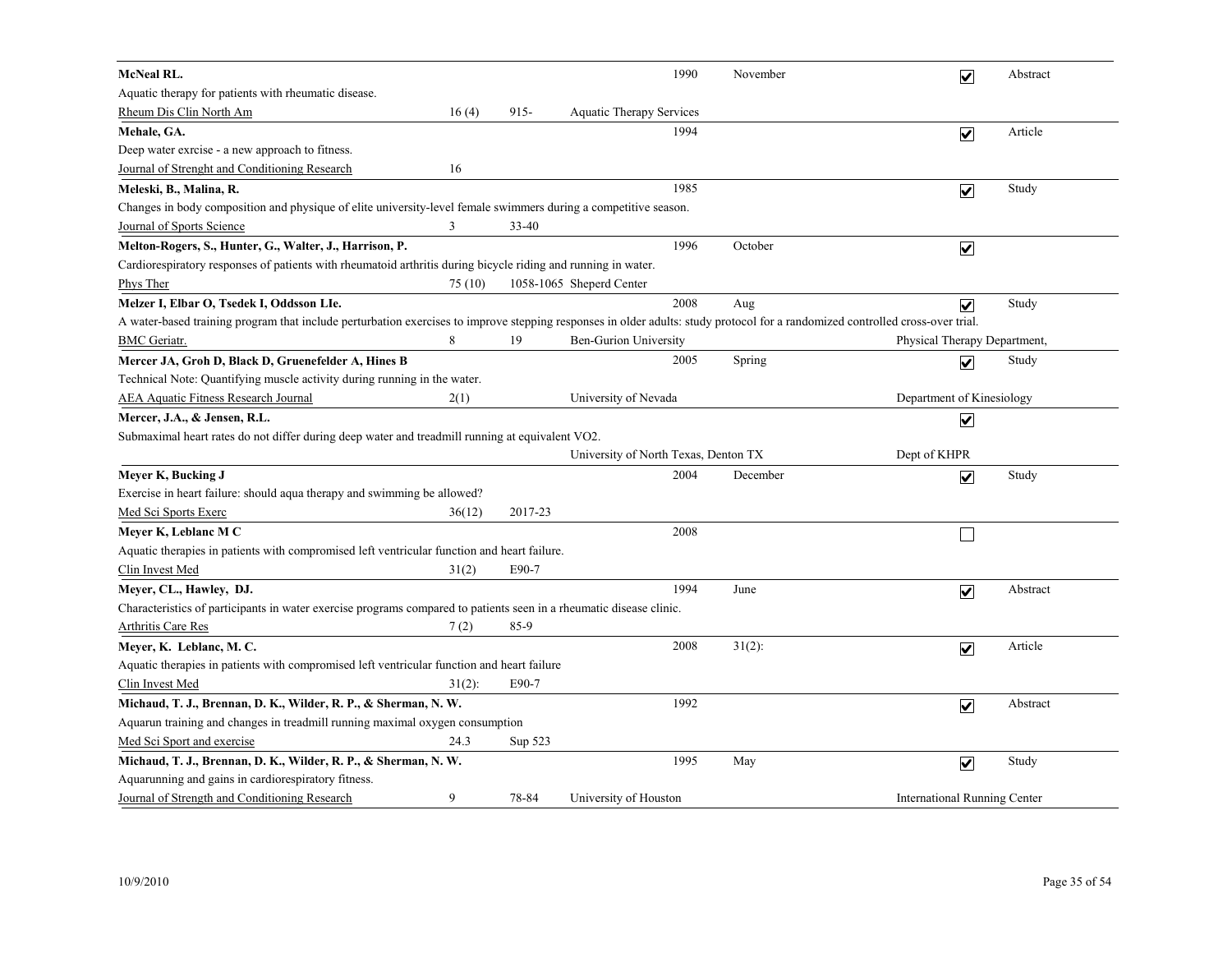| <b>McNeal RL.</b>                                                                                                                                                              |           |           |                                      | 1990 | November  | $\overline{\mathbf{v}}$             | Abstract |
|--------------------------------------------------------------------------------------------------------------------------------------------------------------------------------|-----------|-----------|--------------------------------------|------|-----------|-------------------------------------|----------|
| Aquatic therapy for patients with rheumatic disease.                                                                                                                           |           |           |                                      |      |           |                                     |          |
| Rheum Dis Clin North Am                                                                                                                                                        | 16(4)     | $915 -$   | Aquatic Therapy Services             |      |           |                                     |          |
| Mehale, GA.                                                                                                                                                                    |           |           |                                      | 1994 |           | $\overline{\mathbf{v}}$             | Article  |
| Deep water exrcise - a new approach to fitness.                                                                                                                                |           |           |                                      |      |           |                                     |          |
| Journal of Strenght and Conditioning Research                                                                                                                                  | 16        |           |                                      |      |           |                                     |          |
| Meleski, B., Malina, R.                                                                                                                                                        |           |           |                                      | 1985 |           | $\overline{\mathbf{v}}$             | Study    |
| Changes in body composition and physique of elite university-level female swimmers during a competitive season.                                                                |           |           |                                      |      |           |                                     |          |
| Journal of Sports Science                                                                                                                                                      | 3         | $33 - 40$ |                                      |      |           |                                     |          |
| Melton-Rogers, S., Hunter, G., Walter, J., Harrison, P.                                                                                                                        |           |           |                                      | 1996 | October   | $\overline{\mathbf{v}}$             |          |
| Cardiorespiratory responses of patients with rheumatoid arthritis during bicycle riding and running in water.                                                                  |           |           |                                      |      |           |                                     |          |
| <b>Phys Ther</b>                                                                                                                                                               | 75 (10)   |           | 1058-1065 Sheperd Center             |      |           |                                     |          |
| Melzer I, Elbar O, Tsedek I, Oddsson LIe.                                                                                                                                      |           |           |                                      | 2008 | Aug       | $\overline{\mathbf{v}}$             | Study    |
| A water-based training program that include perturbation exercises to improve stepping responses in older adults: study protocol for a randomized controlled cross-over trial. |           |           |                                      |      |           |                                     |          |
| <b>BMC</b> Geriatr.                                                                                                                                                            | 8         | 19        | <b>Ben-Gurion University</b>         |      |           | Physical Therapy Department,        |          |
| Mercer JA, Groh D, Black D, Gruenefelder A, Hines B                                                                                                                            |           |           |                                      | 2005 | Spring    | $\overline{\mathbf{v}}$             | Study    |
| Technical Note: Quantifying muscle activity during running in the water.                                                                                                       |           |           |                                      |      |           |                                     |          |
| <b>AEA Aquatic Fitness Research Journal</b>                                                                                                                                    | 2(1)      |           | University of Nevada                 |      |           | Department of Kinesiology           |          |
| Mercer, J.A., & Jensen, R.L.                                                                                                                                                   |           |           |                                      |      |           | $\overline{\mathbf{v}}$             |          |
| Submaximal heart rates do not differ during deep water and treadmill running at equivalent VO2.                                                                                |           |           |                                      |      |           |                                     |          |
|                                                                                                                                                                                |           |           | University of North Texas, Denton TX |      |           | Dept of KHPR                        |          |
| Meyer K, Bucking J                                                                                                                                                             |           |           |                                      | 2004 | December  | $\overline{\mathbf{v}}$             | Study    |
| Exercise in heart failure: should aqua therapy and swimming be allowed?                                                                                                        |           |           |                                      |      |           |                                     |          |
| Med Sci Sports Exerc                                                                                                                                                           | 36(12)    | 2017-23   |                                      |      |           |                                     |          |
| Meyer K, Leblanc M C                                                                                                                                                           |           |           |                                      | 2008 |           | $\overline{\phantom{a}}$            |          |
| Aquatic therapies in patients with compromised left ventricular function and heart failure.                                                                                    |           |           |                                      |      |           |                                     |          |
| Clin Invest Med                                                                                                                                                                | 31(2)     | E90-7     |                                      |      |           |                                     |          |
| Meyer, CL., Hawley, DJ.                                                                                                                                                        |           |           |                                      | 1994 | June      | $\blacktriangledown$                | Abstract |
| Characteristics of participants in water exercise programs compared to patients seen in a rheumatic disease clinic.                                                            |           |           |                                      |      |           |                                     |          |
| <b>Arthritis Care Res</b>                                                                                                                                                      | 7(2)      | 85-9      |                                      |      |           |                                     |          |
| Meyer, K. Leblanc, M. C.                                                                                                                                                       |           |           |                                      | 2008 | $31(2)$ : | $\overline{\mathbf{v}}$             | Article  |
| Aquatic therapies in patients with compromised left ventricular function and heart failure                                                                                     |           |           |                                      |      |           |                                     |          |
| Clin Invest Med                                                                                                                                                                | $31(2)$ : | E90-7     |                                      |      |           |                                     |          |
| Michaud, T. J., Brennan, D. K., Wilder, R. P., & Sherman, N. W.                                                                                                                |           |           |                                      | 1992 |           | $\overline{\mathbf{v}}$             | Abstract |
| Aquarun training and changes in treadmill running maximal oxygen consumption                                                                                                   |           |           |                                      |      |           |                                     |          |
| Med Sci Sport and exercise                                                                                                                                                     | 24.3      | Sup 523   |                                      |      |           |                                     |          |
| Michaud, T. J., Brennan, D. K., Wilder, R. P., & Sherman, N. W.                                                                                                                |           |           |                                      | 1995 | May       | $\boxed{\checkmark}$                | Study    |
| Aquarunning and gains in cardiorespiratory fitness.                                                                                                                            |           |           |                                      |      |           |                                     |          |
| Journal of Strength and Conditioning Research                                                                                                                                  | 9         | 78-84     | University of Houston                |      |           | <b>International Running Center</b> |          |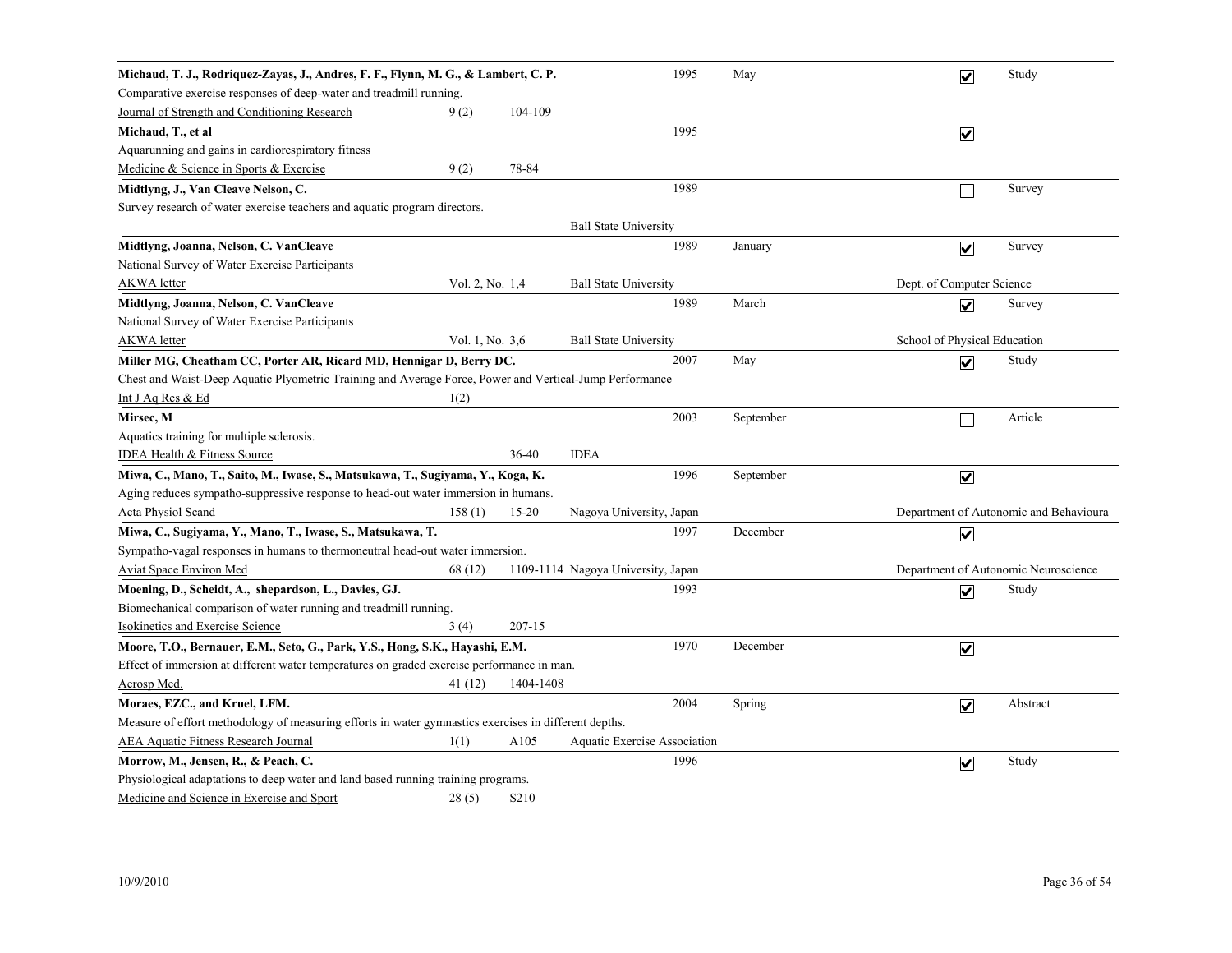| Michaud, T. J., Rodriquez-Zayas, J., Andres, F. F., Flynn, M. G., & Lambert, C. P.                      |                 |                   |                                    | 1995 | May       |                              | $\overline{\mathbf{v}}$ | Study                                  |
|---------------------------------------------------------------------------------------------------------|-----------------|-------------------|------------------------------------|------|-----------|------------------------------|-------------------------|----------------------------------------|
| Comparative exercise responses of deep-water and treadmill running.                                     |                 |                   |                                    |      |           |                              |                         |                                        |
| Journal of Strength and Conditioning Research                                                           | 9(2)            | 104-109           |                                    |      |           |                              |                         |                                        |
| Michaud, T., et al                                                                                      |                 |                   |                                    | 1995 |           |                              | $\overline{\mathbf{v}}$ |                                        |
| Aquarunning and gains in cardiorespiratory fitness                                                      |                 |                   |                                    |      |           |                              |                         |                                        |
| Medicine & Science in Sports & Exercise                                                                 | 9(2)            | 78-84             |                                    |      |           |                              |                         |                                        |
| Midtlyng, J., Van Cleave Nelson, C.                                                                     |                 |                   |                                    | 1989 |           |                              |                         | Survey                                 |
| Survey research of water exercise teachers and aquatic program directors.                               |                 |                   |                                    |      |           |                              |                         |                                        |
|                                                                                                         |                 |                   | <b>Ball State University</b>       |      |           |                              |                         |                                        |
| Midtlyng, Joanna, Nelson, C. VanCleave                                                                  |                 |                   |                                    | 1989 | January   |                              | $\overline{\mathbf{v}}$ | Survey                                 |
| National Survey of Water Exercise Participants                                                          |                 |                   |                                    |      |           |                              |                         |                                        |
| <b>AKWA</b> letter                                                                                      | Vol. 2, No. 1,4 |                   | <b>Ball State University</b>       |      |           | Dept. of Computer Science    |                         |                                        |
| Midtlyng, Joanna, Nelson, C. VanCleave                                                                  |                 |                   |                                    | 1989 | March     |                              | $\overline{\mathbf{v}}$ | Survey                                 |
| National Survey of Water Exercise Participants                                                          |                 |                   |                                    |      |           |                              |                         |                                        |
| <b>AKWA</b> letter                                                                                      | Vol. 1, No. 3,6 |                   | <b>Ball State University</b>       |      |           | School of Physical Education |                         |                                        |
| Miller MG, Cheatham CC, Porter AR, Ricard MD, Hennigar D, Berry DC.                                     |                 |                   |                                    | 2007 | May       |                              | $\overline{\mathbf{v}}$ | Study                                  |
| Chest and Waist-Deep Aquatic Plyometric Training and Average Force, Power and Vertical-Jump Performance |                 |                   |                                    |      |           |                              |                         |                                        |
| Int J Aq Res & Ed                                                                                       | 1(2)            |                   |                                    |      |           |                              |                         |                                        |
| Mirsec, M                                                                                               |                 |                   |                                    | 2003 | September |                              |                         | Article                                |
| Aquatics training for multiple sclerosis.                                                               |                 |                   |                                    |      |           |                              |                         |                                        |
| <b>IDEA Health &amp; Fitness Source</b>                                                                 |                 | 36-40             | <b>IDEA</b>                        |      |           |                              |                         |                                        |
| Miwa, C., Mano, T., Saito, M., Iwase, S., Matsukawa, T., Sugiyama, Y., Koga, K.                         |                 |                   |                                    | 1996 | September |                              | $\overline{\mathbf{v}}$ |                                        |
| Aging reduces sympatho-suppressive response to head-out water immersion in humans.                      |                 |                   |                                    |      |           |                              |                         |                                        |
| <b>Acta Physiol Scand</b>                                                                               | 158(1)          | $15 - 20$         | Nagoya University, Japan           |      |           |                              |                         | Department of Autonomic and Behavioura |
| Miwa, C., Sugiyama, Y., Mano, T., Iwase, S., Matsukawa, T.                                              |                 |                   |                                    | 1997 | December  |                              | $\overline{\mathbf{v}}$ |                                        |
| Sympatho-vagal responses in humans to thermoneutral head-out water immersion.                           |                 |                   |                                    |      |           |                              |                         |                                        |
| <b>Aviat Space Environ Med</b>                                                                          | 68 (12)         |                   | 1109-1114 Nagoya University, Japan |      |           |                              |                         | Department of Autonomic Neuroscience   |
| Moening, D., Scheidt, A., shepardson, L., Davies, GJ.                                                   |                 |                   |                                    | 1993 |           |                              | $\blacktriangledown$    | Study                                  |
| Biomechanical comparison of water running and treadmill running.                                        |                 |                   |                                    |      |           |                              |                         |                                        |
| <b>Isokinetics and Exercise Science</b>                                                                 | 3(4)            | $207 - 15$        |                                    |      |           |                              |                         |                                        |
| Moore, T.O., Bernauer, E.M., Seto, G., Park, Y.S., Hong, S.K., Hayashi, E.M.                            |                 |                   |                                    | 1970 | December  |                              | $\blacktriangledown$    |                                        |
| Effect of immersion at different water temperatures on graded exercise performance in man.              |                 |                   |                                    |      |           |                              |                         |                                        |
| Aerosp Med.                                                                                             | 41 (12)         | 1404-1408         |                                    |      |           |                              |                         |                                        |
| Moraes, EZC., and Kruel, LFM.                                                                           |                 |                   |                                    | 2004 | Spring    |                              | $\overline{\mathbf{v}}$ | Abstract                               |
| Measure of effort methodology of measuring efforts in water gymnastics exercises in different depths.   |                 |                   |                                    |      |           |                              |                         |                                        |
| <b>AEA Aquatic Fitness Research Journal</b>                                                             | 1(1)            | A105              | Aquatic Exercise Association       |      |           |                              |                         |                                        |
| Morrow, M., Jensen, R., & Peach, C.                                                                     |                 |                   |                                    | 1996 |           |                              | $\blacktriangledown$    | Study                                  |
| Physiological adaptations to deep water and land based running training programs.                       |                 |                   |                                    |      |           |                              |                         |                                        |
| Medicine and Science in Exercise and Sport                                                              | 28(5)           | S <sub>2</sub> 10 |                                    |      |           |                              |                         |                                        |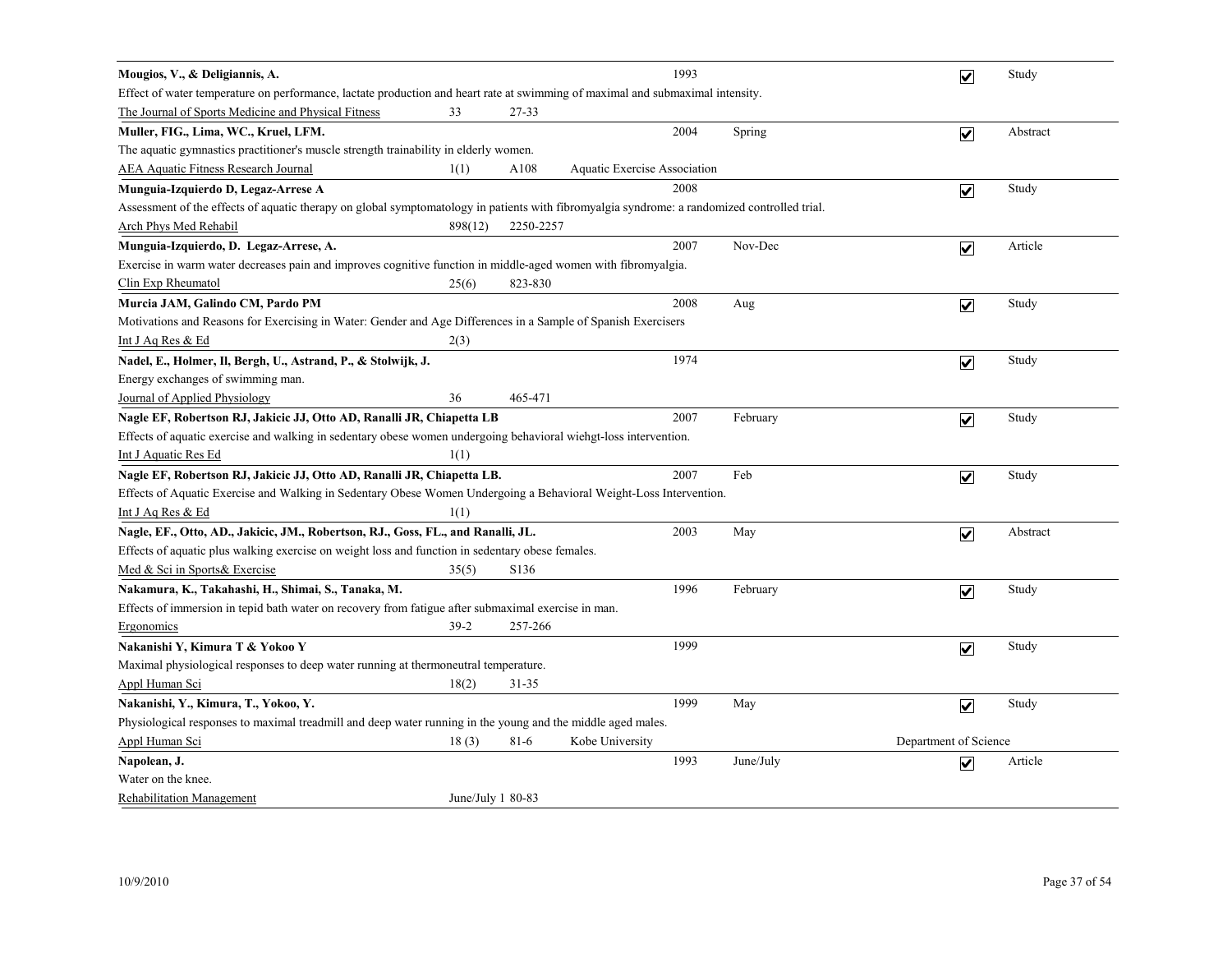| Mougios, V., & Deligiannis, A.                                                                                                               |                    |                   |                              | 1993 |           | $\overline{\mathbf{v}}$ | Study    |
|----------------------------------------------------------------------------------------------------------------------------------------------|--------------------|-------------------|------------------------------|------|-----------|-------------------------|----------|
| Effect of water temperature on performance, lactate production and heart rate at swimming of maximal and submaximal intensity.               |                    |                   |                              |      |           |                         |          |
| The Journal of Sports Medicine and Physical Fitness                                                                                          | 33                 | 27-33             |                              |      |           |                         |          |
| Muller, FIG., Lima, WC., Kruel, LFM.                                                                                                         |                    |                   |                              | 2004 | Spring    | $\overline{\mathbf{v}}$ | Abstract |
| The aquatic gymnastics practitioner's muscle strength trainability in elderly women.                                                         |                    |                   |                              |      |           |                         |          |
| <b>AEA Aquatic Fitness Research Journal</b>                                                                                                  | 1(1)               | A108              | Aquatic Exercise Association |      |           |                         |          |
| Munguia-Izquierdo D, Legaz-Arrese A                                                                                                          |                    |                   |                              | 2008 |           | $\overline{\mathbf{v}}$ | Study    |
| Assessment of the effects of aquatic therapy on global symptomatology in patients with fibromyalgia syndrome: a randomized controlled trial. |                    |                   |                              |      |           |                         |          |
| <b>Arch Phys Med Rehabil</b>                                                                                                                 | 898(12)            | 2250-2257         |                              |      |           |                         |          |
| Munguia-Izquierdo, D. Legaz-Arrese, A.                                                                                                       |                    |                   |                              | 2007 | Nov-Dec   | $\overline{\mathbf{v}}$ | Article  |
| Exercise in warm water decreases pain and improves cognitive function in middle-aged women with fibromyalgia.                                |                    |                   |                              |      |           |                         |          |
| Clin Exp Rheumatol                                                                                                                           | 25(6)              | 823-830           |                              |      |           |                         |          |
| Murcia JAM, Galindo CM, Pardo PM                                                                                                             |                    |                   |                              | 2008 | Aug       | $\overline{\mathbf{v}}$ | Study    |
| Motivations and Reasons for Exercising in Water: Gender and Age Differences in a Sample of Spanish Exercisers                                |                    |                   |                              |      |           |                         |          |
| Int J Aq Res & Ed                                                                                                                            | 2(3)               |                   |                              |      |           |                         |          |
| Nadel, E., Holmer, Il, Bergh, U., Astrand, P., & Stolwijk, J.                                                                                |                    |                   |                              | 1974 |           | $\overline{\mathbf{v}}$ | Study    |
| Energy exchanges of swimming man.                                                                                                            |                    |                   |                              |      |           |                         |          |
| Journal of Applied Physiology                                                                                                                | 36                 | 465-471           |                              |      |           |                         |          |
| Nagle EF, Robertson RJ, Jakicic JJ, Otto AD, Ranalli JR, Chiapetta LB                                                                        |                    |                   |                              | 2007 | February  | $\overline{\mathbf{v}}$ | Study    |
| Effects of aquatic exercise and walking in sedentary obese women undergoing behavioral wiehgt-loss intervention.                             |                    |                   |                              |      |           |                         |          |
| Int J Aquatic Res Ed                                                                                                                         | 1(1)               |                   |                              |      |           |                         |          |
| Nagle EF, Robertson RJ, Jakicic JJ, Otto AD, Ranalli JR, Chiapetta LB.                                                                       |                    |                   |                              | 2007 | Feb       | $\overline{\mathbf{v}}$ | Study    |
| Effects of Aquatic Exercise and Walking in Sedentary Obese Women Undergoing a Behavioral Weight-Loss Intervention.                           |                    |                   |                              |      |           |                         |          |
| Int J Aq Res & Ed                                                                                                                            | 1(1)               |                   |                              |      |           |                         |          |
| Nagle, EF., Otto, AD., Jakicic, JM., Robertson, RJ., Goss, FL., and Ranalli, JL.                                                             |                    |                   |                              | 2003 | May       | $\overline{\mathbf{v}}$ | Abstract |
| Effects of aquatic plus walking exercise on weight loss and function in sedentary obese females.                                             |                    |                   |                              |      |           |                         |          |
| Med & Sci in Sports& Exercise                                                                                                                | 35(5)              | S <sub>1</sub> 36 |                              |      |           |                         |          |
| Nakamura, K., Takahashi, H., Shimai, S., Tanaka, M.                                                                                          |                    |                   |                              | 1996 | February  | $\blacktriangledown$    | Study    |
| Effects of immersion in tepid bath water on recovery from fatigue after submaximal exercise in man.                                          |                    |                   |                              |      |           |                         |          |
| Ergonomics                                                                                                                                   | $39-2$             | 257-266           |                              |      |           |                         |          |
| Nakanishi Y, Kimura T & Yokoo Y                                                                                                              |                    |                   |                              | 1999 |           | $\overline{\mathbf{v}}$ | Study    |
| Maximal physiological responses to deep water running at thermoneutral temperature.                                                          |                    |                   |                              |      |           |                         |          |
| Appl Human Sci                                                                                                                               | 18(2)              | $31 - 35$         |                              |      |           |                         |          |
| Nakanishi, Y., Kimura, T., Yokoo, Y.                                                                                                         |                    |                   |                              | 1999 | May       | $\overline{\mathbf{v}}$ | Study    |
| Physiological responses to maximal treadmill and deep water running in the young and the middle aged males.                                  |                    |                   |                              |      |           |                         |          |
| Appl Human Sci                                                                                                                               | 18(3)              | $81-6$            | Kobe University              |      |           | Department of Science   |          |
| Napolean, J.                                                                                                                                 |                    |                   |                              | 1993 | June/July | $\overline{\mathbf{v}}$ | Article  |
| Water on the knee.                                                                                                                           |                    |                   |                              |      |           |                         |          |
| <b>Rehabilitation Management</b>                                                                                                             | June/July $180-83$ |                   |                              |      |           |                         |          |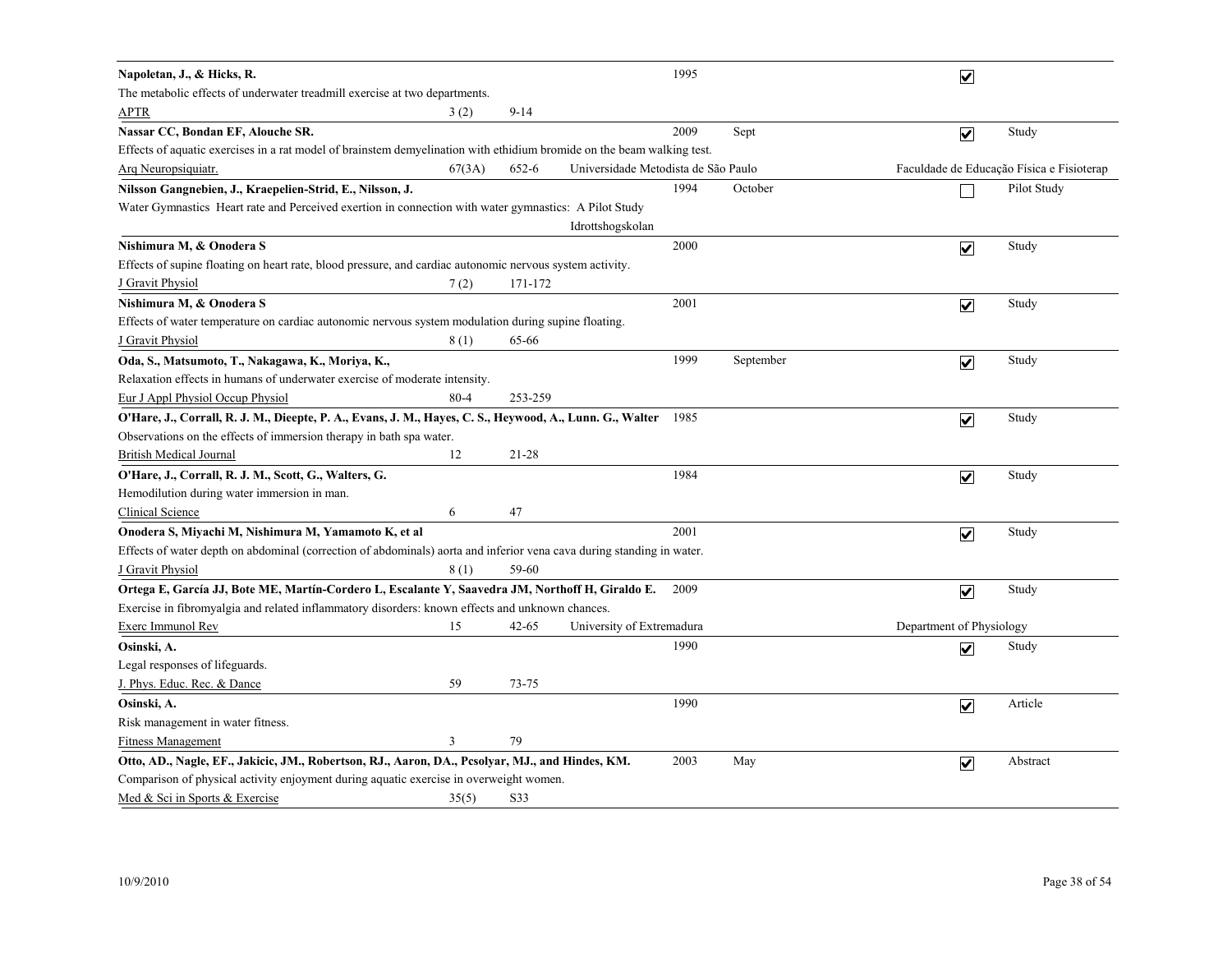| Napoletan, J., & Hicks, R.                                                                                             |          |           |                                     | 1995 |           | ☑                        |                                           |
|------------------------------------------------------------------------------------------------------------------------|----------|-----------|-------------------------------------|------|-----------|--------------------------|-------------------------------------------|
| The metabolic effects of underwater treadmill exercise at two departments.                                             |          |           |                                     |      |           |                          |                                           |
| <b>APTR</b>                                                                                                            | 3(2)     | $9 - 14$  |                                     |      |           |                          |                                           |
| Nassar CC, Bondan EF, Alouche SR.                                                                                      |          |           |                                     | 2009 | Sept      | $\overline{\mathbf{v}}$  | Study                                     |
| Effects of aquatic exercises in a rat model of brainstem demyelination with ethidium bromide on the beam walking test. |          |           |                                     |      |           |                          |                                           |
| Arg Neuropsiquiatr.                                                                                                    | 67(3A)   | 652-6     | Universidade Metodista de São Paulo |      |           |                          | Faculdade de Educação Física e Fisioterap |
| Nilsson Gangnebien, J., Kraepelien-Strid, E., Nilsson, J.                                                              |          |           |                                     | 1994 | October   |                          | Pilot Study                               |
| Water Gymnastics Heart rate and Perceived exertion in connection with water gymnastics: A Pilot Study                  |          |           |                                     |      |           |                          |                                           |
|                                                                                                                        |          |           | Idrottshogskolan                    |      |           |                          |                                           |
| Nishimura M, & Onodera S                                                                                               |          |           |                                     | 2000 |           | $\overline{\mathbf{v}}$  | Study                                     |
| Effects of supine floating on heart rate, blood pressure, and cardiac autonomic nervous system activity.               |          |           |                                     |      |           |                          |                                           |
| J Gravit Physiol                                                                                                       | 7(2)     | 171-172   |                                     |      |           |                          |                                           |
| Nishimura M, & Onodera S                                                                                               |          |           |                                     | 2001 |           | $\overline{\mathbf{v}}$  | Study                                     |
| Effects of water temperature on cardiac autonomic nervous system modulation during supine floating.                    |          |           |                                     |      |           |                          |                                           |
| J Gravit Physiol                                                                                                       | 8(1)     | 65-66     |                                     |      |           |                          |                                           |
| Oda, S., Matsumoto, T., Nakagawa, K., Moriya, K.,                                                                      |          |           |                                     | 1999 | September | $\overline{\mathbf{v}}$  | Study                                     |
| Relaxation effects in humans of underwater exercise of moderate intensity.                                             |          |           |                                     |      |           |                          |                                           |
| <b>Eur J Appl Physiol Occup Physiol</b>                                                                                | $80 - 4$ | 253-259   |                                     |      |           |                          |                                           |
| O'Hare, J., Corrall, R. J. M., Dieepte, P. A., Evans, J. M., Hayes, C. S., Heywood, A., Lunn. G., Walter               |          |           |                                     | 1985 |           | $\overline{\mathbf{v}}$  | Study                                     |
| Observations on the effects of immersion therapy in bath spa water.                                                    |          |           |                                     |      |           |                          |                                           |
| <b>British Medical Journal</b>                                                                                         | 12       | 21-28     |                                     |      |           |                          |                                           |
| O'Hare, J., Corrall, R. J. M., Scott, G., Walters, G.                                                                  |          |           |                                     | 1984 |           | $\overline{\mathbf{v}}$  | Study                                     |
| Hemodilution during water immersion in man.                                                                            |          |           |                                     |      |           |                          |                                           |
| Clinical Science<br>6                                                                                                  |          | 47        |                                     |      |           |                          |                                           |
| Onodera S, Miyachi M, Nishimura M, Yamamoto K, et al                                                                   |          |           |                                     | 2001 |           | $\overline{\mathbf{v}}$  | Study                                     |
| Effects of water depth on abdominal (correction of abdominals) aorta and inferior vena cava during standing in water.  |          |           |                                     |      |           |                          |                                           |
| J Gravit Physiol                                                                                                       | 8(1)     | 59-60     |                                     |      |           |                          |                                           |
| Ortega E, García JJ, Bote ME, Martín-Cordero L, Escalante Y, Saavedra JM, Northoff H, Giraldo E.                       |          |           |                                     | 2009 |           | $\overline{\mathbf{v}}$  | Study                                     |
| Exercise in fibromyalgia and related inflammatory disorders: known effects and unknown chances.                        |          |           |                                     |      |           |                          |                                           |
| Exerc Immunol Rev                                                                                                      | 15       | 42-65     | University of Extremadura           |      |           | Department of Physiology |                                           |
| Osinski, A.                                                                                                            |          |           |                                     | 1990 |           | $\overline{\mathbf{v}}$  | Study                                     |
| Legal responses of lifeguards.                                                                                         |          |           |                                     |      |           |                          |                                           |
| J. Phys. Educ. Rec. & Dance                                                                                            | 59       | $73 - 75$ |                                     |      |           |                          |                                           |
| Osinski, A.                                                                                                            |          |           |                                     | 1990 |           | $\blacktriangledown$     | Article                                   |
| Risk management in water fitness.                                                                                      |          |           |                                     |      |           |                          |                                           |
| 3<br><b>Fitness Management</b>                                                                                         |          | 79        |                                     |      |           |                          |                                           |
| Otto, AD., Nagle, EF., Jakicic, JM., Robertson, RJ., Aaron, DA., Pcsolyar, MJ., and Hindes, KM.                        |          |           |                                     | 2003 | May       | $\overline{\mathbf{v}}$  | Abstract                                  |
| Comparison of physical activity enjoyment during aquatic exercise in overweight women.                                 |          |           |                                     |      |           |                          |                                           |
| Med & Sci in Sports & Exercise                                                                                         | 35(5)    | S33       |                                     |      |           |                          |                                           |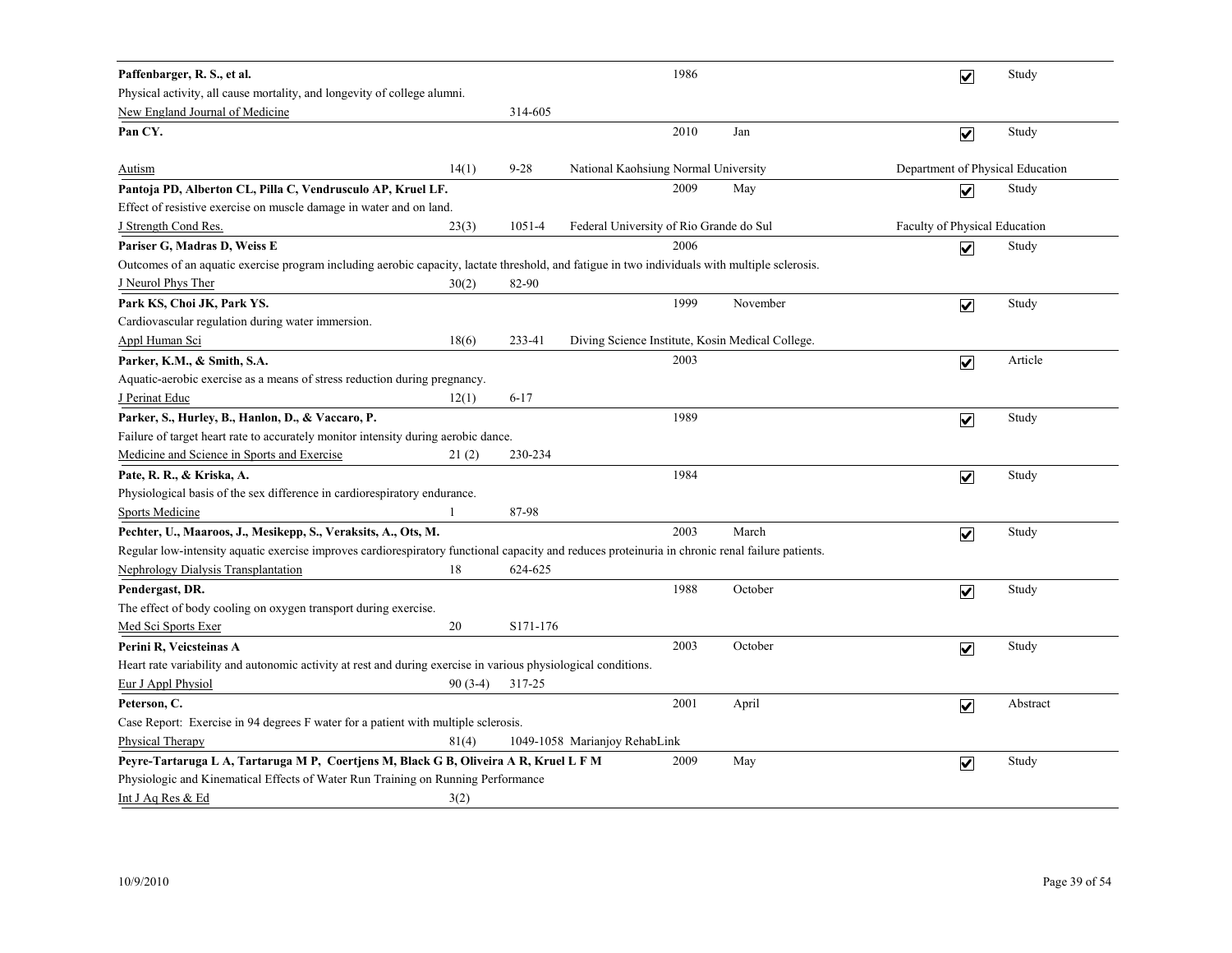| Paffenbarger, R. S., et al.                                                                                                                      |           |            |                                                  | 1986 |          | $\overline{\mathbf{v}}$          | Study    |
|--------------------------------------------------------------------------------------------------------------------------------------------------|-----------|------------|--------------------------------------------------|------|----------|----------------------------------|----------|
| Physical activity, all cause mortality, and longevity of college alumni.                                                                         |           |            |                                                  |      |          |                                  |          |
| New England Journal of Medicine                                                                                                                  |           | 314-605    |                                                  |      |          |                                  |          |
| Pan CY.                                                                                                                                          |           |            |                                                  | 2010 | Jan      | $\overline{\mathbf{v}}$          | Study    |
|                                                                                                                                                  |           |            |                                                  |      |          |                                  |          |
| <b>Autism</b>                                                                                                                                    | 14(1)     | $9 - 28$   | National Kaohsiung Normal University             |      |          | Department of Physical Education |          |
| Pantoja PD, Alberton CL, Pilla C, Vendrusculo AP, Kruel LF.                                                                                      |           |            |                                                  | 2009 | May      | $\overline{\mathbf{v}}$          | Study    |
| Effect of resistive exercise on muscle damage in water and on land.                                                                              |           |            |                                                  |      |          |                                  |          |
| J Strength Cond Res.                                                                                                                             | 23(3)     | $1051 - 4$ | Federal University of Rio Grande do Sul          |      |          | Faculty of Physical Education    |          |
| Pariser G, Madras D, Weiss E                                                                                                                     |           |            |                                                  | 2006 |          | $\overline{\mathbf{v}}$          | Study    |
| Outcomes of an aquatic exercise program including aerobic capacity, lactate threshold, and fatigue in two individuals with multiple sclerosis.   |           |            |                                                  |      |          |                                  |          |
| J Neurol Phys Ther                                                                                                                               | 30(2)     | 82-90      |                                                  |      |          |                                  |          |
| Park KS, Choi JK, Park YS.                                                                                                                       |           |            |                                                  | 1999 | November | $\overline{\mathbf{v}}$          | Study    |
| Cardiovascular regulation during water immersion.                                                                                                |           |            |                                                  |      |          |                                  |          |
| <b>Appl Human Sci</b>                                                                                                                            | 18(6)     | 233-41     | Diving Science Institute, Kosin Medical College. |      |          |                                  |          |
| Parker, K.M., & Smith, S.A.                                                                                                                      |           |            |                                                  | 2003 |          | $\overline{\mathbf{v}}$          | Article  |
| Aquatic-aerobic exercise as a means of stress reduction during pregnancy.                                                                        |           |            |                                                  |      |          |                                  |          |
| J Perinat Educ                                                                                                                                   | 12(1)     | $6 - 17$   |                                                  |      |          |                                  |          |
| Parker, S., Hurley, B., Hanlon, D., & Vaccaro, P.                                                                                                |           |            |                                                  | 1989 |          | $\overline{\mathbf{v}}$          | Study    |
| Failure of target heart rate to accurately monitor intensity during aerobic dance.                                                               |           |            |                                                  |      |          |                                  |          |
| Medicine and Science in Sports and Exercise                                                                                                      | 21(2)     | 230-234    |                                                  |      |          |                                  |          |
| Pate, R. R., & Kriska, A.                                                                                                                        |           |            |                                                  | 1984 |          | $\overline{\mathbf{v}}$          | Study    |
| Physiological basis of the sex difference in cardiorespiratory endurance.                                                                        |           |            |                                                  |      |          |                                  |          |
| <b>Sports Medicine</b>                                                                                                                           |           | 87-98      |                                                  |      |          |                                  |          |
| Pechter, U., Maaroos, J., Mesikepp, S., Veraksits, A., Ots, M.                                                                                   |           |            |                                                  | 2003 | March    | $\overline{\mathbf{v}}$          | Study    |
| Regular low-intensity aquatic exercise improves cardiorespiratory functional capacity and reduces proteinuria in chronic renal failure patients. |           |            |                                                  |      |          |                                  |          |
| <b>Nephrology Dialysis Transplantation</b>                                                                                                       | 18        | 624-625    |                                                  |      |          |                                  |          |
| Pendergast, DR.                                                                                                                                  |           |            |                                                  | 1988 | October  | $\overline{\mathbf{v}}$          | Study    |
| The effect of body cooling on oxygen transport during exercise.                                                                                  |           |            |                                                  |      |          |                                  |          |
| Med Sci Sports Exer                                                                                                                              | 20        | S171-176   |                                                  |      |          |                                  |          |
| Perini R, Veicsteinas A                                                                                                                          |           |            |                                                  | 2003 | October  | $\overline{\mathbf{v}}$          | Study    |
| Heart rate variability and autonomic activity at rest and during exercise in various physiological conditions.                                   |           |            |                                                  |      |          |                                  |          |
| Eur J Appl Physiol                                                                                                                               | $90(3-4)$ | 317-25     |                                                  |      |          |                                  |          |
| Peterson, C.                                                                                                                                     |           |            |                                                  | 2001 | April    | $\overline{\mathbf{v}}$          | Abstract |
| Case Report: Exercise in 94 degrees F water for a patient with multiple sclerosis.                                                               |           |            |                                                  |      |          |                                  |          |
| Physical Therapy                                                                                                                                 | 81(4)     |            | 1049-1058 Marianjoy RehabLink                    |      |          |                                  |          |
| Peyre-Tartaruga L A, Tartaruga M P, Coertjens M, Black G B, Oliveira A R, Kruel L F M                                                            |           |            |                                                  | 2009 | May      | $\overline{\mathbf{v}}$          | Study    |
| Physiologic and Kinematical Effects of Water Run Training on Running Performance                                                                 |           |            |                                                  |      |          |                                  |          |
| Int J Aq Res & Ed                                                                                                                                | 3(2)      |            |                                                  |      |          |                                  |          |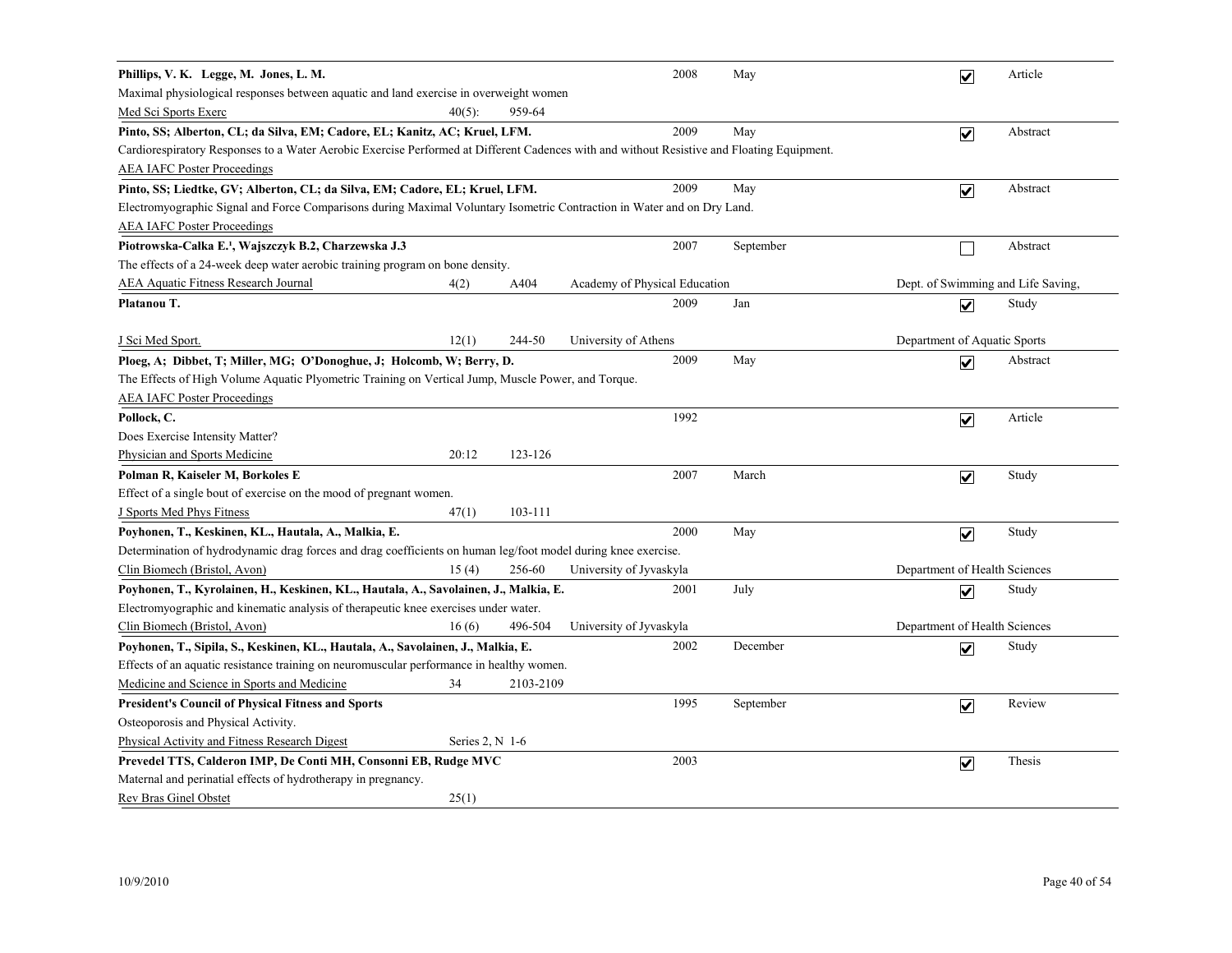| Phillips, V. K. Legge, M. Jones, L. M.                                                                                                     |                   |           |                               | 2008 | May       | $\overline{\mathbf{v}}$            | Article  |
|--------------------------------------------------------------------------------------------------------------------------------------------|-------------------|-----------|-------------------------------|------|-----------|------------------------------------|----------|
| Maximal physiological responses between aquatic and land exercise in overweight women                                                      |                   |           |                               |      |           |                                    |          |
| Med Sci Sports Exerc                                                                                                                       | $40(5)$ :         | 959-64    |                               |      |           |                                    |          |
| Pinto, SS; Alberton, CL; da Silva, EM; Cadore, EL; Kanitz, AC; Kruel, LFM.                                                                 |                   |           |                               | 2009 | May       | $\overline{\mathbf{v}}$            | Abstract |
| Cardiorespiratory Responses to a Water Aerobic Exercise Performed at Different Cadences with and without Resistive and Floating Equipment. |                   |           |                               |      |           |                                    |          |
| <b>AEA IAFC Poster Proceedings</b>                                                                                                         |                   |           |                               |      |           |                                    |          |
| Pinto, SS; Liedtke, GV; Alberton, CL; da Silva, EM; Cadore, EL; Kruel, LFM.                                                                |                   |           |                               | 2009 | May       | $\overline{\mathbf{v}}$            | Abstract |
| Electromyographic Signal and Force Comparisons during Maximal Voluntary Isometric Contraction in Water and on Dry Land.                    |                   |           |                               |      |           |                                    |          |
| <b>AEA IAFC Poster Proceedings</b>                                                                                                         |                   |           |                               |      |           |                                    |          |
| Piotrowska-Całka E. <sup>1</sup> , Wajszczyk B.2, Charzewska J.3                                                                           |                   |           |                               | 2007 | September |                                    | Abstract |
| The effects of a 24-week deep water aerobic training program on bone density.                                                              |                   |           |                               |      |           |                                    |          |
| <b>AEA Aquatic Fitness Research Journal</b>                                                                                                | 4(2)              | A404      | Academy of Physical Education |      |           | Dept. of Swimming and Life Saving, |          |
| Platanou T.                                                                                                                                |                   |           |                               | 2009 | Jan       | $\blacktriangledown$               | Study    |
| <u>J Sci Med Sport.</u>                                                                                                                    | 12(1)             | 244-50    | University of Athens          |      |           | Department of Aquatic Sports       |          |
| Ploeg, A; Dibbet, T; Miller, MG; O'Donoghue, J; Holcomb, W; Berry, D.                                                                      |                   |           |                               | 2009 | May       | $\overline{\mathbf{v}}$            | Abstract |
| The Effects of High Volume Aquatic Plyometric Training on Vertical Jump, Muscle Power, and Torque.                                         |                   |           |                               |      |           |                                    |          |
| <b>AEA IAFC Poster Proceedings</b>                                                                                                         |                   |           |                               |      |           |                                    |          |
| Pollock, C.                                                                                                                                |                   |           |                               | 1992 |           | $\overline{\mathbf{v}}$            | Article  |
| Does Exercise Intensity Matter?                                                                                                            |                   |           |                               |      |           |                                    |          |
| Physician and Sports Medicine                                                                                                              | 20:12             | 123-126   |                               |      |           |                                    |          |
| Polman R, Kaiseler M, Borkoles E                                                                                                           |                   |           |                               | 2007 | March     | $\overline{\mathbf{v}}$            | Study    |
| Effect of a single bout of exercise on the mood of pregnant women.                                                                         |                   |           |                               |      |           |                                    |          |
| J Sports Med Phys Fitness                                                                                                                  | 47(1)             | 103-111   |                               |      |           |                                    |          |
| Poyhonen, T., Keskinen, KL., Hautala, A., Malkia, E.                                                                                       |                   |           |                               | 2000 | May       | $\blacktriangledown$               | Study    |
| Determination of hydrodynamic drag forces and drag coefficients on human leg/foot model during knee exercise.                              |                   |           |                               |      |           |                                    |          |
| Clin Biomech (Bristol, Avon)                                                                                                               | 15(4)             | 256-60    | University of Jyvaskyla       |      |           | Department of Health Sciences      |          |
| Poyhonen, T., Kyrolainen, H., Keskinen, KL., Hautala, A., Savolainen, J., Malkia, E.                                                       |                   |           |                               | 2001 | July      | $\overline{\mathbf{v}}$            | Study    |
| Electromyographic and kinematic analysis of the rapeutic knee exercises under water.                                                       |                   |           |                               |      |           |                                    |          |
| Clin Biomech (Bristol, Avon)                                                                                                               | 16(6)             | 496-504   | University of Jyvaskyla       |      |           | Department of Health Sciences      |          |
| Poyhonen, T., Sipila, S., Keskinen, KL., Hautala, A., Savolainen, J., Malkia, E.                                                           |                   |           |                               | 2002 | December  | $\blacktriangledown$               | Study    |
| Effects of an aquatic resistance training on neuromuscular performance in healthy women.                                                   |                   |           |                               |      |           |                                    |          |
| Medicine and Science in Sports and Medicine                                                                                                | 34                | 2103-2109 |                               |      |           |                                    |          |
| <b>President's Council of Physical Fitness and Sports</b>                                                                                  |                   |           |                               | 1995 | September | $\blacktriangledown$               | Review   |
| Osteoporosis and Physical Activity.                                                                                                        |                   |           |                               |      |           |                                    |          |
| <b>Physical Activity and Fitness Research Digest</b>                                                                                       | Series $2, N$ 1-6 |           |                               |      |           |                                    |          |
| Prevedel TTS, Calderon IMP, De Conti MH, Consonni EB, Rudge MVC                                                                            |                   |           |                               | 2003 |           | $\blacktriangledown$               | Thesis   |
| Maternal and perinatial effects of hydrotherapy in pregnancy.                                                                              |                   |           |                               |      |           |                                    |          |
| Rev Bras Ginel Obstet                                                                                                                      | 25(1)             |           |                               |      |           |                                    |          |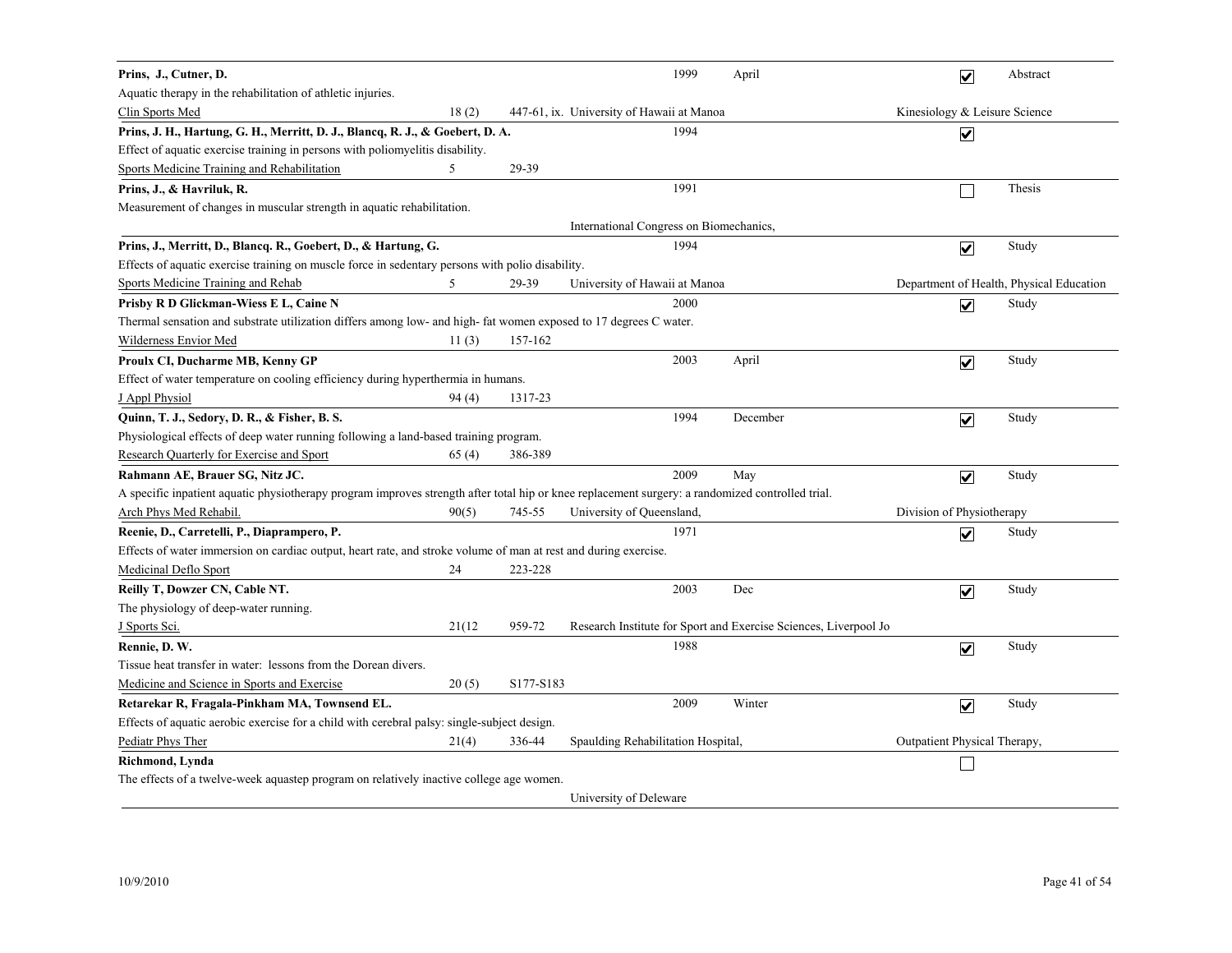| Prins, J., Cutner, D.                                                                                                                            |        |           |                                           | 1999 | April                                                            |                               | $\overline{\mathbf{v}}$ | Abstract                                 |
|--------------------------------------------------------------------------------------------------------------------------------------------------|--------|-----------|-------------------------------------------|------|------------------------------------------------------------------|-------------------------------|-------------------------|------------------------------------------|
| Aquatic therapy in the rehabilitation of athletic injuries.                                                                                      |        |           |                                           |      |                                                                  |                               |                         |                                          |
| Clin Sports Med                                                                                                                                  | 18(2)  |           | 447-61, ix. University of Hawaii at Manoa |      |                                                                  | Kinesiology & Leisure Science |                         |                                          |
| Prins, J. H., Hartung, G. H., Merritt, D. J., Blancq, R. J., & Goebert, D. A.                                                                    |        |           |                                           | 1994 |                                                                  |                               | $\overline{\mathbf{v}}$ |                                          |
| Effect of aquatic exercise training in persons with poliomyelitis disability.                                                                    |        |           |                                           |      |                                                                  |                               |                         |                                          |
| Sports Medicine Training and Rehabilitation                                                                                                      | 5      | 29-39     |                                           |      |                                                                  |                               |                         |                                          |
| Prins, J., & Havriluk, R.                                                                                                                        |        |           |                                           | 1991 |                                                                  |                               |                         | Thesis                                   |
| Measurement of changes in muscular strength in aquatic rehabilitation.                                                                           |        |           |                                           |      |                                                                  |                               |                         |                                          |
|                                                                                                                                                  |        |           | International Congress on Biomechanics,   |      |                                                                  |                               |                         |                                          |
| Prins, J., Merritt, D., Blancq. R., Goebert, D., & Hartung, G.                                                                                   |        |           |                                           | 1994 |                                                                  |                               | $\overline{\mathbf{v}}$ | Study                                    |
| Effects of aquatic exercise training on muscle force in sedentary persons with polio disability.                                                 |        |           |                                           |      |                                                                  |                               |                         |                                          |
| Sports Medicine Training and Rehab                                                                                                               | 5      | 29-39     | University of Hawaii at Manoa             |      |                                                                  |                               |                         | Department of Health, Physical Education |
| Prisby R D Glickman-Wiess E L, Caine N                                                                                                           |        |           |                                           | 2000 |                                                                  |                               | $\overline{\mathbf{v}}$ | Study                                    |
| Thermal sensation and substrate utilization differs among low- and high- fat women exposed to 17 degrees C water.                                |        |           |                                           |      |                                                                  |                               |                         |                                          |
| Wilderness Envior Med                                                                                                                            | 11(3)  | 157-162   |                                           |      |                                                                  |                               |                         |                                          |
| Proulx CI, Ducharme MB, Kenny GP                                                                                                                 |        |           |                                           | 2003 | April                                                            |                               | $\overline{\mathbf{v}}$ | Study                                    |
| Effect of water temperature on cooling efficiency during hyperthermia in humans.                                                                 |        |           |                                           |      |                                                                  |                               |                         |                                          |
| J Appl Physiol                                                                                                                                   | 94 (4) | 1317-23   |                                           |      |                                                                  |                               |                         |                                          |
| Quinn, T. J., Sedory, D. R., & Fisher, B. S.                                                                                                     |        |           |                                           | 1994 | December                                                         |                               | $\overline{\mathbf{v}}$ | Study                                    |
| Physiological effects of deep water running following a land-based training program.                                                             |        |           |                                           |      |                                                                  |                               |                         |                                          |
| Research Quarterly for Exercise and Sport                                                                                                        | 65(4)  | 386-389   |                                           |      |                                                                  |                               |                         |                                          |
| Rahmann AE, Brauer SG, Nitz JC.                                                                                                                  |        |           |                                           | 2009 | May                                                              |                               | $\overline{\mathbf{v}}$ | Study                                    |
| A specific inpatient aquatic physiotherapy program improves strength after total hip or knee replacement surgery: a randomized controlled trial. |        |           |                                           |      |                                                                  |                               |                         |                                          |
| Arch Phys Med Rehabil.                                                                                                                           | 90(5)  | 745-55    | University of Queensland,                 |      |                                                                  | Division of Physiotherapy     |                         |                                          |
| Reenie, D., Carretelli, P., Diaprampero, P.                                                                                                      |        |           |                                           | 1971 |                                                                  |                               | $\overline{\mathbf{v}}$ | Study                                    |
| Effects of water immersion on cardiac output, heart rate, and stroke volume of man at rest and during exercise.                                  |        |           |                                           |      |                                                                  |                               |                         |                                          |
| Medicinal Deflo Sport                                                                                                                            | 24     | 223-228   |                                           |      |                                                                  |                               |                         |                                          |
| Reilly T, Dowzer CN, Cable NT.                                                                                                                   |        |           |                                           | 2003 | Dec                                                              |                               | $\blacktriangledown$    | Study                                    |
| The physiology of deep-water running.                                                                                                            |        |           |                                           |      |                                                                  |                               |                         |                                          |
| J Sports Sci.                                                                                                                                    | 21(12) | 959-72    |                                           |      | Research Institute for Sport and Exercise Sciences, Liverpool Jo |                               |                         |                                          |
| Rennie, D. W.                                                                                                                                    |        |           |                                           | 1988 |                                                                  |                               | $\overline{\mathbf{v}}$ | Study                                    |
| Tissue heat transfer in water: lessons from the Dorean divers.                                                                                   |        |           |                                           |      |                                                                  |                               |                         |                                          |
| Medicine and Science in Sports and Exercise                                                                                                      | 20(5)  | S177-S183 |                                           |      |                                                                  |                               |                         |                                          |
| Retarekar R, Fragala-Pinkham MA, Townsend EL.                                                                                                    |        |           |                                           | 2009 | Winter                                                           |                               | $\overline{\mathbf{v}}$ | Study                                    |
| Effects of aquatic aerobic exercise for a child with cerebral palsy: single-subject design.                                                      |        |           |                                           |      |                                                                  |                               |                         |                                          |
| Pediatr Phys Ther                                                                                                                                | 21(4)  | 336-44    | Spaulding Rehabilitation Hospital,        |      |                                                                  | Outpatient Physical Therapy,  |                         |                                          |
| Richmond, Lynda                                                                                                                                  |        |           |                                           |      |                                                                  |                               |                         |                                          |
| The effects of a twelve-week aquastep program on relatively inactive college age women.                                                          |        |           |                                           |      |                                                                  |                               |                         |                                          |
|                                                                                                                                                  |        |           | University of Deleware                    |      |                                                                  |                               |                         |                                          |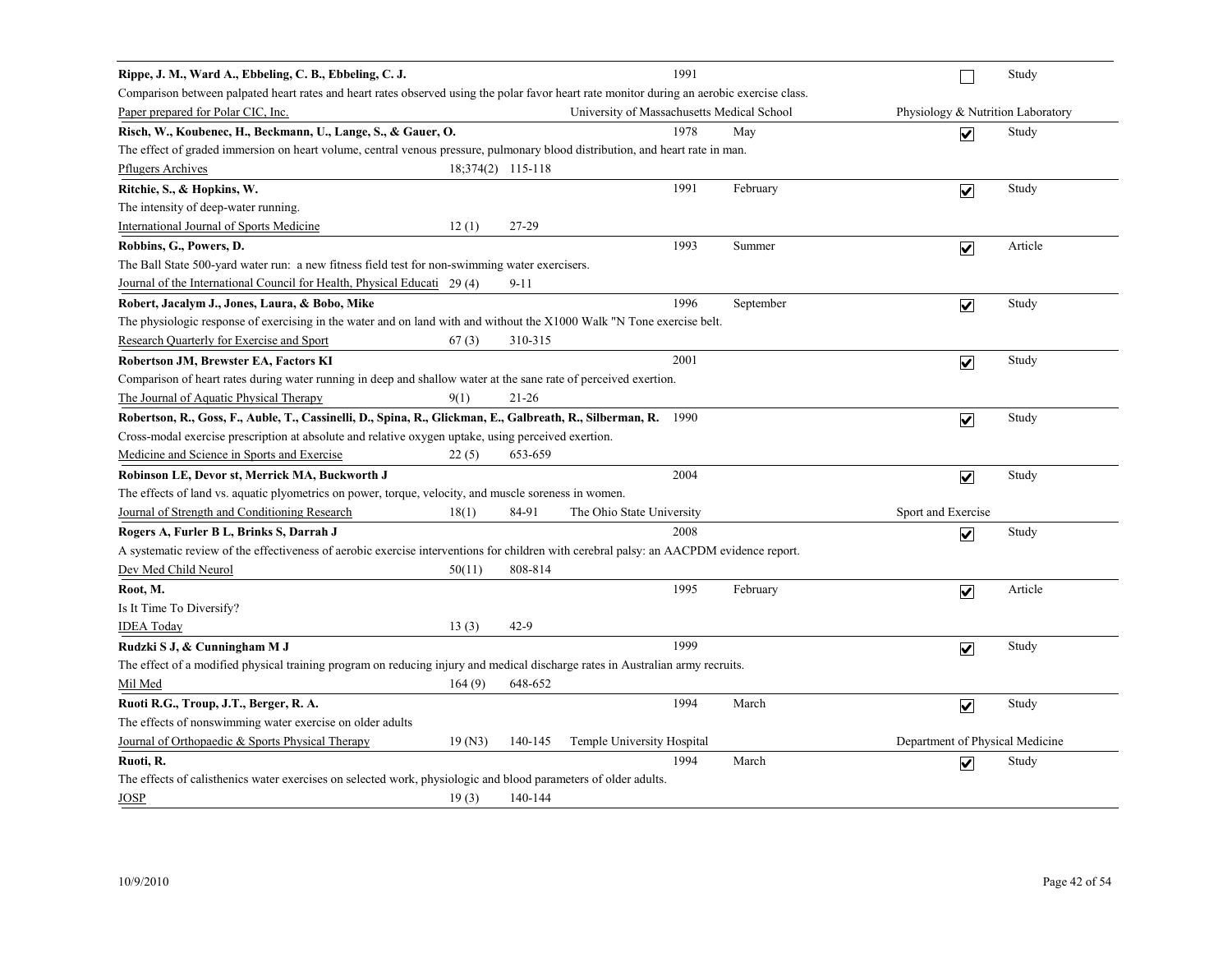| Rippe, J. M., Ward A., Ebbeling, C. B., Ebbeling, C. J.                                                                                     |                   |                                            | 1991 |           |                                   | Study   |
|---------------------------------------------------------------------------------------------------------------------------------------------|-------------------|--------------------------------------------|------|-----------|-----------------------------------|---------|
| Comparison between palpated heart rates and heart rates observed using the polar favor heart rate monitor during an aerobic exercise class. |                   |                                            |      |           |                                   |         |
| Paper prepared for Polar CIC, Inc.                                                                                                          |                   | University of Massachusetts Medical School |      |           | Physiology & Nutrition Laboratory |         |
| Risch, W., Koubenec, H., Beckmann, U., Lange, S., & Gauer, O.                                                                               |                   |                                            | 1978 | May       | $\overline{\mathbf{v}}$           | Study   |
| The effect of graded immersion on heart volume, central venous pressure, pulmonary blood distribution, and heart rate in man.               |                   |                                            |      |           |                                   |         |
| <b>Pflugers Archives</b>                                                                                                                    | 18:374(2) 115-118 |                                            |      |           |                                   |         |
| Ritchie, S., & Hopkins, W.                                                                                                                  |                   |                                            | 1991 | February  | $\overline{\mathbf{v}}$           | Study   |
| The intensity of deep-water running.                                                                                                        |                   |                                            |      |           |                                   |         |
| <b>International Journal of Sports Medicine</b><br>12(1)                                                                                    | 27-29             |                                            |      |           |                                   |         |
| Robbins, G., Powers, D.                                                                                                                     |                   |                                            | 1993 | Summer    | $\overline{\mathbf{v}}$           | Article |
| The Ball State 500-yard water run: a new fitness field test for non-swimming water exercisers.                                              |                   |                                            |      |           |                                   |         |
| Journal of the International Council for Health, Physical Educati 29 (4)                                                                    | 9-11              |                                            |      |           |                                   |         |
| Robert, Jacalym J., Jones, Laura, & Bobo, Mike                                                                                              |                   |                                            | 1996 | September | $\overline{\mathbf{v}}$           | Study   |
| The physiologic response of exercising in the water and on land with and without the X1000 Walk "N Tone exercise belt.                      |                   |                                            |      |           |                                   |         |
| Research Quarterly for Exercise and Sport<br>67(3)                                                                                          | 310-315           |                                            |      |           |                                   |         |
| Robertson JM, Brewster EA, Factors KI                                                                                                       |                   |                                            | 2001 |           | $\overline{\mathbf{v}}$           | Study   |
| Comparison of heart rates during water running in deep and shallow water at the sane rate of perceived exertion.                            |                   |                                            |      |           |                                   |         |
| The Journal of Aquatic Physical Therapy<br>9(1)                                                                                             | $21-26$           |                                            |      |           |                                   |         |
| Robertson, R., Goss, F., Auble, T., Cassinelli, D., Spina, R., Glickman, E., Galbreath, R., Silberman, R. 1990                              |                   |                                            |      |           | $\overline{\mathbf{v}}$           | Study   |
| Cross-modal exercise prescription at absolute and relative oxygen uptake, using perceived exertion.                                         |                   |                                            |      |           |                                   |         |
| Medicine and Science in Sports and Exercise<br>22(5)                                                                                        | 653-659           |                                            |      |           |                                   |         |
| Robinson LE, Devor st, Merrick MA, Buckworth J                                                                                              |                   |                                            | 2004 |           | $\overline{\mathbf{v}}$           | Study   |
| The effects of land vs. aquatic plyometrics on power, torque, velocity, and muscle soreness in women.                                       |                   |                                            |      |           |                                   |         |
| Journal of Strength and Conditioning Research<br>18(1)                                                                                      | 84-91             | The Ohio State University                  |      |           | Sport and Exercise                |         |
| Rogers A, Furler B L, Brinks S, Darrah J                                                                                                    |                   |                                            | 2008 |           | $\overline{\mathbf{v}}$           | Study   |
| A systematic review of the effectiveness of aerobic exercise interventions for children with cerebral palsy: an AACPDM evidence report.     |                   |                                            |      |           |                                   |         |
| Dev Med Child Neurol<br>50(11)                                                                                                              | 808-814           |                                            |      |           |                                   |         |
| Root, M.                                                                                                                                    |                   |                                            | 1995 | February  | $\blacktriangledown$              | Article |
| Is It Time To Diversify?                                                                                                                    |                   |                                            |      |           |                                   |         |
| <b>IDEA</b> Today<br>13(3)                                                                                                                  | $42-9$            |                                            |      |           |                                   |         |
| Rudzki S J, & Cunningham M J                                                                                                                |                   |                                            | 1999 |           | $\overline{\mathbf{v}}$           | Study   |
| The effect of a modified physical training program on reducing injury and medical discharge rates in Australian army recruits.              |                   |                                            |      |           |                                   |         |
| Mil Med<br>164(9)                                                                                                                           | 648-652           |                                            |      |           |                                   |         |
| Ruoti R.G., Troup, J.T., Berger, R.A.                                                                                                       |                   |                                            | 1994 | March     | $\overline{\mathsf{v}}$           | Study   |
| The effects of nonswimming water exercise on older adults                                                                                   |                   |                                            |      |           |                                   |         |
| Journal of Orthopaedic & Sports Physical Therapy<br>19(N3)                                                                                  | 140-145           | Temple University Hospital                 |      |           | Department of Physical Medicine   |         |
| Ruoti, R.                                                                                                                                   |                   |                                            | 1994 | March     | $\overline{\mathsf{v}}$           | Study   |
| The effects of calisthenics water exercises on selected work, physiologic and blood parameters of older adults.                             |                   |                                            |      |           |                                   |         |
| JOSP<br>19(3)                                                                                                                               | 140-144           |                                            |      |           |                                   |         |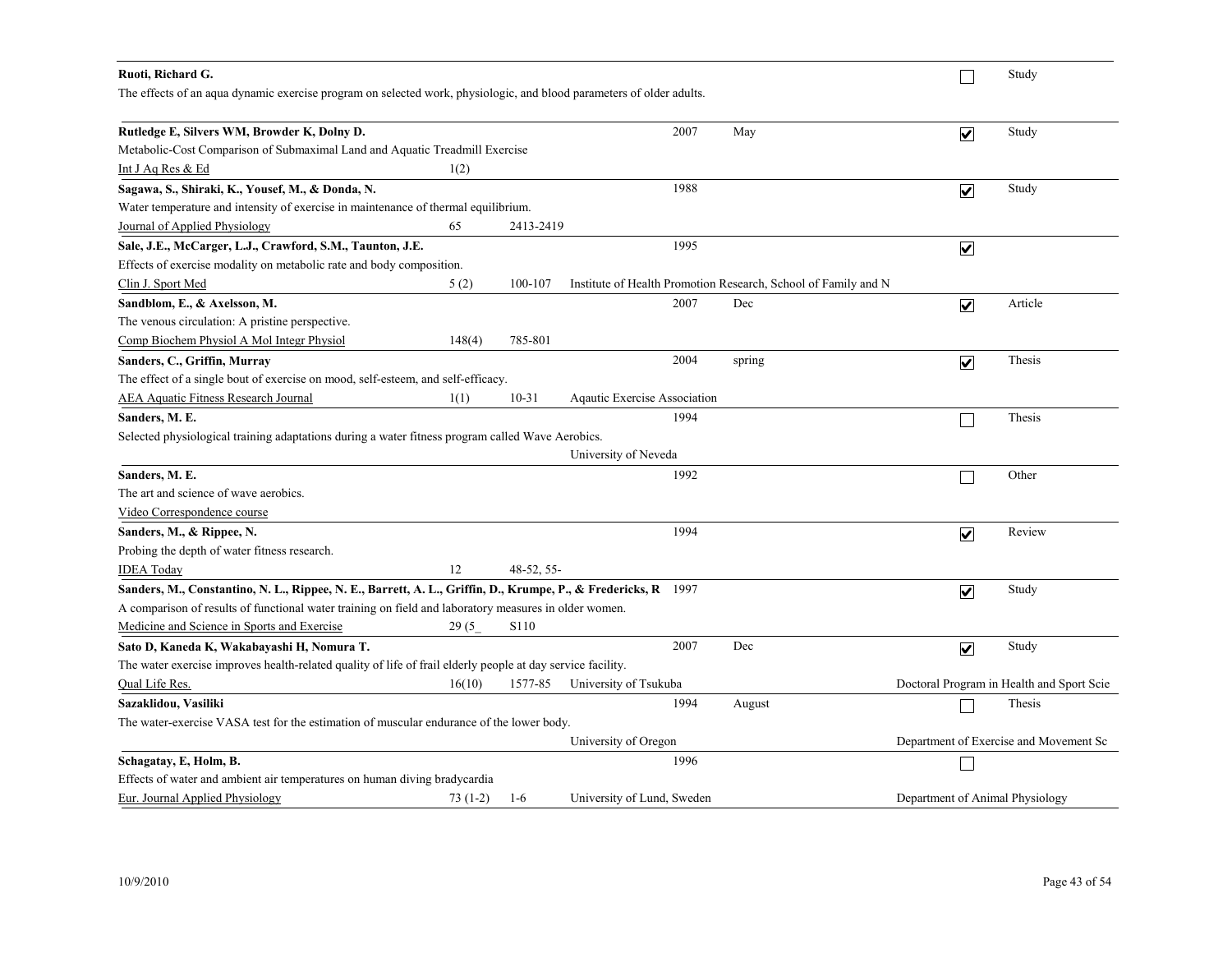| Ruoti, Richard G.                                                                                                    |           |            |                              |      |                                                                |                                 | Study                                     |
|----------------------------------------------------------------------------------------------------------------------|-----------|------------|------------------------------|------|----------------------------------------------------------------|---------------------------------|-------------------------------------------|
| The effects of an aqua dynamic exercise program on selected work, physiologic, and blood parameters of older adults. |           |            |                              |      |                                                                |                                 |                                           |
| Rutledge E, Silvers WM, Browder K, Dolny D.                                                                          |           |            |                              | 2007 | May                                                            | $\overline{\mathbf{v}}$         | Study                                     |
| Metabolic-Cost Comparison of Submaximal Land and Aquatic Treadmill Exercise                                          |           |            |                              |      |                                                                |                                 |                                           |
| Int J Aq Res & Ed                                                                                                    | 1(2)      |            |                              |      |                                                                |                                 |                                           |
| Sagawa, S., Shiraki, K., Yousef, M., & Donda, N.                                                                     |           |            |                              | 1988 |                                                                | $\overline{\mathbf{v}}$         | Study                                     |
| Water temperature and intensity of exercise in maintenance of thermal equilibrium.                                   |           |            |                              |      |                                                                |                                 |                                           |
| Journal of Applied Physiology                                                                                        | 65        | 2413-2419  |                              |      |                                                                |                                 |                                           |
| Sale, J.E., McCarger, L.J., Crawford, S.M., Taunton, J.E.                                                            |           |            |                              | 1995 |                                                                | $\blacktriangledown$            |                                           |
| Effects of exercise modality on metabolic rate and body composition.                                                 |           |            |                              |      |                                                                |                                 |                                           |
| Clin J. Sport Med                                                                                                    | 5(2)      | 100-107    |                              |      | Institute of Health Promotion Research, School of Family and N |                                 |                                           |
| Sandblom, E., & Axelsson, M.                                                                                         |           |            |                              | 2007 | Dec                                                            | $\overline{\mathbf{v}}$         | Article                                   |
| The venous circulation: A pristine perspective.                                                                      |           |            |                              |      |                                                                |                                 |                                           |
| Comp Biochem Physiol A Mol Integr Physiol                                                                            | 148(4)    | 785-801    |                              |      |                                                                |                                 |                                           |
| Sanders, C., Griffin, Murray                                                                                         |           |            |                              | 2004 | spring                                                         | $\overline{\mathbf{v}}$         | Thesis                                    |
| The effect of a single bout of exercise on mood, self-esteem, and self-efficacy.                                     |           |            |                              |      |                                                                |                                 |                                           |
| <b>AEA Aquatic Fitness Research Journal</b>                                                                          | 1(1)      | $10 - 31$  | Aqautic Exercise Association |      |                                                                |                                 |                                           |
| Sanders, M. E.                                                                                                       |           |            |                              | 1994 |                                                                |                                 | Thesis                                    |
| Selected physiological training adaptations during a water fitness program called Wave Aerobics.                     |           |            |                              |      |                                                                |                                 |                                           |
|                                                                                                                      |           |            | University of Neveda         |      |                                                                |                                 |                                           |
| Sanders, M. E.                                                                                                       |           |            |                              | 1992 |                                                                |                                 | Other                                     |
| The art and science of wave aerobics.                                                                                |           |            |                              |      |                                                                |                                 |                                           |
| Video Correspondence course                                                                                          |           |            |                              |      |                                                                |                                 |                                           |
| Sanders, M., & Rippee, N.                                                                                            |           |            |                              | 1994 |                                                                | $\blacktriangledown$            | Review                                    |
| Probing the depth of water fitness research.                                                                         |           |            |                              |      |                                                                |                                 |                                           |
| <b>IDEA</b> Today                                                                                                    | 12        | 48-52, 55- |                              |      |                                                                |                                 |                                           |
| Sanders, M., Constantino, N. L., Rippee, N. E., Barrett, A. L., Griffin, D., Krumpe, P., & Fredericks, R 1997        |           |            |                              |      |                                                                | $\blacktriangledown$            | Study                                     |
| A comparison of results of functional water training on field and laboratory measures in older women.                |           |            |                              |      |                                                                |                                 |                                           |
| Medicine and Science in Sports and Exercise                                                                          | 29(5)     | S110       |                              |      |                                                                |                                 |                                           |
| Sato D, Kaneda K, Wakabayashi H, Nomura T.                                                                           |           |            |                              | 2007 | Dec                                                            | $\blacktriangledown$            | Study                                     |
| The water exercise improves health-related quality of life of frail elderly people at day service facility.          |           |            |                              |      |                                                                |                                 |                                           |
| Qual Life Res.                                                                                                       | 16(10)    | 1577-85    | University of Tsukuba        |      |                                                                |                                 | Doctoral Program in Health and Sport Scie |
| Sazaklidou, Vasiliki                                                                                                 |           |            |                              | 1994 | August                                                         |                                 | Thesis                                    |
| The water-exercise VASA test for the estimation of muscular endurance of the lower body.                             |           |            |                              |      |                                                                |                                 |                                           |
|                                                                                                                      |           |            | University of Oregon         |      |                                                                |                                 | Department of Exercise and Movement Sc    |
| Schagatay, E, Holm, B.                                                                                               |           |            |                              | 1996 |                                                                |                                 |                                           |
| Effects of water and ambient air temperatures on human diving bradycardia                                            |           |            |                              |      |                                                                |                                 |                                           |
| Eur. Journal Applied Physiology                                                                                      | $73(1-2)$ | $1-6$      | University of Lund, Sweden   |      |                                                                | Department of Animal Physiology |                                           |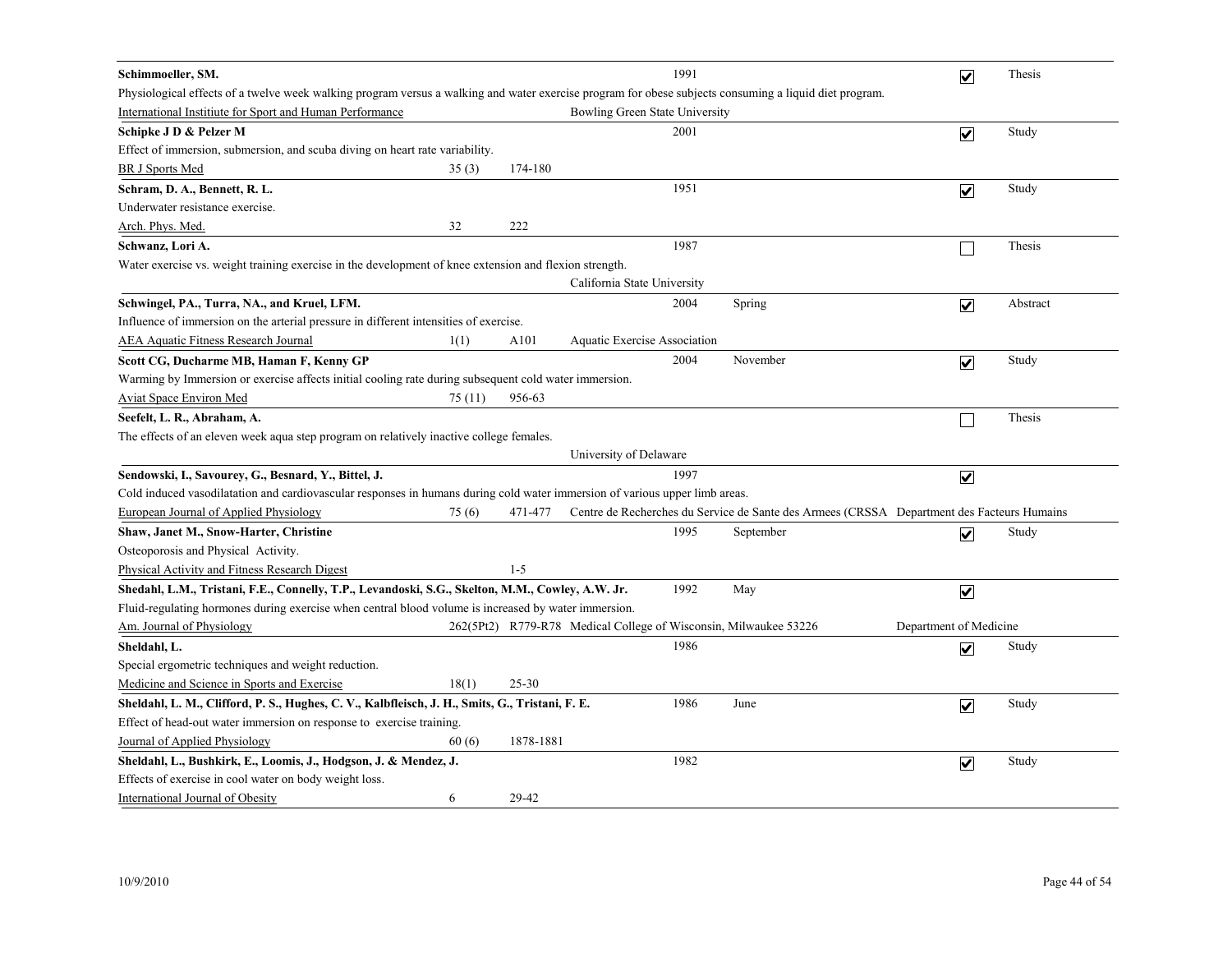| Schimmoeller, SM.                                                                                                                                      |         |           |                                | 1991 |                                                                                            | $\overline{\mathbf{v}}$ | Thesis   |
|--------------------------------------------------------------------------------------------------------------------------------------------------------|---------|-----------|--------------------------------|------|--------------------------------------------------------------------------------------------|-------------------------|----------|
| Physiological effects of a twelve week walking program versus a walking and water exercise program for obese subjects consuming a liquid diet program. |         |           |                                |      |                                                                                            |                         |          |
| International Institute for Sport and Human Performance                                                                                                |         |           | Bowling Green State University |      |                                                                                            |                         |          |
| Schipke J D & Pelzer M                                                                                                                                 |         |           |                                | 2001 |                                                                                            | $\overline{\mathbf{v}}$ | Study    |
| Effect of immersion, submersion, and scuba diving on heart rate variability.                                                                           |         |           |                                |      |                                                                                            |                         |          |
| <b>BR J Sports Med</b>                                                                                                                                 | 35(3)   | 174-180   |                                |      |                                                                                            |                         |          |
| Schram, D. A., Bennett, R. L.                                                                                                                          |         |           |                                | 1951 |                                                                                            | $\overline{\mathbf{v}}$ | Study    |
| Underwater resistance exercise.                                                                                                                        |         |           |                                |      |                                                                                            |                         |          |
| Arch. Phys. Med.                                                                                                                                       | 32      | 222       |                                |      |                                                                                            |                         |          |
| Schwanz, Lori A.                                                                                                                                       |         |           |                                | 1987 |                                                                                            |                         | Thesis   |
| Water exercise vs. weight training exercise in the development of knee extension and flexion strength.                                                 |         |           |                                |      |                                                                                            |                         |          |
|                                                                                                                                                        |         |           | California State University    |      |                                                                                            |                         |          |
| Schwingel, PA., Turra, NA., and Kruel, LFM.                                                                                                            |         |           |                                | 2004 | Spring                                                                                     | $\overline{\mathbf{v}}$ | Abstract |
| Influence of immersion on the arterial pressure in different intensities of exercise.                                                                  |         |           |                                |      |                                                                                            |                         |          |
| <b>AEA Aquatic Fitness Research Journal</b>                                                                                                            | 1(1)    | A101      | Aquatic Exercise Association   |      |                                                                                            |                         |          |
| Scott CG, Ducharme MB, Haman F, Kenny GP                                                                                                               |         |           |                                | 2004 | November                                                                                   | $\overline{\mathbf{v}}$ | Study    |
| Warming by Immersion or exercise affects initial cooling rate during subsequent cold water immersion.                                                  |         |           |                                |      |                                                                                            |                         |          |
| <b>Aviat Space Environ Med</b>                                                                                                                         | 75 (11) | 956-63    |                                |      |                                                                                            |                         |          |
| Seefelt, L. R., Abraham, A.                                                                                                                            |         |           |                                |      |                                                                                            |                         | Thesis   |
| The effects of an eleven week aqua step program on relatively inactive college females.                                                                |         |           |                                |      |                                                                                            |                         |          |
|                                                                                                                                                        |         |           | University of Delaware         |      |                                                                                            |                         |          |
| Sendowski, I., Savourey, G., Besnard, Y., Bittel, J.                                                                                                   |         |           |                                | 1997 |                                                                                            | $\overline{\mathbf{v}}$ |          |
| Cold induced vasodilatation and cardiovascular responses in humans during cold water immersion of various upper limb areas.                            |         |           |                                |      |                                                                                            |                         |          |
| <b>European Journal of Applied Physiology</b>                                                                                                          | 75(6)   | 471-477   |                                |      | Centre de Recherches du Service de Sante des Armees (CRSSA Department des Facteurs Humains |                         |          |
| Shaw, Janet M., Snow-Harter, Christine                                                                                                                 |         |           |                                | 1995 | September                                                                                  | $\overline{\mathbf{v}}$ | Study    |
| Osteoporosis and Physical Activity.                                                                                                                    |         |           |                                |      |                                                                                            |                         |          |
| <b>Physical Activity and Fitness Research Digest</b>                                                                                                   |         | $1 - 5$   |                                |      |                                                                                            |                         |          |
| Shedahl, L.M., Tristani, F.E., Connelly, T.P., Levandoski, S.G., Skelton, M.M., Cowley, A.W. Jr.                                                       |         |           |                                | 1992 | May                                                                                        | $\blacktriangledown$    |          |
| Fluid-regulating hormones during exercise when central blood volume is increased by water immersion.                                                   |         |           |                                |      |                                                                                            |                         |          |
| Am. Journal of Physiology                                                                                                                              |         |           |                                |      | 262(5Pt2) R779-R78 Medical College of Wisconsin, Milwaukee 53226                           | Department of Medicine  |          |
| Sheldahl, L.                                                                                                                                           |         |           |                                | 1986 |                                                                                            | $\overline{\mathbf{v}}$ | Study    |
| Special ergometric techniques and weight reduction.                                                                                                    |         |           |                                |      |                                                                                            |                         |          |
| Medicine and Science in Sports and Exercise                                                                                                            | 18(1)   | $25 - 30$ |                                |      |                                                                                            |                         |          |
| Sheldahl, L. M., Clifford, P. S., Hughes, C. V., Kalbfleisch, J. H., Smits, G., Tristani, F. E.                                                        |         |           |                                | 1986 | June                                                                                       | $\overline{\mathbf{v}}$ | Study    |
| Effect of head-out water immersion on response to exercise training.                                                                                   |         |           |                                |      |                                                                                            |                         |          |
| Journal of Applied Physiology                                                                                                                          | 60(6)   | 1878-1881 |                                |      |                                                                                            |                         |          |
| Sheldahl, L., Bushkirk, E., Loomis, J., Hodgson, J. & Mendez, J.                                                                                       |         |           |                                | 1982 |                                                                                            | $\overline{\mathbf{v}}$ | Study    |
| Effects of exercise in cool water on body weight loss.                                                                                                 |         |           |                                |      |                                                                                            |                         |          |
| International Journal of Obesity                                                                                                                       | 6       | 29-42     |                                |      |                                                                                            |                         |          |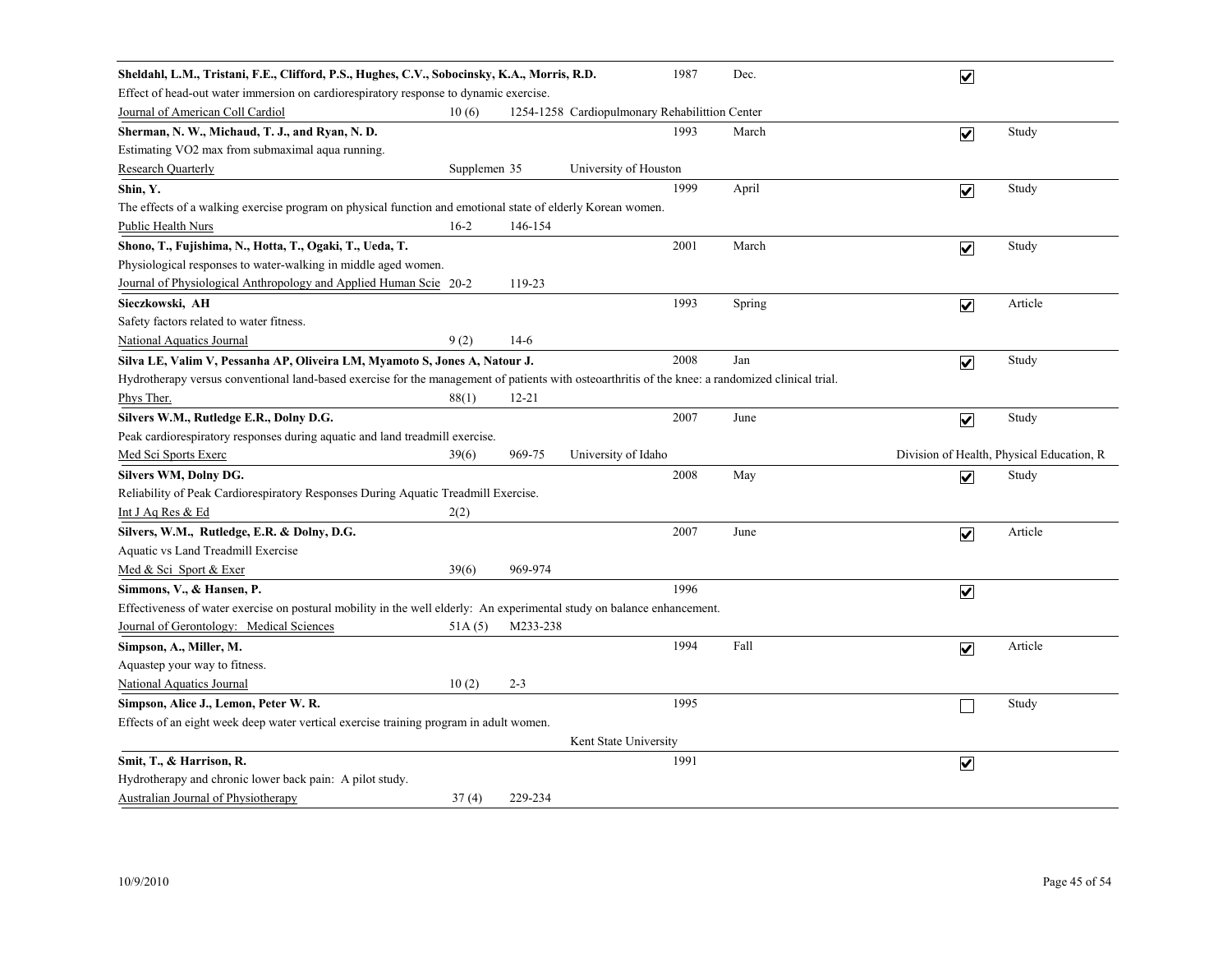| Sheldahl, L.M., Tristani, F.E., Clifford, P.S., Hughes, C.V., Sobocinsky, K.A., Morris, R.D.                                                      |              |           |                                                | 1987 | Dec.   | $\overline{\mathbf{v}}$ |                                           |
|---------------------------------------------------------------------------------------------------------------------------------------------------|--------------|-----------|------------------------------------------------|------|--------|-------------------------|-------------------------------------------|
| Effect of head-out water immersion on cardiorespiratory response to dynamic exercise.                                                             |              |           |                                                |      |        |                         |                                           |
| Journal of American Coll Cardiol                                                                                                                  | 10(6)        |           | 1254-1258 Cardiopulmonary Rehabilittion Center |      |        |                         |                                           |
| Sherman, N. W., Michaud, T. J., and Ryan, N. D.                                                                                                   |              |           |                                                | 1993 | March  | $\overline{\mathbf{v}}$ | Study                                     |
| Estimating VO2 max from submaximal aqua running.                                                                                                  |              |           |                                                |      |        |                         |                                           |
| <b>Research Quarterly</b>                                                                                                                         | Supplemen 35 |           | University of Houston                          |      |        |                         |                                           |
| Shin, Y.                                                                                                                                          |              |           |                                                | 1999 | April  | $\overline{\mathbf{v}}$ | Study                                     |
| The effects of a walking exercise program on physical function and emotional state of elderly Korean women.                                       |              |           |                                                |      |        |                         |                                           |
| <b>Public Health Nurs</b>                                                                                                                         | $16-2$       | 146-154   |                                                |      |        |                         |                                           |
| Shono, T., Fujishima, N., Hotta, T., Ogaki, T., Ueda, T.                                                                                          |              |           |                                                | 2001 | March  | $\overline{\mathbf{v}}$ | Study                                     |
| Physiological responses to water-walking in middle aged women.                                                                                    |              |           |                                                |      |        |                         |                                           |
| Journal of Physiological Anthropology and Applied Human Scie 20-2                                                                                 |              | 119-23    |                                                |      |        |                         |                                           |
| Sieczkowski, AH                                                                                                                                   |              |           |                                                | 1993 | Spring | $\overline{\mathbf{v}}$ | Article                                   |
| Safety factors related to water fitness.                                                                                                          |              |           |                                                |      |        |                         |                                           |
| <b>National Aquatics Journal</b>                                                                                                                  | 9(2)         | $14-6$    |                                                |      |        |                         |                                           |
| Silva LE, Valim V, Pessanha AP, Oliveira LM, Myamoto S, Jones A, Natour J.                                                                        |              |           |                                                | 2008 | Jan    | $\blacktriangledown$    | Study                                     |
| Hydrotherapy versus conventional land-based exercise for the management of patients with osteoarthritis of the knee: a randomized clinical trial. |              |           |                                                |      |        |                         |                                           |
| Phys Ther.                                                                                                                                        | 88(1)        | $12 - 21$ |                                                |      |        |                         |                                           |
| Silvers W.M., Rutledge E.R., Dolny D.G.                                                                                                           |              |           |                                                | 2007 | June   | $\overline{\mathbf{v}}$ | Study                                     |
| Peak cardiorespiratory responses during aquatic and land treadmill exercise.                                                                      |              |           |                                                |      |        |                         |                                           |
| Med Sci Sports Exerc                                                                                                                              | 39(6)        | 969-75    | University of Idaho                            |      |        |                         | Division of Health, Physical Education, R |
| Silvers WM, Dolny DG.                                                                                                                             |              |           |                                                | 2008 | May    | $\overline{\mathbf{v}}$ | Study                                     |
| Reliability of Peak Cardiorespiratory Responses During Aquatic Treadmill Exercise.                                                                |              |           |                                                |      |        |                         |                                           |
| Int J Aq Res & Ed                                                                                                                                 | 2(2)         |           |                                                |      |        |                         |                                           |
| Silvers, W.M., Rutledge, E.R. & Dolny, D.G.                                                                                                       |              |           |                                                | 2007 | June   | $\overline{\mathbf{v}}$ | Article                                   |
| Aquatic vs Land Treadmill Exercise                                                                                                                |              |           |                                                |      |        |                         |                                           |
| Med & Sci Sport & Exer                                                                                                                            | 39(6)        | 969-974   |                                                |      |        |                         |                                           |
| Simmons, V., & Hansen, P.                                                                                                                         |              |           |                                                | 1996 |        | $\overline{\mathbf{v}}$ |                                           |
| Effectiveness of water exercise on postural mobility in the well elderly: An experimental study on balance enhancement.                           |              |           |                                                |      |        |                         |                                           |
| Journal of Gerontology: Medical Sciences                                                                                                          | 51A(5)       | M233-238  |                                                |      |        |                         |                                           |
| Simpson, A., Miller, M.                                                                                                                           |              |           |                                                | 1994 | Fall   | $\overline{\mathbf{v}}$ | Article                                   |
| Aquastep your way to fitness.                                                                                                                     |              |           |                                                |      |        |                         |                                           |
| <b>National Aquatics Journal</b>                                                                                                                  | 10(2)        | $2 - 3$   |                                                |      |        |                         |                                           |
| Simpson, Alice J., Lemon, Peter W. R.                                                                                                             |              |           |                                                | 1995 |        |                         | Study                                     |
| Effects of an eight week deep water vertical exercise training program in adult women.                                                            |              |           |                                                |      |        |                         |                                           |
|                                                                                                                                                   |              |           | Kent State University                          |      |        |                         |                                           |
| Smit, T., & Harrison, R.                                                                                                                          |              |           |                                                | 1991 |        | $\blacktriangledown$    |                                           |
| Hydrotherapy and chronic lower back pain: A pilot study.                                                                                          |              |           |                                                |      |        |                         |                                           |
| <b>Australian Journal of Physiotherapy</b>                                                                                                        | 37(4)        | 229-234   |                                                |      |        |                         |                                           |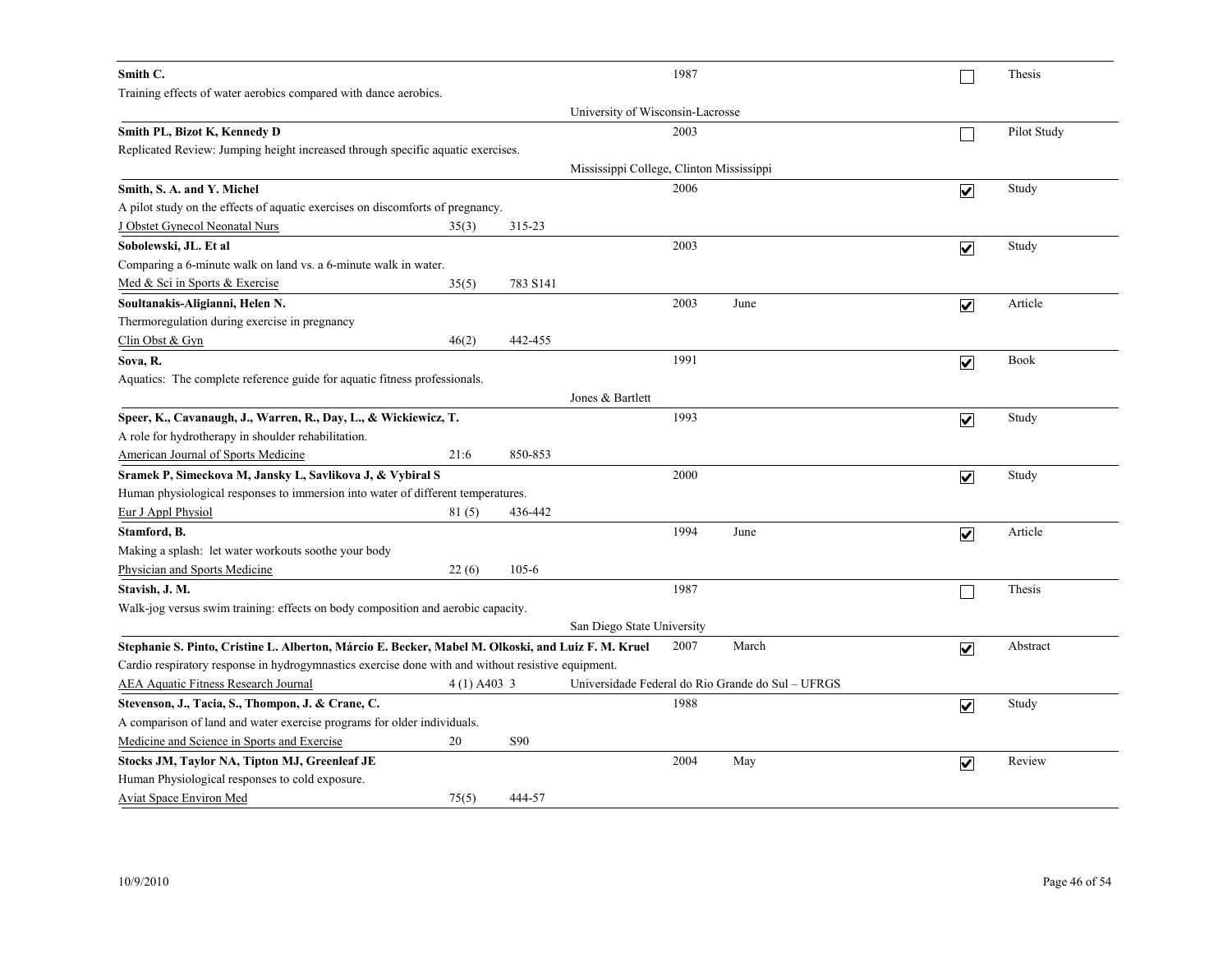| Smith C.                                                                                           |               |           | 1987                                              |       |                         | Thesis      |
|----------------------------------------------------------------------------------------------------|---------------|-----------|---------------------------------------------------|-------|-------------------------|-------------|
| Training effects of water aerobics compared with dance aerobics.                                   |               |           |                                                   |       |                         |             |
|                                                                                                    |               |           | University of Wisconsin-Lacrosse                  |       |                         |             |
| Smith PL, Bizot K, Kennedy D                                                                       |               |           | 2003                                              |       |                         | Pilot Study |
| Replicated Review: Jumping height increased through specific aquatic exercises.                    |               |           |                                                   |       |                         |             |
|                                                                                                    |               |           | Mississippi College, Clinton Mississippi          |       |                         |             |
| Smith, S. A. and Y. Michel                                                                         |               |           | 2006                                              |       | $\overline{\mathbf{v}}$ | Study       |
| A pilot study on the effects of aquatic exercises on discomforts of pregnancy.                     |               |           |                                                   |       |                         |             |
| J Obstet Gynecol Neonatal Nurs                                                                     | 35(3)         | 315-23    |                                                   |       |                         |             |
| Sobolewski, JL. Et al                                                                              |               |           | 2003                                              |       | $\overline{\mathbf{v}}$ | Study       |
| Comparing a 6-minute walk on land vs. a 6-minute walk in water.                                    |               |           |                                                   |       |                         |             |
| Med & Sci in Sports & Exercise                                                                     | 35(5)         | 783 S141  |                                                   |       |                         |             |
| Soultanakis-Aligianni, Helen N.                                                                    |               |           | 2003                                              | June  | $\overline{\mathbf{v}}$ | Article     |
| Thermoregulation during exercise in pregnancy                                                      |               |           |                                                   |       |                         |             |
| $Clin$ Obst & Gyn                                                                                  | 46(2)         | 442-455   |                                                   |       |                         |             |
| Sova, R.                                                                                           |               |           | 1991                                              |       | $\overline{\mathbf{v}}$ | <b>Book</b> |
| Aquatics: The complete reference guide for aquatic fitness professionals.                          |               |           |                                                   |       |                         |             |
|                                                                                                    |               |           | Jones & Bartlett                                  |       |                         |             |
| Speer, K., Cavanaugh, J., Warren, R., Day, L., & Wickiewicz, T.                                    |               |           | 1993                                              |       | $\overline{\mathbf{v}}$ | Study       |
| A role for hydrotherapy in shoulder rehabilitation.                                                |               |           |                                                   |       |                         |             |
| American Journal of Sports Medicine                                                                | 21:6          | 850-853   |                                                   |       |                         |             |
| Sramek P, Simeckova M, Jansky L, Savlikova J, & Vybiral S                                          |               |           | 2000                                              |       | $\overline{\mathbf{v}}$ | Study       |
| Human physiological responses to immersion into water of different temperatures.                   |               |           |                                                   |       |                         |             |
| Eur J Appl Physiol                                                                                 | 81(5)         | 436-442   |                                                   |       |                         |             |
| Stamford, B.                                                                                       |               |           | 1994                                              | June  | $\overline{\mathbf{v}}$ | Article     |
| Making a splash: let water workouts soothe your body                                               |               |           |                                                   |       |                         |             |
| Physician and Sports Medicine                                                                      | 22(6)         | $105 - 6$ |                                                   |       |                         |             |
| Stavish, J. M.                                                                                     |               |           | 1987                                              |       |                         | Thesis      |
| Walk-jog versus swim training: effects on body composition and aerobic capacity.                   |               |           |                                                   |       |                         |             |
|                                                                                                    |               |           | San Diego State University                        |       |                         |             |
| Stephanie S. Pinto, Cristine L. Alberton, Márcio E. Becker, Mabel M. Olkoski, and Luiz F. M. Kruel |               |           | 2007                                              | March | $\overline{\mathbf{v}}$ | Abstract    |
| Cardio respiratory response in hydrogymnastics exercise done with and without resistive equipment. |               |           |                                                   |       |                         |             |
| AEA Aquatic Fitness Research Journal                                                               | $4(1)$ A403 3 |           | Universidade Federal do Rio Grande do Sul - UFRGS |       |                         |             |
| Stevenson, J., Tacia, S., Thompon, J. & Crane, C.                                                  |               |           | 1988                                              |       | $\overline{\mathbf{v}}$ | Study       |
| A comparison of land and water exercise programs for older individuals.                            |               |           |                                                   |       |                         |             |
| Medicine and Science in Sports and Exercise                                                        | 20            | S90       |                                                   |       |                         |             |
| Stocks JM, Taylor NA, Tipton MJ, Greenleaf JE                                                      |               |           | 2004                                              | May   | $\overline{\mathbf{v}}$ | Review      |
| Human Physiological responses to cold exposure.                                                    |               |           |                                                   |       |                         |             |
| Aviat Space Environ Med                                                                            | 75(5)         | 444-57    |                                                   |       |                         |             |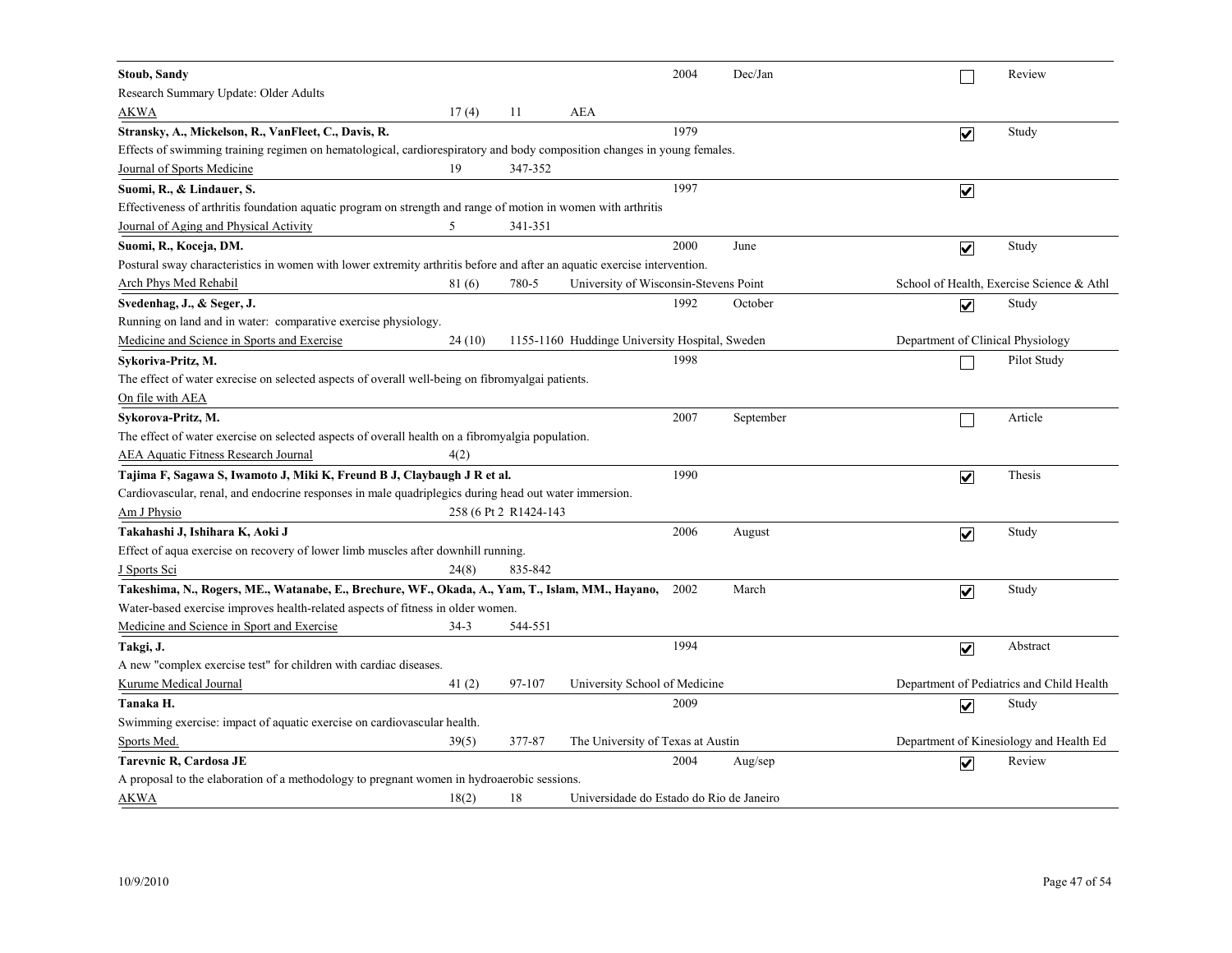| <b>Stoub, Sandy</b>                                                                                                      |        |                        |                                                | 2004 | Dec/Jan   |                         | Review                                    |
|--------------------------------------------------------------------------------------------------------------------------|--------|------------------------|------------------------------------------------|------|-----------|-------------------------|-------------------------------------------|
| Research Summary Update: Older Adults                                                                                    |        |                        |                                                |      |           |                         |                                           |
| <b>AKWA</b>                                                                                                              | 17(4)  | 11                     | <b>AEA</b>                                     |      |           |                         |                                           |
| Stransky, A., Mickelson, R., VanFleet, C., Davis, R.                                                                     |        |                        |                                                | 1979 |           | $\overline{\mathbf{v}}$ | Study                                     |
| Effects of swimming training regimen on hematological, cardiorespiratory and body composition changes in young females.  |        |                        |                                                |      |           |                         |                                           |
| Journal of Sports Medicine                                                                                               | 19     | 347-352                |                                                |      |           |                         |                                           |
| Suomi, R., & Lindauer, S.                                                                                                |        |                        |                                                | 1997 |           | $\overline{\mathbf{v}}$ |                                           |
| Effectiveness of arthritis foundation aquatic program on strength and range of motion in women with arthritis            |        |                        |                                                |      |           |                         |                                           |
| Journal of Aging and Physical Activity                                                                                   | 5      | 341-351                |                                                |      |           |                         |                                           |
| Suomi, R., Koceja, DM.                                                                                                   |        |                        |                                                | 2000 | June      | $\overline{\mathbf{v}}$ | Study                                     |
| Postural sway characteristics in women with lower extremity arthritis before and after an aquatic exercise intervention. |        |                        |                                                |      |           |                         |                                           |
| <u>Arch Phys Med Rehabil</u>                                                                                             | 81(6)  | 780-5                  | University of Wisconsin-Stevens Point          |      |           |                         | School of Health, Exercise Science & Athl |
| Svedenhag, J., & Seger, J.                                                                                               |        |                        |                                                | 1992 | October   | $\overline{\mathbf{v}}$ | Study                                     |
| Running on land and in water: comparative exercise physiology.                                                           |        |                        |                                                |      |           |                         |                                           |
| Medicine and Science in Sports and Exercise                                                                              | 24(10) |                        | 1155-1160 Huddinge University Hospital, Sweden |      |           |                         | Department of Clinical Physiology         |
| Sykoriva-Pritz, M.                                                                                                       |        |                        |                                                | 1998 |           |                         | Pilot Study                               |
| The effect of water exrecise on selected aspects of overall well-being on fibromyalgai patients.                         |        |                        |                                                |      |           |                         |                                           |
| On file with AEA                                                                                                         |        |                        |                                                |      |           |                         |                                           |
| Sykorova-Pritz, M.                                                                                                       |        |                        |                                                | 2007 | September |                         | Article                                   |
| The effect of water exercise on selected aspects of overall health on a fibromyalgia population.                         |        |                        |                                                |      |           |                         |                                           |
| <b>AEA Aquatic Fitness Research Journal</b>                                                                              | 4(2)   |                        |                                                |      |           |                         |                                           |
| Tajima F, Sagawa S, Iwamoto J, Miki K, Freund B J, Claybaugh J R et al.                                                  |        |                        |                                                | 1990 |           | $\overline{\mathbf{v}}$ | Thesis                                    |
| Cardiovascular, renal, and endocrine responses in male quadriplegics during head out water immersion.                    |        |                        |                                                |      |           |                         |                                           |
| Am J Physio                                                                                                              |        | 258 (6 Pt 2 R1424-143) |                                                |      |           |                         |                                           |
| Takahashi J, Ishihara K, Aoki J                                                                                          |        |                        |                                                | 2006 | August    | $\overline{\mathbf{v}}$ | Study                                     |
| Effect of aqua exercise on recovery of lower limb muscles after downhill running.                                        |        |                        |                                                |      |           |                         |                                           |
| J Sports Sci                                                                                                             | 24(8)  | 835-842                |                                                |      |           |                         |                                           |
| Takeshima, N., Rogers, ME., Watanabe, E., Brechure, WF., Okada, A., Yam, T., Islam, MM., Hayano,                         |        |                        |                                                | 2002 | March     | $\overline{\mathbf{v}}$ | Study                                     |
| Water-based exercise improves health-related aspects of fitness in older women.                                          |        |                        |                                                |      |           |                         |                                           |
| Medicine and Science in Sport and Exercise                                                                               | $34-3$ | 544-551                |                                                |      |           |                         |                                           |
| Takgi, J.                                                                                                                |        |                        |                                                | 1994 |           | $\overline{\mathbf{v}}$ | Abstract                                  |
| A new "complex exercise test" for children with cardiac diseases.                                                        |        |                        |                                                |      |           |                         |                                           |
| Kurume Medical Journal                                                                                                   | 41(2)  | 97-107                 | University School of Medicine                  |      |           |                         | Department of Pediatrics and Child Health |
| Tanaka H.                                                                                                                |        |                        |                                                | 2009 |           | $\overline{\mathbf{v}}$ | Study                                     |
| Swimming exercise: impact of aquatic exercise on cardiovascular health.                                                  |        |                        |                                                |      |           |                         |                                           |
| Sports Med.                                                                                                              | 39(5)  | 377-87                 | The University of Texas at Austin              |      |           |                         | Department of Kinesiology and Health Ed   |
| Tarevnic R, Cardosa JE                                                                                                   |        |                        |                                                | 2004 | Aug/sep   | $\overline{\mathsf{v}}$ | Review                                    |
| A proposal to the elaboration of a methodology to pregnant women in hydroaerobic sessions.                               |        |                        |                                                |      |           |                         |                                           |
| AKWA                                                                                                                     | 18(2)  | 18                     | Universidade do Estado do Rio de Janeiro       |      |           |                         |                                           |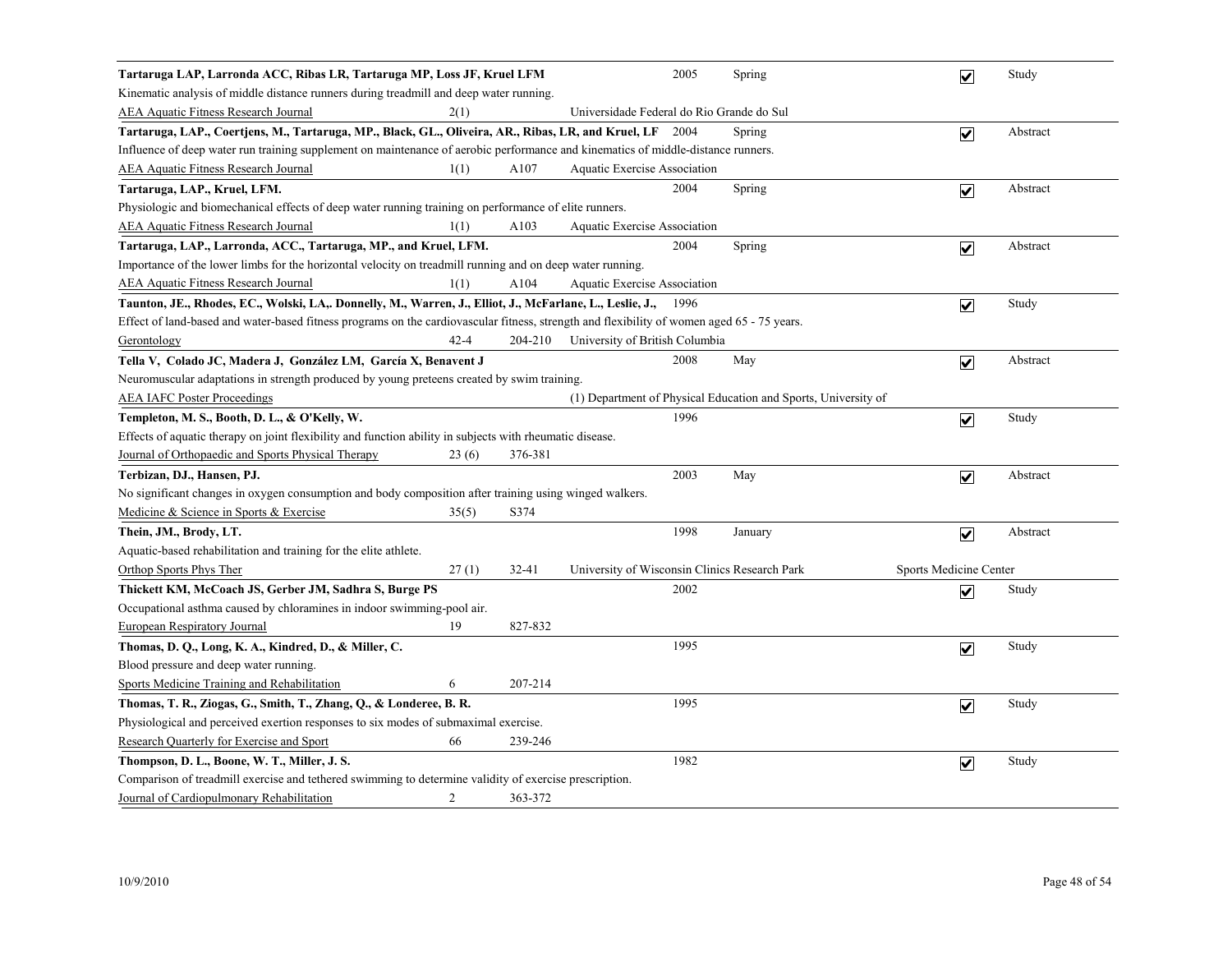| Tartaruga LAP, Larronda ACC, Ribas LR, Tartaruga MP, Loss JF, Kruel LFM                                                                    |       |           |                                               | 2005 | Spring                                                         | $\overline{\mathbf{v}}$ | Study    |
|--------------------------------------------------------------------------------------------------------------------------------------------|-------|-----------|-----------------------------------------------|------|----------------------------------------------------------------|-------------------------|----------|
| Kinematic analysis of middle distance runners during treadmill and deep water running.                                                     |       |           |                                               |      |                                                                |                         |          |
| AEA Aquatic Fitness Research Journal<br>2(1)                                                                                               |       |           | Universidade Federal do Rio Grande do Sul     |      |                                                                |                         |          |
| Tartaruga, LAP., Coertjens, M., Tartaruga, MP., Black, GL., Oliveira, AR., Ribas, LR, and Kruel, LF 2004                                   |       |           |                                               |      | Spring                                                         | $\overline{\mathbf{v}}$ | Abstract |
| Influence of deep water run training supplement on maintenance of aerobic performance and kinematics of middle-distance runners.           |       |           |                                               |      |                                                                |                         |          |
| <b>AEA Aquatic Fitness Research Journal</b><br>1(1)                                                                                        |       | A107      | <b>Aquatic Exercise Association</b>           |      |                                                                |                         |          |
| Tartaruga, LAP., Kruel, LFM.                                                                                                               |       |           |                                               | 2004 | Spring                                                         | $\overline{\mathbf{v}}$ | Abstract |
| Physiologic and biomechanical effects of deep water running training on performance of elite runners.                                      |       |           |                                               |      |                                                                |                         |          |
| <b>AEA Aquatic Fitness Research Journal</b><br>1(1)                                                                                        |       | A103      | <b>Aquatic Exercise Association</b>           |      |                                                                |                         |          |
| Tartaruga, LAP., Larronda, ACC., Tartaruga, MP., and Kruel, LFM.                                                                           |       |           |                                               | 2004 | Spring                                                         | $\overline{\mathbf{v}}$ | Abstract |
| Importance of the lower limbs for the horizontal velocity on treadmill running and on deep water running.                                  |       |           |                                               |      |                                                                |                         |          |
| <b>AEA Aquatic Fitness Research Journal</b><br>1(1)                                                                                        |       | A104      | Aquatic Exercise Association                  |      |                                                                |                         |          |
| Taunton, JE., Rhodes, EC., Wolski, LA,. Donnelly, M., Warren, J., Elliot, J., McFarlane, L., Leslie, J.,                                   |       |           |                                               | 1996 |                                                                | $\overline{\mathbf{v}}$ | Study    |
| Effect of land-based and water-based fitness programs on the cardiovascular fitness, strength and flexibility of women aged 65 - 75 years. |       |           |                                               |      |                                                                |                         |          |
| $42 - 4$<br>Gerontology                                                                                                                    |       | 204-210   | University of British Columbia                |      |                                                                |                         |          |
| Tella V, Colado JC, Madera J, González LM, García X, Benavent J                                                                            |       |           |                                               | 2008 | May                                                            | $\overline{\mathbf{v}}$ | Abstract |
| Neuromuscular adaptations in strength produced by young preteens created by swim training.                                                 |       |           |                                               |      |                                                                |                         |          |
| <b>AEA IAFC Poster Proceedings</b>                                                                                                         |       |           |                                               |      | (1) Department of Physical Education and Sports, University of |                         |          |
| Templeton, M. S., Booth, D. L., & O'Kelly, W.                                                                                              |       |           |                                               | 1996 |                                                                | $\overline{\mathbf{v}}$ | Study    |
| Effects of aquatic therapy on joint flexibility and function ability in subjects with rheumatic disease.                                   |       |           |                                               |      |                                                                |                         |          |
| Journal of Orthopaedic and Sports Physical Therapy                                                                                         | 23(6) | 376-381   |                                               |      |                                                                |                         |          |
| Terbizan, DJ., Hansen, PJ.                                                                                                                 |       |           |                                               | 2003 | May                                                            | $\overline{\mathbf{v}}$ | Abstract |
| No significant changes in oxygen consumption and body composition after training using winged walkers.                                     |       |           |                                               |      |                                                                |                         |          |
| Medicine & Science in Sports & Exercise                                                                                                    | 35(5) | S374      |                                               |      |                                                                |                         |          |
| Thein, JM., Brody, LT.                                                                                                                     |       |           |                                               | 1998 | January                                                        | $\overline{\mathbf{v}}$ | Abstract |
| Aquatic-based rehabilitation and training for the elite athlete.                                                                           |       |           |                                               |      |                                                                |                         |          |
| Orthop Sports Phys Ther                                                                                                                    | 27(1) | $32 - 41$ | University of Wisconsin Clinics Research Park |      |                                                                | Sports Medicine Center  |          |
| Thickett KM, McCoach JS, Gerber JM, Sadhra S, Burge PS                                                                                     |       |           |                                               | 2002 |                                                                | $\overline{\mathbf{v}}$ | Study    |
| Occupational asthma caused by chloramines in indoor swimming-pool air.                                                                     |       |           |                                               |      |                                                                |                         |          |
| 19<br>European Respiratory Journal                                                                                                         |       | 827-832   |                                               |      |                                                                |                         |          |
| Thomas, D. Q., Long, K. A., Kindred, D., & Miller, C.                                                                                      |       |           |                                               | 1995 |                                                                | $\overline{\mathbf{v}}$ | Study    |
| Blood pressure and deep water running.                                                                                                     |       |           |                                               |      |                                                                |                         |          |
| Sports Medicine Training and Rehabilitation<br>6                                                                                           |       | 207-214   |                                               |      |                                                                |                         |          |
| Thomas, T. R., Ziogas, G., Smith, T., Zhang, Q., & Londeree, B. R.                                                                         |       |           |                                               | 1995 |                                                                | $\overline{\mathbf{v}}$ | Study    |
| Physiological and perceived exertion responses to six modes of submaximal exercise.                                                        |       |           |                                               |      |                                                                |                         |          |
| Research Quarterly for Exercise and Sport<br>66                                                                                            |       | 239-246   |                                               |      |                                                                |                         |          |
| Thompson, D. L., Boone, W. T., Miller, J. S.                                                                                               |       |           |                                               | 1982 |                                                                | $\overline{\mathbf{v}}$ | Study    |
| Comparison of treadmill exercise and tethered swimming to determine validity of exercise prescription.                                     |       |           |                                               |      |                                                                |                         |          |
| 2<br>Journal of Cardiopulmonary Rehabilitation                                                                                             |       | 363-372   |                                               |      |                                                                |                         |          |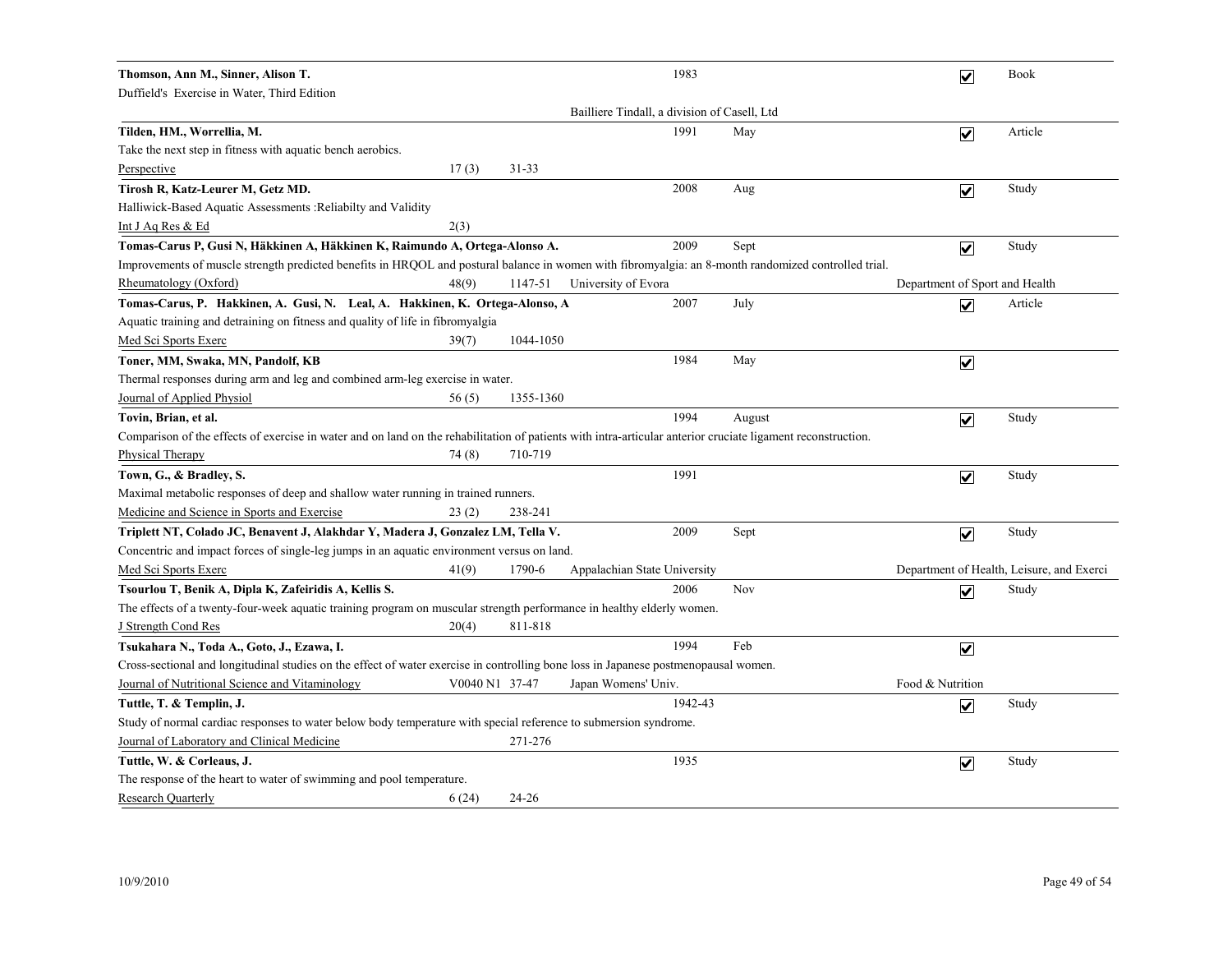| Thomson, Ann M., Sinner, Alison T.                                                                                                                           |                |           |                                              | 1983    |        | $\overline{\mathbf{v}}$        | <b>Book</b>                               |
|--------------------------------------------------------------------------------------------------------------------------------------------------------------|----------------|-----------|----------------------------------------------|---------|--------|--------------------------------|-------------------------------------------|
| Duffield's Exercise in Water, Third Edition                                                                                                                  |                |           |                                              |         |        |                                |                                           |
|                                                                                                                                                              |                |           | Bailliere Tindall, a division of Casell, Ltd |         |        |                                |                                           |
| Tilden, HM., Worrellia, M.                                                                                                                                   |                |           |                                              | 1991    | May    | $\overline{\mathbf{v}}$        | Article                                   |
| Take the next step in fitness with aquatic bench aerobics.                                                                                                   |                |           |                                              |         |        |                                |                                           |
| Perspective                                                                                                                                                  | 17(3)          | $31 - 33$ |                                              |         |        |                                |                                           |
| Tirosh R, Katz-Leurer M, Getz MD.                                                                                                                            |                |           |                                              | 2008    | Aug    | $\overline{\mathbf{v}}$        | Study                                     |
| Halliwick-Based Aquatic Assessments : Reliabilty and Validity                                                                                                |                |           |                                              |         |        |                                |                                           |
| Int J Aq Res & Ed<br>2(3)                                                                                                                                    |                |           |                                              |         |        |                                |                                           |
| Tomas-Carus P, Gusi N, Häkkinen A, Häkkinen K, Raimundo A, Ortega-Alonso A.                                                                                  |                |           |                                              | 2009    | Sept   | $\overline{\mathbf{v}}$        | Study                                     |
| Improvements of muscle strength predicted benefits in HRQOL and postural balance in women with fibromyalgia: an 8-month randomized controlled trial.         |                |           |                                              |         |        |                                |                                           |
| Rheumatology (Oxford)                                                                                                                                        | 48(9)          | 1147-51   | University of Evora                          |         |        | Department of Sport and Health |                                           |
| Tomas-Carus, P. Hakkinen, A. Gusi, N. Leal, A. Hakkinen, K. Ortega-Alonso, A                                                                                 |                |           |                                              | 2007    | July   | $\overline{\mathbf{v}}$        | Article                                   |
| Aquatic training and detraining on fitness and quality of life in fibromyalgia                                                                               |                |           |                                              |         |        |                                |                                           |
| Med Sci Sports Exerc                                                                                                                                         | 39(7)          | 1044-1050 |                                              |         |        |                                |                                           |
| Toner, MM, Swaka, MN, Pandolf, KB                                                                                                                            |                |           |                                              | 1984    | May    | $\blacktriangledown$           |                                           |
| Thermal responses during arm and leg and combined arm-leg exercise in water.                                                                                 |                |           |                                              |         |        |                                |                                           |
| Journal of Applied Physiol                                                                                                                                   | 56(5)          | 1355-1360 |                                              |         |        |                                |                                           |
| Tovin, Brian, et al.                                                                                                                                         |                |           |                                              | 1994    | August | $\overline{\mathbf{v}}$        | Study                                     |
| Comparison of the effects of exercise in water and on land on the rehabilitation of patients with intra-articular anterior cruciate ligament reconstruction. |                |           |                                              |         |        |                                |                                           |
| <b>Physical Therapy</b>                                                                                                                                      | 74(8)          | 710-719   |                                              |         |        |                                |                                           |
| Town, G., & Bradley, S.                                                                                                                                      |                |           |                                              | 1991    |        | $\overline{\mathbf{v}}$        | Study                                     |
| Maximal metabolic responses of deep and shallow water running in trained runners.                                                                            |                |           |                                              |         |        |                                |                                           |
| Medicine and Science in Sports and Exercise                                                                                                                  | 23(2)          | 238-241   |                                              |         |        |                                |                                           |
| Triplett NT, Colado JC, Benavent J, Alakhdar Y, Madera J, Gonzalez LM, Tella V.                                                                              |                |           |                                              | 2009    | Sept   | $\blacktriangledown$           | Study                                     |
| Concentric and impact forces of single-leg jumps in an aquatic environment versus on land.                                                                   |                |           |                                              |         |        |                                |                                           |
| Med Sci Sports Exerc                                                                                                                                         | 41(9)          | 1790-6    | Appalachian State University                 |         |        |                                | Department of Health, Leisure, and Exerci |
| Tsourlou T, Benik A, Dipla K, Zafeiridis A, Kellis S.                                                                                                        |                |           |                                              | 2006    | Nov    | $\blacktriangledown$           | Study                                     |
| The effects of a twenty-four-week aquatic training program on muscular strength performance in healthy elderly women.                                        |                |           |                                              |         |        |                                |                                           |
| <b>J</b> Strength Cond Res                                                                                                                                   | 20(4)          | 811-818   |                                              |         |        |                                |                                           |
| Tsukahara N., Toda A., Goto, J., Ezawa, I.                                                                                                                   |                |           |                                              | 1994    | Feb    | $\overline{\mathbf{v}}$        |                                           |
| Cross-sectional and longitudinal studies on the effect of water exercise in controlling bone loss in Japanese postmenopausal women.                          |                |           |                                              |         |        |                                |                                           |
| Journal of Nutritional Science and Vitaminology                                                                                                              | V0040 N1 37-47 |           | Japan Womens' Univ.                          |         |        | Food & Nutrition               |                                           |
| Tuttle, T. & Templin, J.                                                                                                                                     |                |           |                                              | 1942-43 |        | $\overline{\mathbf{v}}$        | Study                                     |
| Study of normal cardiac responses to water below body temperature with special reference to submersion syndrome.                                             |                |           |                                              |         |        |                                |                                           |
| Journal of Laboratory and Clinical Medicine                                                                                                                  |                | 271-276   |                                              |         |        |                                |                                           |
| Tuttle, W. & Corleaus, J.                                                                                                                                    |                |           |                                              | 1935    |        | $\overline{\mathbf{v}}$        | Study                                     |
| The response of the heart to water of swimming and pool temperature.                                                                                         |                |           |                                              |         |        |                                |                                           |
| <b>Research Quarterly</b>                                                                                                                                    | 6(24)          | $24 - 26$ |                                              |         |        |                                |                                           |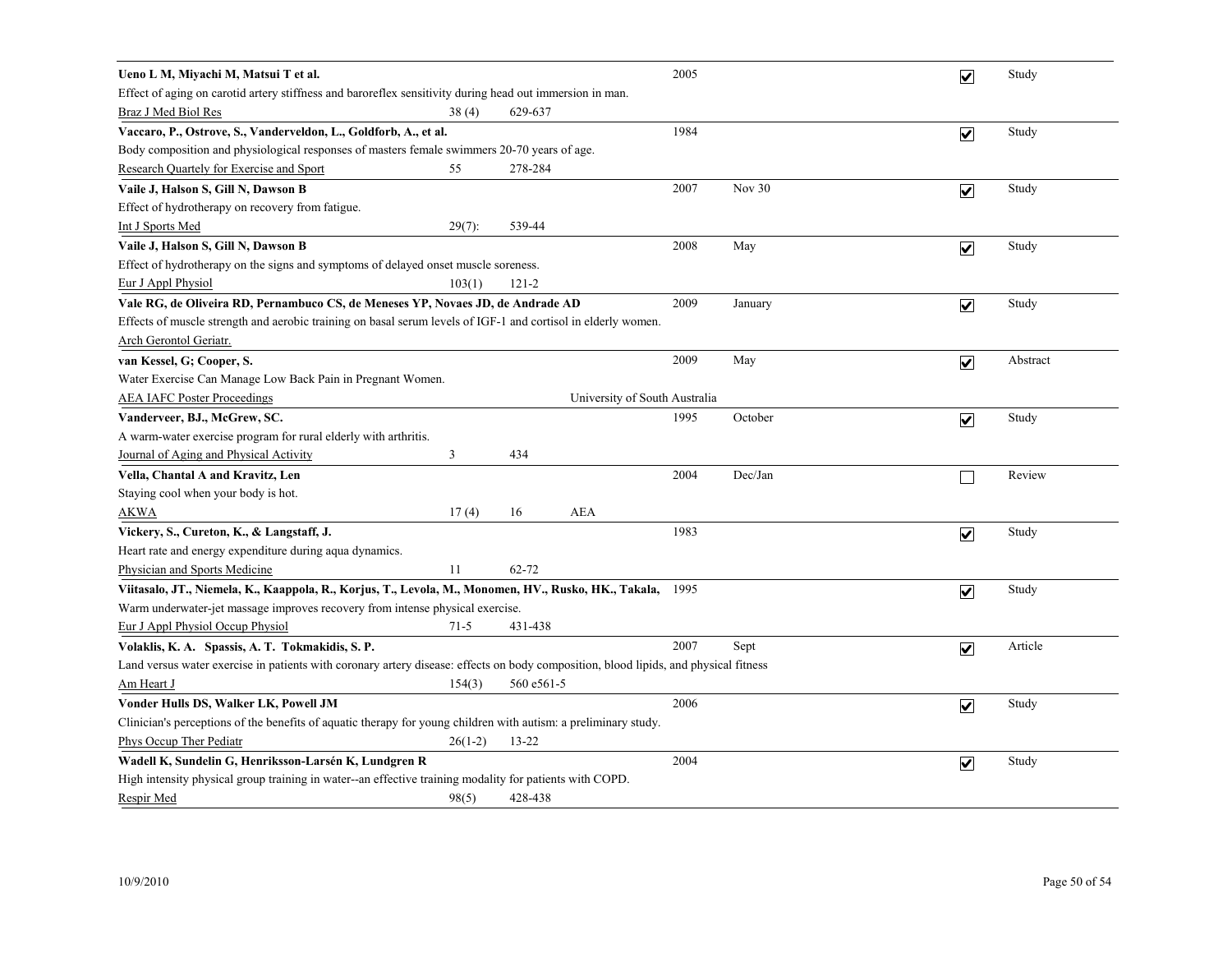| Ueno L M, Miyachi M, Matsui T et al.                                                                                                 |           |            |                               | 2005 |          | $\overline{\mathbf{v}}$ | Study    |
|--------------------------------------------------------------------------------------------------------------------------------------|-----------|------------|-------------------------------|------|----------|-------------------------|----------|
| Effect of aging on carotid artery stiffness and baroreflex sensitivity during head out immersion in man.                             |           |            |                               |      |          |                         |          |
| Braz J Med Biol Res                                                                                                                  | 38(4)     | 629-637    |                               |      |          |                         |          |
| Vaccaro, P., Ostrove, S., Vanderveldon, L., Goldforb, A., et al.                                                                     |           |            |                               | 1984 |          | $\overline{\mathbf{v}}$ | Study    |
| Body composition and physiological responses of masters female swimmers 20-70 years of age.                                          |           |            |                               |      |          |                         |          |
| Research Quartely for Exercise and Sport                                                                                             | 55        | 278-284    |                               |      |          |                         |          |
| Vaile J, Halson S, Gill N, Dawson B                                                                                                  |           |            |                               | 2007 | Nov $30$ | $\overline{\mathbf{v}}$ | Study    |
| Effect of hydrotherapy on recovery from fatigue.                                                                                     |           |            |                               |      |          |                         |          |
| Int J Sports Med                                                                                                                     | $29(7)$ : | 539-44     |                               |      |          |                         |          |
| Vaile J, Halson S, Gill N, Dawson B                                                                                                  |           |            |                               | 2008 | May      | $\overline{\mathbf{v}}$ | Study    |
| Effect of hydrotherapy on the signs and symptoms of delayed onset muscle soreness.                                                   |           |            |                               |      |          |                         |          |
| Eur J Appl Physiol                                                                                                                   | 103(1)    | $121 - 2$  |                               |      |          |                         |          |
| Vale RG, de Oliveira RD, Pernambuco CS, de Meneses YP, Novaes JD, de Andrade AD                                                      |           |            |                               | 2009 | January  | $\overline{\mathbf{v}}$ | Study    |
| Effects of muscle strength and aerobic training on basal serum levels of IGF-1 and cortisol in elderly women.                        |           |            |                               |      |          |                         |          |
| Arch Gerontol Geriatr.                                                                                                               |           |            |                               |      |          |                         |          |
| van Kessel, G; Cooper, S.                                                                                                            |           |            |                               | 2009 | May      | $\overline{\mathbf{v}}$ | Abstract |
| Water Exercise Can Manage Low Back Pain in Pregnant Women.                                                                           |           |            |                               |      |          |                         |          |
| <b>AEA IAFC Poster Proceedings</b>                                                                                                   |           |            | University of South Australia |      |          |                         |          |
| Vanderveer, BJ., McGrew, SC.                                                                                                         |           |            |                               | 1995 | October  | $\overline{\mathbf{v}}$ | Study    |
| A warm-water exercise program for rural elderly with arthritis.                                                                      |           |            |                               |      |          |                         |          |
| Journal of Aging and Physical Activity                                                                                               | 3         | 434        |                               |      |          |                         |          |
| Vella, Chantal A and Kravitz, Len                                                                                                    |           |            |                               | 2004 | Dec/Jan  |                         | Review   |
| Staying cool when your body is hot.                                                                                                  |           |            |                               |      |          |                         |          |
| AKWA                                                                                                                                 | 17(4)     | 16         | <b>AEA</b>                    |      |          |                         |          |
| Vickery, S., Cureton, K., & Langstaff, J.                                                                                            |           |            |                               | 1983 |          | $\overline{\mathbf{v}}$ | Study    |
| Heart rate and energy expenditure during aqua dynamics.                                                                              |           |            |                               |      |          |                         |          |
| Physician and Sports Medicine                                                                                                        | 11        | $62 - 72$  |                               |      |          |                         |          |
| Viitasalo, JT., Niemela, K., Kaappola, R., Korjus, T., Levola, M., Monomen, HV., Rusko, HK., Takala,                                 |           |            |                               | 1995 |          | $\overline{\mathbf{v}}$ | Study    |
| Warm underwater-jet massage improves recovery from intense physical exercise.                                                        |           |            |                               |      |          |                         |          |
| <b>Eur J Appl Physiol Occup Physiol</b>                                                                                              | $71-5$    | 431-438    |                               |      |          |                         |          |
| Volaklis, K. A. Spassis, A. T. Tokmakidis, S. P.                                                                                     |           |            |                               | 2007 | Sept     | $\overline{\mathbf{v}}$ | Article  |
| Land versus water exercise in patients with coronary artery disease: effects on body composition, blood lipids, and physical fitness |           |            |                               |      |          |                         |          |
| Am Heart J                                                                                                                           | 154(3)    | 560 e561-5 |                               |      |          |                         |          |
| Vonder Hulls DS, Walker LK, Powell JM                                                                                                |           |            |                               | 2006 |          | $\overline{\mathbf{v}}$ | Study    |
| Clinician's perceptions of the benefits of aquatic therapy for young children with autism: a preliminary study.                      |           |            |                               |      |          |                         |          |
| <b>Phys Occup Ther Pediatr</b>                                                                                                       | $26(1-2)$ | 13-22      |                               |      |          |                         |          |
| Wadell K, Sundelin G, Henriksson-Larsén K, Lundgren R                                                                                |           |            |                               | 2004 |          | $\overline{\mathbf{v}}$ | Study    |
| High intensity physical group training in water--an effective training modality for patients with COPD.                              |           |            |                               |      |          |                         |          |
| Respir Med                                                                                                                           | 98(5)     | 428-438    |                               |      |          |                         |          |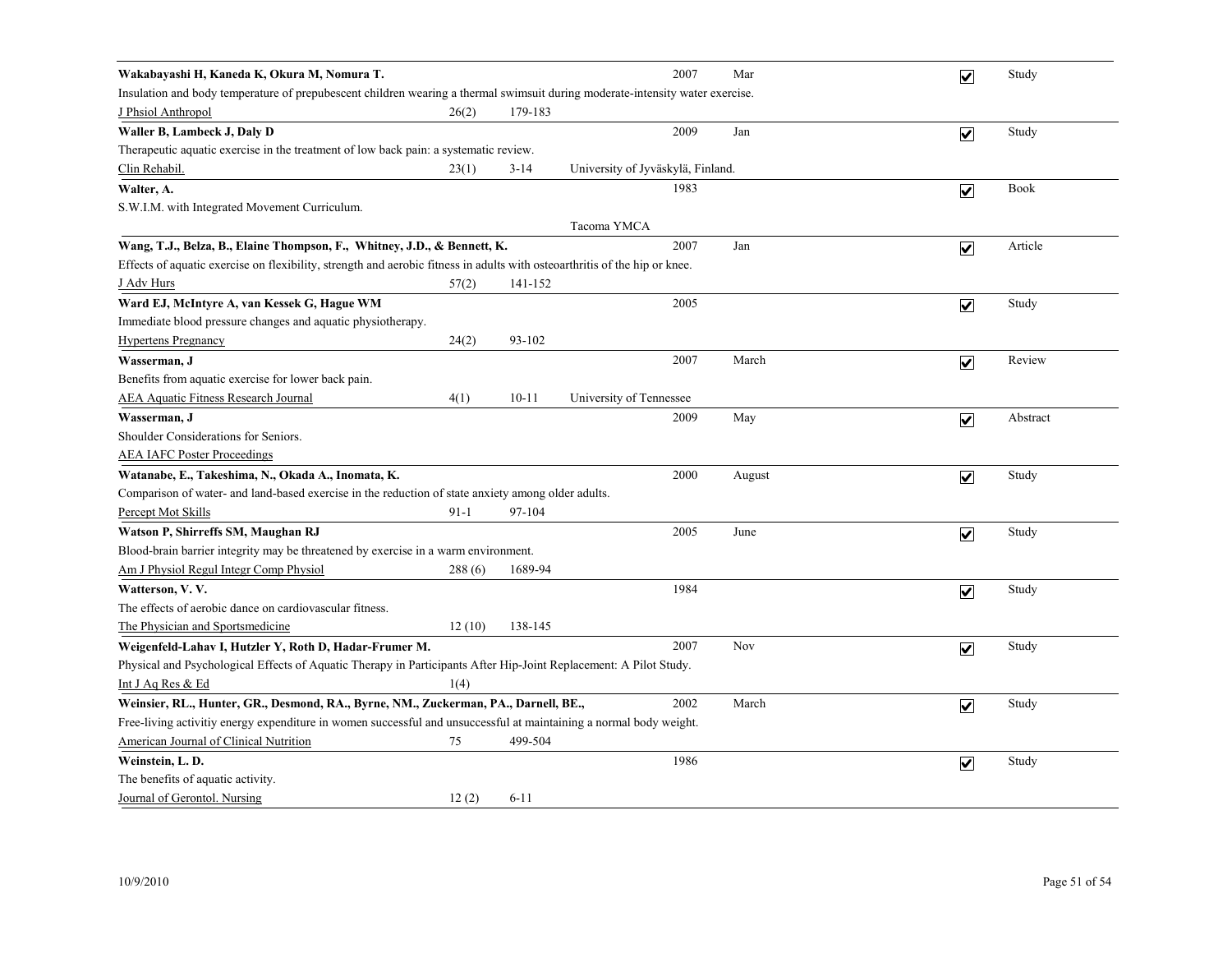| Wakabayashi H, Kaneda K, Okura M, Nomura T.                                                                                   |          |           |                                   | 2007 | Mar    | ☑                       | Study    |  |  |
|-------------------------------------------------------------------------------------------------------------------------------|----------|-----------|-----------------------------------|------|--------|-------------------------|----------|--|--|
| Insulation and body temperature of prepubescent children wearing a thermal swimsuit during moderate-intensity water exercise. |          |           |                                   |      |        |                         |          |  |  |
| <b>J</b> Phsiol Anthropol                                                                                                     | 26(2)    | 179-183   |                                   |      |        |                         |          |  |  |
| Waller B, Lambeck J, Daly D                                                                                                   |          |           |                                   | 2009 | Jan    | $\overline{\mathbf{v}}$ | Study    |  |  |
| Therapeutic aquatic exercise in the treatment of low back pain: a systematic review.                                          |          |           |                                   |      |        |                         |          |  |  |
| Clin Rehabil.                                                                                                                 | 23(1)    | $3 - 14$  | University of Jyväskylä, Finland. |      |        |                         |          |  |  |
| Walter, A.                                                                                                                    |          |           |                                   | 1983 |        | $\overline{\mathbf{v}}$ | Book     |  |  |
| S.W.I.M. with Integrated Movement Curriculum.                                                                                 |          |           |                                   |      |        |                         |          |  |  |
|                                                                                                                               |          |           | Tacoma YMCA                       |      |        |                         |          |  |  |
| Wang, T.J., Belza, B., Elaine Thompson, F., Whitney, J.D., & Bennett, K.                                                      |          |           |                                   | 2007 | Jan    | $\overline{\mathbf{v}}$ | Article  |  |  |
| Effects of aquatic exercise on flexibility, strength and aerobic fitness in adults with osteoarthritis of the hip or knee.    |          |           |                                   |      |        |                         |          |  |  |
| <u>J Adv Hurs</u>                                                                                                             | 57(2)    | 141-152   |                                   |      |        |                         |          |  |  |
| Ward EJ, McIntyre A, van Kessek G, Hague WM                                                                                   |          |           |                                   | 2005 |        | $\overline{\mathbf{v}}$ | Study    |  |  |
| Immediate blood pressure changes and aquatic physiotherapy.                                                                   |          |           |                                   |      |        |                         |          |  |  |
| <b>Hypertens Pregnancy</b>                                                                                                    | 24(2)    | 93-102    |                                   |      |        |                         |          |  |  |
| Wasserman, J                                                                                                                  |          |           |                                   | 2007 | March  | $\blacktriangledown$    | Review   |  |  |
| Benefits from aquatic exercise for lower back pain.                                                                           |          |           |                                   |      |        |                         |          |  |  |
| <b>AEA Aquatic Fitness Research Journal</b>                                                                                   | 4(1)     | $10 - 11$ | University of Tennessee           |      |        |                         |          |  |  |
| Wasserman, J                                                                                                                  |          |           |                                   | 2009 | May    | $\overline{\mathbf{v}}$ | Abstract |  |  |
| Shoulder Considerations for Seniors.                                                                                          |          |           |                                   |      |        |                         |          |  |  |
| <b>AEA IAFC Poster Proceedings</b>                                                                                            |          |           |                                   |      |        |                         |          |  |  |
| Watanabe, E., Takeshima, N., Okada A., Inomata, K.                                                                            |          |           |                                   | 2000 | August | $\blacktriangledown$    | Study    |  |  |
| Comparison of water- and land-based exercise in the reduction of state anxiety among older adults.                            |          |           |                                   |      |        |                         |          |  |  |
| Percept Mot Skills                                                                                                            | $91 - 1$ | 97-104    |                                   |      |        |                         |          |  |  |
| Watson P, Shirreffs SM, Maughan RJ                                                                                            |          |           |                                   | 2005 | June   | $\blacktriangledown$    | Study    |  |  |
| Blood-brain barrier integrity may be threatened by exercise in a warm environment.                                            |          |           |                                   |      |        |                         |          |  |  |
| Am J Physiol Regul Integr Comp Physiol                                                                                        | 288(6)   | 1689-94   |                                   |      |        |                         |          |  |  |
| Watterson, V.V.                                                                                                               |          |           |                                   | 1984 |        | $\blacktriangledown$    | Study    |  |  |
| The effects of aerobic dance on cardiovascular fitness.                                                                       |          |           |                                   |      |        |                         |          |  |  |
| The Physician and Sportsmedicine                                                                                              | 12(10)   | 138-145   |                                   |      |        |                         |          |  |  |
| Weigenfeld-Lahav I, Hutzler Y, Roth D, Hadar-Frumer M.                                                                        |          |           |                                   | 2007 | Nov    | $\overline{\mathbf{v}}$ | Study    |  |  |
| Physical and Psychological Effects of Aquatic Therapy in Participants After Hip-Joint Replacement: A Pilot Study.             |          |           |                                   |      |        |                         |          |  |  |
| Int J Aq Res & Ed                                                                                                             | 1(4)     |           |                                   |      |        |                         |          |  |  |
| Weinsier, RL., Hunter, GR., Desmond, RA., Byrne, NM., Zuckerman, PA., Darnell, BE.,                                           |          |           |                                   | 2002 | March  | $\overline{\mathbf{v}}$ | Study    |  |  |
| Free-living activitiy energy expenditure in women successful and unsuccessful at maintaining a normal body weight.            |          |           |                                   |      |        |                         |          |  |  |
| American Journal of Clinical Nutrition                                                                                        | 75       | 499-504   |                                   |      |        |                         |          |  |  |
| Weinstein, L.D.                                                                                                               |          |           |                                   | 1986 |        | $\blacktriangledown$    | Study    |  |  |
| The benefits of aquatic activity.                                                                                             |          |           |                                   |      |        |                         |          |  |  |
| Journal of Gerontol. Nursing                                                                                                  | 12(2)    | $6 - 11$  |                                   |      |        |                         |          |  |  |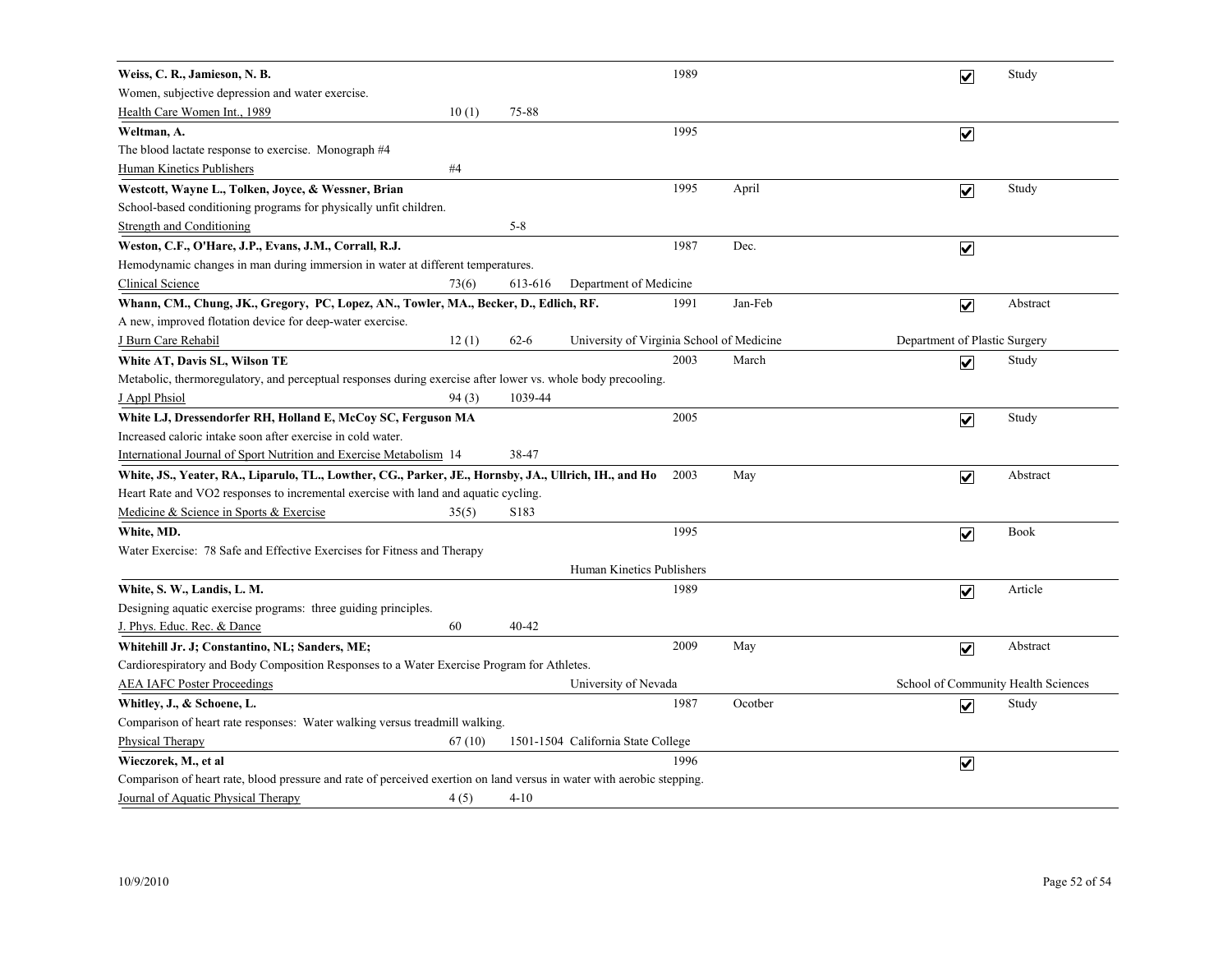| Weiss, C. R., Jamieson, N. B.                                                                                          |                  |                                           | 1989 |         | $\overline{\mathbf{v}}$       | Study                               |
|------------------------------------------------------------------------------------------------------------------------|------------------|-------------------------------------------|------|---------|-------------------------------|-------------------------------------|
| Women, subjective depression and water exercise.                                                                       |                  |                                           |      |         |                               |                                     |
| Health Care Women Int., 1989<br>10(1)                                                                                  | 75-88            |                                           |      |         |                               |                                     |
| Weltman, A.                                                                                                            |                  |                                           | 1995 |         | $\overline{\mathbf{v}}$       |                                     |
| The blood lactate response to exercise. Monograph #4                                                                   |                  |                                           |      |         |                               |                                     |
| #4<br>Human Kinetics Publishers                                                                                        |                  |                                           |      |         |                               |                                     |
| Westcott, Wayne L., Tolken, Joyce, & Wessner, Brian                                                                    |                  |                                           | 1995 | April   | $\overline{\mathbf{v}}$       | Study                               |
| School-based conditioning programs for physically unfit children.                                                      |                  |                                           |      |         |                               |                                     |
| <b>Strength and Conditioning</b>                                                                                       | $5 - 8$          |                                           |      |         |                               |                                     |
| Weston, C.F., O'Hare, J.P., Evans, J.M., Corrall, R.J.                                                                 |                  |                                           | 1987 | Dec.    | $\overline{\mathbf{v}}$       |                                     |
| Hemodynamic changes in man during immersion in water at different temperatures.                                        |                  |                                           |      |         |                               |                                     |
| Clinical Science<br>73(6)                                                                                              | 613-616          | Department of Medicine                    |      |         |                               |                                     |
| Whann, CM., Chung, JK., Gregory, PC, Lopez, AN., Towler, MA., Becker, D., Edlich, RF.                                  |                  |                                           | 1991 | Jan-Feb | $\overline{\mathbf{v}}$       | Abstract                            |
| A new, improved flotation device for deep-water exercise.                                                              |                  |                                           |      |         |                               |                                     |
| J Burn Care Rehabil<br>12(1)                                                                                           | $62 - 6$         | University of Virginia School of Medicine |      |         | Department of Plastic Surgery |                                     |
| White AT, Davis SL, Wilson TE                                                                                          |                  |                                           | 2003 | March   | $\overline{\mathbf{v}}$       | Study                               |
| Metabolic, thermoregulatory, and perceptual responses during exercise after lower vs. whole body precooling.           |                  |                                           |      |         |                               |                                     |
| 94(3)<br>J Appl Phsiol                                                                                                 | 1039-44          |                                           |      |         |                               |                                     |
| White LJ, Dressendorfer RH, Holland E, McCoy SC, Ferguson MA                                                           |                  |                                           | 2005 |         | $\overline{\mathbf{v}}$       | Study                               |
| Increased caloric intake soon after exercise in cold water.                                                            |                  |                                           |      |         |                               |                                     |
| International Journal of Sport Nutrition and Exercise Metabolism 14                                                    | 38-47            |                                           |      |         |                               |                                     |
| White, JS., Yeater, RA., Liparulo, TL., Lowther, CG., Parker, JE., Hornsby, JA., Ullrich, IH., and Ho                  |                  |                                           | 2003 | May     | $\overline{\mathbf{v}}$       | Abstract                            |
| Heart Rate and VO2 responses to incremental exercise with land and aquatic cycling.                                    |                  |                                           |      |         |                               |                                     |
| Medicine & Science in Sports & Exercise<br>35(5)                                                                       | S <sub>183</sub> |                                           |      |         |                               |                                     |
| White, MD.                                                                                                             |                  |                                           | 1995 |         | $\overline{\mathbf{v}}$       | <b>Book</b>                         |
| Water Exercise: 78 Safe and Effective Exercises for Fitness and Therapy                                                |                  |                                           |      |         |                               |                                     |
|                                                                                                                        |                  | Human Kinetics Publishers                 |      |         |                               |                                     |
| White, S. W., Landis, L. M.                                                                                            |                  |                                           | 1989 |         | $\blacktriangledown$          | Article                             |
| Designing aquatic exercise programs: three guiding principles.                                                         |                  |                                           |      |         |                               |                                     |
| J. Phys. Educ. Rec. & Dance<br>60                                                                                      | 40-42            |                                           |      |         |                               |                                     |
| Whitehill Jr. J; Constantino, NL; Sanders, ME;                                                                         |                  |                                           | 2009 | May     | $\overline{\mathbf{v}}$       | Abstract                            |
| Cardiorespiratory and Body Composition Responses to a Water Exercise Program for Athletes.                             |                  |                                           |      |         |                               |                                     |
| <b>AEA IAFC Poster Proceedings</b>                                                                                     |                  | University of Nevada                      |      |         |                               | School of Community Health Sciences |
| Whitley, J., & Schoene, L.                                                                                             |                  |                                           | 1987 | Ocotber | $\overline{\mathbf{v}}$       | Study                               |
| Comparison of heart rate responses: Water walking versus treadmill walking.                                            |                  |                                           |      |         |                               |                                     |
| Physical Therapy<br>67(10)                                                                                             |                  | 1501-1504 California State College        |      |         |                               |                                     |
| Wieczorek, M., et al                                                                                                   |                  |                                           | 1996 |         | $\blacktriangledown$          |                                     |
| Comparison of heart rate, blood pressure and rate of perceived exertion on land versus in water with aerobic stepping. |                  |                                           |      |         |                               |                                     |
| Journal of Aquatic Physical Therapy<br>4(5)                                                                            | $4 - 10$         |                                           |      |         |                               |                                     |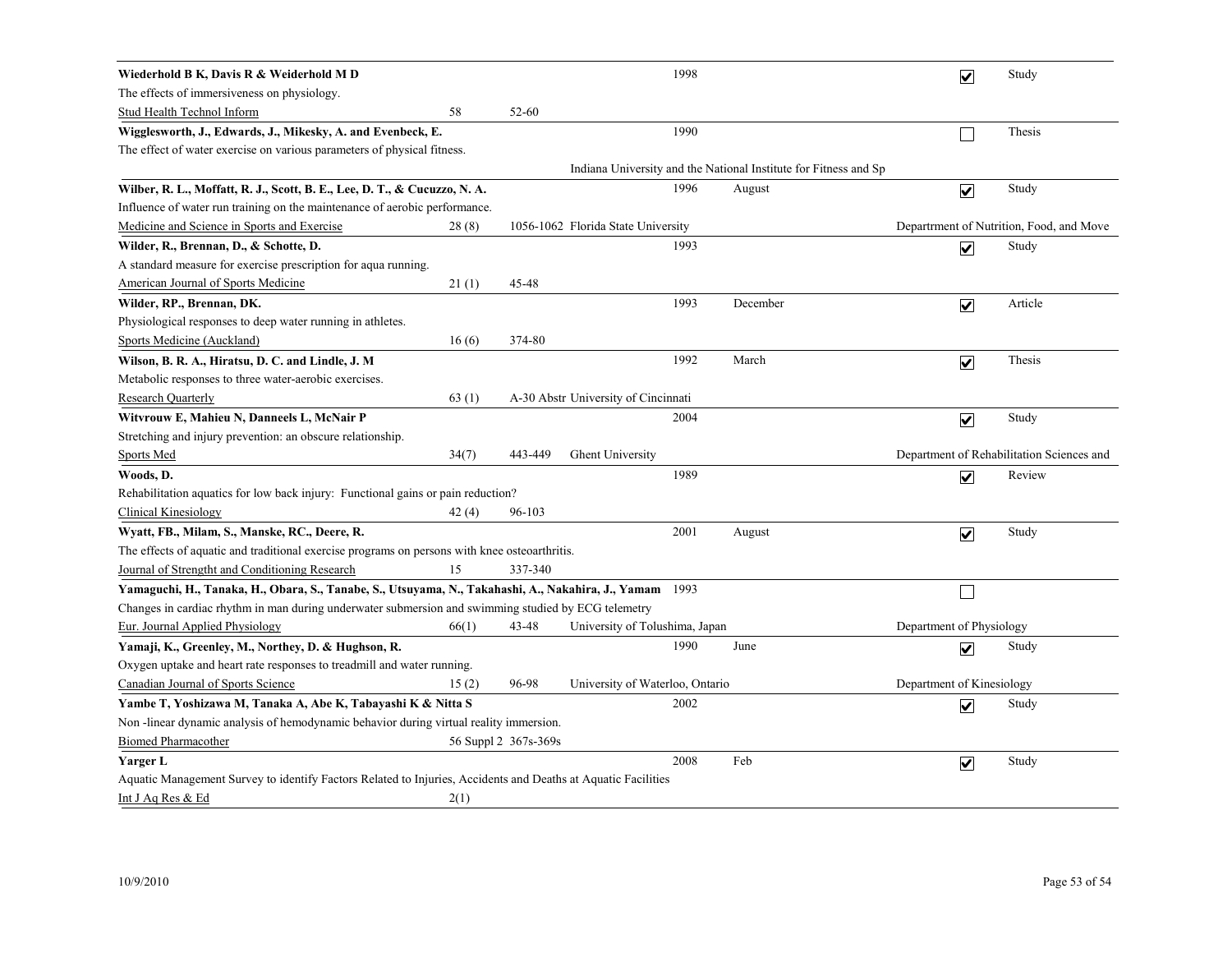| Wiederhold B K, Davis R & Weiderhold M D                                                                      |       |                      |                                     | 1998 |                                                                  |                           | $\overline{\mathbf{v}}$ | Study                                     |
|---------------------------------------------------------------------------------------------------------------|-------|----------------------|-------------------------------------|------|------------------------------------------------------------------|---------------------------|-------------------------|-------------------------------------------|
| The effects of immersiveness on physiology.                                                                   |       |                      |                                     |      |                                                                  |                           |                         |                                           |
| <b>Stud Health Technol Inform</b>                                                                             | 58    | 52-60                |                                     |      |                                                                  |                           |                         |                                           |
| Wigglesworth, J., Edwards, J., Mikesky, A. and Evenbeck, E.                                                   |       |                      |                                     | 1990 |                                                                  |                           |                         | Thesis                                    |
| The effect of water exercise on various parameters of physical fitness.                                       |       |                      |                                     |      |                                                                  |                           |                         |                                           |
|                                                                                                               |       |                      |                                     |      | Indiana University and the National Institute for Fitness and Sp |                           |                         |                                           |
| Wilber, R. L., Moffatt, R. J., Scott, B. E., Lee, D. T., & Cucuzzo, N. A.                                     |       |                      |                                     | 1996 | August                                                           |                           | $\overline{\mathbf{v}}$ | Study                                     |
| Influence of water run training on the maintenance of aerobic performance.                                    |       |                      |                                     |      |                                                                  |                           |                         |                                           |
| Medicine and Science in Sports and Exercise                                                                   | 28(8) |                      | 1056-1062 Florida State University  |      |                                                                  |                           |                         | Department of Nutrition, Food, and Move   |
| Wilder, R., Brennan, D., & Schotte, D.                                                                        |       |                      |                                     | 1993 |                                                                  |                           | $\overline{\mathbf{v}}$ | Study                                     |
| A standard measure for exercise prescription for aqua running.                                                |       |                      |                                     |      |                                                                  |                           |                         |                                           |
| American Journal of Sports Medicine                                                                           | 21(1) | 45-48                |                                     |      |                                                                  |                           |                         |                                           |
| Wilder, RP., Brennan, DK.                                                                                     |       |                      |                                     | 1993 | December                                                         |                           | $\overline{\mathbf{v}}$ | Article                                   |
| Physiological responses to deep water running in athletes.                                                    |       |                      |                                     |      |                                                                  |                           |                         |                                           |
| Sports Medicine (Auckland)                                                                                    | 16(6) | 374-80               |                                     |      |                                                                  |                           |                         |                                           |
| Wilson, B. R. A., Hiratsu, D. C. and Lindle, J. M                                                             |       |                      |                                     | 1992 | March                                                            |                           | $\overline{\mathbf{v}}$ | Thesis                                    |
| Metabolic responses to three water-aerobic exercises.                                                         |       |                      |                                     |      |                                                                  |                           |                         |                                           |
| <b>Research Quarterly</b>                                                                                     | 63(1) |                      | A-30 Abstr University of Cincinnati |      |                                                                  |                           |                         |                                           |
| Witvrouw E, Mahieu N, Danneels L, McNair P                                                                    |       |                      |                                     | 2004 |                                                                  |                           | $\overline{\mathbf{v}}$ | Study                                     |
| Stretching and injury prevention: an obscure relationship.                                                    |       |                      |                                     |      |                                                                  |                           |                         |                                           |
| <b>Sports Med</b>                                                                                             | 34(7) | 443-449              | <b>Ghent University</b>             |      |                                                                  |                           |                         | Department of Rehabilitation Sciences and |
| Woods, D.                                                                                                     |       |                      |                                     | 1989 |                                                                  |                           | $\overline{\mathbf{v}}$ | Review                                    |
| Rehabilitation aquatics for low back injury: Functional gains or pain reduction?                              |       |                      |                                     |      |                                                                  |                           |                         |                                           |
| <b>Clinical Kinesiology</b>                                                                                   | 42(4) | 96-103               |                                     |      |                                                                  |                           |                         |                                           |
| Wyatt, FB., Milam, S., Manske, RC., Deere, R.                                                                 |       |                      |                                     | 2001 | August                                                           |                           | $\blacktriangledown$    | Study                                     |
| The effects of aquatic and traditional exercise programs on persons with knee osteoarthritis.                 |       |                      |                                     |      |                                                                  |                           |                         |                                           |
| Journal of Strengtht and Conditioning Research                                                                | 15    | 337-340              |                                     |      |                                                                  |                           |                         |                                           |
| Yamaguchi, H., Tanaka, H., Obara, S., Tanabe, S., Utsuyama, N., Takahashi, A., Nakahira, J., Yamam            |       |                      |                                     | 1993 |                                                                  |                           |                         |                                           |
| Changes in cardiac rhythm in man during underwater submersion and swimming studied by ECG telemetry           |       |                      |                                     |      |                                                                  |                           |                         |                                           |
| Eur. Journal Applied Physiology                                                                               | 66(1) | 43-48                | University of Tolushima, Japan      |      |                                                                  | Department of Physiology  |                         |                                           |
| Yamaji, K., Greenley, M., Northey, D. & Hughson, R.                                                           |       |                      |                                     | 1990 | June                                                             |                           | $\blacktriangledown$    | Study                                     |
| Oxygen uptake and heart rate responses to treadmill and water running.                                        |       |                      |                                     |      |                                                                  |                           |                         |                                           |
| Canadian Journal of Sports Science                                                                            | 15(2) | 96-98                | University of Waterloo, Ontario     |      |                                                                  | Department of Kinesiology |                         |                                           |
| Yambe T, Yoshizawa M, Tanaka A, Abe K, Tabayashi K & Nitta S                                                  |       |                      |                                     | 2002 |                                                                  |                           | $\blacktriangledown$    | Study                                     |
| Non-linear dynamic analysis of hemodynamic behavior during virtual reality immersion.                         |       |                      |                                     |      |                                                                  |                           |                         |                                           |
| <b>Biomed Pharmacother</b>                                                                                    |       | 56 Suppl 2 367s-369s |                                     |      |                                                                  |                           |                         |                                           |
| Yarger L                                                                                                      |       |                      |                                     | 2008 | Feb                                                              |                           | $\overline{\mathbf{v}}$ | Study                                     |
| Aquatic Management Survey to identify Factors Related to Injuries, Accidents and Deaths at Aquatic Facilities |       |                      |                                     |      |                                                                  |                           |                         |                                           |
| Int J Aq Res & Ed                                                                                             | 2(1)  |                      |                                     |      |                                                                  |                           |                         |                                           |